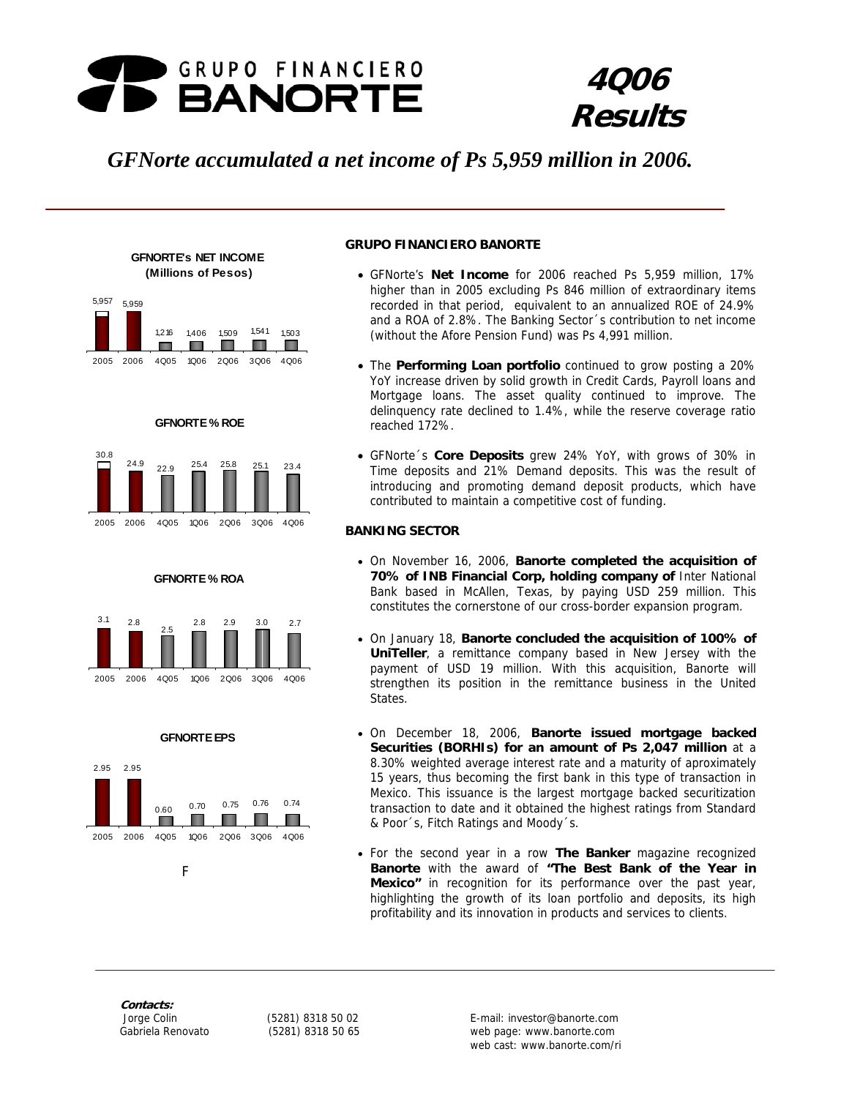

# **4Q06 Results**

# *GFNorte accumulated a net income of Ps 5,959 million in 2006.*



**GFNORTE's NET INCOME** 













## **GRUPO FINANCIERO BANORTE**

- GFNorte's **Net Income** for 2006 reached Ps 5,959 million, 17% higher than in 2005 excluding Ps 846 million of extraordinary items recorded in that period, equivalent to an annualized ROE of 24.9% and a ROA of 2.8%. The Banking Sector´s contribution to net income (without the Afore Pension Fund) was Ps 4,991 million.
- The **Performing Loan portfolio** continued to grow posting a 20% YoY increase driven by solid growth in Credit Cards, Payroll loans and Mortgage loans. The asset quality continued to improve. The delinquency rate declined to 1.4%, while the reserve coverage ratio reached 172%.
- GFNorte´s **Core Deposits** grew 24% YoY, with grows of 30% in Time deposits and 21% Demand deposits. This was the result of introducing and promoting demand deposit products, which have contributed to maintain a competitive cost of funding.

## **BANKING SECTOR**

- On November 16, 2006, **Banorte completed the acquisition of 70% of INB Financial Corp, holding company of** Inter National Bank based in McAllen, Texas, by paying USD 259 million. This constitutes the cornerstone of our cross-border expansion program.
- On January 18, **Banorte concluded the acquisition of 100% of UniTeller**, a remittance company based in New Jersey with the payment of USD 19 million. With this acquisition, Banorte will strengthen its position in the remittance business in the United States.
- On December 18, 2006, **Banorte issued mortgage backed Securities (BORHIs) for an amount of Ps 2,047 million** at a 8.30% weighted average interest rate and a maturity of aproximately 15 years, thus becoming the first bank in this type of transaction in Mexico. This issuance is the largest mortgage backed securitization transaction to date and it obtained the highest ratings from Standard & Poor´s, Fitch Ratings and Moody´s.
- For the second year in a row **The Banker** magazine recognized **Banorte** with the award of **"The Best Bank of the Year in Mexico"** in recognition for its performance over the past year, highlighting the growth of its loan portfolio and deposits, its high profitability and its innovation in products and services to clients.

**Contacts:** 

Fig. 1. The Fig. 1. Press

web cast: www.banorte.com/ri Jorge Colin (5281) 8318 50 02 E-mail: investor@banorte.com Gabriela Renovato (5281) 8318 50 65 web page: www.banorte.com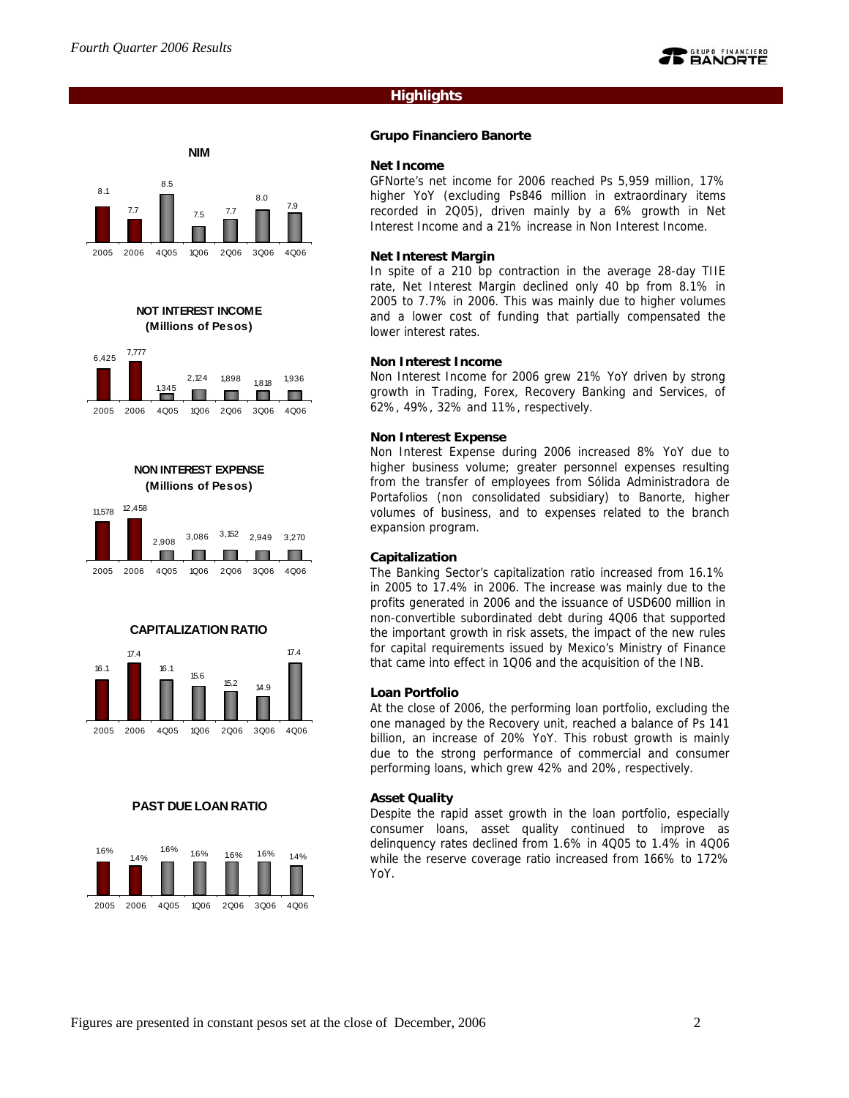8.1

7.7

## **Highlights**

#### **Grupo Financiero Banorte**

#### **Net Income**

GFNorte's net income for 2006 reached Ps 5,959 million, 17% higher YoY (excluding Ps846 million in extraordinary items recorded in 2Q05), driven mainly by a 6% growth in Net Interest Income and a 21% increase in Non Interest Income.

#### **Net Interest Margin**

In spite of a 210 bp contraction in the average 28-day TIIE rate, Net Interest Margin declined only 40 bp from 8.1% in 2005 to 7.7% in 2006. This was mainly due to higher volumes and a lower cost of funding that partially compensated the lower interest rates.

#### **Non Interest Income**

Non Interest Income for 2006 grew 21% YoY driven by strong growth in Trading, Forex, Recovery Banking and Services, of 62%, 49%, 32% and 11%, respectively.

#### **Non Interest Expense**

Non Interest Expense during 2006 increased 8% YoY due to higher business volume; greater personnel expenses resulting from the transfer of employees from Sólida Administradora de Portafolios (non consolidated subsidiary) to Banorte, higher volumes of business, and to expenses related to the branch expansion program.

## **Capitalization**

The Banking Sector's capitalization ratio increased from 16.1% in 2005 to 17.4% in 2006. The increase was mainly due to the profits generated in 2006 and the issuance of USD600 million in non-convertible subordinated debt during 4Q06 that supported the important growth in risk assets, the impact of the new rules for capital requirements issued by Mexico's Ministry of Finance that came into effect in 1Q06 and the acquisition of the INB.

#### **Loan Portfolio**

At the close of 2006, the performing loan portfolio, excluding the one managed by the Recovery unit, reached a balance of Ps 141 billion, an increase of 20% YoY. This robust growth is mainly due to the strong performance of commercial and consumer performing loans, which grew 42% and 20%, respectively.

#### **Asset Quality**

Despite the rapid asset growth in the loan portfolio, especially consumer loans, asset quality continued to improve as delinquency rates declined from 1.6% in 4Q05 to 1.4% in 4Q06 while the reserve coverage ratio increased from 166% to 172% YoY.



2005 2006 4Q05 1Q06 2Q06 3Q06 4Q06

**NIM**

7.5 7.7

8.0

7.9

8.5











#### **PAST DUE LOAN RATIO**

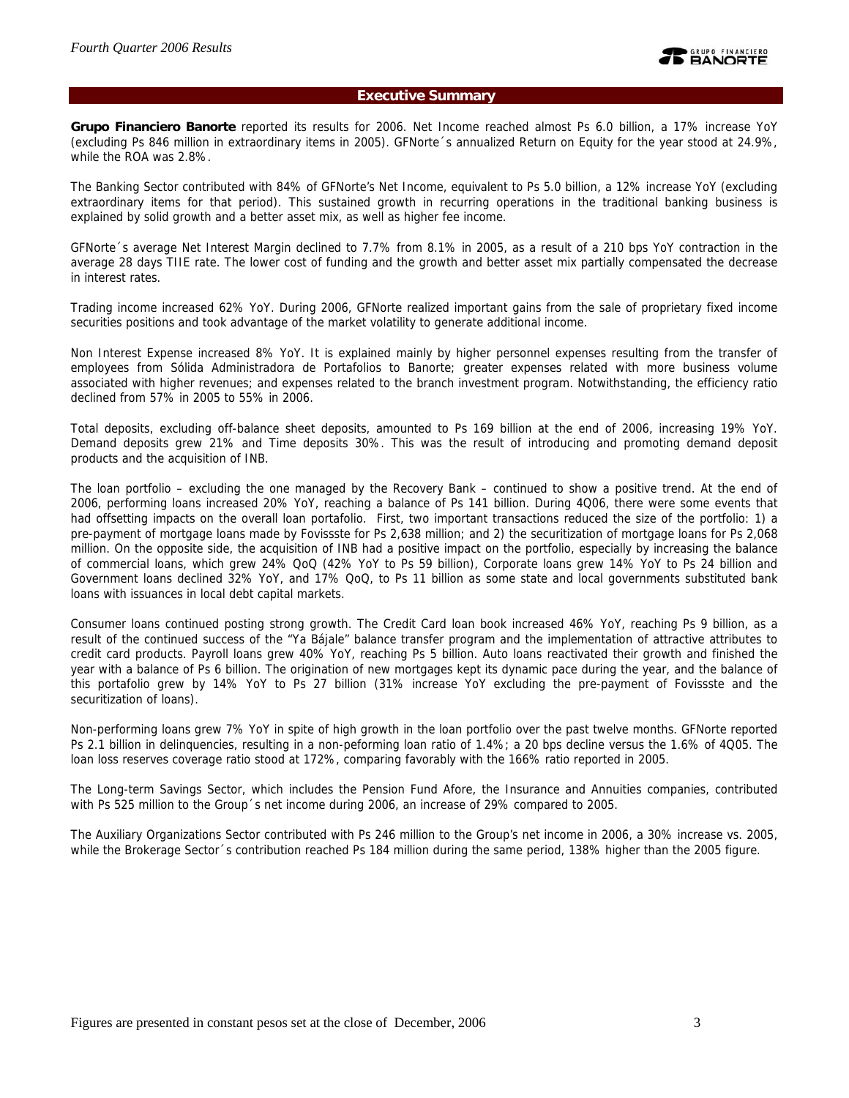## **Executive Summary**

**Grupo Financiero Banorte** reported its results for 2006. Net Income reached almost Ps 6.0 billion, a 17% increase YoY (excluding Ps 846 million in extraordinary items in 2005). GFNorte´s annualized Return on Equity for the year stood at 24.9%, while the ROA was 2.8%.

The Banking Sector contributed with 84% of GFNorte's Net Income, equivalent to Ps 5.0 billion, a 12% increase YoY (excluding extraordinary items for that period). This sustained growth in recurring operations in the traditional banking business is explained by solid growth and a better asset mix, as well as higher fee income.

GFNorte´s average Net Interest Margin declined to 7.7% from 8.1% in 2005, as a result of a 210 bps YoY contraction in the average 28 days TIIE rate. The lower cost of funding and the growth and better asset mix partially compensated the decrease in interest rates.

Trading income increased 62% YoY. During 2006, GFNorte realized important gains from the sale of proprietary fixed income securities positions and took advantage of the market volatility to generate additional income.

Non Interest Expense increased 8% YoY. It is explained mainly by higher personnel expenses resulting from the transfer of employees from Sólida Administradora de Portafolios to Banorte; greater expenses related with more business volume associated with higher revenues; and expenses related to the branch investment program. Notwithstanding, the efficiency ratio declined from 57% in 2005 to 55% in 2006.

Total deposits, excluding off-balance sheet deposits, amounted to Ps 169 billion at the end of 2006, increasing 19% YoY. Demand deposits grew 21% and Time deposits 30%. This was the result of introducing and promoting demand deposit products and the acquisition of INB.

The loan portfolio – excluding the one managed by the Recovery Bank – continued to show a positive trend. At the end of 2006, performing loans increased 20% YoY, reaching a balance of Ps 141 billion. During 4Q06, there were some events that had offsetting impacts on the overall loan portafolio. First, two important transactions reduced the size of the portfolio: 1) a pre-payment of mortgage loans made by Fovissste for Ps 2,638 million; and 2) the securitization of mortgage loans for Ps 2,068 million. On the opposite side, the acquisition of INB had a positive impact on the portfolio, especially by increasing the balance of commercial loans, which grew 24% QoQ (42% YoY to Ps 59 billion), Corporate loans grew 14% YoY to Ps 24 billion and Government loans declined 32% YoY, and 17% QoQ, to Ps 11 billion as some state and local governments substituted bank loans with issuances in local debt capital markets.

Consumer loans continued posting strong growth. The Credit Card loan book increased 46% YoY, reaching Ps 9 billion, as a result of the continued success of the "Ya Bájale" balance transfer program and the implementation of attractive attributes to credit card products. Payroll loans grew 40% YoY, reaching Ps 5 billion. Auto loans reactivated their growth and finished the year with a balance of Ps 6 billion. The origination of new mortgages kept its dynamic pace during the year, and the balance of this portafolio grew by 14% YoY to Ps 27 billion (31% increase YoY excluding the pre-payment of Fovissste and the securitization of loans).

Non-performing loans grew 7% YoY in spite of high growth in the loan portfolio over the past twelve months. GFNorte reported Ps 2.1 billion in delinquencies, resulting in a non-peforming loan ratio of 1.4%; a 20 bps decline versus the 1.6% of 4Q05. The loan loss reserves coverage ratio stood at 172%, comparing favorably with the 166% ratio reported in 2005.

The Long-term Savings Sector, which includes the Pension Fund Afore, the Insurance and Annuities companies, contributed with Ps 525 million to the Group´s net income during 2006, an increase of 29% compared to 2005.

The Auxiliary Organizations Sector contributed with Ps 246 million to the Group's net income in 2006, a 30% increase vs. 2005, while the Brokerage Sector´s contribution reached Ps 184 million during the same period, 138% higher than the 2005 figure.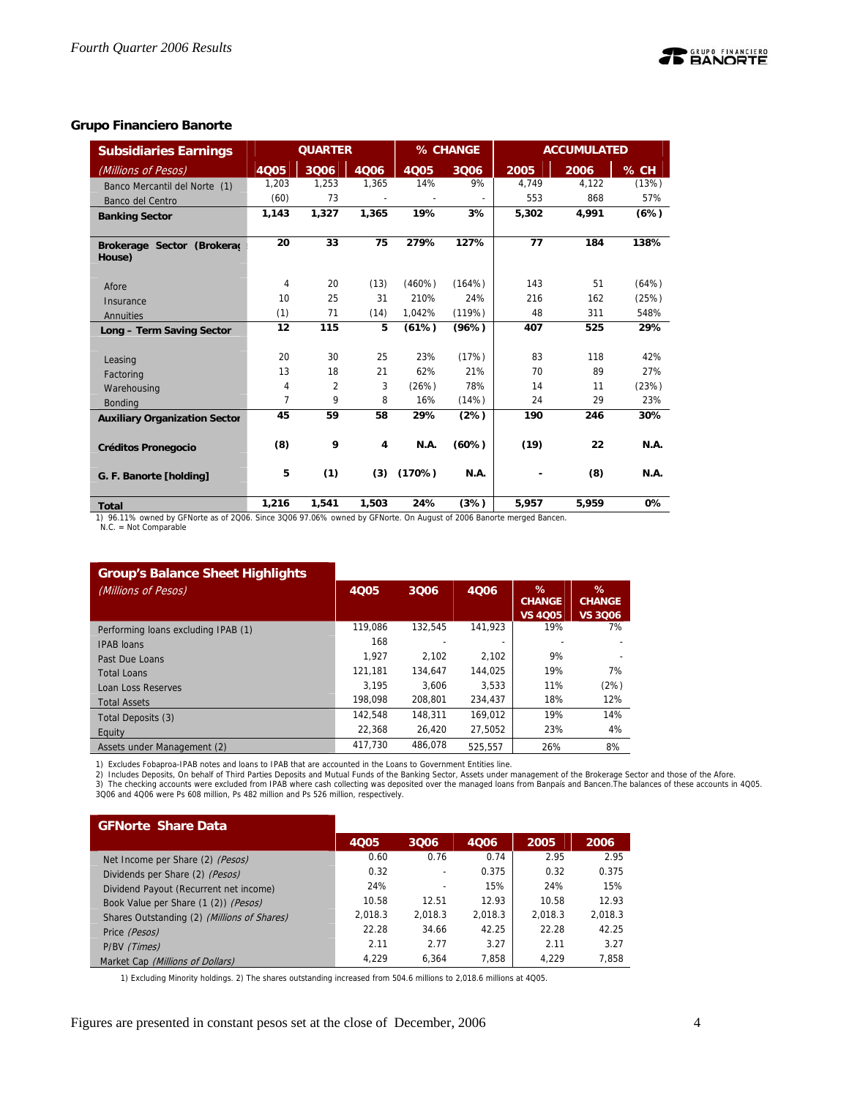## **Grupo Financiero Banorte**

| <b>Subsidiaries Earnings</b>                                                                                                                   |                | <b>QUARTER</b> |       |        | % CHANGE |       | <b>ACCUMULATED</b> |             |
|------------------------------------------------------------------------------------------------------------------------------------------------|----------------|----------------|-------|--------|----------|-------|--------------------|-------------|
| (Millions of Pesos)                                                                                                                            | 4005           | 3006           | 4Q06  | 4Q05   | 3Q06     | 2005  | 2006               | % CH        |
| Banco Mercantil del Norte (1)                                                                                                                  | 1,203          | 1,253          | 1,365 | 14%    | 9%       | 4,749 | 4,122              | (13%)       |
| Banco del Centro                                                                                                                               | (60)           | 73             |       |        |          | 553   | 868                | 57%         |
| <b>Banking Sector</b>                                                                                                                          | 1,143          | 1,327          | 1,365 | 19%    | 3%       | 5,302 | 4,991              | (6%)        |
|                                                                                                                                                |                |                |       |        |          |       |                    |             |
| Brokerage Sector (Brokerad<br>House)                                                                                                           | 20             | 33             | 75    | 279%   | 127%     | 77    | 184                | 138%        |
| Afore                                                                                                                                          | 4              | 20             | (13)  | (460%) | (164%)   | 143   | 51                 | (64%)       |
| Insurance                                                                                                                                      | 10             | 25             | 31    | 210%   | 24%      | 216   | 162                | (25%)       |
| Annuities                                                                                                                                      | (1)            | 71             | (14)  | 1,042% | (119%)   | 48    | 311                | 548%        |
| Long - Term Saving Sector                                                                                                                      | 12             | 115            | 5     | (61%)  | (96%)    | 407   | 525                | 29%         |
| Leasing                                                                                                                                        | 20             | 30             | 25    | 23%    | (17%)    | 83    | 118                | 42%         |
| Factoring                                                                                                                                      | 13             | 18             | 21    | 62%    | 21%      | 70    | 89                 | 27%         |
| Warehousing                                                                                                                                    | 4              | 2              | 3     | (26%)  | 78%      | 14    | 11                 | (23%)       |
| <b>Bonding</b>                                                                                                                                 | $\overline{7}$ | 9              | 8     | 16%    | (14%)    | 24    | 29                 | 23%         |
| <b>Auxiliary Organization Sector</b>                                                                                                           | 45             | 59             | 58    | 29%    | (2%)     | 190   | 246                | 30%         |
| <b>Créditos Pronegocio</b>                                                                                                                     | (8)            | 9              | 4     | N.A.   | (60%)    | (19)  | 22                 | <b>N.A.</b> |
| G. F. Banorte [holding]                                                                                                                        | 5              | (1)            | (3)   | (170%) | N.A.     |       | (8)                | <b>N.A.</b> |
| <b>Total</b>                                                                                                                                   | 1,216          | 1,541          | 1,503 | 24%    | (3%)     | 5,957 | 5,959              | 0%          |
| 1) 96.11% owned by GFNorte as of 2006. Since 3006 97.06% owned by GFNorte. On August of 2006 Banorte merged Bancen.<br>$N.C. = Not Comparable$ |                |                |       |        |          |       |                    |             |

#### **Group's Balance Sheet Highlights**  (Millions of Pesos) **4Q05 12Q06 12Q06 12 %**  $\frac{1}{2}$  **4Q06** 14Q06 14 **CHANGE VS 4Q05 % CHANGE VS 3Q06** Performing loans excluding IPAB (1) 119,086 132,545 141,923 19% 7% IPAB loans 168 - - - - Past Due Loans 1,927 2,102 2,102 9% -<br>
Past Due Loans 1,927 2,102 2,102 9% - 1,936 9% - 1,941 1,181 1,181 1,181 1,181 1,181 1,1925 1,936 7% Total Loans 121,181 134,647 144,025 19% 7% Loan Loss Reserves 3,195 3,606 3,533 11% (2%) Total Assets 198,098 208,801 234,437 18% 12% Total Deposits (3) 142,548 148,311 169,012 19% 14%<br>
Faulty 19% 14% 22,368 26,420 27,5052 23% 4% Equity 22,368 26,420 27,5052 23% 4% Assets under Management (2) 417,730 486,078 525,557 26% 8%

1) Excludes Fobaproa-IPAB notes and loans to IPAB that are accounted in the Loans to Government Entities line.

2) Includes Deposits, On behalf of Third Parties Deposits and Mutual Funds of the Banking Sector, Assets under management of the Brokerage Sector and those of the Afore.<br>3) The checking accounts were excluded from IPAB whe

3Q06 and 4Q06 were Ps 608 million, Ps 482 million and Ps 526 million, respectively.

**GFNorte Share Data** 

|                                             | 4Q05    | 3006    | 4006    | 2005    | 2006    |
|---------------------------------------------|---------|---------|---------|---------|---------|
| Net Income per Share (2) (Pesos)            | 0.60    | 0.76    | 0.74    | 2.95    | 2.95    |
| Dividends per Share (2) (Pesos)             | 0.32    |         | 0.375   | 0.32    | 0.375   |
| Dividend Payout (Recurrent net income)      | 24%     |         | 15%     | 24%     | 15%     |
| Book Value per Share (1 (2)) (Pesos)        | 10.58   | 12.51   | 12.93   | 10.58   | 12.93   |
| Shares Outstanding (2) (Millions of Shares) | 2.018.3 | 2.018.3 | 2.018.3 | 2.018.3 | 2.018.3 |
| Price (Pesos)                               | 22.28   | 34.66   | 42.25   | 22.28   | 42.25   |
| P/BV (Times)                                | 2.11    | 2.77    | 3.27    | 2.11    | 3.27    |
| Market Cap (Millions of Dollars)            | 4.229   | 6.364   | 7,858   | 4.229   | 7.858   |

1) Excluding Minority holdings. 2) The shares outstanding increased from 504.6 millions to 2,018.6 millions at 4Q05.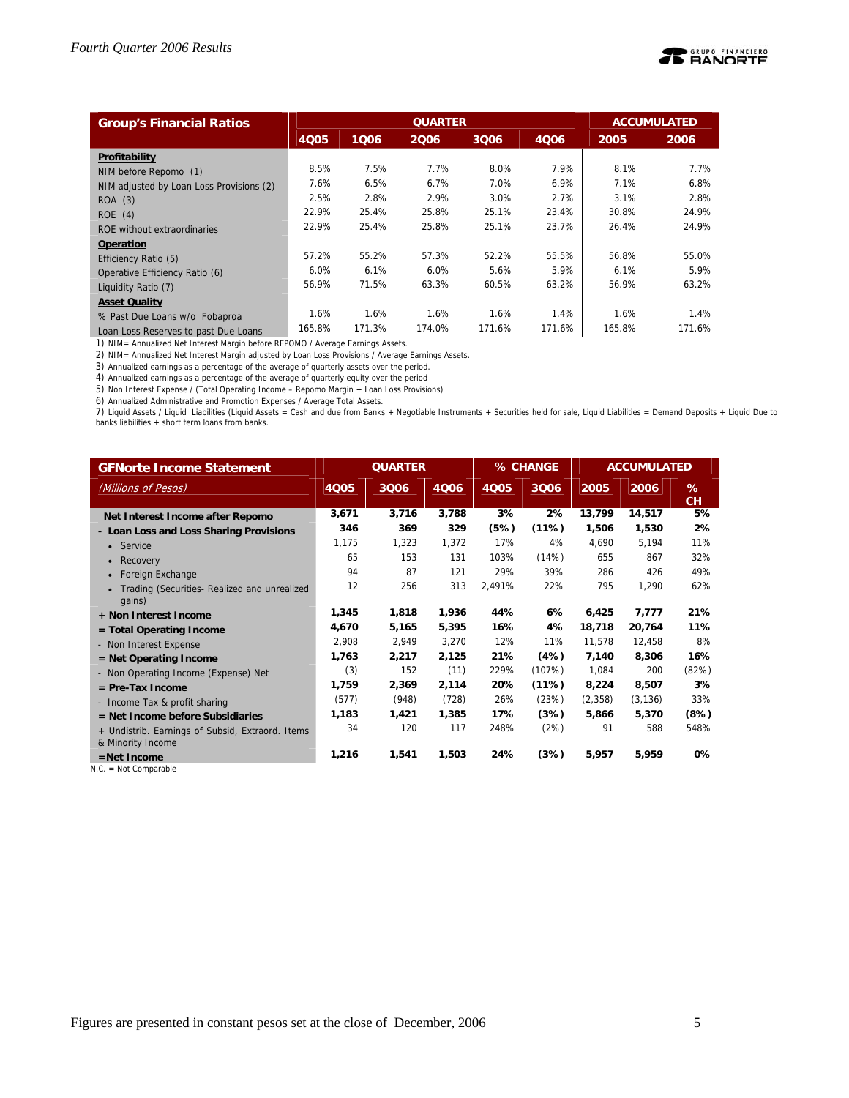

| <b>Group's Financial Ratios</b>          |             |        | <b>ACCUMULATED</b> |        |        |        |        |
|------------------------------------------|-------------|--------|--------------------|--------|--------|--------|--------|
|                                          | <b>4Q05</b> | 1006   | 2006               | 3006   | 4006   | 2005   | 2006   |
| Profitability                            |             |        |                    |        |        |        |        |
| NIM before Repomo (1)                    | 8.5%        | 7.5%   | 7.7%               | 8.0%   | 7.9%   | 8.1%   | 7.7%   |
| NIM adjusted by Loan Loss Provisions (2) | 7.6%        | 6.5%   | 6.7%               | 7.0%   | 6.9%   | 7.1%   | 6.8%   |
| ROA (3)                                  | 2.5%        | 2.8%   | 2.9%               | 3.0%   | 2.7%   | 3.1%   | 2.8%   |
| ROE(4)                                   | 22.9%       | 25.4%  | 25.8%              | 25.1%  | 23.4%  | 30.8%  | 24.9%  |
| ROE without extraordinaries              | 22.9%       | 25.4%  | 25.8%              | 25.1%  | 23.7%  | 26.4%  | 24.9%  |
| <b>Operation</b>                         |             |        |                    |        |        |        |        |
| Efficiency Ratio (5)                     | 57.2%       | 55.2%  | 57.3%              | 52.2%  | 55.5%  | 56.8%  | 55.0%  |
| Operative Efficiency Ratio (6)           | 6.0%        | 6.1%   | 6.0%               | 5.6%   | 5.9%   | 6.1%   | 5.9%   |
| Liquidity Ratio (7)                      | 56.9%       | 71.5%  | 63.3%              | 60.5%  | 63.2%  | 56.9%  | 63.2%  |
| <b>Asset Quality</b>                     |             |        |                    |        |        |        |        |
| % Past Due Loans w/o Fobaproa            | 1.6%        | 1.6%   | 1.6%               | 1.6%   | 1.4%   | 1.6%   | 1.4%   |
| Loan Loss Reserves to past Due Loans     | 165.8%      | 171.3% | 174.0%             | 171.6% | 171.6% | 165.8% | 171.6% |

1) NIM= Annualized Net Interest Margin before REPOMO / Average Earnings Assets.

2) NIM= Annualized Net Interest Margin adjusted by Loan Loss Provisions / Average Earnings Assets.

3) Annualized earnings as a percentage of the average of quarterly assets over the period.

4) Annualized earnings as a percentage of the average of quarterly equity over the period

5) Non Interest Expense / (Total Operating Income – Repomo Margin + Loan Loss Provisions)

6) Annualized Administrative and Promotion Expenses / Average Total Assets.

7) Liquid Assets / Liquid Liabilities (Liquid Assets = Cash and due from Banks + Negotiable Instruments + Securities held for sale, Liquid Liabilities = Demand Deposits + Liquid Due to<br>banks liabilities + short term loans

| <b>GFNorte Income Statement</b>                        |       | <b>QUARTER</b> |       |        | % CHANGE |         | <b>ACCUMULATED</b> |         |
|--------------------------------------------------------|-------|----------------|-------|--------|----------|---------|--------------------|---------|
| (Millions of Pesos)                                    | 4Q05  | 3006           | 4006  | 4Q05   | 3006     | 2005    | 2006               | %<br>CH |
| Net Interest Income after Repomo                       | 3,671 | 3,716          | 3,788 | 3%     | 2%       | 13,799  | 14,517             | 5%      |
| - Loan Loss and Loss Sharing Provisions                | 346   | 369            | 329   | (5%)   | (11%)    | 1,506   | 1,530              | 2%      |
| • Service                                              | 1,175 | 1,323          | 1,372 | 17%    | 4%       | 4,690   | 5,194              | 11%     |
| Recovery<br>$\bullet$                                  | 65    | 153            | 131   | 103%   | (14%)    | 655     | 867                | 32%     |
| Foreign Exchange                                       | 94    | 87             | 121   | 29%    | 39%      | 286     | 426                | 49%     |
| Trading (Securities- Realized and unrealized<br>gains) | 12    | 256            | 313   | 2,491% | 22%      | 795     | 1,290              | 62%     |
| + Non Interest Income                                  | 1,345 | 1,818          | 1,936 | 44%    | 6%       | 6,425   | 7,777              | 21%     |
| $=$ Total Operating Income                             | 4,670 | 5,165          | 5,395 | 16%    | 4%       | 18,718  | 20,764             | 11%     |
| - Non Interest Expense                                 | 2,908 | 2,949          | 3,270 | 12%    | 11%      | 11.578  | 12,458             | 8%      |
| $=$ Net Operating Income                               | 1,763 | 2,217          | 2,125 | 21%    | (4%)     | 7,140   | 8,306              | 16%     |
| - Non Operating Income (Expense) Net                   | (3)   | 152            | (11)  | 229%   | (107%)   | 1,084   | 200                | (82%)   |
| $=$ Pre-Tax Income                                     | 1,759 | 2,369          | 2,114 | 20%    | (11%)    | 8,224   | 8,507              | 3%      |
| - Income Tax & profit sharing                          | (577) | (948)          | (728) | 26%    | (23%)    | (2,358) | (3, 136)           | 33%     |
| $=$ Net Income before Subsidiaries                     | 1,183 | 1,421          | 1,385 | 17%    | (3%)     | 5,866   | 5,370              | (8%)    |
| + Undistrib. Earnings of Subsid, Extraord. Items       | 34    | 120            | 117   | 248%   | (2%)     | 91      | 588                | 548%    |
| & Minority Income                                      |       |                |       |        |          |         |                    |         |
| $=$ Net Income                                         | 1,216 | 1,541          | 1,503 | 24%    | (3%)     | 5,957   | 5,959              | 0%      |

N.C. = Not Comparable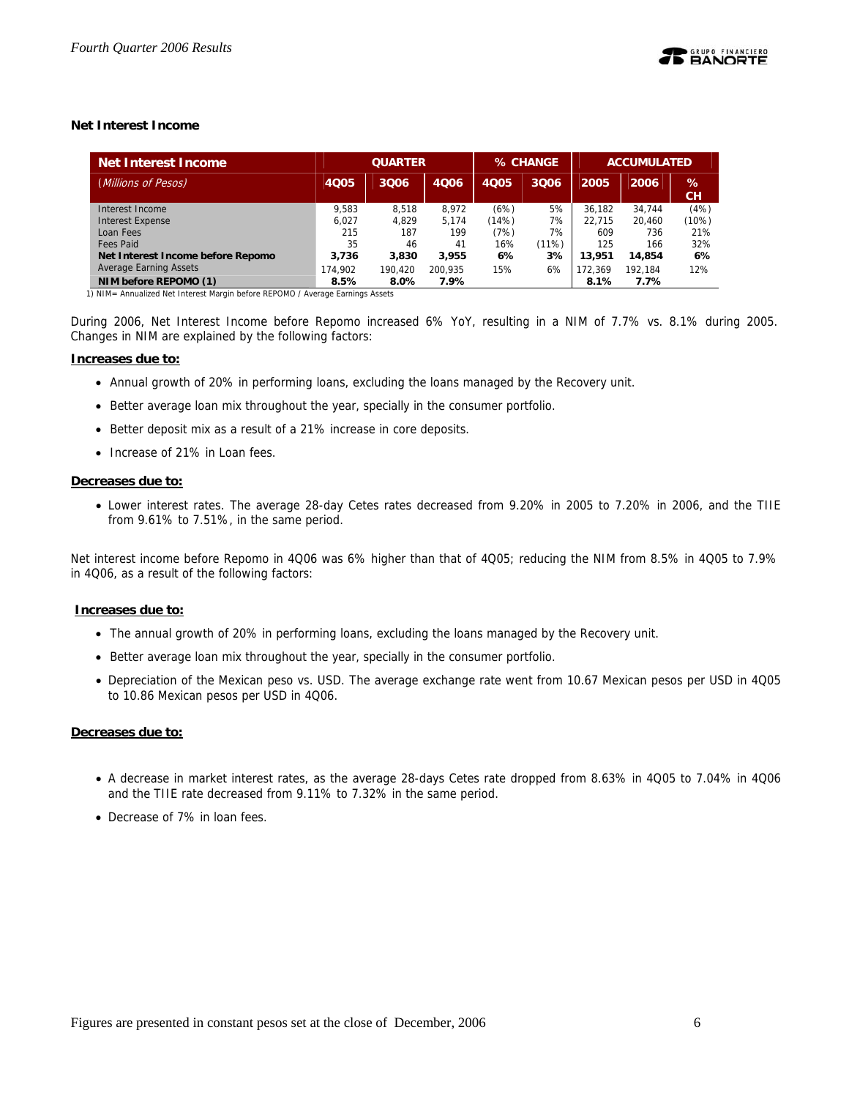## **Net Interest Income**

| <b>Net Interest Income</b>        | <b>QUARTER</b> |         |         |       | % CHANGE | <b>ACCUMULATED</b> |         |         |
|-----------------------------------|----------------|---------|---------|-------|----------|--------------------|---------|---------|
| (Millions of Pesos)               | <b>4Q05</b>    | 3006    | 4006    | 4005  | 3Q06     | 2005               | 2006    | %<br>cн |
| Interest Income                   | 9.583          | 8.518   | 8.972   | (6%)  | 5%       | 36.182             | 34.744  | (4%)    |
| <b>Interest Expense</b>           | 6.027          | 4.829   | 5.174   | (14%) | 7%       | 22.715             | 20.460  | (10%)   |
| Loan Fees                         | 215            | 187     | 199     | (7%)  | 7%       | 609                | 736     | 21%     |
| Fees Paid                         | 35             | 46      | 41      | 16%   | (11%)    | 125                | 166     | 32%     |
| Net Interest Income before Repomo | 3.736          | 3,830   | 3,955   | 6%    | 3%       | 13,951             | 14,854  | 6%      |
| <b>Average Earning Assets</b>     | 174.902        | 190.420 | 200.935 | 15%   | 6%       | 172.369            | 192.184 | 12%     |
| NIM before REPOMO (1)             | 8.5%           | 8.0%    | 7.9%    |       |          | 8.1%               | 7.7%    |         |

1) NIM= Annualized Net Interest Margin before REPOMO / Average Earnings Assets

During 2006, Net Interest Income before Repomo increased 6% YoY, resulting in a NIM of 7.7% vs. 8.1% during 2005. Changes in NIM are explained by the following factors:

#### **Increases due to:**

- Annual growth of 20% in performing loans, excluding the loans managed by the Recovery unit.
- Better average loan mix throughout the year, specially in the consumer portfolio.
- Better deposit mix as a result of a 21% increase in core deposits.
- Increase of 21% in Loan fees.

## **Decreases due to:**

• Lower interest rates. The average 28-day Cetes rates decreased from 9.20% in 2005 to 7.20% in 2006, and the TIIE from 9.61% to 7.51%, in the same period.

Net interest income before Repomo in 4Q06 was 6% higher than that of 4Q05; reducing the NIM from 8.5% in 4Q05 to 7.9% in 4Q06, as a result of the following factors:

## **Increases due to:**

- The annual growth of 20% in performing loans, excluding the loans managed by the Recovery unit.
- Better average loan mix throughout the year, specially in the consumer portfolio.
- Depreciation of the Mexican peso vs. USD. The average exchange rate went from 10.67 Mexican pesos per USD in 4Q05 to 10.86 Mexican pesos per USD in 4Q06.

## **Decreases due to:**

- A decrease in market interest rates, as the average 28-days Cetes rate dropped from 8.63% in 4Q05 to 7.04% in 4Q06 and the TIIE rate decreased from 9.11% to 7.32% in the same period.
- Decrease of 7% in loan fees.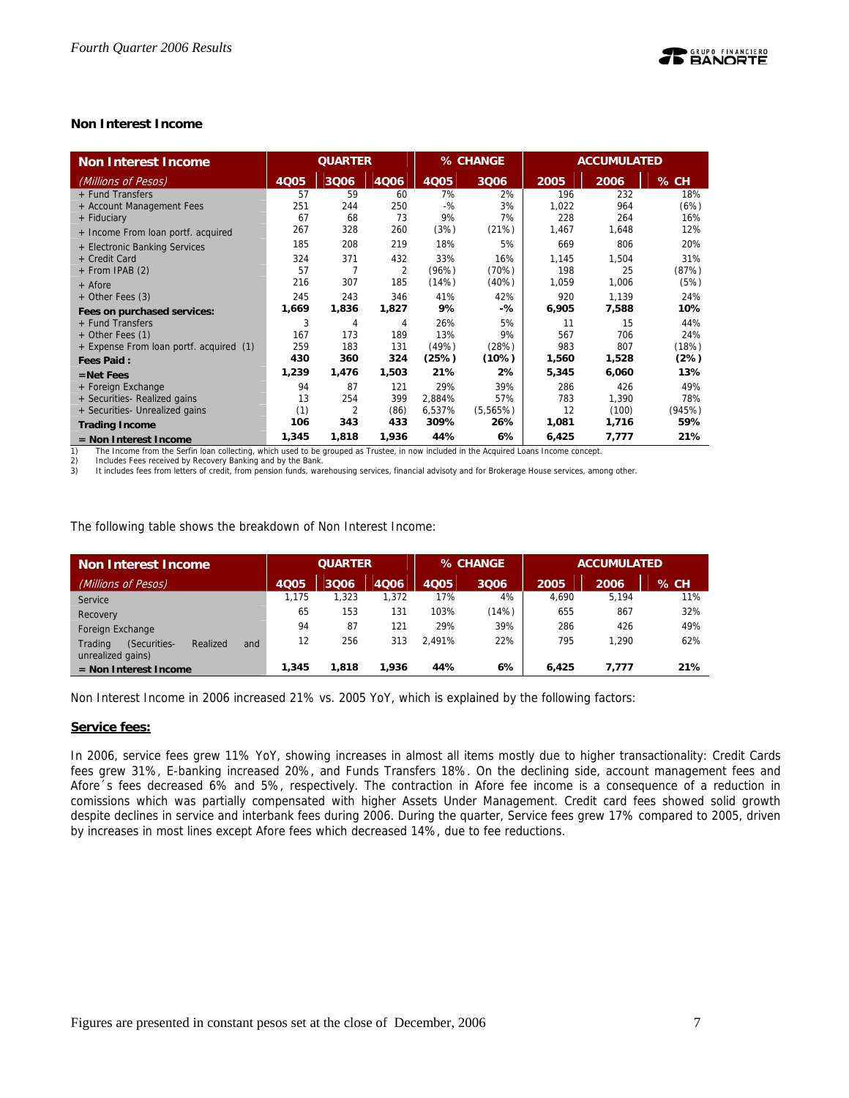## **Non Interest Income**

| <b>Non Interest Income</b>              | <b>QUARTER</b> |       | % CHANGE |             |          | <b>ACCUMULATED</b> |       |        |
|-----------------------------------------|----------------|-------|----------|-------------|----------|--------------------|-------|--------|
| (Millions of Pesos)                     | 4Q05           | 3Q06  | 4006     | <b>4Q05</b> | 3006     | 2005               | 2006  | $%$ CH |
| + Fund Transfers                        | 57             | 59    | 60       | 7%          | 2%       | 196                | 232   | 18%    |
| + Account Management Fees               | 251            | 244   | 250      | $-$ %       | 3%       | 1,022              | 964   | (6%)   |
| + Fiduciary                             | 67             | 68    | 73       | 9%          | 7%       | 228                | 264   | 16%    |
| + Income From loan portf. acquired      | 267            | 328   | 260      | (3%)        | (21%)    | 1,467              | 1,648 | 12%    |
| + Electronic Banking Services           | 185            | 208   | 219      | 18%         | 5%       | 669                | 806   | 20%    |
| + Credit Card                           | 324            | 371   | 432      | 33%         | 16%      | 1,145              | 1,504 | 31%    |
| + From IPAB (2)                         | 57             | 7     | 2        | (96%)       | (70%)    | 198                | 25    | (87%)  |
| + Afore                                 | 216            | 307   | 185      | (14%)       | $(40\%)$ | 1,059              | 1,006 | (5%)   |
| + Other Fees (3)                        | 245            | 243   | 346      | 41%         | 42%      | 920                | 1.139 | 24%    |
| Fees on purchased services:             | 1,669          | 1,836 | 1,827    | 9%          | -%       | 6,905              | 7,588 | 10%    |
| + Fund Transfers                        | 3              | 4     | 4        | 26%         | 5%       | 11                 | 15    | 44%    |
| + Other Fees (1)                        | 167            | 173   | 189      | 13%         | 9%       | 567                | 706   | 24%    |
| + Expense From loan portf. acquired (1) | 259            | 183   | 131      | (49%)       | (28%)    | 983                | 807   | (18%)  |
| <b>Fees Paid:</b>                       | 430            | 360   | 324      | (25%)       | (10%)    | 1,560              | 1,528 | (2%)   |
| $=$ Net Fees                            | 1,239          | 1,476 | 1,503    | 21%         | 2%       | 5,345              | 6,060 | 13%    |
| + Foreign Exchange                      | 94             | 87    | 121      | 29%         | 39%      | 286                | 426   | 49%    |
| + Securities- Realized gains            | 13             | 254   | 399      | 2,884%      | 57%      | 783                | 1,390 | 78%    |
| + Securities- Unrealized gains          | (1)            | 2     | (86)     | 6,537%      | (5,565%) | 12                 | (100) | (945%) |
| <b>Trading Income</b>                   | 106            | 343   | 433      | 309%        | 26%      | 1,081              | 1,716 | 59%    |
| $=$ Non Interest Income                 | 1,345          | 1,818 | 1,936    | 44%         | 6%       | 6,425              | 7,777 | 21%    |

1) The Income from the Serfin loan collecting, which used to be grouped as Trustee, in now included in the Acquired Loans Income concept.<br>2) Includes Fees received by Recovery Banking and by the Bank.

2) Includes Fees received by Recovery Banking and by the Bank<br>3) It includes fees from letters of credit, from pension funds, wa

It includes fees from letters of credit, from pension funds, warehousing services, financial advisoty and for Brokerage House services, among other.

The following table shows the breakdown of Non Interest Income:

| Non Interest Income                                             |             | <b>QUARTER</b> |       |        | % CHANGE | <b>ACCUMULATED</b> |       |        |
|-----------------------------------------------------------------|-------------|----------------|-------|--------|----------|--------------------|-------|--------|
| (Millions of Pesos)                                             | <b>4Q05</b> | 3Q06           | 4006  | 4Q05   | 3Q06     | 2005               | 2006  | $%$ CH |
| Service                                                         | 1.175       | 1.323          | 1,372 | 17%    | 4%       | 4.690              | 5,194 | 11%    |
| Recovery                                                        | 65          | 153            | 131   | 103%   | (14%)    | 655                | 867   | 32%    |
| Foreign Exchange                                                | 94          | 87             | 121   | 29%    | 39%      | 286                | 426   | 49%    |
| Trading<br>(Securities-<br>Realized<br>and<br>unrealized gains) | 12          | 256            | 313   | 2.491% | 22%      | 795                | 1.290 | 62%    |
| $=$ Non Interest Income                                         | 1,345       | 1,818          | .936  | 44%    | 6%       | 6.425              | 7.777 | 21%    |

Non Interest Income in 2006 increased 21% vs. 2005 YoY, which is explained by the following factors:

#### **Service fees:**

In 2006, service fees grew 11% YoY, showing increases in almost all items mostly due to higher transactionality: Credit Cards fees grew 31%, E-banking increased 20%, and Funds Transfers 18%. On the declining side, account management fees and Afore´s fees decreased 6% and 5%, respectively. The contraction in Afore fee income is a consequence of a reduction in comissions which was partially compensated with higher Assets Under Management. Credit card fees showed solid growth despite declines in service and interbank fees during 2006. During the quarter, Service fees grew 17% compared to 2005, driven by increases in most lines except Afore fees which decreased 14%, due to fee reductions.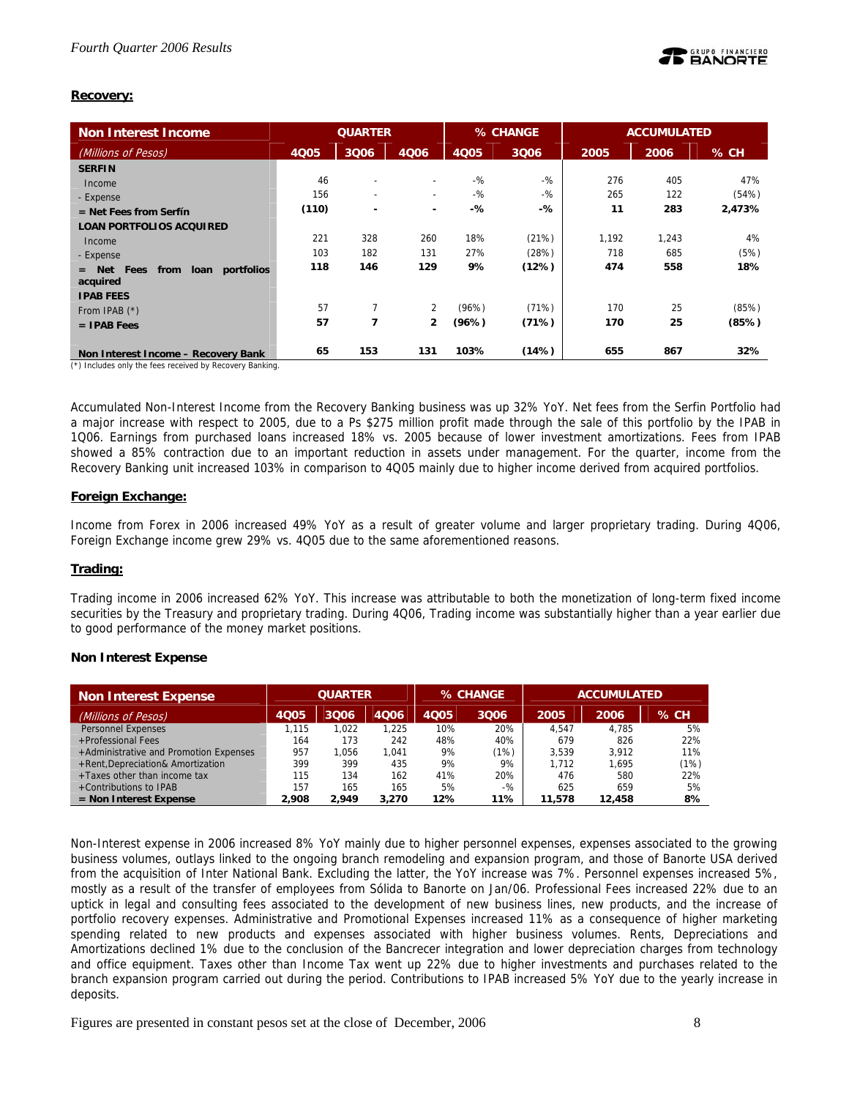## **Recovery:**

| Non Interest Income                                     | <b>QUARTER</b> |                          | % CHANGE                 |       | <b>ACCUMULATED</b> |       |       |        |
|---------------------------------------------------------|----------------|--------------------------|--------------------------|-------|--------------------|-------|-------|--------|
| (Millions of Pesos)                                     | <b>4Q05</b>    | 3Q06                     | 4006                     | 4005  | 3Q06               | 2005  | 2006  | % CH   |
| <b>SERFIN</b>                                           |                |                          |                          |       |                    |       |       |        |
| Income                                                  | 46             | $\overline{\phantom{a}}$ | $\overline{\phantom{0}}$ | $-$ % | $-9/2$             | 276   | 405   | 47%    |
| - Expense                                               | 156            | $\overline{\phantom{0}}$ | $\sim$                   | $-$ % | -%                 | 265   | 122   | (54%)  |
| $=$ Net Fees from Serfín                                | (110)          | $\overline{\phantom{0}}$ | $\overline{\phantom{a}}$ | $-%$  | -%                 | 11    | 283   | 2,473% |
| <b>LOAN PORTFOLIOS ACQUIRED</b>                         |                |                          |                          |       |                    |       |       |        |
| Income                                                  | 221            | 328                      | 260                      | 18%   | (21%)              | 1,192 | 1,243 | 4%     |
| - Expense                                               | 103            | 182                      | 131                      | 27%   | (28%)              | 718   | 685   | (5%)   |
| loan<br>portfolios<br><b>Net</b><br>Fees<br>from<br>$=$ | 118            | 146                      | 129                      | 9%    | (12%)              | 474   | 558   | 18%    |
| acquired<br><b>IPAB FEES</b>                            |                |                          |                          |       |                    |       |       |        |
|                                                         | 57             | 7                        | 2                        | (96%) | (71%)              | 170   | 25    | (85%)  |
| From IPAB $(*)$                                         | 57             | 7                        | $\mathbf{2}$             | (96%) | (71%)              | 170   | 25    | (85%)  |
| $=$ IPAB Fees                                           |                |                          |                          |       |                    |       |       |        |
| Non Interest Income - Recovery Bank                     | 65             | 153                      | 131                      | 103%  | (14%)              | 655   | 867   | 32%    |

(\*) Includes only the fees received by Recovery Banking.

Accumulated Non-Interest Income from the Recovery Banking business was up 32% YoY. Net fees from the Serfin Portfolio had a major increase with respect to 2005, due to a Ps \$275 million profit made through the sale of this portfolio by the IPAB in 1Q06. Earnings from purchased loans increased 18% vs. 2005 because of lower investment amortizations. Fees from IPAB showed a 85% contraction due to an important reduction in assets under management. For the quarter, income from the Recovery Banking unit increased 103% in comparison to 4Q05 mainly due to higher income derived from acquired portfolios.

## **Foreign Exchange:**

Income from Forex in 2006 increased 49% YoY as a result of greater volume and larger proprietary trading. During 4Q06, Foreign Exchange income grew 29% vs. 4Q05 due to the same aforementioned reasons.

## **Trading:**

Trading income in 2006 increased 62% YoY. This increase was attributable to both the monetization of long-term fixed income securities by the Treasury and proprietary trading. During 4Q06, Trading income was substantially higher than a year earlier due to good performance of the money market positions.

## **Non Interest Expense**

| Non Interest Expense                   | <b>QUARTER</b> |       | % CHANGE |      | <b>ACCUMULATED</b> |        |        |      |
|----------------------------------------|----------------|-------|----------|------|--------------------|--------|--------|------|
| (Millions of Pesos)                    | 4Q05           | 3006  | 4006     | 4Q05 | 3Q06               | 2005   | 2006   | % CH |
| <b>Personnel Expenses</b>              | 1.115          | 1.022 | 1.225    | 10%  | 20%                | 4.547  | 4.785  | 5%   |
| +Professional Fees                     | 164            | 173   | 242      | 48%  | 40%                | 679    | 826    | 22%  |
| +Administrative and Promotion Expenses | 957            | 1.056 | 1.041    | 9%   | (1%)               | 3.539  | 3.912  | 11%  |
| +Rent, Depreciation& Amortization      | 399            | 399   | 435      | 9%   | 9%                 | 1.712  | 1.695  | (1%) |
| +Taxes other than income tax           | 115            | 134   | 162      | 41%  | 20%                | 476    | 580    | 22%  |
| +Contributions to IPAB                 | 157            | 165   | 165      | 5%   | $-$ %              | 625    | 659    | 5%   |
| $=$ Non Interest Expense               | 2.908          | 2.949 | 3,270    | 12%  | 11%                | 11,578 | 12,458 | 8%   |

Non-Interest expense in 2006 increased 8% YoY mainly due to higher personnel expenses, expenses associated to the growing business volumes, outlays linked to the ongoing branch remodeling and expansion program, and those of Banorte USA derived from the acquisition of Inter National Bank. Excluding the latter, the YoY increase was 7%. Personnel expenses increased 5%, mostly as a result of the transfer of employees from Sólida to Banorte on Jan/06. Professional Fees increased 22% due to an uptick in legal and consulting fees associated to the development of new business lines, new products, and the increase of portfolio recovery expenses. Administrative and Promotional Expenses increased 11% as a consequence of higher marketing spending related to new products and expenses associated with higher business volumes. Rents, Depreciations and Amortizations declined 1% due to the conclusion of the Bancrecer integration and lower depreciation charges from technology and office equipment. Taxes other than Income Tax went up 22% due to higher investments and purchases related to the branch expansion program carried out during the period. Contributions to IPAB increased 5% YoY due to the yearly increase in deposits.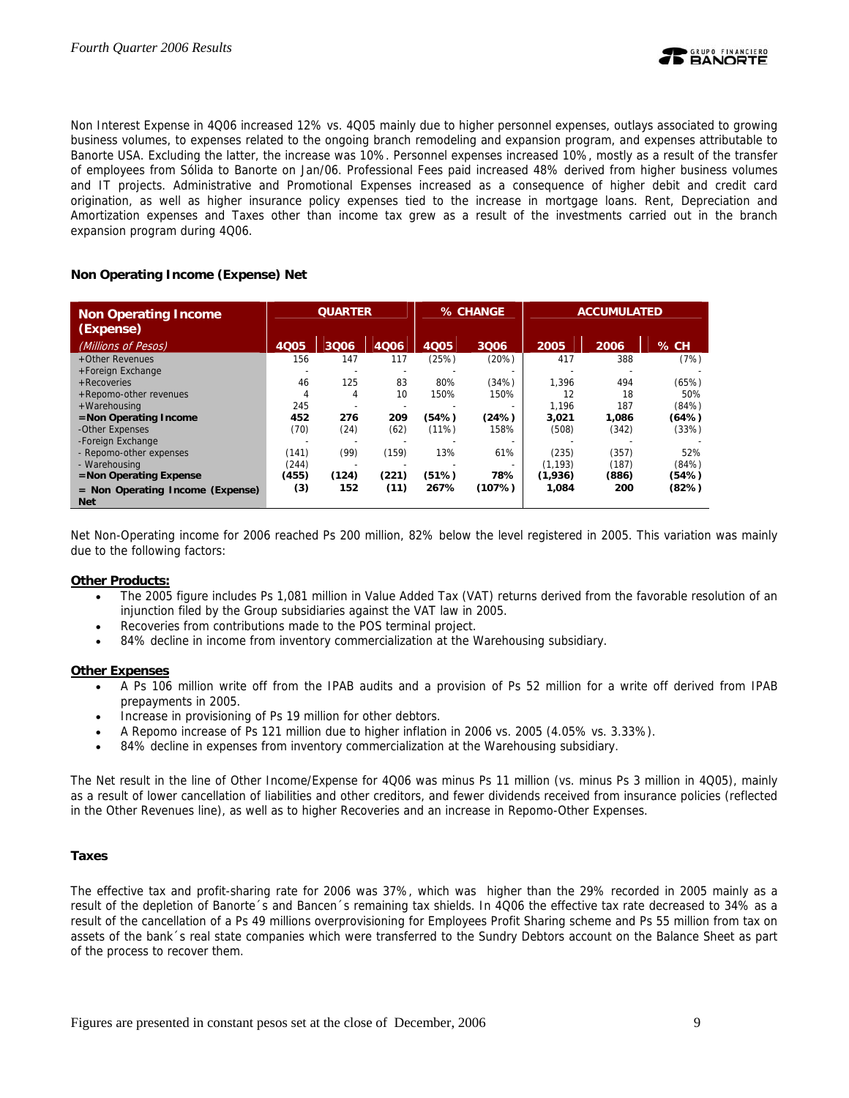Non Interest Expense in 4Q06 increased 12% vs. 4Q05 mainly due to higher personnel expenses, outlays associated to growing business volumes, to expenses related to the ongoing branch remodeling and expansion program, and expenses attributable to Banorte USA. Excluding the latter, the increase was 10%. Personnel expenses increased 10%, mostly as a result of the transfer of employees from Sólida to Banorte on Jan/06. Professional Fees paid increased 48% derived from higher business volumes and IT projects. Administrative and Promotional Expenses increased as a consequence of higher debit and credit card origination, as well as higher insurance policy expenses tied to the increase in mortgage loans. Rent, Depreciation and Amortization expenses and Taxes other than income tax grew as a result of the investments carried out in the branch expansion program during 4Q06.

## **Non Operating Income (Expense) Net**

| <b>Non Operating Income</b><br>(Expense)       |                          | <b>QUARTER</b> |       |             | % CHANGE |          | <b>ACCUMULATED</b> |          |
|------------------------------------------------|--------------------------|----------------|-------|-------------|----------|----------|--------------------|----------|
| (Millions of Pesos)                            | 4Q05                     | 3006           | 4006  | <b>4Q05</b> | 3006     | 2005     | 2006               | $\%$ CH. |
| +Other Revenues                                | 156                      | 147            | 117   | (25%)       | (20%)    | 417      | 388                | (7%)     |
| +Foreign Exchange                              | $\overline{\phantom{a}}$ |                |       |             |          |          |                    |          |
| + Recoveries                                   | 46                       | 125            | 83    | 80%         | (34%)    | 1.396    | 494                | (65%)    |
| +Repomo-other revenues                         | 4                        | 4              | 10    | 150%        | 150%     | 12       | 18                 | 50%      |
| +Warehousing                                   | 245                      |                |       |             |          | 1.196    | 187                | (84%)    |
| =Non Operating Income                          | 452                      | 276            | 209   | (54%)       | (24%)    | 3,021    | 1.086              | (64%)    |
| -Other Expenses                                | (70)                     | (24)           | (62)  | $(11\%)$    | 158%     | (508)    | (342)              | (33%)    |
| -Foreign Exchange                              |                          |                |       |             |          |          |                    |          |
| - Repomo-other expenses                        | (141)                    | (99)           | (159) | 13%         | 61%      | (235)    | (357)              | 52%      |
| - Warehousing                                  | (244)                    |                |       |             |          | (1, 193) | (187)              | (84% )   |
| $=$ Non Operating Expense                      | (455)                    | (124)          | (221) | (51%)       | 78%      | (1,936)  | (886)              | (54%)    |
| = Non Operating Income (Expense)<br><b>Net</b> | (3)                      | 152            | (11)  | 267%        | (107%)   | 1,084    | 200                | (82%)    |

Net Non-Operating income for 2006 reached Ps 200 million, 82% below the level registered in 2005. This variation was mainly due to the following factors:

## **Other Products:**

- The 2005 figure includes Ps 1,081 million in Value Added Tax (VAT) returns derived from the favorable resolution of an injunction filed by the Group subsidiaries against the VAT law in 2005.
- Recoveries from contributions made to the POS terminal project.
- 84% decline in income from inventory commercialization at the Warehousing subsidiary.

## **Other Expenses**

- A Ps 106 million write off from the IPAB audits and a provision of Ps 52 million for a write off derived from IPAB prepayments in 2005.
- Increase in provisioning of Ps 19 million for other debtors.
- A Repomo increase of Ps 121 million due to higher inflation in 2006 vs. 2005 (4.05% vs. 3.33%).
- 84% decline in expenses from inventory commercialization at the Warehousing subsidiary.

The Net result in the line of Other Income/Expense for 4Q06 was minus Ps 11 million (vs. minus Ps 3 million in 4Q05), mainly as a result of lower cancellation of liabilities and other creditors, and fewer dividends received from insurance policies (reflected in the Other Revenues line), as well as to higher Recoveries and an increase in Repomo-Other Expenses.

## **Taxes**

The effective tax and profit-sharing rate for 2006 was 37%, which was higher than the 29% recorded in 2005 mainly as a result of the depletion of Banorte´s and Bancen´s remaining tax shields. In 4Q06 the effective tax rate decreased to 34% as a result of the cancellation of a Ps 49 millions overprovisioning for Employees Profit Sharing scheme and Ps 55 million from tax on assets of the bank´s real state companies which were transferred to the Sundry Debtors account on the Balance Sheet as part of the process to recover them.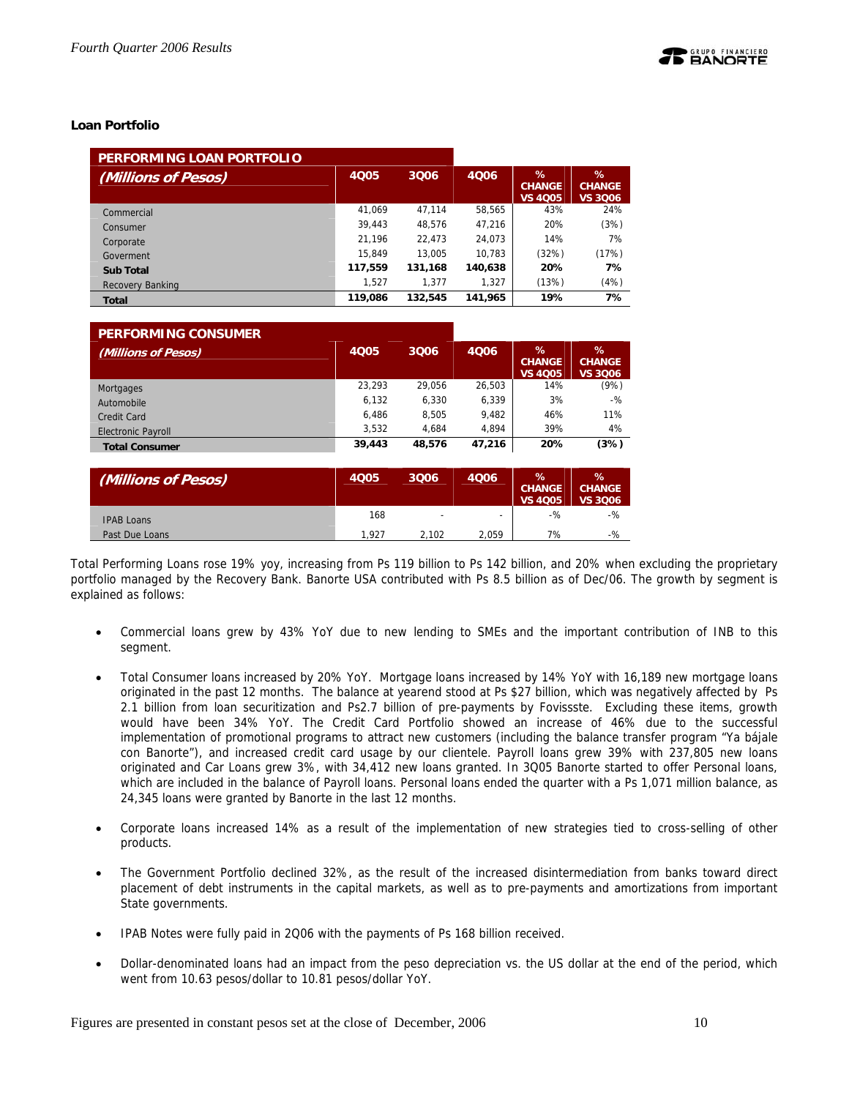## **Loan Portfolio**

| PERFORMING LOAN PORTFOLIO |             |         |         |                                         |                                      |
|---------------------------|-------------|---------|---------|-----------------------------------------|--------------------------------------|
| (Millions of Pesos)       | <b>4Q05</b> | 3006    | 4006    | $\%$<br><b>CHANGE</b><br><b>VS 4Q05</b> | %<br><b>CHANGE</b><br><b>VS 3006</b> |
| Commercial                | 41.069      | 47.114  | 58,565  | 43%                                     | 24%                                  |
| Consumer                  | 39.443      | 48.576  | 47.216  | 20%                                     | (3%)                                 |
| Corporate                 | 21.196      | 22.473  | 24.073  | 14%                                     | 7%                                   |
| Goverment                 | 15.849      | 13.005  | 10.783  | (32%)                                   | (17%)                                |
| <b>Sub Total</b>          | 117,559     | 131,168 | 140,638 | 20%                                     | 7%                                   |
| Banking<br>Recovery       | 1.527       | 1.377   | 1.327   | (13%)                                   | (4%)                                 |
| <b>Total</b>              | 119,086     | 132,545 | 141,965 | 19%                                     | 7%                                   |

| <b>PERFORMING CONSUMER</b> |        |        |        |                                         |                                         |
|----------------------------|--------|--------|--------|-----------------------------------------|-----------------------------------------|
| (Millions of Pesos)        | 4005   | 3006   | 4006   | $\%$<br><b>CHANGE</b><br><b>VS 4Q05</b> | $\%$<br><b>CHANGE</b><br><b>VS 3006</b> |
| Mortgages                  | 23.293 | 29.056 | 26.503 | 14%                                     | (9%)                                    |
| Automobile                 | 6.132  | 6.330  | 6.339  | 3%                                      | $-$ %                                   |
| Credit Card                | 6.486  | 8.505  | 9.482  | 46%                                     | 11%                                     |
| <b>Electronic Payroll</b>  | 3.532  | 4.684  | 4.894  | 39%                                     | 4%                                      |
| <b>Total Consumer</b>      | 39,443 | 48.576 | 47.216 | 20%                                     | (3%)                                    |

| (Millions of Pesos) | <b>4Q05</b> | 3Q06                     | 4006  | %<br><b>CHANGE</b><br><b>VS 4005</b> | ℅<br><b>CHANGE</b><br><b>VS 3006</b> |
|---------------------|-------------|--------------------------|-------|--------------------------------------|--------------------------------------|
| <b>IPAB Loans</b>   | 168         | $\overline{\phantom{0}}$ | -     | $-$ %                                | $-$ %                                |
| Past Due Loans      | 1.927       | 2.102                    | 2.059 | 7%                                   | $-$ %                                |

Total Performing Loans rose 19% yoy, increasing from Ps 119 billion to Ps 142 billion, and 20% when excluding the proprietary portfolio managed by the Recovery Bank. Banorte USA contributed with Ps 8.5 billion as of Dec/06. The growth by segment is explained as follows:

- Commercial loans grew by 43% YoY due to new lending to SMEs and the important contribution of INB to this segment.
- Total Consumer loans increased by 20% YoY. Mortgage loans increased by 14% YoY with 16,189 new mortgage loans originated in the past 12 months. The balance at yearend stood at Ps \$27 billion, which was negatively affected by Ps 2.1 billion from loan securitization and Ps2.7 billion of pre-payments by Fovissste. Excluding these items, growth would have been 34% YoY. The Credit Card Portfolio showed an increase of 46% due to the successful implementation of promotional programs to attract new customers (including the balance transfer program "Ya bájale con Banorte"), and increased credit card usage by our clientele. Payroll loans grew 39% with 237,805 new loans originated and Car Loans grew 3%, with 34,412 new loans granted. In 3Q05 Banorte started to offer Personal loans, which are included in the balance of Payroll loans. Personal loans ended the quarter with a Ps 1,071 million balance, as 24,345 loans were granted by Banorte in the last 12 months.
- Corporate loans increased 14% as a result of the implementation of new strategies tied to cross-selling of other products.
- The Government Portfolio declined 32%, as the result of the increased disintermediation from banks toward direct placement of debt instruments in the capital markets, as well as to pre-payments and amortizations from important State governments.
- IPAB Notes were fully paid in 2Q06 with the payments of Ps 168 billion received.
- Dollar-denominated loans had an impact from the peso depreciation vs. the US dollar at the end of the period, which went from 10.63 pesos/dollar to 10.81 pesos/dollar YoY.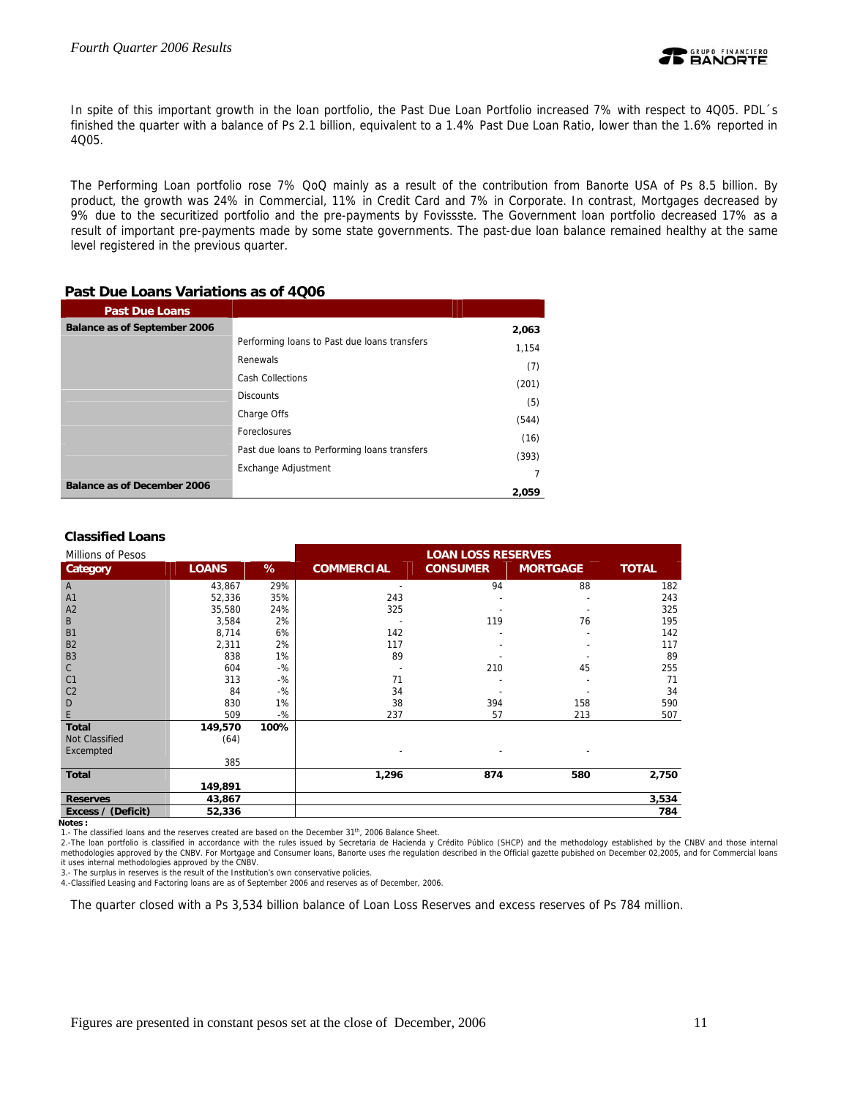

In spite of this important growth in the loan portfolio, the Past Due Loan Portfolio increased 7% with respect to 4Q05. PDL´s finished the quarter with a balance of Ps 2.1 billion, equivalent to a 1.4% Past Due Loan Ratio, lower than the 1.6% reported in 4Q05.

The Performing Loan portfolio rose 7% QoQ mainly as a result of the contribution from Banorte USA of Ps 8.5 billion. By product, the growth was 24% in Commercial, 11% in Credit Card and 7% in Corporate. In contrast, Mortgages decreased by 9% due to the securitized portfolio and the pre-payments by Fovissste. The Government loan portfolio decreased 17% as a result of important pre-payments made by some state governments. The past-due loan balance remained healthy at the same level registered in the previous quarter.

| <b>Past Due Loans</b>              |                                              |       |
|------------------------------------|----------------------------------------------|-------|
| Balance as of September 2006       |                                              | 2,063 |
|                                    | Performing loans to Past due loans transfers | 1,154 |
|                                    | Renewals                                     | (7)   |
|                                    | <b>Cash Collections</b>                      | (201) |
|                                    | <b>Discounts</b>                             | (5)   |
|                                    | Charge Offs                                  | (544) |
|                                    | Foreclosures                                 |       |
|                                    | Past due loans to Performing loans transfers | (16)  |
|                                    | Exchange Adjustment                          | (393) |
| <b>Balance as of December 2006</b> |                                              |       |
|                                    |                                              | 2,059 |

## **Past Due Loans Variations as of 4Q06**

## **Classified Loans**

| <b>Millions of Pesos</b> |              |       |                   | <b>LOAN LOSS RESERVES</b> |                 |              |
|--------------------------|--------------|-------|-------------------|---------------------------|-----------------|--------------|
| <b>Category</b>          | <b>LOANS</b> | %     | <b>COMMERCIAL</b> | <b>CONSUMER</b>           | <b>MORTGAGE</b> | <b>TOTAL</b> |
| A                        | 43,867       | 29%   |                   | 94                        | 88              | 182          |
| A <sub>1</sub>           | 52,336       | 35%   | 243               |                           |                 | 243          |
| A <sub>2</sub>           | 35,580       | 24%   | 325               |                           |                 | 325          |
| B                        | 3,584        | 2%    |                   | 119                       | 76              | 195          |
| <b>B1</b>                | 8,714        | 6%    | 142               |                           |                 | 142          |
| <b>B2</b>                | 2,311        | 2%    | 117               |                           |                 | 117          |
| <b>B3</b>                | 838          | 1%    | 89                |                           |                 | 89           |
| $\mathsf{C}$             | 604          | $-$ % |                   | 210                       | 45              | 255          |
| C <sub>1</sub>           | 313          | $-$ % | 71                |                           |                 | 71           |
| C <sub>2</sub>           | 84           | $-$ % | 34                |                           |                 | 34           |
| D                        | 830          | 1%    | 38                | 394                       | 158             | 590          |
| E                        | 509          | $-$ % | 237               | 57                        | 213             | 507          |
| <b>Total</b>             | 149,570      | 100%  |                   |                           |                 |              |
| Not Classified           | (64)         |       |                   |                           |                 |              |
| Excempted                |              |       |                   |                           |                 |              |
|                          | 385          |       |                   |                           |                 |              |
| Total                    |              |       | 1,296             | 874                       | 580             | 2,750        |
|                          | 149,891      |       |                   |                           |                 |              |
| <b>Reserves</b>          | 43,867       |       |                   |                           |                 | 3,534        |
| Excess / (Deficit)       | 52,336       |       |                   |                           |                 | 784          |

**Notes :** 

1.- The classified loans and the reserves created are based on the December 31<sup>th</sup>, 2006 Balance Sheet.

2.-The loan portfolio is classified in accordance with the rules issued by Secretaria de Hacienda y Crédito Público (SHCP) and the methodology established by the CNBV and those internal<br>methodologies approved by the CNBV. it uses internal methodologies approved by the CNBV.

3.- The surplus in reserves is the result of the Institution's own conservative policies.

4.-Classified Leasing and Factoring loans are as of September 2006 and reserves as of December, 2006.

The quarter closed with a Ps 3,534 billion balance of Loan Loss Reserves and excess reserves of Ps 784 million.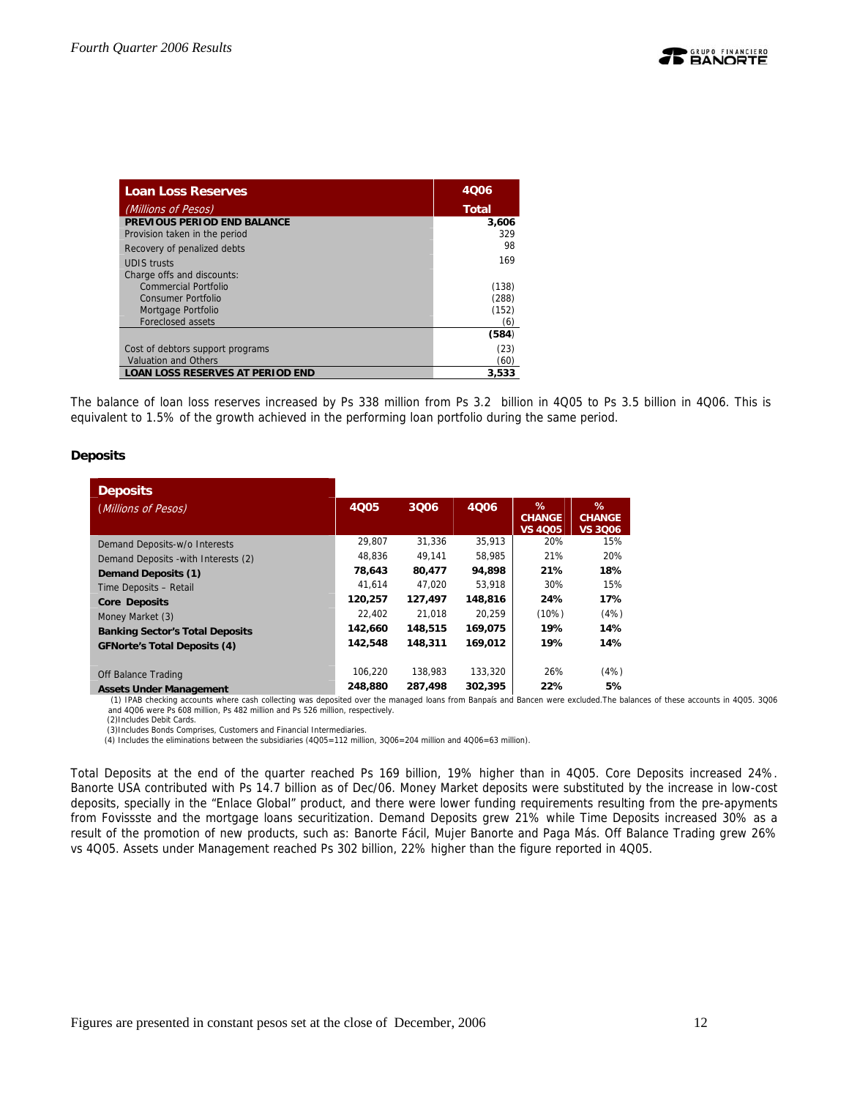| <b>Loan Loss Reserves</b>               | 4006         |
|-----------------------------------------|--------------|
| (Millions of Pesos)                     | <b>Total</b> |
| PREVIOUS PERIOD END BALANCE             | 3,606        |
| Provision taken in the period           | 329          |
| Recovery of penalized debts             | 98           |
| <b>UDIS</b> trusts                      | 169          |
| Charge offs and discounts:              |              |
| Commercial Portfolio                    | (138)        |
| Consumer Portfolio                      | (288)        |
| Mortgage Portfolio                      | (152)        |
| <b>Foreclosed assets</b>                | (6)          |
|                                         | (584)        |
| Cost of debtors support programs        | (23)         |
| <b>Valuation and Others</b>             | (60)         |
| <b>LOAN LOSS RESERVES AT PERIOD END</b> | 3.533        |

The balance of loan loss reserves increased by Ps 338 million from Ps 3.2 billion in 4Q05 to Ps 3.5 billion in 4Q06. This is equivalent to 1.5% of the growth achieved in the performing loan portfolio during the same period.

## **Deposits**

| <b>Deposits</b>                        |             |         |         |                                      |                               |
|----------------------------------------|-------------|---------|---------|--------------------------------------|-------------------------------|
| (Millions of Pesos)                    | <b>4Q05</b> | 3006    | 4006    | %<br><b>CHANGE</b><br><b>VS 4005</b> | ℅<br><b>CHANGE</b><br>VS 3006 |
| Demand Deposits-w/o Interests          | 29.807      | 31.336  | 35.913  | 20%                                  | 15%                           |
| Demand Deposits - with Interests (2)   | 48.836      | 49.141  | 58.985  | 21%                                  | 20%                           |
| Demand Deposits (1)                    | 78,643      | 80,477  | 94.898  | 21%                                  | 18%                           |
| Time Deposits - Retail                 | 41.614      | 47.020  | 53.918  | 30%                                  | 15%                           |
| <b>Core Deposits</b>                   | 120,257     | 127,497 | 148,816 | 24%                                  | 17%                           |
| Money Market (3)                       | 22.402      | 21.018  | 20.259  | (10%)                                | (4%)                          |
| <b>Banking Sector's Total Deposits</b> | 142,660     | 148,515 | 169,075 | 19%                                  | 14%                           |
| <b>GFNorte's Total Deposits (4)</b>    | 142,548     | 148,311 | 169,012 | 19%                                  | 14%                           |
| Off Balance Trading                    | 106.220     | 138.983 | 133,320 | 26%                                  | (4%)                          |
| Accote Under Management                | 248.880     | 287.498 | 302.395 | 22%                                  | 5%                            |

Assets Under Management 248,880 287,498 302,395 22% 5%<br>(1) IPAB checking accounts where cash collecting was deposited over the managed loans from Banpaís and Bancen were excluded. The balances of these accounts in 4005. 30 and 4Q06 were Ps 608 million, Ps 482 million and Ps 526 million, respectively.

(2)Includes Debit Cards.

 (3)Includes Bonds Comprises, Customers and Financial Intermediaries. (4) Includes the eliminations between the subsidiaries (4Q05=112 million, 3Q06=204 million and 4Q06=63 million).

Total Deposits at the end of the quarter reached Ps 169 billion, 19% higher than in 4Q05. Core Deposits increased 24%. Banorte USA contributed with Ps 14.7 billion as of Dec/06. Money Market deposits were substituted by the increase in low-cost deposits, specially in the "Enlace Global" product, and there were lower funding requirements resulting from the pre-apyments from Fovissste and the mortgage loans securitization. Demand Deposits grew 21% while Time Deposits increased 30% as a result of the promotion of new products, such as: Banorte Fácil, Mujer Banorte and Paga Más. Off Balance Trading grew 26% vs 4Q05. Assets under Management reached Ps 302 billion, 22% higher than the figure reported in 4Q05.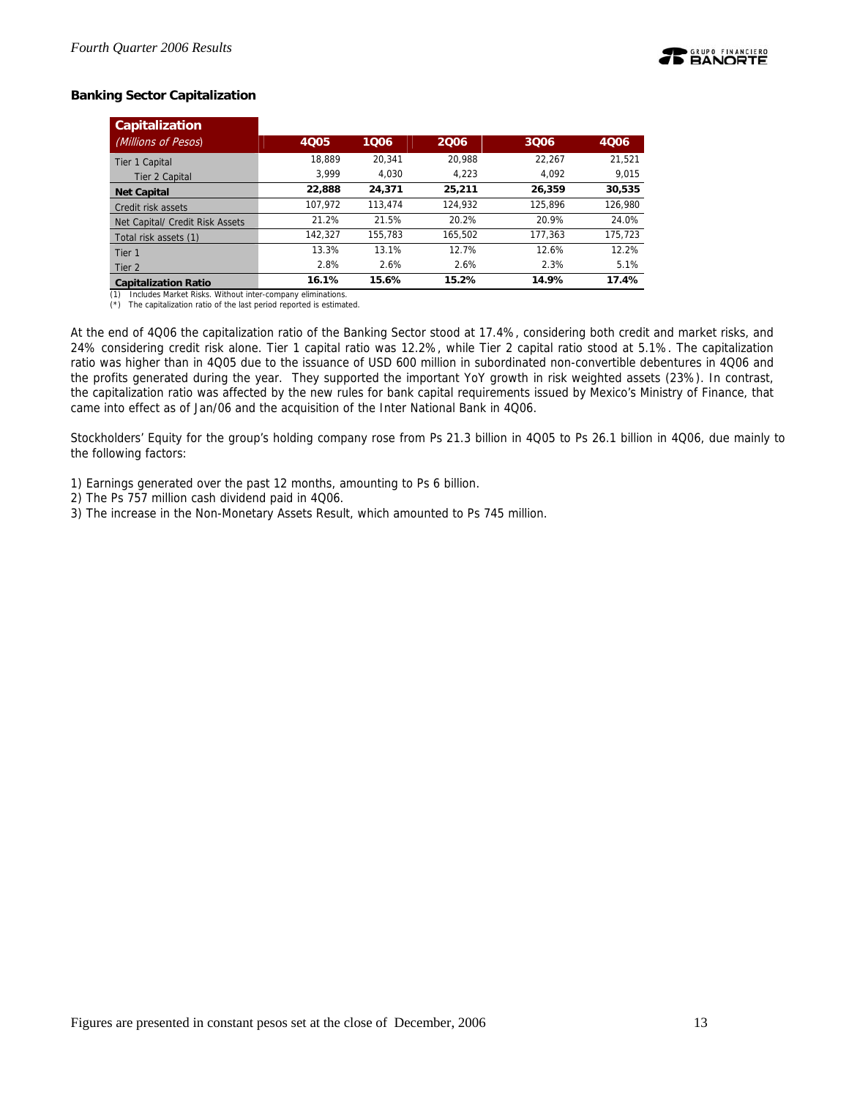

## **Banking Sector Capitalization**

| <b>Capitalization</b>           |         |         |         |         |         |
|---------------------------------|---------|---------|---------|---------|---------|
| (Millions of Pesos)             | 4Q05    | 1006    | 2006    | 3Q06    | 4006    |
| Tier 1 Capital                  | 18.889  | 20.341  | 20.988  | 22.267  | 21,521  |
| Tier 2 Capital                  | 3.999   | 4.030   | 4.223   | 4.092   | 9.015   |
| <b>Net Capital</b>              | 22,888  | 24,371  | 25,211  | 26.359  | 30,535  |
| Credit risk assets              | 107,972 | 113,474 | 124.932 | 125.896 | 126,980 |
| Net Capital/ Credit Risk Assets | 21.2%   | 21.5%   | 20.2%   | 20.9%   | 24.0%   |
| Total risk assets (1)           | 142.327 | 155.783 | 165.502 | 177.363 | 175.723 |
| Tier <sub>1</sub>               | 13.3%   | 13.1%   | 12.7%   | 12.6%   | 12.2%   |
| Tier 2                          | 2.8%    | 2.6%    | 2.6%    | 2.3%    | 5.1%    |
| <b>Capitalization Ratio</b>     | 16.1%   | 15.6%   | 15.2%   | 14.9%   | 17.4%   |

(1) Includes Market Risks. Without inter-company eliminations. (\*) The capitalization ratio of the last period reported is estimated.

At the end of 4Q06 the capitalization ratio of the Banking Sector stood at 17.4%, considering both credit and market risks, and 24% considering credit risk alone. Tier 1 capital ratio was 12.2%, while Tier 2 capital ratio stood at 5.1%. The capitalization ratio was higher than in 4Q05 due to the issuance of USD 600 million in subordinated non-convertible debentures in 4Q06 and the profits generated during the year. They supported the important YoY growth in risk weighted assets (23%). In contrast, the capitalization ratio was affected by the new rules for bank capital requirements issued by Mexico's Ministry of Finance, that came into effect as of Jan/06 and the acquisition of the Inter National Bank in 4Q06.

Stockholders' Equity for the group's holding company rose from Ps 21.3 billion in 4Q05 to Ps 26.1 billion in 4Q06, due mainly to the following factors:

1) Earnings generated over the past 12 months, amounting to Ps 6 billion.

- 2) The Ps 757 million cash dividend paid in 4Q06.
- 3) The increase in the Non-Monetary Assets Result, which amounted to Ps 745 million.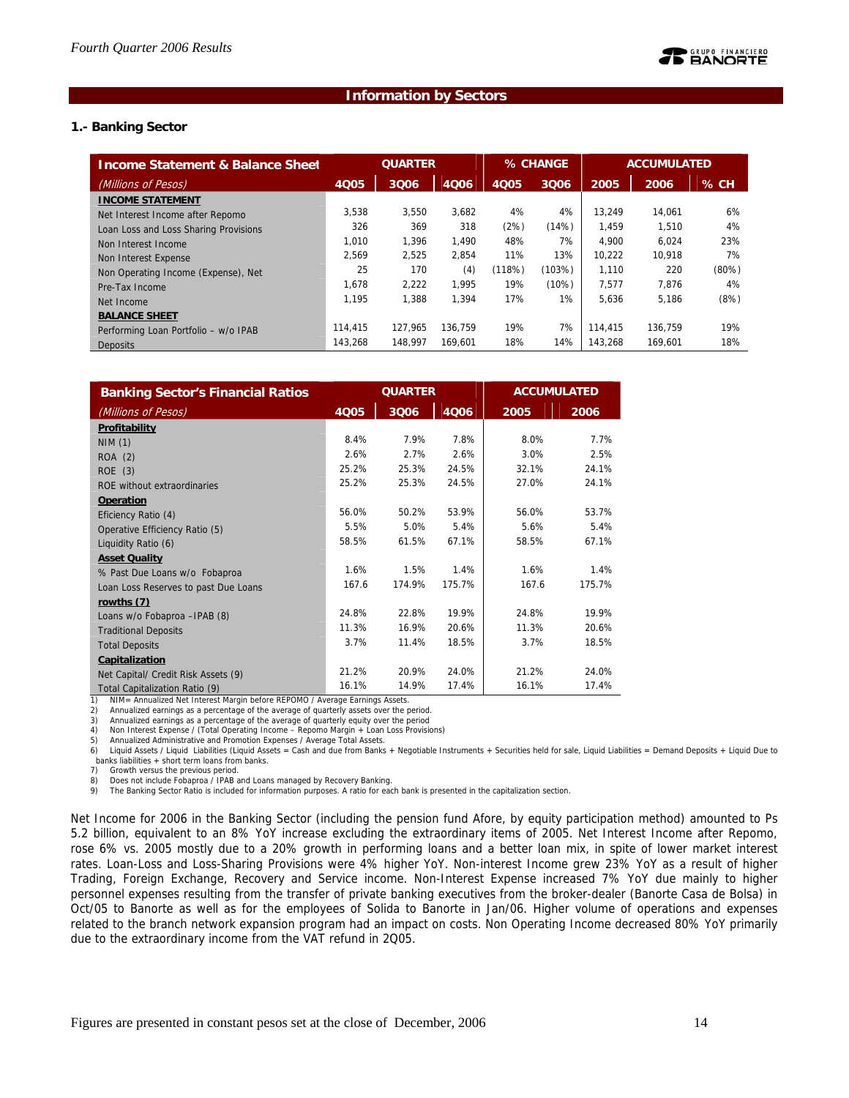## **Information by Sectors**

## **1.- Banking Sector**

| <b>Income Statement &amp; Balance Sheet</b> | <b>QUARTER</b> |         |         | % CHANGE    |        | <b>ACCUMULATED</b> |         |          |
|---------------------------------------------|----------------|---------|---------|-------------|--------|--------------------|---------|----------|
| (Millions of Pesos)                         | 4Q05           | 3Q06    | 4006    | <b>4Q05</b> | 3Q06   | 2005               | 2006    | % CH     |
| <b>INCOME STATEMENT</b>                     |                |         |         |             |        |                    |         |          |
| Net Interest Income after Repomo            | 3.538          | 3,550   | 3,682   | 4%          | 4%     | 13.249             | 14,061  | 6%       |
| Loan Loss and Loss Sharing Provisions       | 326            | 369     | 318     | (2%)        | (14%)  | 1.459              | 1.510   | 4%       |
| Non Interest Income                         | 1.010          | 1.396   | 1.490   | 48%         | 7%     | 4.900              | 6.024   | 23%      |
| Non Interest Expense                        | 2.569          | 2,525   | 2.854   | 11%         | 13%    | 10.222             | 10.918  | 7%       |
| Non Operating Income (Expense), Net         | 25             | 170     | (4)     | (118%)      | (103%) | 1.110              | 220     | $(80\%)$ |
| Pre-Tax Income                              | 1.678          | 2.222   | 1.995   | 19%         | (10%)  | 7.577              | 7.876   | 4%       |
| Net Income                                  | 1.195          | 1.388   | 1.394   | 17%         | 1%     | 5,636              | 5,186   | (8%)     |
| <b>BALANCE SHEET</b>                        |                |         |         |             |        |                    |         |          |
| Performing Loan Portfolio - w/o IPAB        | 114,415        | 127.965 | 136.759 | 19%         | 7%     | 114,415            | 136.759 | 19%      |
| <b>Deposits</b>                             | 143.268        | 148.997 | 169.601 | 18%         | 14%    | 143.268            | 169.601 | 18%      |

| <b>Banking Sector's Financial Ratios</b> | <b>QUARTER</b> |        |        | <b>ACCUMULATED</b> |        |  |
|------------------------------------------|----------------|--------|--------|--------------------|--------|--|
| (Millions of Pesos)                      | 4Q05           | 3006   | 4Q06   | 2005               | 2006   |  |
| Profitability                            |                |        |        |                    |        |  |
| <b>NIM (1)</b>                           | 8.4%           | 7.9%   | 7.8%   | 8.0%               | 7.7%   |  |
| ROA (2)                                  | 2.6%           | 2.7%   | 2.6%   | 3.0%               | 2.5%   |  |
| ROE (3)                                  | 25.2%          | 25.3%  | 24.5%  | 32.1%              | 24.1%  |  |
| ROE without extraordinaries              | 25.2%          | 25.3%  | 24.5%  | 27.0%              | 24.1%  |  |
| Operation                                |                |        |        |                    |        |  |
| Eficiency Ratio (4)                      | 56.0%          | 50.2%  | 53.9%  | 56.0%              | 53.7%  |  |
| Operative Efficiency Ratio (5)           | 5.5%           | 5.0%   | 5.4%   | 5.6%               | 5.4%   |  |
| Liquidity Ratio (6)                      | 58.5%          | 61.5%  | 67.1%  | 58.5%              | 67.1%  |  |
| <b>Asset Quality</b>                     |                |        |        |                    |        |  |
| % Past Due Loans w/o Fobaproa            | 1.6%           | 1.5%   | 1.4%   | 1.6%               | 1.4%   |  |
| Loan Loss Reserves to past Due Loans     | 167.6          | 174.9% | 175.7% | 167.6              | 175.7% |  |
| rowths (7)                               |                |        |        |                    |        |  |
| Loans w/o Fobaproa - IPAB (8)            | 24.8%          | 22.8%  | 19.9%  | 24.8%              | 19.9%  |  |
| <b>Traditional Deposits</b>              | 11.3%          | 16.9%  | 20.6%  | 11.3%              | 20.6%  |  |
| <b>Total Deposits</b>                    | 3.7%           | 11.4%  | 18.5%  | 3.7%               | 18.5%  |  |
| Capitalization                           |                |        |        |                    |        |  |
| Net Capital/ Credit Risk Assets (9)      | 21.2%          | 20.9%  | 24.0%  | 21.2%              | 24.0%  |  |
| Total Capitalization Ratio (9)           | 16.1%          | 14.9%  | 17.4%  | 16.1%              | 17.4%  |  |

1) NIM= Annualized Net Interest Margin before REPOMO / Average Earnings Assets.

2) Annualized earnings as a percentage of the average of quarterly assets over the period.

3) Annualized earnings as a percentage of the average of quarterly equity over the period 4) Non Interest Expense / (Total Operating Income – Repomo Margin + Loan Loss Provisions)

5) Annualized Administrative and Promotion Expenses / Average Total Assets.

6) Liquid Assets / Liquid Liabilities (Liquid Assets = Cash and due from Banks + Negotiable Instruments + Securities held for sale, Liquid Liabilities = Demand Deposits + Liquid Due to banks liabilities + short term loans from banks.

7) Growth versus the previous period.

8) Does not include Fobaproa / IPAB and Loans managed by Recovery Banking.<br>9) The Banking Sector Ratio is included for information purposes. A ratio for each bank is presented in the capitalization section.

Net Income for 2006 in the Banking Sector (including the pension fund Afore, by equity participation method) amounted to Ps 5.2 billion, equivalent to an 8% YoY increase excluding the extraordinary items of 2005. Net Interest Income after Repomo, rose 6% vs. 2005 mostly due to a 20% growth in performing loans and a better loan mix, in spite of lower market interest rates. Loan-Loss and Loss-Sharing Provisions were 4% higher YoY. Non-interest Income grew 23% YoY as a result of higher Trading, Foreign Exchange, Recovery and Service income. Non-Interest Expense increased 7% YoY due mainly to higher personnel expenses resulting from the transfer of private banking executives from the broker-dealer (Banorte Casa de Bolsa) in Oct/05 to Banorte as well as for the employees of Solida to Banorte in Jan/06. Higher volume of operations and expenses related to the branch network expansion program had an impact on costs. Non Operating Income decreased 80% YoY primarily due to the extraordinary income from the VAT refund in 2Q05.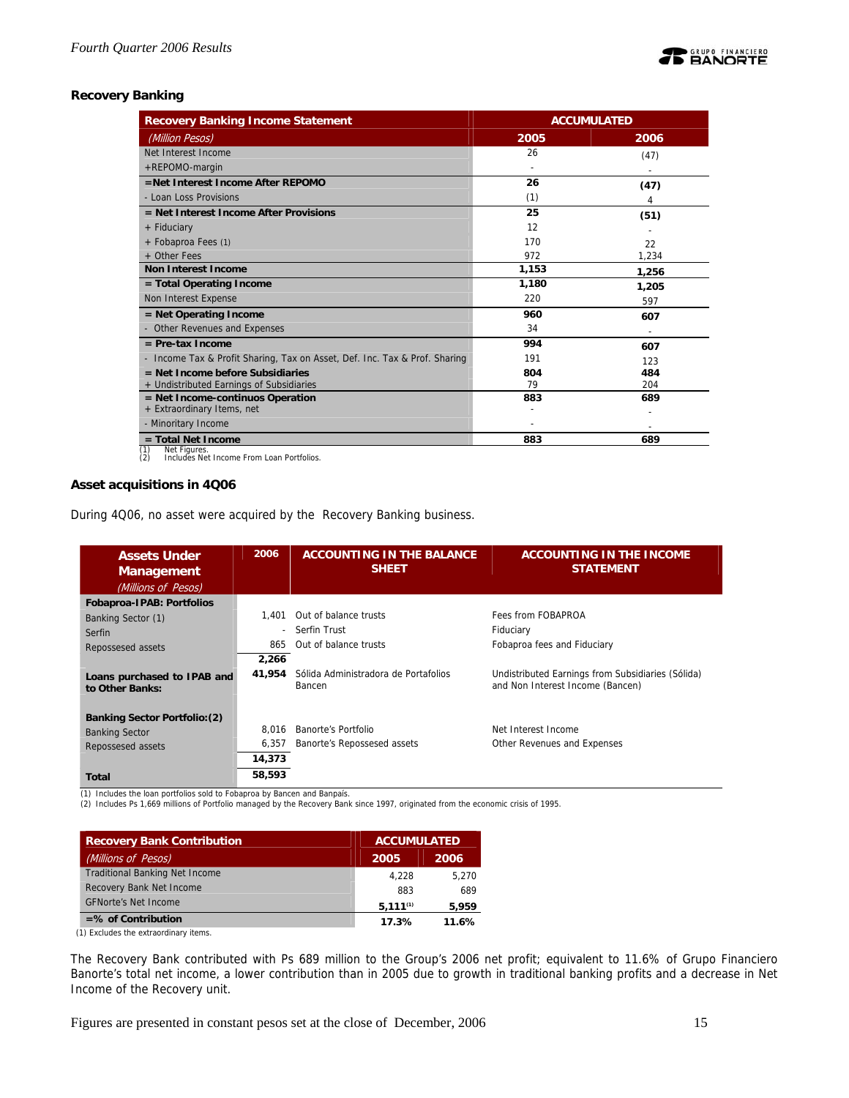

## **Recovery Banking**

| <b>Recovery Banking Income Statement</b>                                   | <b>ACCUMULATED</b> |       |  |  |
|----------------------------------------------------------------------------|--------------------|-------|--|--|
| (Million Pesos)                                                            | 2005               | 2006  |  |  |
| Net Interest Income                                                        | 26                 | (47)  |  |  |
| +REPOMO-margin                                                             |                    |       |  |  |
| =Net Interest Income After REPOMO                                          | 26                 | (47)  |  |  |
| - Loan Loss Provisions                                                     | (1)                | 4     |  |  |
| = Net Interest Income After Provisions                                     | 25                 | (51)  |  |  |
| + Fiduciary                                                                | 12                 |       |  |  |
| + Fobaproa Fees (1)                                                        | 170                | 22    |  |  |
| + Other Fees                                                               | 972                | 1,234 |  |  |
| <b>Non Interest Income</b>                                                 | 1,153              | 1,256 |  |  |
| = Total Operating Income                                                   | 1,180              | 1,205 |  |  |
| Non Interest Expense                                                       | 220                | 597   |  |  |
| $=$ Net Operating Income                                                   | 960                | 607   |  |  |
| - Other Revenues and Expenses                                              | 34                 |       |  |  |
| $=$ Pre-tax Income                                                         | 994                | 607   |  |  |
| - Income Tax & Profit Sharing, Tax on Asset, Def. Inc. Tax & Prof. Sharing | 191                | 123   |  |  |
| $=$ Net Income before Subsidiaries                                         | 804                | 484   |  |  |
| + Undistributed Earnings of Subsidiaries                                   | 79                 | 204   |  |  |
| $=$ Net Income-continuos Operation                                         | 883                | 689   |  |  |
| + Extraordinary Items, net                                                 |                    |       |  |  |
| - Minoritary Income                                                        |                    |       |  |  |
| $=$ Total Net Income<br>(1)<br>Net Figures                                 | 883                | 689   |  |  |

(1) Net Figures. (2) Includes Net Income From Loan Portfolios.

## **Asset acquisitions in 4Q06**

During 4Q06, no asset were acquired by the Recovery Banking business.

| <b>Assets Under</b><br><b>Management</b><br>(Millions of Pesos) | 2006                     | <b>ACCOUNTING IN THE BALANCE</b><br><b>SHEET</b> | <b>ACCOUNTING IN THE INCOME</b><br><b>STATEMENT</b>                                   |
|-----------------------------------------------------------------|--------------------------|--------------------------------------------------|---------------------------------------------------------------------------------------|
| Fobaproa-IPAB: Portfolios                                       |                          |                                                  |                                                                                       |
| Banking Sector (1)                                              | 1.401                    | Out of balance trusts                            | Fees from FOBAPROA                                                                    |
| Serfin                                                          | $\overline{\phantom{a}}$ | Serfin Trust                                     | Fiduciary                                                                             |
| Repossesed assets                                               | 865                      | Out of balance trusts                            | Fobaproa fees and Fiduciary                                                           |
|                                                                 | 2,266                    |                                                  |                                                                                       |
| Loans purchased to IPAB and<br>to Other Banks:                  | 41,954                   | Sólida Administradora de Portafolios<br>Bancen   | Undistributed Earnings from Subsidiaries (Sólida)<br>and Non Interest Income (Bancen) |
| <b>Banking Sector Portfolio: (2)</b>                            |                          |                                                  |                                                                                       |
| <b>Banking Sector</b>                                           | 8.016                    | Banorte's Portfolio                              | Net Interest Income                                                                   |
| Repossesed assets                                               | 6,357                    | Banorte's Repossesed assets                      | Other Revenues and Expenses                                                           |
|                                                                 | 14,373                   |                                                  |                                                                                       |
| Total                                                           | 58,593                   |                                                  |                                                                                       |

(1) Includes the loan portfolios sold to Fobaproa by Bancen and Banpaís.

(2) Includes Ps 1,669 millions of Portfolio managed by the Recovery Bank since 1997, originated from the economic crisis of 1995.

| <b>Recovery Bank Contribution</b>     | <b>ACCUMULATED</b> |       |
|---------------------------------------|--------------------|-------|
| (Millions of Pesos)                   | 2005               | 2006  |
| <b>Traditional Banking Net Income</b> | 4.228              | 5.270 |
| Recovery Bank Net Income              | 883                | 689   |
| <b>GFNorte's Net Income</b>           | $5,111^{(1)}$      | 5,959 |
| $=$ % of Contribution                 | 17.3%              | 11.6% |

(1) Excludes the extraordinary items.

The Recovery Bank contributed with Ps 689 million to the Group's 2006 net profit; equivalent to 11.6% of Grupo Financiero Banorte's total net income, a lower contribution than in 2005 due to growth in traditional banking profits and a decrease in Net Income of the Recovery unit.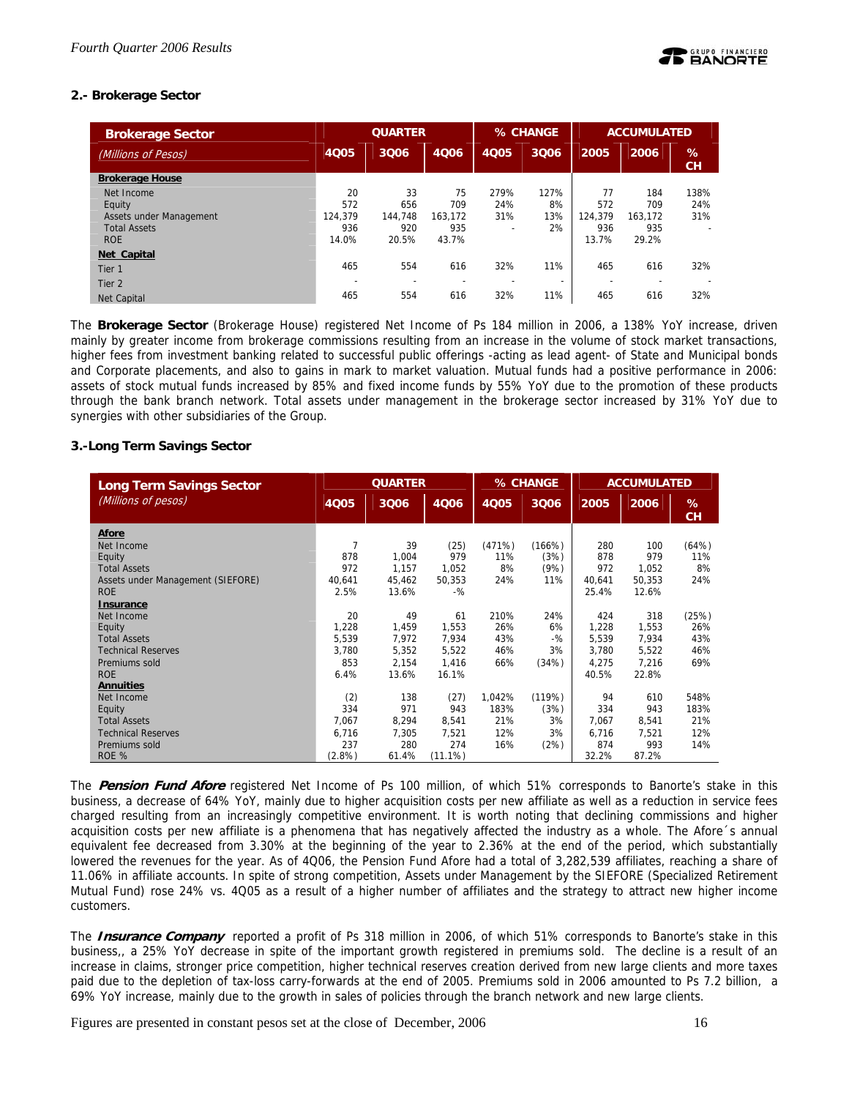## **2.- Brokerage Sector**

| <b>Brokerage Sector</b> | <b>QUARTER</b> |         |                          | % CHANGE                 |                          | <b>ACCUMULATED</b> |         |         |
|-------------------------|----------------|---------|--------------------------|--------------------------|--------------------------|--------------------|---------|---------|
| (Millions of Pesos)     | <b>4Q05</b>    | 3Q06    | 4006                     | 4005                     | 3Q06                     | 2005               | 2006    | %<br>CH |
| <b>Brokerage House</b>  |                |         |                          |                          |                          |                    |         |         |
| Net Income              | 20             | 33      | 75                       | 279%                     | 127%                     | 77                 | 184     | 138%    |
| Equity                  | 572            | 656     | 709                      | 24%                      | 8%                       | 572                | 709     | 24%     |
| Assets under Management | 124.379        | 144.748 | 163.172                  | 31%                      | 13%                      | 124.379            | 163.172 | 31%     |
| <b>Total Assets</b>     | 936            | 920     | 935                      | $\overline{\phantom{a}}$ | 2%                       | 936                | 935     |         |
| <b>ROE</b>              | 14.0%          | 20.5%   | 43.7%                    |                          |                          | 13.7%              | 29.2%   |         |
| Net Capital             |                |         |                          |                          |                          |                    |         |         |
| Tier 1                  | 465            | 554     | 616                      | 32%                      | 11%                      | 465                | 616     | 32%     |
| Tier 2                  | -              |         | $\overline{\phantom{0}}$ |                          | $\overline{\phantom{a}}$ |                    |         |         |
| Net Capital             | 465            | 554     | 616                      | 32%                      | 11%                      | 465                | 616     | 32%     |

The **Brokerage Sector** (Brokerage House) registered Net Income of Ps 184 million in 2006, a 138% YoY increase, driven mainly by greater income from brokerage commissions resulting from an increase in the volume of stock market transactions, higher fees from investment banking related to successful public offerings -acting as lead agent- of State and Municipal bonds and Corporate placements, and also to gains in mark to market valuation. Mutual funds had a positive performance in 2006: assets of stock mutual funds increased by 85% and fixed income funds by 55% YoY due to the promotion of these products through the bank branch network. Total assets under management in the brokerage sector increased by 31% YoY due to synergies with other subsidiaries of the Group.

## **3.-Long Term Savings Sector**

| <b>Long Term Savings Sector</b>   |        | <b>QUARTER</b> |            |        | % CHANGE | <b>ACCUMULATED</b> |        |         |
|-----------------------------------|--------|----------------|------------|--------|----------|--------------------|--------|---------|
| (Millions of pesos)               | 4Q05   | 3006           | 4006       | 4Q05   | 3006     | 2005               | 2006   | %<br>CH |
| Afore                             |        |                |            |        |          |                    |        |         |
| Net Income                        | 7      | 39             | (25)       | (471%) | (166%)   | 280                | 100    | (64%)   |
| Equity                            | 878    | 1,004          | 979        | 11%    | (3%)     | 878                | 979    | 11%     |
| <b>Total Assets</b>               | 972    | 1,157          | 1,052      | 8%     | (9%)     | 972                | 1.052  | 8%      |
| Assets under Management (SIEFORE) | 40.641 | 45,462         | 50.353     | 24%    | 11%      | 40.641             | 50.353 | 24%     |
| <b>ROE</b>                        | 2.5%   | 13.6%          | $-96$      |        |          | 25.4%              | 12.6%  |         |
| <b>Insurance</b>                  |        |                |            |        |          |                    |        |         |
| Net Income                        | 20     | 49             | 61         | 210%   | 24%      | 424                | 318    | (25%)   |
| Equity                            | 1,228  | 1,459          | 1,553      | 26%    | 6%       | 1,228              | 1,553  | 26%     |
| <b>Total Assets</b>               | 5,539  | 7,972          | 7,934      | 43%    | $-$ %    | 5,539              | 7,934  | 43%     |
| <b>Technical Reserves</b>         | 3,780  | 5,352          | 5,522      | 46%    | 3%       | 3,780              | 5,522  | 46%     |
| Premiums sold                     | 853    | 2,154          | 1,416      | 66%    | (34%)    | 4.275              | 7,216  | 69%     |
| <b>ROE</b>                        | 6.4%   | 13.6%          | 16.1%      |        |          | 40.5%              | 22.8%  |         |
| <b>Annuities</b>                  |        |                |            |        |          |                    |        |         |
| Net Income                        | (2)    | 138            | (27)       | 1,042% | (119%)   | 94                 | 610    | 548%    |
| Equity                            | 334    | 971            | 943        | 183%   | (3%)     | 334                | 943    | 183%    |
| <b>Total Assets</b>               | 7,067  | 8,294          | 8,541      | 21%    | 3%       | 7,067              | 8,541  | 21%     |
| <b>Technical Reserves</b>         | 6,716  | 7,305          | 7,521      | 12%    | 3%       | 6,716              | 7,521  | 12%     |
| Premiums sold                     | 237    | 280            | 274        | 16%    | (2%)     | 874                | 993    | 14%     |
| ROE %                             | (2.8%) | 61.4%          | $(11.1\%)$ |        |          | 32.2%              | 87.2%  |         |

The **Pension Fund Afore** registered Net Income of Ps 100 million, of which 51% corresponds to Banorte's stake in this business, a decrease of 64% YoY, mainly due to higher acquisition costs per new affiliate as well as a reduction in service fees charged resulting from an increasingly competitive environment. It is worth noting that declining commissions and higher acquisition costs per new affiliate is a phenomena that has negatively affected the industry as a whole. The Afore´s annual equivalent fee decreased from 3.30% at the beginning of the year to 2.36% at the end of the period, which substantially lowered the revenues for the year. As of 4Q06, the Pension Fund Afore had a total of 3,282,539 affiliates, reaching a share of 11.06% in affiliate accounts. In spite of strong competition, Assets under Management by the SIEFORE (Specialized Retirement Mutual Fund) rose 24% vs. 4Q05 as a result of a higher number of affiliates and the strategy to attract new higher income customers.

The **Insurance Company** reported a profit of Ps 318 million in 2006, of which 51% corresponds to Banorte's stake in this business,, a 25% YoY decrease in spite of the important growth registered in premiums sold. The decline is a result of an increase in claims, stronger price competition, higher technical reserves creation derived from new large clients and more taxes paid due to the depletion of tax-loss carry-forwards at the end of 2005. Premiums sold in 2006 amounted to Ps 7.2 billion, a 69% YoY increase, mainly due to the growth in sales of policies through the branch network and new large clients.

Figures are presented in constant pesos set at the close of December, 2006 16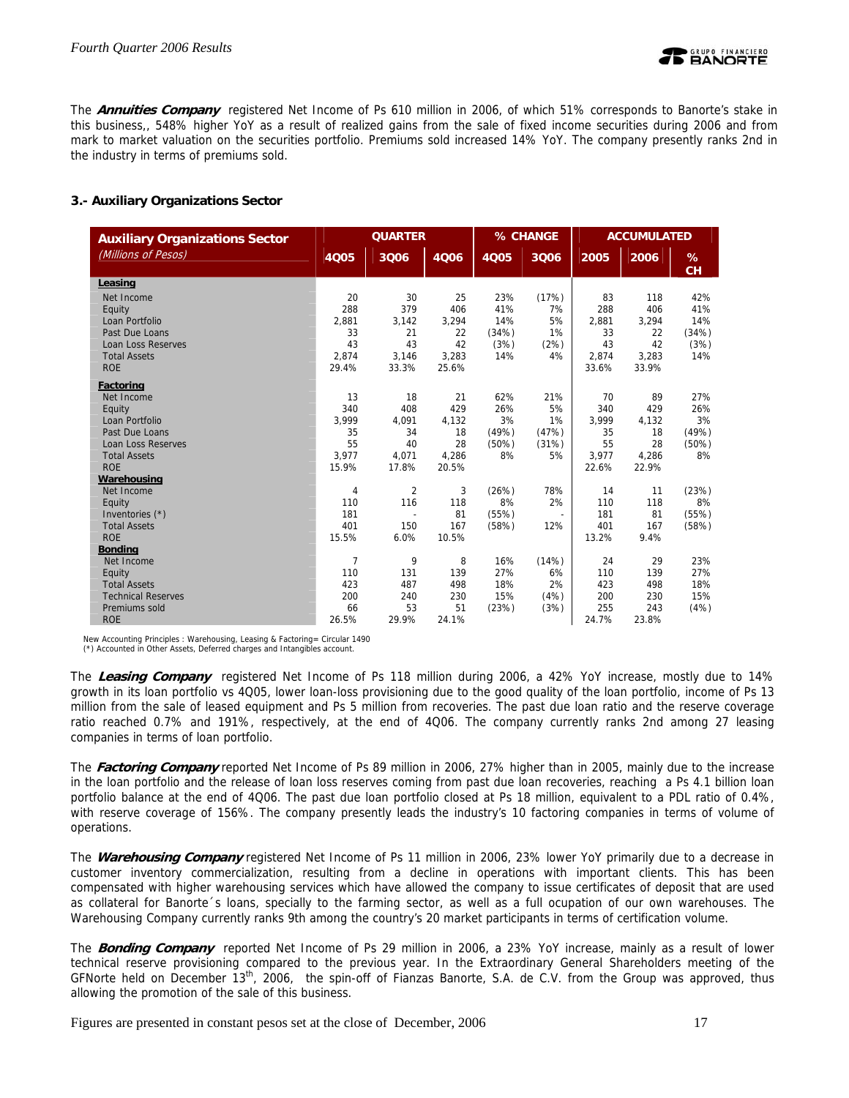

The **Annuities Company** registered Net Income of Ps 610 million in 2006, of which 51% corresponds to Banorte's stake in this business,, 548% higher YoY as a result of realized gains from the sale of fixed income securities during 2006 and from mark to market valuation on the securities portfolio. Premiums sold increased 14% YoY. The company presently ranks 2nd in the industry in terms of premiums sold.

## **3.- Auxiliary Organizations Sector**

| <b>Auxiliary Organizations Sector</b> |                | <b>QUARTER</b> |       |       | % CHANGE                 | <b>ACCUMULATED</b> |       |         |
|---------------------------------------|----------------|----------------|-------|-------|--------------------------|--------------------|-------|---------|
| (Millions of Pesos)                   | 4005           | 3006           | 4006  | 4005  | 3006                     | 2005               | 2006  | %<br>CH |
| Leasing                               |                |                |       |       |                          |                    |       |         |
| Net Income                            | 20             | 30             | 25    | 23%   | (17%)                    | 83                 | 118   | 42%     |
| Equity                                | 288            | 379            | 406   | 41%   | 7%                       | 288                | 406   | 41%     |
| Loan Portfolio                        | 2,881          | 3,142          | 3,294 | 14%   | 5%                       | 2,881              | 3,294 | 14%     |
| Past Due Loans                        | 33             | 21             | 22    | (34%) | 1%                       | 33                 | 22    | (34%)   |
| <b>Loan Loss Reserves</b>             | 43             | 43             | 42    | (3%)  | (2%)                     | 43                 | 42    | (3%)    |
| <b>Total Assets</b>                   | 2.874          | 3,146          | 3,283 | 14%   | 4%                       | 2,874              | 3,283 | 14%     |
| <b>ROE</b>                            | 29.4%          | 33.3%          | 25.6% |       |                          | 33.6%              | 33.9% |         |
| Factoring                             |                |                |       |       |                          |                    |       |         |
| Net Income                            | 13             | 18             | 21    | 62%   | 21%                      | 70                 | 89    | 27%     |
| Equity                                | 340            | 408            | 429   | 26%   | 5%                       | 340                | 429   | 26%     |
| Loan Portfolio                        | 3,999          | 4,091          | 4,132 | 3%    | 1%                       | 3.999              | 4,132 | 3%      |
| Past Due Loans                        | 35             | 34             | 18    | (49%) | (47%)                    | 35                 | 18    | (49%)   |
| <b>Loan Loss Reserves</b>             | 55             | 40             | 28    | (50%) | (31%)                    | 55                 | 28    | (50%)   |
| <b>Total Assets</b>                   | 3.977          | 4,071          | 4,286 | 8%    | 5%                       | 3,977              | 4,286 | 8%      |
| <b>ROE</b>                            | 15.9%          | 17.8%          | 20.5% |       |                          | 22.6%              | 22.9% |         |
| Warehousing                           |                |                |       |       |                          |                    |       |         |
| Net Income                            | $\overline{4}$ | $\overline{2}$ | 3     | (26%) | 78%                      | 14                 | 11    | (23%)   |
| Equity                                | 110            | 116            | 118   | 8%    | 2%                       | 110                | 118   | 8%      |
| Inventories (*)                       | 181            |                | 81    | (55%) | $\overline{\phantom{a}}$ | 181                | 81    | (55%)   |
| <b>Total Assets</b>                   | 401            | 150            | 167   | (58%) | 12%                      | 401                | 167   | (58%)   |
| <b>ROE</b>                            | 15.5%          | 6.0%           | 10.5% |       |                          | 13.2%              | 9.4%  |         |
| <b>Bondina</b>                        |                |                |       |       |                          |                    |       |         |
| Net Income                            | $\overline{7}$ | 9              | 8     | 16%   | (14%)                    | 24                 | 29    | 23%     |
| Equity                                | 110            | 131            | 139   | 27%   | 6%                       | 110                | 139   | 27%     |
| <b>Total Assets</b>                   | 423            | 487            | 498   | 18%   | 2%                       | 423                | 498   | 18%     |
| <b>Technical Reserves</b>             | 200            | 240            | 230   | 15%   | (4%)                     | 200                | 230   | 15%     |
| Premiums sold                         | 66             | 53             | 51    | (23%) | (3%)                     | 255                | 243   | (4%)    |
| <b>ROE</b>                            | 26.5%          | 29.9%          | 24.1% |       |                          | 24.7%              | 23.8% |         |

New Accounting Principles : Warehousing, Leasing & Factoring= Circular 1490

(\*) Accounted in Other Assets, Deferred charges and Intangibles account.

The **Leasing Company** registered Net Income of Ps 118 million during 2006, a 42% YoY increase, mostly due to 14% growth in its loan portfolio vs 4Q05, lower loan-loss provisioning due to the good quality of the loan portfolio, income of Ps 13 million from the sale of leased equipment and Ps 5 million from recoveries. The past due loan ratio and the reserve coverage ratio reached 0.7% and 191%, respectively, at the end of 4Q06. The company currently ranks 2nd among 27 leasing companies in terms of loan portfolio.

The **Factoring Company** reported Net Income of Ps 89 million in 2006, 27% higher than in 2005, mainly due to the increase in the loan portfolio and the release of loan loss reserves coming from past due loan recoveries, reaching a Ps 4.1 billion loan portfolio balance at the end of 4Q06. The past due loan portfolio closed at Ps 18 million, equivalent to a PDL ratio of 0.4%, with reserve coverage of 156%. The company presently leads the industry's 10 factoring companies in terms of volume of operations.

The **Warehousing Company** registered Net Income of Ps 11 million in 2006, 23% lower YoY primarily due to a decrease in customer inventory commercialization, resulting from a decline in operations with important clients. This has been compensated with higher warehousing services which have allowed the company to issue certificates of deposit that are used as collateral for Banorte´s loans, specially to the farming sector, as well as a full ocupation of our own warehouses. The Warehousing Company currently ranks 9th among the country's 20 market participants in terms of certification volume.

The **Bonding Company** reported Net Income of Ps 29 million in 2006, a 23% YoY increase, mainly as a result of lower technical reserve provisioning compared to the previous year. In the Extraordinary General Shareholders meeting of the GFNorte held on December  $13<sup>th</sup>$ , 2006, the spin-off of Fianzas Banorte, S.A. de C.V. from the Group was approved, thus allowing the promotion of the sale of this business.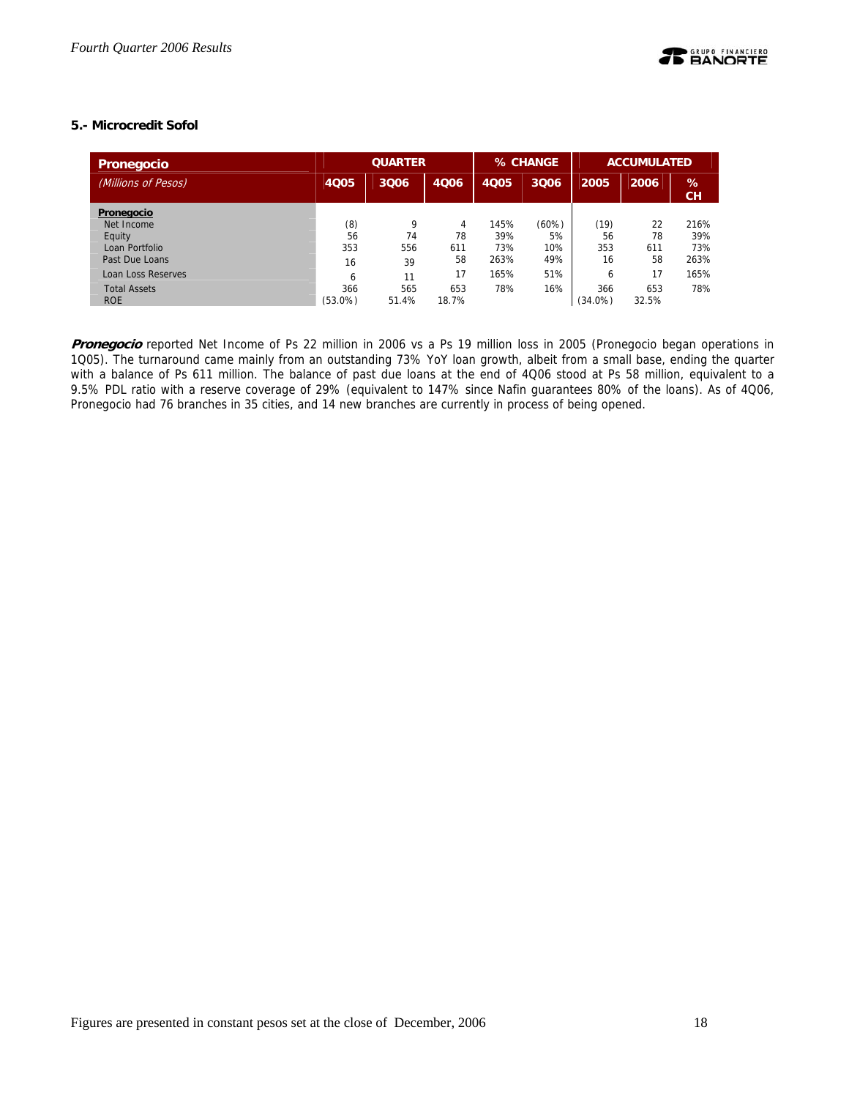## **5.- Microcredit Sofol**

| <b>Pronegocio</b>         | <b>QUARTER</b>      |       |       |             | % CHANGE | <b>ACCUMULATED</b> |       |      |
|---------------------------|---------------------|-------|-------|-------------|----------|--------------------|-------|------|
| (Millions of Pesos)       | <b>4Q05</b><br>3Q06 |       | 4Q06  | <b>4Q05</b> | 3Q06     | 2005               | 2006  | %    |
| Pronegocio                |                     |       |       |             |          |                    |       | CH   |
| Net Income                | (8)                 | 9     | 4     | 145%        | (60%)    | (19)               | 22    | 216% |
| Equity                    | 56                  | 74    | 78    | 39%         | 5%       | 56                 | 78    | 39%  |
| Loan Portfolio            | 353                 | 556   | 611   | 73%         | 10%      | 353                | 611   | 73%  |
| Past Due Loans            | 16                  | 39    | 58    | 263%        | 49%      | 16                 | 58    | 263% |
| <b>Loan Loss Reserves</b> | 6                   | 11    | 17    | 165%        | 51%      | 6                  | 17    | 165% |
| <b>Total Assets</b>       | 366                 | 565   | 653   | 78%         | 16%      | 366                | 653   | 78%  |
| <b>ROE</b>                | $(53.0\%)$          | 51.4% | 18.7% |             |          | $(34.0\%)$         | 32.5% |      |

**Pronegocio** reported Net Income of Ps 22 million in 2006 vs a Ps 19 million loss in 2005 (Pronegocio began operations in 1Q05). The turnaround came mainly from an outstanding 73% YoY loan growth, albeit from a small base, ending the quarter with a balance of Ps 611 million. The balance of past due loans at the end of 4Q06 stood at Ps 58 million, equivalent to a 9.5% PDL ratio with a reserve coverage of 29% (equivalent to 147% since Nafin guarantees 80% of the loans). As of 4Q06, Pronegocio had 76 branches in 35 cities, and 14 new branches are currently in process of being opened.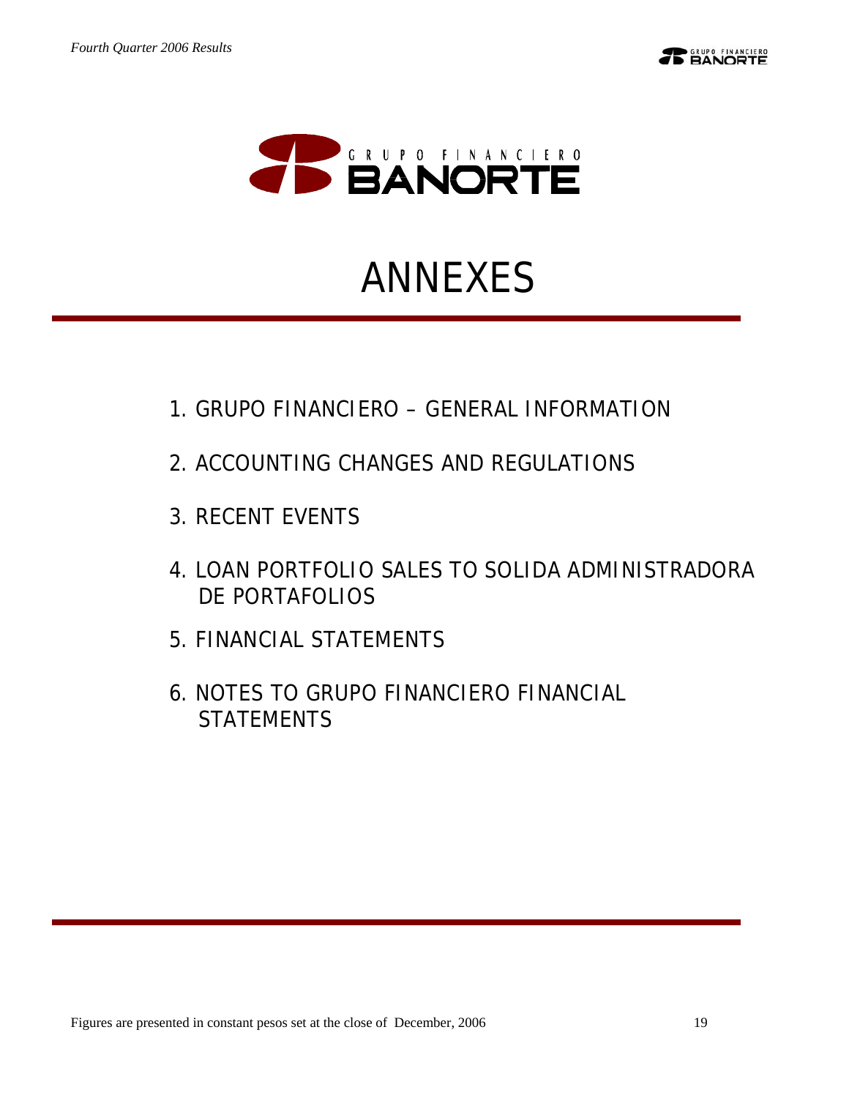

# ANNEXES

- 1.GRUPO FINANCIERO GENERAL INFORMATION
- 2.ACCOUNTING CHANGES AND REGULATIONS
- 3.RECENT EVENTS
- 4.LOAN PORTFOLIO SALES TO SOLIDA ADMINISTRADORA DE PORTAFOLIOS
- 5.FINANCIAL STATEMENTS
- 6.NOTES TO GRUPO FINANCIERO FINANCIAL **STATEMENTS**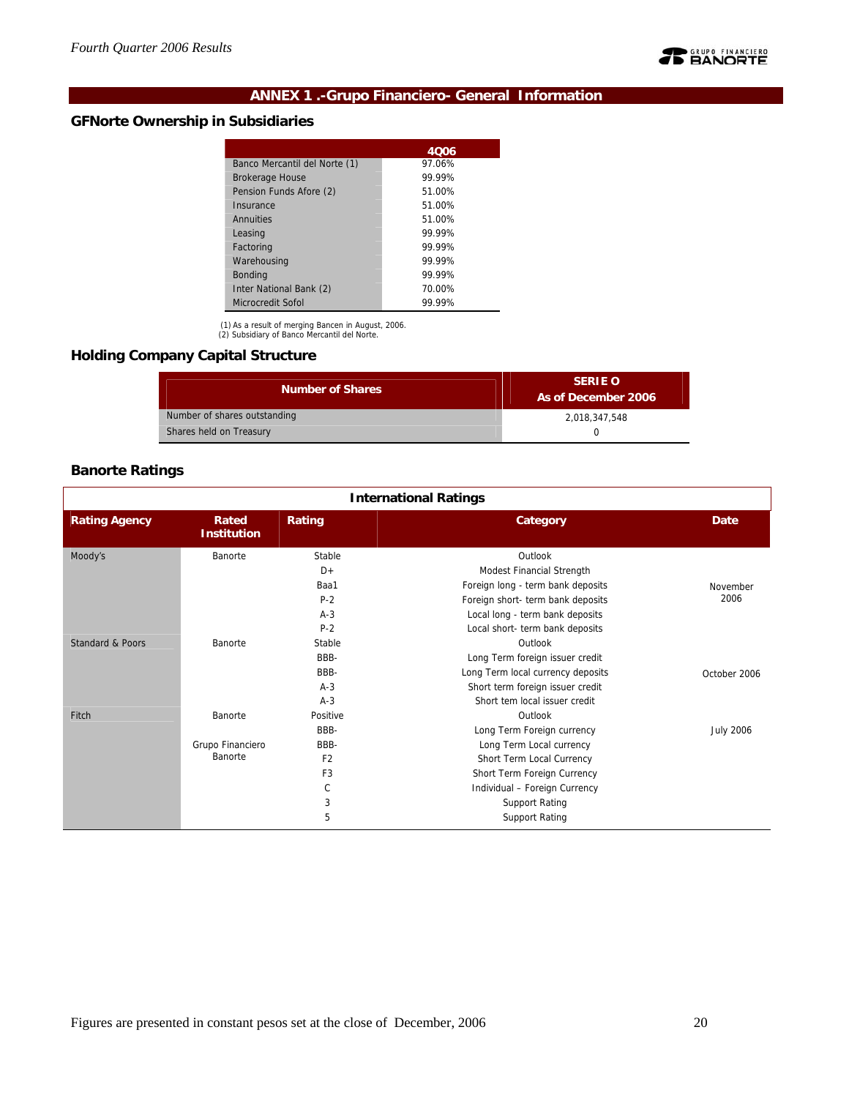

## **ANNEX 1 .-Grupo Financiero- General Information**

## **GFNorte Ownership in Subsidiaries**

| 4006   |
|--------|
| 97.06% |
| 99.99% |
| 51.00% |
| 51.00% |
| 51.00% |
| 99.99% |
| 99.99% |
| 99 99% |
| 99.99% |
| 70.00% |
| 99.99% |
|        |

(1) As a result of merging Bancen in August, 2006. (2) Subsidiary of Banco Mercantil del Norte.

## **Holding Company Capital Structure**

| <b>Number of Shares</b>      | <b>SERIE O</b><br>As of December 2006 |
|------------------------------|---------------------------------------|
| Number of shares outstanding | 2.018.347.548                         |
| Shares held on Treasury      |                                       |

## **Banorte Ratings**

| <b>International Ratings</b> |                             |                |                                   |                  |  |  |  |  |  |  |
|------------------------------|-----------------------------|----------------|-----------------------------------|------------------|--|--|--|--|--|--|
| <b>Rating Agency</b>         | Rated<br><b>Institution</b> | Rating         | Category                          | <b>Date</b>      |  |  |  |  |  |  |
| Moody's                      | Banorte                     | Stable         | Outlook                           |                  |  |  |  |  |  |  |
|                              |                             | $D+$           | Modest Financial Strength         |                  |  |  |  |  |  |  |
|                              |                             | Baa1           | Foreign long - term bank deposits | November         |  |  |  |  |  |  |
|                              |                             | $P-2$          | Foreign short- term bank deposits | 2006             |  |  |  |  |  |  |
|                              |                             | $A-3$          | Local long - term bank deposits   |                  |  |  |  |  |  |  |
|                              |                             | $P-2$          | Local short- term bank deposits   |                  |  |  |  |  |  |  |
| Standard & Poors             | Banorte                     | Stable         | Outlook                           |                  |  |  |  |  |  |  |
|                              |                             | BBB-           | Long Term foreign issuer credit   |                  |  |  |  |  |  |  |
|                              |                             | BBB-           | Long Term local currency deposits | October 2006     |  |  |  |  |  |  |
|                              |                             | $A-3$          | Short term foreign issuer credit  |                  |  |  |  |  |  |  |
|                              |                             | $A-3$          | Short tem local issuer credit     |                  |  |  |  |  |  |  |
| Fitch                        | Banorte                     | Positive       | Outlook                           |                  |  |  |  |  |  |  |
|                              |                             | BBB-           | Long Term Foreign currency        | <b>July 2006</b> |  |  |  |  |  |  |
|                              | Grupo Financiero            | BBB-           | Long Term Local currency          |                  |  |  |  |  |  |  |
|                              | Banorte                     | F <sub>2</sub> | Short Term Local Currency         |                  |  |  |  |  |  |  |
|                              |                             | F <sub>3</sub> | Short Term Foreign Currency       |                  |  |  |  |  |  |  |
|                              |                             | C              | Individual - Foreign Currency     |                  |  |  |  |  |  |  |
|                              |                             | 3              | <b>Support Rating</b>             |                  |  |  |  |  |  |  |
|                              |                             | 5              | <b>Support Rating</b>             |                  |  |  |  |  |  |  |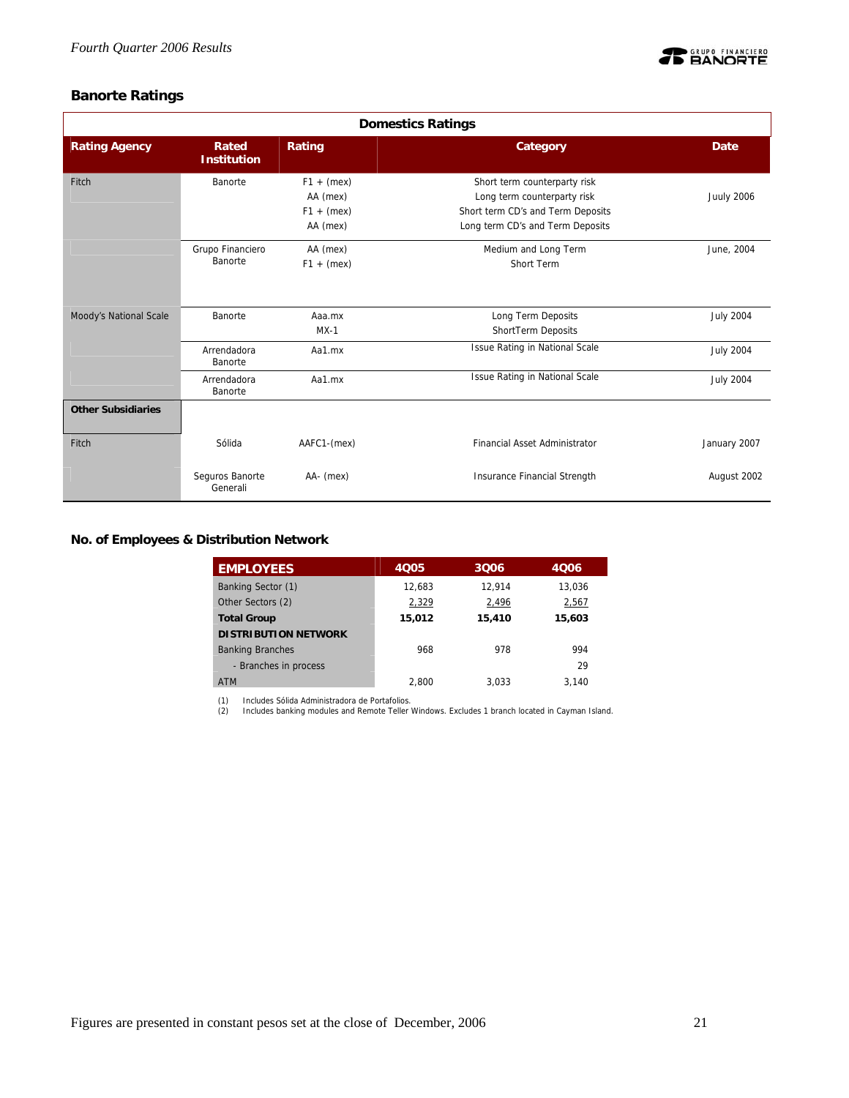

## **Banorte Ratings**

| <b>Domestics Ratings</b>  |                             |                                                      |                                                                                                                                      |                   |  |  |  |  |  |
|---------------------------|-----------------------------|------------------------------------------------------|--------------------------------------------------------------------------------------------------------------------------------------|-------------------|--|--|--|--|--|
| <b>Rating Agency</b>      | Rated<br><b>Institution</b> | Rating                                               | Category                                                                                                                             | <b>Date</b>       |  |  |  |  |  |
| Fitch                     | Banorte                     | $F1 + (mex)$<br>AA (mex)<br>$F1 + (mex)$<br>AA (mex) | Short term counterparty risk<br>Long term counterparty risk<br>Short term CD's and Term Deposits<br>Long term CD's and Term Deposits | <b>Juuly 2006</b> |  |  |  |  |  |
|                           | Grupo Financiero<br>Banorte | AA (mex)<br>$F1 + (mex)$                             | Medium and Long Term<br>Short Term                                                                                                   | June, 2004        |  |  |  |  |  |
| Moody's National Scale    | Banorte                     | Aaa.mx<br>$MX-1$                                     | Long Term Deposits<br>ShortTerm Deposits                                                                                             | <b>July 2004</b>  |  |  |  |  |  |
|                           | Arrendadora<br>Banorte      | Aa1.mx                                               | Issue Rating in National Scale                                                                                                       | <b>July 2004</b>  |  |  |  |  |  |
|                           | Arrendadora<br>Banorte      | Aa1.mx                                               | Issue Rating in National Scale                                                                                                       | <b>July 2004</b>  |  |  |  |  |  |
| <b>Other Subsidiaries</b> |                             |                                                      |                                                                                                                                      |                   |  |  |  |  |  |
| Fitch                     | Sólida                      | AAFC1-(mex)                                          | <b>Financial Asset Administrator</b>                                                                                                 | January 2007      |  |  |  |  |  |
|                           | Seguros Banorte<br>Generali | AA- (mex)                                            | Insurance Financial Strength                                                                                                         | August 2002       |  |  |  |  |  |

**No. of Employees & Distribution Network** 

| <b>EMPLOYEES</b>            | 4005   | 3Q06   | 4006   |
|-----------------------------|--------|--------|--------|
| Banking Sector (1)          | 12.683 | 12.914 | 13.036 |
| Other Sectors (2)           | 2,329  | 2,496  | 2,567  |
| <b>Total Group</b>          | 15,012 | 15,410 | 15,603 |
| <b>DISTRIBUTION NETWORK</b> |        |        |        |
| <b>Banking Branches</b>     | 968    | 978    | 994    |
| - Branches in process       |        |        | 29     |
| <b>ATM</b>                  | 2.800  | 3.033  | 3.140  |

(1) Includes Sólida Administradora de Portafolios. (2) Includes banking modules and Remote Teller Windows. Excludes 1 branch located in Cayman Island.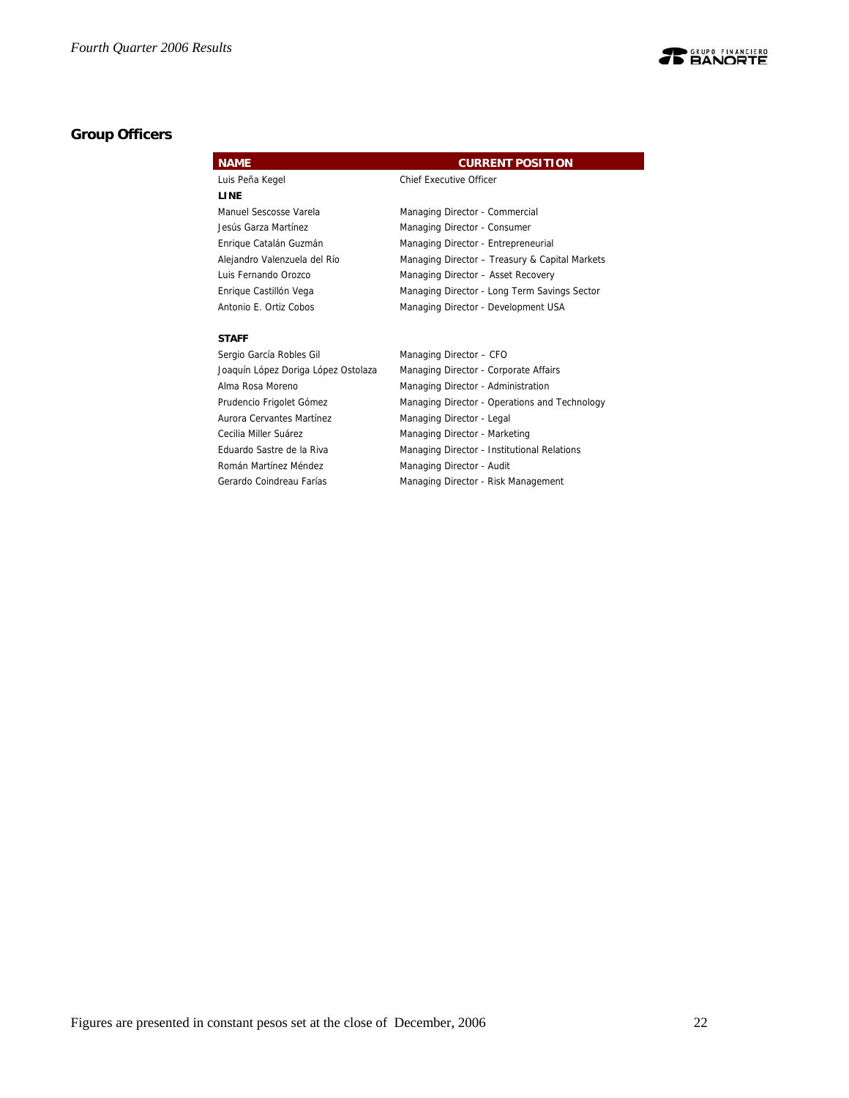

## **Group Officers**

| <b>NAME</b>                         | <b>CURRENT POSITION</b>                        |
|-------------------------------------|------------------------------------------------|
| Luis Peña Kegel                     | <b>Chief Executive Officer</b>                 |
| LINE                                |                                                |
| Manuel Sescosse Varela              | Managing Director - Commercial                 |
| Jesús Garza Martínez                | Managing Director - Consumer                   |
| Enrique Catalán Guzmán              | Managing Director - Entrepreneurial            |
| Alejandro Valenzuela del Río        | Managing Director - Treasury & Capital Markets |
| Luis Fernando Orozco                | Managing Director - Asset Recovery             |
| Enrique Castillón Vega              | Managing Director - Long Term Savings Sector   |
| Antonio E. Ortiz Cobos              | Managing Director - Development USA            |
|                                     |                                                |
| <b>STAFF</b>                        |                                                |
| Sergio García Robles Gil            | Managing Director - CFO                        |
| Joaquín López Doriga López Ostolaza | Managing Director - Corporate Affairs          |
| Alma Rosa Moreno                    | Managing Director - Administration             |
| Prudencio Frigolet Gómez            | Managing Director - Operations and Technology  |
| Aurora Cervantes Martínez           | Managing Director - Legal                      |
| Cecilia Miller Suárez               | Managing Director - Marketing                  |
| Eduardo Sastre de la Riva           | Managing Director - Institutional Relations    |
| Román Martínez Méndez               | Managing Director - Audit                      |

Gerardo Coindreau Farías **Managing Director - Risk Management**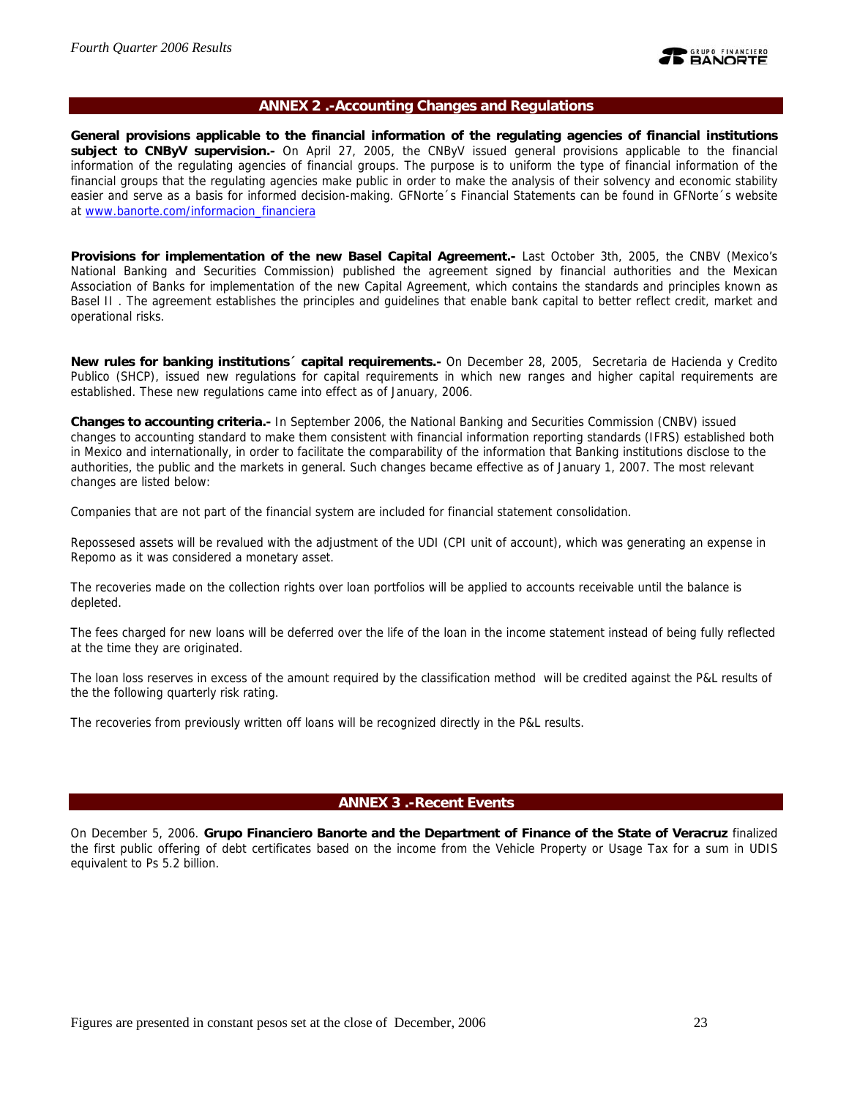

## **ANNEX 2 .-Accounting Changes and Regulations**

**General provisions applicable to the financial information of the regulating agencies of financial institutions subject to CNByV supervision.-** On April 27, 2005, the CNByV issued general provisions applicable to the financial information of the regulating agencies of financial groups. The purpose is to uniform the type of financial information of the financial groups that the regulating agencies make public in order to make the analysis of their solvency and economic stability easier and serve as a basis for informed decision-making. GFNorte´s Financial Statements can be found in GFNorte´s website at www.banorte.com/informacion\_financiera

**Provisions for implementation of the new Basel Capital Agreement.-** Last October 3th, 2005, the CNBV (Mexico's National Banking and Securities Commission) published the agreement signed by financial authorities and the Mexican Association of Banks for implementation of the new Capital Agreement, which contains the standards and principles known as Basel II . The agreement establishes the principles and guidelines that enable bank capital to better reflect credit, market and operational risks.

**New rules for banking institutions´ capital requirements.-** On December 28, 2005, Secretaria de Hacienda y Credito Publico (SHCP), issued new regulations for capital requirements in which new ranges and higher capital requirements are established. These new regulations came into effect as of January, 2006.

**Changes to accounting criteria.-** In September 2006, the National Banking and Securities Commission (CNBV) issued changes to accounting standard to make them consistent with financial information reporting standards (IFRS) established both in Mexico and internationally, in order to facilitate the comparability of the information that Banking institutions disclose to the authorities, the public and the markets in general. Such changes became effective as of January 1, 2007. The most relevant changes are listed below:

Companies that are not part of the financial system are included for financial statement consolidation.

Repossesed assets will be revalued with the adjustment of the UDI (CPI unit of account), which was generating an expense in Repomo as it was considered a monetary asset.

The recoveries made on the collection rights over loan portfolios will be applied to accounts receivable until the balance is depleted.

The fees charged for new loans will be deferred over the life of the loan in the income statement instead of being fully reflected at the time they are originated.

The loan loss reserves in excess of the amount required by the classification method will be credited against the P&L results of the the following quarterly risk rating.

The recoveries from previously written off loans will be recognized directly in the P&L results.

## **ANNEX 3 .-Recent Events**

On December 5, 2006. **Grupo Financiero Banorte and the Department of Finance of the State of Veracruz** finalized the first public offering of debt certificates based on the income from the Vehicle Property or Usage Tax for a sum in UDIS equivalent to Ps 5.2 billion.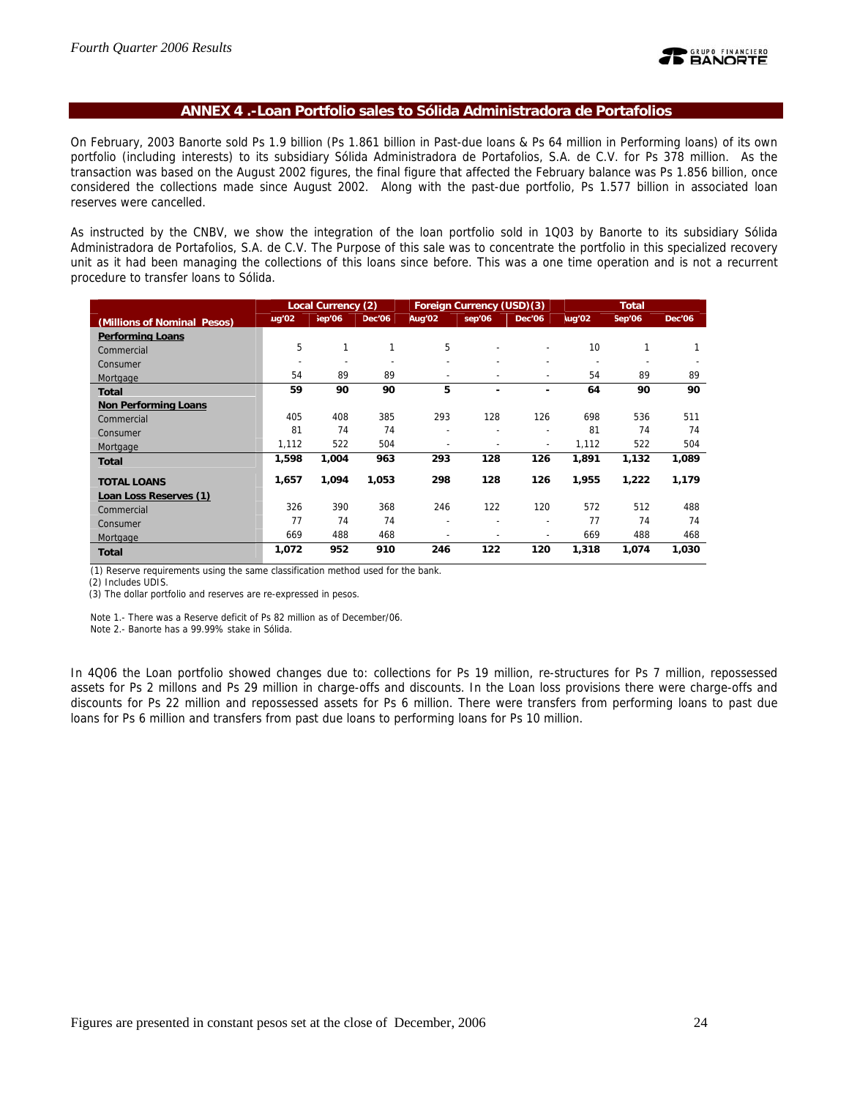#### **ANNEX 4 .-Loan Portfolio sales to Sólida Administradora de Portafolios**

On February, 2003 Banorte sold Ps 1.9 billion (Ps 1.861 billion in Past-due loans & Ps 64 million in Performing loans) of its own portfolio (including interests) to its subsidiary Sólida Administradora de Portafolios, S.A. de C.V. for Ps 378 million. As the transaction was based on the August 2002 figures, the final figure that affected the February balance was Ps 1.856 billion, once considered the collections made since August 2002. Along with the past-due portfolio, Ps 1.577 billion in associated loan reserves were cancelled.

As instructed by the CNBV, we show the integration of the loan portfolio sold in 1Q03 by Banorte to its subsidiary Sólida Administradora de Portafolios, S.A. de C.V. The Purpose of this sale was to concentrate the portfolio in this specialized recovery unit as it had been managing the collections of this loans since before. This was a one time operation and is not a recurrent procedure to transfer loans to Sólida.

|                             | Foreign Currency (USD)(3)<br>Local Currency (2) |        |        |                | <b>Total</b>   |                          |               |        |        |
|-----------------------------|-------------------------------------------------|--------|--------|----------------|----------------|--------------------------|---------------|--------|--------|
| (Millions of Nominal Pesos) | $\mu$ g'02                                      | iep'06 | Dec'06 | Aug'02         | sep'06         | <b>Dec'06</b>            | <b>lug'02</b> | Sep'06 | Dec'06 |
| <b>Performing Loans</b>     |                                                 |        |        |                |                |                          |               |        |        |
| Commercial                  | 5                                               |        | 1      | 5              |                |                          | 10            | 1      |        |
| Consumer                    | $\overline{\phantom{0}}$                        |        |        |                |                |                          |               |        |        |
| Mortgage                    | 54                                              | 89     | 89     | $\overline{a}$ | ۰              | $\overline{\phantom{a}}$ | 54            | 89     | 89     |
| <b>Total</b>                | 59                                              | 90     | 90     | 5              | ۰              | ۰                        | 64            | 90     | 90     |
| <b>Non Performing Loans</b> |                                                 |        |        |                |                |                          |               |        |        |
| Commercial                  | 405                                             | 408    | 385    | 293            | 128            | 126                      | 698           | 536    | 511    |
| Consumer                    | 81                                              | 74     | 74     | ۰              | $\overline{a}$ | $\overline{\phantom{a}}$ | 81            | 74     | 74     |
| Mortgage                    | 1,112                                           | 522    | 504    | ۰              |                | $\overline{\phantom{a}}$ | 1,112         | 522    | 504    |
| <b>Total</b>                | 1,598                                           | 1,004  | 963    | 293            | 128            | 126                      | 1,891         | 1,132  | 1,089  |
| <b>TOTAL LOANS</b>          | 1,657                                           | 1,094  | 1,053  | 298            | 128            | 126                      | 1,955         | 1,222  | 1,179  |
| Loan Loss Reserves (1)      |                                                 |        |        |                |                |                          |               |        |        |
| Commercial                  | 326                                             | 390    | 368    | 246            | 122            | 120                      | 572           | 512    | 488    |
| Consumer                    | 77                                              | 74     | 74     | ÷              | ۰              | $\overline{\phantom{a}}$ | 77            | 74     | 74     |
| Mortgage                    | 669                                             | 488    | 468    |                |                | $\overline{\phantom{0}}$ | 669           | 488    | 468    |
| <b>Total</b>                | 1,072                                           | 952    | 910    | 246            | 122            | 120                      | 1,318         | 1,074  | 1,030  |

(1) Reserve requirements using the same classification method used for the bank.

(2) Includes UDIS.

(3) The dollar portfolio and reserves are re-expressed in pesos.

Note 1.- There was a Reserve deficit of Ps 82 million as of December/06.

Note 2.- Banorte has a 99.99% stake in Sólida.

In 4Q06 the Loan portfolio showed changes due to: collections for Ps 19 million, re-structures for Ps 7 million, repossessed assets for Ps 2 millons and Ps 29 million in charge-offs and discounts. In the Loan loss provisions there were charge-offs and discounts for Ps 22 million and repossessed assets for Ps 6 million. There were transfers from performing loans to past due loans for Ps 6 million and transfers from past due loans to performing loans for Ps 10 million.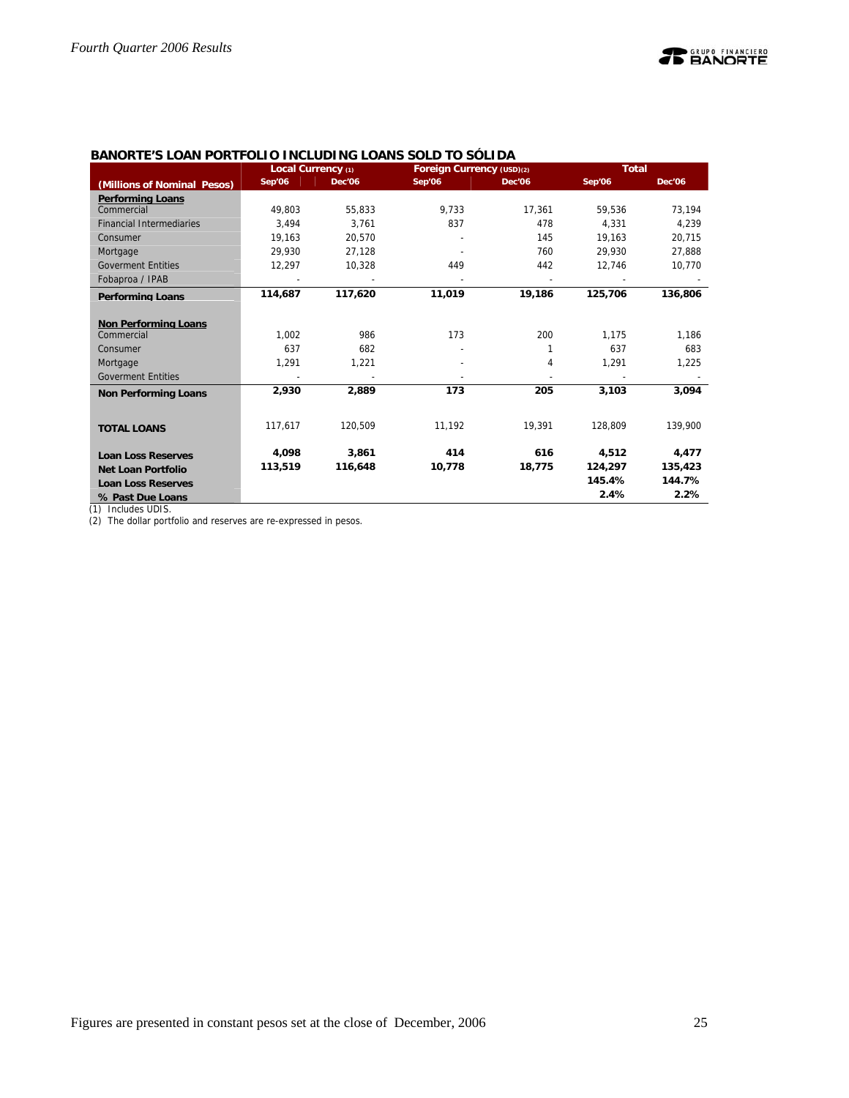|                                 | Local Currency (1) |               | Foreign Currency (USD)(2) |               | <b>Total</b> |               |
|---------------------------------|--------------------|---------------|---------------------------|---------------|--------------|---------------|
| (Millions of Nominal Pesos)     | Sep'06             | <b>Dec'06</b> | Sep'06                    | <b>Dec'06</b> | Sep'06       | <b>Dec'06</b> |
| <b>Performing Loans</b>         |                    |               |                           |               |              |               |
| Commercial                      | 49.803             | 55,833        | 9,733                     | 17,361        | 59.536       | 73,194        |
| <b>Financial Intermediaries</b> | 3.494              | 3.761         | 837                       | 478           | 4.331        | 4.239         |
| Consumer                        | 19,163             | 20,570        |                           | 145           | 19,163       | 20,715        |
| Mortgage                        | 29,930             | 27,128        |                           | 760           | 29,930       | 27,888        |
| <b>Goverment Entities</b>       | 12,297             | 10,328        | 449                       | 442           | 12,746       | 10,770        |
| Fobaproa / IPAB                 |                    |               |                           |               |              |               |
| <b>Performing Loans</b>         | 114,687            | 117,620       | 11,019                    | 19,186        | 125,706      | 136,806       |
|                                 |                    |               |                           |               |              |               |
| <b>Non Performing Loans</b>     |                    |               |                           |               |              |               |
| Commercial                      | 1,002              | 986           | 173                       | 200           | 1,175        | 1,186         |
| Consumer                        | 637                | 682           |                           |               | 637          | 683           |
| Mortgage                        | 1,291              | 1,221         |                           | 4             | 1,291        | 1,225         |
| <b>Goverment Entities</b>       |                    |               |                           |               |              |               |
| <b>Non Performing Loans</b>     | 2,930              | 2,889         | 173                       | 205           | 3,103        | 3,094         |
|                                 |                    |               |                           |               |              |               |
|                                 | 117.617            | 120.509       | 11,192                    | 19,391        | 128.809      | 139,900       |
| <b>TOTAL LOANS</b>              |                    |               |                           |               |              |               |
| <b>Loan Loss Reserves</b>       | 4,098              | 3,861         | 414                       | 616           | 4,512        | 4,477         |
| <b>Net Loan Portfolio</b>       | 113,519            | 116,648       | 10,778                    | 18,775        | 124,297      | 135,423       |
| <b>Loan Loss Reserves</b>       |                    |               |                           |               | 145.4%       | 144.7%        |
| % Past Due Loans                |                    |               |                           |               | 2.4%         | 2.2%          |

## **BANORTE'S LOAN PORTFOLIO INCLUDING LOANS SOLD TO SÓLIDA**

(1) Includes UDIS.

(2) The dollar portfolio and reserves are re-expressed in pesos.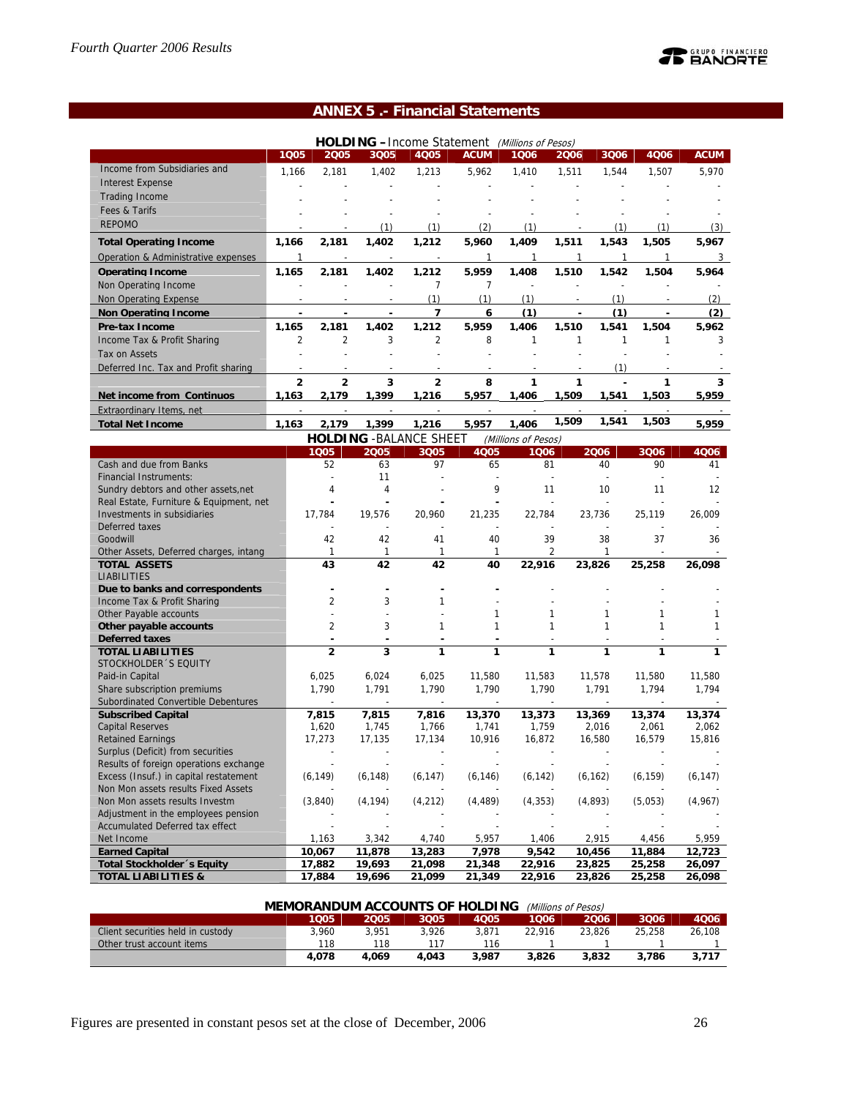## **ANNEX 5 .- Financial Statements**

|                                      |       |                |       | <b>HOLDING</b> - Income Statement |             | (Millions of Pesos) |       |           |       |             |
|--------------------------------------|-------|----------------|-------|-----------------------------------|-------------|---------------------|-------|-----------|-------|-------------|
|                                      | 1005  | 2005           | 3Q05  | 4Q05                              | <b>ACUM</b> | 1006                | 2006  | 3Q06      | 4Q06  | <b>ACUM</b> |
| Income from Subsidiaries and         | 1,166 | 2,181          | 1,402 | 1,213                             | 5,962       | 1,410               | 1,511 | 1.544     | 1,507 | 5,970       |
| <b>Interest Expense</b>              |       |                |       |                                   |             |                     |       |           |       |             |
| <b>Trading Income</b>                |       |                |       |                                   |             |                     |       |           |       |             |
| Fees & Tarifs                        |       |                |       |                                   |             |                     |       |           |       |             |
| <b>REPOMO</b>                        |       |                | (1)   | (1)                               | (2)         | (1)                 |       | (1)       | 11    | (3)         |
| <b>Total Operating Income</b>        | 1,166 | 2,181          | 1,402 | 1,212                             | 5,960       | 1,409               | 1,511 | 1,543     | 1,505 | 5,967       |
| Operation & Administrative expenses  |       |                |       |                                   |             |                     |       |           |       | 3           |
| <b>Operating Income</b>              | 1.165 | 2.181          | 1.402 | 1.212                             | 5.959       | 1.408               | 1.510 | 1.542     | 1.504 | 5.964       |
| Non Operating Income                 |       |                |       |                                   |             |                     |       |           |       |             |
| Non Operating Expense                |       |                |       | (1)                               | (1)         | (1)                 |       | (1)       |       | (2)         |
| <b>Non Operating Income</b>          |       |                |       |                                   | 6           | (1)                 |       | (1)       |       | (2)         |
| <b>Pre-tax Income</b>                | 1.165 | 2.181          | 1,402 | 1,212                             | 5.959       | 1.406               | 1,510 | 1.541     | 1.504 | 5.962       |
| Income Tax & Profit Sharing          | 2     | $\overline{2}$ | 3     | $\overline{2}$                    | 8           |                     |       |           |       | 3           |
| Tax on Assets                        |       |                |       |                                   |             |                     |       |           |       |             |
| Deferred Inc. Tax and Profit sharing |       |                |       |                                   |             |                     |       | (1)       |       |             |
|                                      | 2     | 2              | 3     | 2                                 | 8           |                     |       |           |       | 3           |
| Net income from Continuos            | 1,163 | 2,179          | 1,399 | 1,216                             | 5,957       | 1,406               | 1,509 | 1,541     | 1,503 | 5,959       |
| Extraordinary Items, net             |       |                |       |                                   |             |                     |       |           |       |             |
|                                      |       |                |       |                                   |             |                     | $ -$  | $- - - -$ | $  -$ |             |

| <b>Total Net Income</b> | .163 | 179                  | .399             | .216                 | 5.957 | .406                     | 1,509 | 541،،  | ,503                 | .959 |
|-------------------------|------|----------------------|------------------|----------------------|-------|--------------------------|-------|--------|----------------------|------|
|                         |      | <b>HOLDING</b>       | -BAL             | $\,$ : SHEET<br>ANCE |       | (Millions of Pesos)      |       |        |                      |      |
|                         |      | $\sim$ $\sim$ $\sim$ | $\sum_{n=1}^{n}$ | $\sum_{n=1}^{n}$     | ACO   | $\overline{\phantom{a}}$ |       | $\sim$ | $\sim$ $\sim$ $\sim$ | 4001 |

|                                         | 1005           | 2005     | 3Q05     | <b>4Q05</b> | 1006     | 2006     | 3Q06     | 4006     |
|-----------------------------------------|----------------|----------|----------|-------------|----------|----------|----------|----------|
| Cash and due from Banks                 | 52             | 63       | 97       | 65          | 81       | 40       | 90       | 41       |
| <b>Financial Instruments:</b>           |                | 11       |          |             |          |          |          |          |
| Sundry debtors and other assets, net    | 4              | 4        |          | 9           | 11       | 10       | 11       | 12       |
| Real Estate, Furniture & Equipment, net |                |          |          |             |          |          |          |          |
| Investments in subsidiaries             | 17,784         | 19,576   | 20,960   | 21,235      | 22,784   | 23,736   | 25,119   | 26,009   |
| Deferred taxes                          |                |          |          |             |          |          |          |          |
| Goodwill                                | 42             | 42       | 41       | 40          | 39       | 38       | 37       | 36       |
| Other Assets, Deferred charges, intang  | 1              | 1        | 1        | 1           | 2        | 1        |          |          |
| <b>TOTAL ASSETS</b>                     | 43             | 42       | 42       | 40          | 22,916   | 23,826   | 25,258   | 26,098   |
| <b>LIABILITIES</b>                      |                |          |          |             |          |          |          |          |
| Due to banks and correspondents         |                |          |          |             |          |          |          |          |
| Income Tax & Profit Sharing             | 2              | 3        |          |             |          |          |          |          |
| Other Payable accounts                  |                |          |          | 1           | 1        |          |          |          |
| Other payable accounts                  | $\overline{2}$ | 3        |          | 1           | 1        | 1        | 1        |          |
| <b>Deferred taxes</b>                   |                |          |          |             |          |          |          |          |
| <b>TOTAL LIABILITIES</b>                | $\overline{2}$ | 3        | 1        | 1           | 1        | 1        | 1        | 1.       |
| STOCKHOLDER 'S EQUITY                   |                |          |          |             |          |          |          |          |
| Paid-in Capital                         | 6,025          | 6,024    | 6,025    | 11,580      | 11,583   | 11,578   | 11,580   | 11,580   |
| Share subscription premiums             | 1,790          | 1,791    | 1,790    | 1,790       | 1,790    | 1,791    | 1,794    | 1,794    |
| Subordinated Convertible Debentures     |                |          |          |             |          |          |          |          |
| <b>Subscribed Capital</b>               | 7,815          | 7,815    | 7,816    | 13,370      | 13,373   | 13,369   | 13,374   | 13,374   |
| <b>Capital Reserves</b>                 | 1,620          | 1,745    | 1,766    | 1,741       | 1,759    | 2,016    | 2,061    | 2,062    |
| <b>Retained Earnings</b>                | 17,273         | 17,135   | 17,134   | 10,916      | 16,872   | 16,580   | 16,579   | 15,816   |
| Surplus (Deficit) from securities       |                |          |          |             |          |          |          |          |
| Results of foreign operations exchange  |                |          |          |             |          |          |          |          |
| Excess (Insuf.) in capital restatement  | (6, 149)       | (6, 148) | (6, 147) | (6, 146)    | (6, 142) | (6, 162) | (6, 159) | (6, 147) |
| Non Mon assets results Fixed Assets     |                |          |          |             |          |          |          |          |
| Non Mon assets results Investm          | (3,840)        | (4, 194) | (4, 212) | (4, 489)    | (4, 353) | (4,893)  | (5,053)  | (4,967)  |
| Adjustment in the employees pension     |                |          |          |             |          |          |          |          |
| <b>Accumulated Deferred tax effect</b>  |                |          |          |             |          |          |          |          |
| Net Income                              | 1,163          | 3,342    | 4,740    | 5,957       | 1,406    | 2,915    | 4,456    | 5,959    |
| <b>Earned Capital</b>                   | 10,067         | 11,878   | 13,283   | 7,978       | 9,542    | 10,456   | 11,884   | 12,723   |
| Total Stockholder 's Equity             | 17,882         | 19,693   | 21,098   | 21,348      | 22,916   | 23,825   | 25,258   | 26,097   |
| <b>TOTAL LIABILITIES &amp;</b>          | 17,884         | 19,696   | 21,099   | 21,349      | 22,916   | 23,826   | 25,258   | 26,098   |

| <b>MEMORANDUM ACCOUNTS OF HOLDING</b><br>(Millions of Pesos) |       |       |       |       |        |        |        |        |  |  |  |
|--------------------------------------------------------------|-------|-------|-------|-------|--------|--------|--------|--------|--|--|--|
|                                                              | 1005  | 2005  | 3005  | 4005  | 1006   | 2006   | 3006   | 4006   |  |  |  |
| Client securities held in custody                            | 3.960 | 3.951 | 3.926 | 3.871 | 22.916 | 23.826 | 25,258 | 26.108 |  |  |  |
| Other trust account items                                    | 118   | 118   |       | 116   |        |        |        |        |  |  |  |
|                                                              | 4.078 | 4.069 | 4.043 | 3.987 | 3.826  | 3,832  | 3.786  | 3.717  |  |  |  |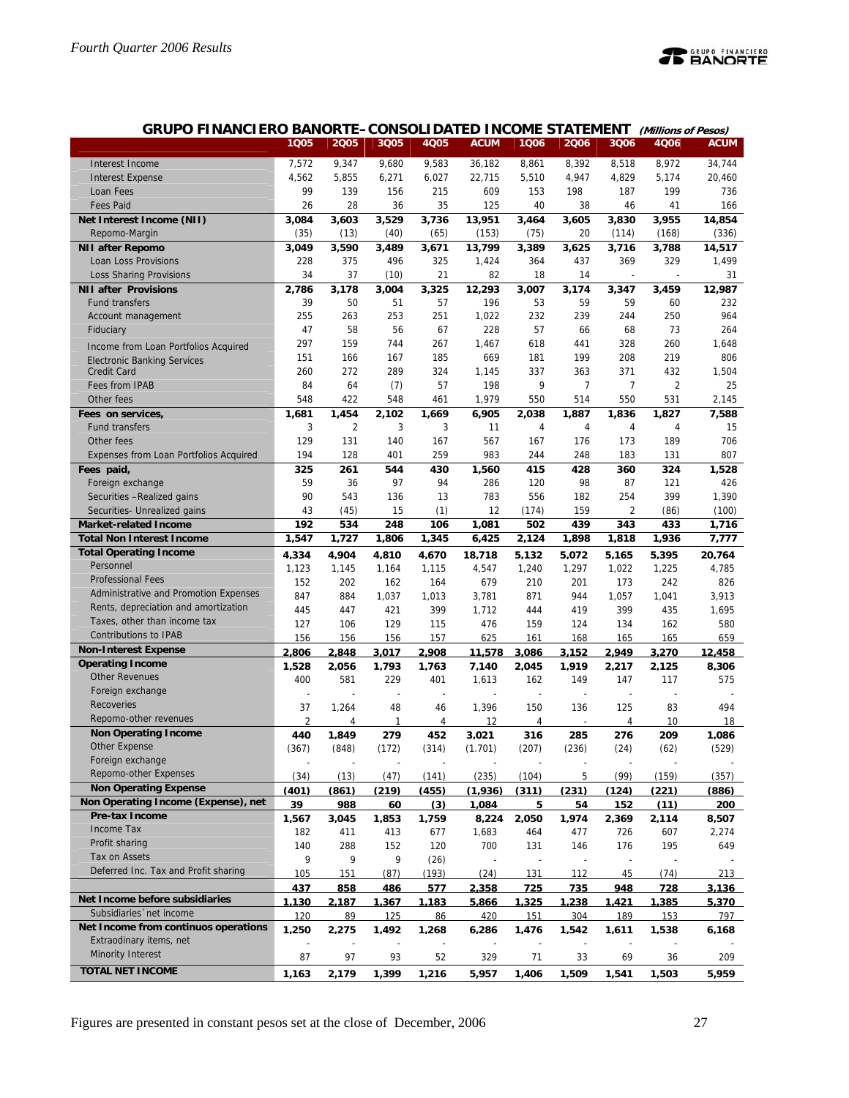

| 7,572<br>9,347<br>9,680<br>9,583<br>36,182<br>8,392<br>8,972<br>34,744<br>Interest Income<br>8,861<br>8,518<br>5,855<br>6,027<br>4,562<br>6,271<br>22,715<br>5,510<br>4,947<br>4,829<br>5,174<br>20,460<br><b>Interest Expense</b><br>99<br>139<br>609<br>199<br>156<br>215<br>153<br>198<br>187<br>736<br>Loan Fees<br><b>Fees Paid</b><br>26<br>28<br>36<br>35<br>125<br>40<br>166<br>38<br>46<br>41<br>Net Interest Income (NII)<br>3,084<br>3,603<br>3,529<br>3,736<br>13,951<br>3,955<br>14,854<br>3,464<br>3,605<br>3,830<br>(35)<br>(13)<br>(40)<br>(65)<br>(153)<br>(75)<br>20<br>(336)<br>Repomo-Margin<br>(114)<br>(168)<br>3,049<br>3,590<br>3,489<br>3,671<br>13,799<br>3,389<br>3,625<br>3,716<br>14,517<br><b>NII after Repomo</b><br>3,788<br>Loan Loss Provisions<br>228<br>375<br>496<br>325<br>1,424<br>364<br>437<br>369<br>329<br>1,499<br>37<br><b>Loss Sharing Provisions</b><br>34<br>(10)<br>21<br>82<br>18<br>14<br>31<br>2,786<br>3,178<br>3.004<br>3,325<br>12,293<br>3,007<br>3,174<br>3,347<br>3,459<br>12,987<br><b>NII after Provisions</b><br><b>Fund transfers</b><br>39<br>50<br>51<br>57<br>196<br>53<br>59<br>59<br>232<br>60<br>255<br>263<br>253<br>251<br>1,022<br>232<br>239<br>250<br>964<br>244<br>Account management<br>58<br>67<br>228<br>57<br>264<br>Fiduciary<br>47<br>56<br>68<br>73<br>66<br>297<br>159<br>267<br>328<br>744<br>1,467<br>618<br>260<br>1,648<br>441<br>Income from Loan Portfolios Acquired<br>199<br>208<br>219<br>806<br>151<br>166<br>167<br>185<br>669<br>181<br><b>Electronic Banking Services</b><br>272<br>1,504<br>260<br>289<br>324<br>1,145<br>337<br>363<br>371<br>432<br><b>Credit Card</b><br>84<br>(7)<br>57<br>9<br>$\overline{7}$<br>$\overline{c}$<br>25<br><b>Fees from IPAB</b><br>64<br>198<br>7<br>548<br>422<br>550<br>531<br>Other fees<br>548<br>461<br>1,979<br>550<br>514<br>2,145<br>1,681<br>1,454<br>2,102<br>1,669<br>6,905<br>2,038<br>1,887<br>1,836<br>1,827<br>7,588<br>Fees on services,<br>3<br>$\overline{2}$<br>3<br>3<br><b>Fund transfers</b><br>11<br>15<br>4<br>4<br>4<br>4<br>129<br>131<br>189<br>706<br>Other fees<br>140<br>167<br>567<br>167<br>176<br>173<br>259<br>983<br>807<br>Expenses from Loan Portfolios Acquired<br>194<br>128<br>401<br>244<br>248<br>183<br>131<br>325<br>261<br>544<br>430<br>1,560<br>415<br>428<br>360<br>324<br>1,528<br>Fees paid,<br>59<br>97<br>94<br>98<br>Foreign exchange<br>36<br>286<br>120<br>87<br>121<br>426<br>90<br>543<br>13<br>783<br>556<br>254<br>399<br>1,390<br>Securities - Realized gains<br>136<br>182<br>43<br>15<br>(1)<br>2<br>Securities- Unrealized gains<br>(45)<br>12<br>(174)<br>159<br>(86)<br>(100)<br>192<br>248<br>439<br>534<br>106<br>1,081<br>502<br>343<br>433<br>1,716<br><b>Market-related Income</b><br>1,547<br>1,727<br>1,806<br>1,345<br>6,425<br>2,124<br>1,818<br>1,936<br>7,777<br><b>Total Non Interest Income</b><br>1,898<br><b>Total Operating Income</b><br>4,334<br>4,904<br>4,810<br>4,670<br>18,718<br>5,132<br>5,072<br>5,165<br>5,395<br>20,764<br>Personnel<br>1,123<br>1,164<br>1,115<br>4,547<br>1,240<br>1,297<br>1,022<br>1,225<br>4,785<br>1,145<br><b>Professional Fees</b><br>679<br>826<br>152<br>202<br>162<br>164<br>210<br>201<br>173<br>242<br>Administrative and Promotion Expenses<br>847<br>884<br>871<br>1,057<br>3,913<br>1,037<br>1,013<br>3,781<br>944<br>1,041<br>Rents, depreciation and amortization<br>421<br>399<br>445<br>447<br>399<br>1,712<br>444<br>419<br>435<br>1,695<br>Taxes, other than income tax<br>127<br>129<br>476<br>159<br>134<br>106<br>115<br>124<br>162<br>580<br>Contributions to IPAB<br>156<br>156<br>156<br>157<br>625<br>161<br>168<br>165<br>165<br>659<br><b>Non-Interest Expense</b><br>2.806<br>2.848<br>3.086<br>2.949<br>3.270<br>3.017<br>2.908<br>11.578<br>3.152<br>12.458<br><b>Operating Income</b><br>1.528<br>2.056<br>1.793<br>1.763<br>7.140<br>2.045<br>1.919<br>2.217<br>2.125<br>8.306<br><b>Other Revenues</b><br>581<br>229<br>149<br>575<br>400<br>401<br>1,613<br>162<br>147<br>117<br>Foreign exchange<br>$\overline{a}$<br>J.<br>Recoveries<br>150<br>125<br>494<br>37<br>1,264<br>48<br>1,396<br>136<br>83<br>46<br>Repomo-other revenues<br>$\overline{2}$<br>4<br>4<br>$\mathbf{1}$<br>4<br>12<br>4<br>10<br>18<br><b>Non Operating Income</b><br>440<br>1.849<br>279<br>276<br>209<br>452<br>3.021<br>316<br>285<br>1.086<br>Other Expense<br>(367)<br>(848)<br>(172)<br>(314)<br>(1.701)<br>(207)<br>(236)<br>(24)<br>(62)<br>(529)<br>Foreign exchange<br>Repomo-other Expenses<br>(34)<br>(13)<br>(47)<br>(141)<br>(235)<br>(104)<br>5<br>(99)<br>(159)<br>(357)<br><b>Non Operating Expense</b><br>(401)<br>(219)<br>(1.936)<br>(311)<br>(231)<br>(221)<br>(861)<br>(455)<br>(124)<br>(886)<br>Non Operating Income (Expense), net<br>39<br>988<br>60<br>(3)<br>1,084<br>54<br>152<br>(11)<br>200<br>5<br><b>Pre-tax Income</b><br>1.567<br>1.974<br>3.045<br>1.853<br>1.759<br>8.224<br>2.050<br>2.369<br>2.114<br>8.507<br>Income Tax<br>182<br>411<br>413<br>677<br>1,683<br>464<br>477<br>726<br>607<br>2,274<br>Profit sharing<br>120<br>700<br>140<br>288<br>152<br>131<br>146<br>176<br>195<br>649<br>Tax on Assets<br>9<br>9<br>9<br>(26)<br>Deferred Inc. Tax and Profit sharing<br>105<br>(87)<br>(193)<br>(24)<br>45<br>213<br>151<br>131<br>112<br>(74)<br>437<br>858<br>2,358<br>725<br>735<br>948<br><u>486</u><br>577<br>728<br>3,136<br>Net Income before subsidiaries<br><u>1.130</u><br>2.187<br>1.367<br><u>1.183</u><br>5.866<br>1.325<br>1.238<br><u>1.421</u><br>1.385<br>5.370<br>Subsidiaries 'net income<br>120<br>89<br>125<br>86<br>420<br>151<br>304<br>189<br>153<br>797<br>Net Income from continuos operations<br>1,250<br>1,476<br>2,275<br>1,492<br>1,268<br>6,286<br>1,542<br>1,611<br>1,538<br>6,168<br>Extraodinary items, net<br><b>Minority Interest</b><br>87<br>97<br>93<br>52<br>329<br>33<br>209<br>71<br>69<br>36<br><b>TOTAL NET INCOME</b> | <b>GRUPO FINANCIERO BANORTE-CONSOLIDATED INCOME STATEMENT</b> |       |       |       |       |             |       |       |       | (Millions of Pesos) |             |
|-----------------------------------------------------------------------------------------------------------------------------------------------------------------------------------------------------------------------------------------------------------------------------------------------------------------------------------------------------------------------------------------------------------------------------------------------------------------------------------------------------------------------------------------------------------------------------------------------------------------------------------------------------------------------------------------------------------------------------------------------------------------------------------------------------------------------------------------------------------------------------------------------------------------------------------------------------------------------------------------------------------------------------------------------------------------------------------------------------------------------------------------------------------------------------------------------------------------------------------------------------------------------------------------------------------------------------------------------------------------------------------------------------------------------------------------------------------------------------------------------------------------------------------------------------------------------------------------------------------------------------------------------------------------------------------------------------------------------------------------------------------------------------------------------------------------------------------------------------------------------------------------------------------------------------------------------------------------------------------------------------------------------------------------------------------------------------------------------------------------------------------------------------------------------------------------------------------------------------------------------------------------------------------------------------------------------------------------------------------------------------------------------------------------------------------------------------------------------------------------------------------------------------------------------------------------------------------------------------------------------------------------------------------------------------------------------------------------------------------------------------------------------------------------------------------------------------------------------------------------------------------------------------------------------------------------------------------------------------------------------------------------------------------------------------------------------------------------------------------------------------------------------------------------------------------------------------------------------------------------------------------------------------------------------------------------------------------------------------------------------------------------------------------------------------------------------------------------------------------------------------------------------------------------------------------------------------------------------------------------------------------------------------------------------------------------------------------------------------------------------------------------------------------------------------------------------------------------------------------------------------------------------------------------------------------------------------------------------------------------------------------------------------------------------------------------------------------------------------------------------------------------------------------------------------------------------------------------------------------------------------------------------------------------------------------------------------------------------------------------------------------------------------------------------------------------------------------------------------------------------------------------------------------------------------------------------------------------------------------------------------------------------------------------------------------------------------------------------------------------------------------------------------------------------------------------------------------------------------------------------------------------------------------------------------------------------------------------------------------------------------------------------------------------------------------------------------------------------------------------------------------------------------------------------------------------------------------------------------------------------------------------------------------------------------------------------------------------------------------------------------------------------------------------------------------------------------------------------------------------------------------------------------------------------------------------------------------------------------------------------------------------------------------------------------------------------------------------------------------------------------------------------------------------------------------------------------------------------------------------------------------------------------------------------------------------------------------------------------------|---------------------------------------------------------------|-------|-------|-------|-------|-------------|-------|-------|-------|---------------------|-------------|
|                                                                                                                                                                                                                                                                                                                                                                                                                                                                                                                                                                                                                                                                                                                                                                                                                                                                                                                                                                                                                                                                                                                                                                                                                                                                                                                                                                                                                                                                                                                                                                                                                                                                                                                                                                                                                                                                                                                                                                                                                                                                                                                                                                                                                                                                                                                                                                                                                                                                                                                                                                                                                                                                                                                                                                                                                                                                                                                                                                                                                                                                                                                                                                                                                                                                                                                                                                                                                                                                                                                                                                                                                                                                                                                                                                                                                                                                                                                                                                                                                                                                                                                                                                                                                                                                                                                                                                                                                                                                                                                                                                                                                                                                                                                                                                                                                                                                                                                                                                                                                                                                                                                                                                                                                                                                                                                                                                                                                                                                                                                                                                                                                                                                                                                                                                                                                                                                                                                                                                                   |                                                               | 1005  | 2005  | 3Q05  | 4Q05  | <b>ACUM</b> | 1Q06  | 2006  | 3Q06  | 4Q06                | <b>ACUM</b> |
|                                                                                                                                                                                                                                                                                                                                                                                                                                                                                                                                                                                                                                                                                                                                                                                                                                                                                                                                                                                                                                                                                                                                                                                                                                                                                                                                                                                                                                                                                                                                                                                                                                                                                                                                                                                                                                                                                                                                                                                                                                                                                                                                                                                                                                                                                                                                                                                                                                                                                                                                                                                                                                                                                                                                                                                                                                                                                                                                                                                                                                                                                                                                                                                                                                                                                                                                                                                                                                                                                                                                                                                                                                                                                                                                                                                                                                                                                                                                                                                                                                                                                                                                                                                                                                                                                                                                                                                                                                                                                                                                                                                                                                                                                                                                                                                                                                                                                                                                                                                                                                                                                                                                                                                                                                                                                                                                                                                                                                                                                                                                                                                                                                                                                                                                                                                                                                                                                                                                                                                   |                                                               |       |       |       |       |             |       |       |       |                     |             |
|                                                                                                                                                                                                                                                                                                                                                                                                                                                                                                                                                                                                                                                                                                                                                                                                                                                                                                                                                                                                                                                                                                                                                                                                                                                                                                                                                                                                                                                                                                                                                                                                                                                                                                                                                                                                                                                                                                                                                                                                                                                                                                                                                                                                                                                                                                                                                                                                                                                                                                                                                                                                                                                                                                                                                                                                                                                                                                                                                                                                                                                                                                                                                                                                                                                                                                                                                                                                                                                                                                                                                                                                                                                                                                                                                                                                                                                                                                                                                                                                                                                                                                                                                                                                                                                                                                                                                                                                                                                                                                                                                                                                                                                                                                                                                                                                                                                                                                                                                                                                                                                                                                                                                                                                                                                                                                                                                                                                                                                                                                                                                                                                                                                                                                                                                                                                                                                                                                                                                                                   |                                                               |       |       |       |       |             |       |       |       |                     |             |
|                                                                                                                                                                                                                                                                                                                                                                                                                                                                                                                                                                                                                                                                                                                                                                                                                                                                                                                                                                                                                                                                                                                                                                                                                                                                                                                                                                                                                                                                                                                                                                                                                                                                                                                                                                                                                                                                                                                                                                                                                                                                                                                                                                                                                                                                                                                                                                                                                                                                                                                                                                                                                                                                                                                                                                                                                                                                                                                                                                                                                                                                                                                                                                                                                                                                                                                                                                                                                                                                                                                                                                                                                                                                                                                                                                                                                                                                                                                                                                                                                                                                                                                                                                                                                                                                                                                                                                                                                                                                                                                                                                                                                                                                                                                                                                                                                                                                                                                                                                                                                                                                                                                                                                                                                                                                                                                                                                                                                                                                                                                                                                                                                                                                                                                                                                                                                                                                                                                                                                                   |                                                               |       |       |       |       |             |       |       |       |                     |             |
|                                                                                                                                                                                                                                                                                                                                                                                                                                                                                                                                                                                                                                                                                                                                                                                                                                                                                                                                                                                                                                                                                                                                                                                                                                                                                                                                                                                                                                                                                                                                                                                                                                                                                                                                                                                                                                                                                                                                                                                                                                                                                                                                                                                                                                                                                                                                                                                                                                                                                                                                                                                                                                                                                                                                                                                                                                                                                                                                                                                                                                                                                                                                                                                                                                                                                                                                                                                                                                                                                                                                                                                                                                                                                                                                                                                                                                                                                                                                                                                                                                                                                                                                                                                                                                                                                                                                                                                                                                                                                                                                                                                                                                                                                                                                                                                                                                                                                                                                                                                                                                                                                                                                                                                                                                                                                                                                                                                                                                                                                                                                                                                                                                                                                                                                                                                                                                                                                                                                                                                   |                                                               |       |       |       |       |             |       |       |       |                     |             |
|                                                                                                                                                                                                                                                                                                                                                                                                                                                                                                                                                                                                                                                                                                                                                                                                                                                                                                                                                                                                                                                                                                                                                                                                                                                                                                                                                                                                                                                                                                                                                                                                                                                                                                                                                                                                                                                                                                                                                                                                                                                                                                                                                                                                                                                                                                                                                                                                                                                                                                                                                                                                                                                                                                                                                                                                                                                                                                                                                                                                                                                                                                                                                                                                                                                                                                                                                                                                                                                                                                                                                                                                                                                                                                                                                                                                                                                                                                                                                                                                                                                                                                                                                                                                                                                                                                                                                                                                                                                                                                                                                                                                                                                                                                                                                                                                                                                                                                                                                                                                                                                                                                                                                                                                                                                                                                                                                                                                                                                                                                                                                                                                                                                                                                                                                                                                                                                                                                                                                                                   |                                                               |       |       |       |       |             |       |       |       |                     |             |
|                                                                                                                                                                                                                                                                                                                                                                                                                                                                                                                                                                                                                                                                                                                                                                                                                                                                                                                                                                                                                                                                                                                                                                                                                                                                                                                                                                                                                                                                                                                                                                                                                                                                                                                                                                                                                                                                                                                                                                                                                                                                                                                                                                                                                                                                                                                                                                                                                                                                                                                                                                                                                                                                                                                                                                                                                                                                                                                                                                                                                                                                                                                                                                                                                                                                                                                                                                                                                                                                                                                                                                                                                                                                                                                                                                                                                                                                                                                                                                                                                                                                                                                                                                                                                                                                                                                                                                                                                                                                                                                                                                                                                                                                                                                                                                                                                                                                                                                                                                                                                                                                                                                                                                                                                                                                                                                                                                                                                                                                                                                                                                                                                                                                                                                                                                                                                                                                                                                                                                                   |                                                               |       |       |       |       |             |       |       |       |                     |             |
|                                                                                                                                                                                                                                                                                                                                                                                                                                                                                                                                                                                                                                                                                                                                                                                                                                                                                                                                                                                                                                                                                                                                                                                                                                                                                                                                                                                                                                                                                                                                                                                                                                                                                                                                                                                                                                                                                                                                                                                                                                                                                                                                                                                                                                                                                                                                                                                                                                                                                                                                                                                                                                                                                                                                                                                                                                                                                                                                                                                                                                                                                                                                                                                                                                                                                                                                                                                                                                                                                                                                                                                                                                                                                                                                                                                                                                                                                                                                                                                                                                                                                                                                                                                                                                                                                                                                                                                                                                                                                                                                                                                                                                                                                                                                                                                                                                                                                                                                                                                                                                                                                                                                                                                                                                                                                                                                                                                                                                                                                                                                                                                                                                                                                                                                                                                                                                                                                                                                                                                   |                                                               |       |       |       |       |             |       |       |       |                     |             |
|                                                                                                                                                                                                                                                                                                                                                                                                                                                                                                                                                                                                                                                                                                                                                                                                                                                                                                                                                                                                                                                                                                                                                                                                                                                                                                                                                                                                                                                                                                                                                                                                                                                                                                                                                                                                                                                                                                                                                                                                                                                                                                                                                                                                                                                                                                                                                                                                                                                                                                                                                                                                                                                                                                                                                                                                                                                                                                                                                                                                                                                                                                                                                                                                                                                                                                                                                                                                                                                                                                                                                                                                                                                                                                                                                                                                                                                                                                                                                                                                                                                                                                                                                                                                                                                                                                                                                                                                                                                                                                                                                                                                                                                                                                                                                                                                                                                                                                                                                                                                                                                                                                                                                                                                                                                                                                                                                                                                                                                                                                                                                                                                                                                                                                                                                                                                                                                                                                                                                                                   |                                                               |       |       |       |       |             |       |       |       |                     |             |
|                                                                                                                                                                                                                                                                                                                                                                                                                                                                                                                                                                                                                                                                                                                                                                                                                                                                                                                                                                                                                                                                                                                                                                                                                                                                                                                                                                                                                                                                                                                                                                                                                                                                                                                                                                                                                                                                                                                                                                                                                                                                                                                                                                                                                                                                                                                                                                                                                                                                                                                                                                                                                                                                                                                                                                                                                                                                                                                                                                                                                                                                                                                                                                                                                                                                                                                                                                                                                                                                                                                                                                                                                                                                                                                                                                                                                                                                                                                                                                                                                                                                                                                                                                                                                                                                                                                                                                                                                                                                                                                                                                                                                                                                                                                                                                                                                                                                                                                                                                                                                                                                                                                                                                                                                                                                                                                                                                                                                                                                                                                                                                                                                                                                                                                                                                                                                                                                                                                                                                                   |                                                               |       |       |       |       |             |       |       |       |                     |             |
|                                                                                                                                                                                                                                                                                                                                                                                                                                                                                                                                                                                                                                                                                                                                                                                                                                                                                                                                                                                                                                                                                                                                                                                                                                                                                                                                                                                                                                                                                                                                                                                                                                                                                                                                                                                                                                                                                                                                                                                                                                                                                                                                                                                                                                                                                                                                                                                                                                                                                                                                                                                                                                                                                                                                                                                                                                                                                                                                                                                                                                                                                                                                                                                                                                                                                                                                                                                                                                                                                                                                                                                                                                                                                                                                                                                                                                                                                                                                                                                                                                                                                                                                                                                                                                                                                                                                                                                                                                                                                                                                                                                                                                                                                                                                                                                                                                                                                                                                                                                                                                                                                                                                                                                                                                                                                                                                                                                                                                                                                                                                                                                                                                                                                                                                                                                                                                                                                                                                                                                   |                                                               |       |       |       |       |             |       |       |       |                     |             |
|                                                                                                                                                                                                                                                                                                                                                                                                                                                                                                                                                                                                                                                                                                                                                                                                                                                                                                                                                                                                                                                                                                                                                                                                                                                                                                                                                                                                                                                                                                                                                                                                                                                                                                                                                                                                                                                                                                                                                                                                                                                                                                                                                                                                                                                                                                                                                                                                                                                                                                                                                                                                                                                                                                                                                                                                                                                                                                                                                                                                                                                                                                                                                                                                                                                                                                                                                                                                                                                                                                                                                                                                                                                                                                                                                                                                                                                                                                                                                                                                                                                                                                                                                                                                                                                                                                                                                                                                                                                                                                                                                                                                                                                                                                                                                                                                                                                                                                                                                                                                                                                                                                                                                                                                                                                                                                                                                                                                                                                                                                                                                                                                                                                                                                                                                                                                                                                                                                                                                                                   |                                                               |       |       |       |       |             |       |       |       |                     |             |
|                                                                                                                                                                                                                                                                                                                                                                                                                                                                                                                                                                                                                                                                                                                                                                                                                                                                                                                                                                                                                                                                                                                                                                                                                                                                                                                                                                                                                                                                                                                                                                                                                                                                                                                                                                                                                                                                                                                                                                                                                                                                                                                                                                                                                                                                                                                                                                                                                                                                                                                                                                                                                                                                                                                                                                                                                                                                                                                                                                                                                                                                                                                                                                                                                                                                                                                                                                                                                                                                                                                                                                                                                                                                                                                                                                                                                                                                                                                                                                                                                                                                                                                                                                                                                                                                                                                                                                                                                                                                                                                                                                                                                                                                                                                                                                                                                                                                                                                                                                                                                                                                                                                                                                                                                                                                                                                                                                                                                                                                                                                                                                                                                                                                                                                                                                                                                                                                                                                                                                                   |                                                               |       |       |       |       |             |       |       |       |                     |             |
|                                                                                                                                                                                                                                                                                                                                                                                                                                                                                                                                                                                                                                                                                                                                                                                                                                                                                                                                                                                                                                                                                                                                                                                                                                                                                                                                                                                                                                                                                                                                                                                                                                                                                                                                                                                                                                                                                                                                                                                                                                                                                                                                                                                                                                                                                                                                                                                                                                                                                                                                                                                                                                                                                                                                                                                                                                                                                                                                                                                                                                                                                                                                                                                                                                                                                                                                                                                                                                                                                                                                                                                                                                                                                                                                                                                                                                                                                                                                                                                                                                                                                                                                                                                                                                                                                                                                                                                                                                                                                                                                                                                                                                                                                                                                                                                                                                                                                                                                                                                                                                                                                                                                                                                                                                                                                                                                                                                                                                                                                                                                                                                                                                                                                                                                                                                                                                                                                                                                                                                   |                                                               |       |       |       |       |             |       |       |       |                     |             |
|                                                                                                                                                                                                                                                                                                                                                                                                                                                                                                                                                                                                                                                                                                                                                                                                                                                                                                                                                                                                                                                                                                                                                                                                                                                                                                                                                                                                                                                                                                                                                                                                                                                                                                                                                                                                                                                                                                                                                                                                                                                                                                                                                                                                                                                                                                                                                                                                                                                                                                                                                                                                                                                                                                                                                                                                                                                                                                                                                                                                                                                                                                                                                                                                                                                                                                                                                                                                                                                                                                                                                                                                                                                                                                                                                                                                                                                                                                                                                                                                                                                                                                                                                                                                                                                                                                                                                                                                                                                                                                                                                                                                                                                                                                                                                                                                                                                                                                                                                                                                                                                                                                                                                                                                                                                                                                                                                                                                                                                                                                                                                                                                                                                                                                                                                                                                                                                                                                                                                                                   |                                                               |       |       |       |       |             |       |       |       |                     |             |
|                                                                                                                                                                                                                                                                                                                                                                                                                                                                                                                                                                                                                                                                                                                                                                                                                                                                                                                                                                                                                                                                                                                                                                                                                                                                                                                                                                                                                                                                                                                                                                                                                                                                                                                                                                                                                                                                                                                                                                                                                                                                                                                                                                                                                                                                                                                                                                                                                                                                                                                                                                                                                                                                                                                                                                                                                                                                                                                                                                                                                                                                                                                                                                                                                                                                                                                                                                                                                                                                                                                                                                                                                                                                                                                                                                                                                                                                                                                                                                                                                                                                                                                                                                                                                                                                                                                                                                                                                                                                                                                                                                                                                                                                                                                                                                                                                                                                                                                                                                                                                                                                                                                                                                                                                                                                                                                                                                                                                                                                                                                                                                                                                                                                                                                                                                                                                                                                                                                                                                                   |                                                               |       |       |       |       |             |       |       |       |                     |             |
|                                                                                                                                                                                                                                                                                                                                                                                                                                                                                                                                                                                                                                                                                                                                                                                                                                                                                                                                                                                                                                                                                                                                                                                                                                                                                                                                                                                                                                                                                                                                                                                                                                                                                                                                                                                                                                                                                                                                                                                                                                                                                                                                                                                                                                                                                                                                                                                                                                                                                                                                                                                                                                                                                                                                                                                                                                                                                                                                                                                                                                                                                                                                                                                                                                                                                                                                                                                                                                                                                                                                                                                                                                                                                                                                                                                                                                                                                                                                                                                                                                                                                                                                                                                                                                                                                                                                                                                                                                                                                                                                                                                                                                                                                                                                                                                                                                                                                                                                                                                                                                                                                                                                                                                                                                                                                                                                                                                                                                                                                                                                                                                                                                                                                                                                                                                                                                                                                                                                                                                   |                                                               |       |       |       |       |             |       |       |       |                     |             |
|                                                                                                                                                                                                                                                                                                                                                                                                                                                                                                                                                                                                                                                                                                                                                                                                                                                                                                                                                                                                                                                                                                                                                                                                                                                                                                                                                                                                                                                                                                                                                                                                                                                                                                                                                                                                                                                                                                                                                                                                                                                                                                                                                                                                                                                                                                                                                                                                                                                                                                                                                                                                                                                                                                                                                                                                                                                                                                                                                                                                                                                                                                                                                                                                                                                                                                                                                                                                                                                                                                                                                                                                                                                                                                                                                                                                                                                                                                                                                                                                                                                                                                                                                                                                                                                                                                                                                                                                                                                                                                                                                                                                                                                                                                                                                                                                                                                                                                                                                                                                                                                                                                                                                                                                                                                                                                                                                                                                                                                                                                                                                                                                                                                                                                                                                                                                                                                                                                                                                                                   |                                                               |       |       |       |       |             |       |       |       |                     |             |
|                                                                                                                                                                                                                                                                                                                                                                                                                                                                                                                                                                                                                                                                                                                                                                                                                                                                                                                                                                                                                                                                                                                                                                                                                                                                                                                                                                                                                                                                                                                                                                                                                                                                                                                                                                                                                                                                                                                                                                                                                                                                                                                                                                                                                                                                                                                                                                                                                                                                                                                                                                                                                                                                                                                                                                                                                                                                                                                                                                                                                                                                                                                                                                                                                                                                                                                                                                                                                                                                                                                                                                                                                                                                                                                                                                                                                                                                                                                                                                                                                                                                                                                                                                                                                                                                                                                                                                                                                                                                                                                                                                                                                                                                                                                                                                                                                                                                                                                                                                                                                                                                                                                                                                                                                                                                                                                                                                                                                                                                                                                                                                                                                                                                                                                                                                                                                                                                                                                                                                                   |                                                               |       |       |       |       |             |       |       |       |                     |             |
|                                                                                                                                                                                                                                                                                                                                                                                                                                                                                                                                                                                                                                                                                                                                                                                                                                                                                                                                                                                                                                                                                                                                                                                                                                                                                                                                                                                                                                                                                                                                                                                                                                                                                                                                                                                                                                                                                                                                                                                                                                                                                                                                                                                                                                                                                                                                                                                                                                                                                                                                                                                                                                                                                                                                                                                                                                                                                                                                                                                                                                                                                                                                                                                                                                                                                                                                                                                                                                                                                                                                                                                                                                                                                                                                                                                                                                                                                                                                                                                                                                                                                                                                                                                                                                                                                                                                                                                                                                                                                                                                                                                                                                                                                                                                                                                                                                                                                                                                                                                                                                                                                                                                                                                                                                                                                                                                                                                                                                                                                                                                                                                                                                                                                                                                                                                                                                                                                                                                                                                   |                                                               |       |       |       |       |             |       |       |       |                     |             |
|                                                                                                                                                                                                                                                                                                                                                                                                                                                                                                                                                                                                                                                                                                                                                                                                                                                                                                                                                                                                                                                                                                                                                                                                                                                                                                                                                                                                                                                                                                                                                                                                                                                                                                                                                                                                                                                                                                                                                                                                                                                                                                                                                                                                                                                                                                                                                                                                                                                                                                                                                                                                                                                                                                                                                                                                                                                                                                                                                                                                                                                                                                                                                                                                                                                                                                                                                                                                                                                                                                                                                                                                                                                                                                                                                                                                                                                                                                                                                                                                                                                                                                                                                                                                                                                                                                                                                                                                                                                                                                                                                                                                                                                                                                                                                                                                                                                                                                                                                                                                                                                                                                                                                                                                                                                                                                                                                                                                                                                                                                                                                                                                                                                                                                                                                                                                                                                                                                                                                                                   |                                                               |       |       |       |       |             |       |       |       |                     |             |
|                                                                                                                                                                                                                                                                                                                                                                                                                                                                                                                                                                                                                                                                                                                                                                                                                                                                                                                                                                                                                                                                                                                                                                                                                                                                                                                                                                                                                                                                                                                                                                                                                                                                                                                                                                                                                                                                                                                                                                                                                                                                                                                                                                                                                                                                                                                                                                                                                                                                                                                                                                                                                                                                                                                                                                                                                                                                                                                                                                                                                                                                                                                                                                                                                                                                                                                                                                                                                                                                                                                                                                                                                                                                                                                                                                                                                                                                                                                                                                                                                                                                                                                                                                                                                                                                                                                                                                                                                                                                                                                                                                                                                                                                                                                                                                                                                                                                                                                                                                                                                                                                                                                                                                                                                                                                                                                                                                                                                                                                                                                                                                                                                                                                                                                                                                                                                                                                                                                                                                                   |                                                               |       |       |       |       |             |       |       |       |                     |             |
|                                                                                                                                                                                                                                                                                                                                                                                                                                                                                                                                                                                                                                                                                                                                                                                                                                                                                                                                                                                                                                                                                                                                                                                                                                                                                                                                                                                                                                                                                                                                                                                                                                                                                                                                                                                                                                                                                                                                                                                                                                                                                                                                                                                                                                                                                                                                                                                                                                                                                                                                                                                                                                                                                                                                                                                                                                                                                                                                                                                                                                                                                                                                                                                                                                                                                                                                                                                                                                                                                                                                                                                                                                                                                                                                                                                                                                                                                                                                                                                                                                                                                                                                                                                                                                                                                                                                                                                                                                                                                                                                                                                                                                                                                                                                                                                                                                                                                                                                                                                                                                                                                                                                                                                                                                                                                                                                                                                                                                                                                                                                                                                                                                                                                                                                                                                                                                                                                                                                                                                   |                                                               |       |       |       |       |             |       |       |       |                     |             |
|                                                                                                                                                                                                                                                                                                                                                                                                                                                                                                                                                                                                                                                                                                                                                                                                                                                                                                                                                                                                                                                                                                                                                                                                                                                                                                                                                                                                                                                                                                                                                                                                                                                                                                                                                                                                                                                                                                                                                                                                                                                                                                                                                                                                                                                                                                                                                                                                                                                                                                                                                                                                                                                                                                                                                                                                                                                                                                                                                                                                                                                                                                                                                                                                                                                                                                                                                                                                                                                                                                                                                                                                                                                                                                                                                                                                                                                                                                                                                                                                                                                                                                                                                                                                                                                                                                                                                                                                                                                                                                                                                                                                                                                                                                                                                                                                                                                                                                                                                                                                                                                                                                                                                                                                                                                                                                                                                                                                                                                                                                                                                                                                                                                                                                                                                                                                                                                                                                                                                                                   |                                                               |       |       |       |       |             |       |       |       |                     |             |
|                                                                                                                                                                                                                                                                                                                                                                                                                                                                                                                                                                                                                                                                                                                                                                                                                                                                                                                                                                                                                                                                                                                                                                                                                                                                                                                                                                                                                                                                                                                                                                                                                                                                                                                                                                                                                                                                                                                                                                                                                                                                                                                                                                                                                                                                                                                                                                                                                                                                                                                                                                                                                                                                                                                                                                                                                                                                                                                                                                                                                                                                                                                                                                                                                                                                                                                                                                                                                                                                                                                                                                                                                                                                                                                                                                                                                                                                                                                                                                                                                                                                                                                                                                                                                                                                                                                                                                                                                                                                                                                                                                                                                                                                                                                                                                                                                                                                                                                                                                                                                                                                                                                                                                                                                                                                                                                                                                                                                                                                                                                                                                                                                                                                                                                                                                                                                                                                                                                                                                                   |                                                               |       |       |       |       |             |       |       |       |                     |             |
|                                                                                                                                                                                                                                                                                                                                                                                                                                                                                                                                                                                                                                                                                                                                                                                                                                                                                                                                                                                                                                                                                                                                                                                                                                                                                                                                                                                                                                                                                                                                                                                                                                                                                                                                                                                                                                                                                                                                                                                                                                                                                                                                                                                                                                                                                                                                                                                                                                                                                                                                                                                                                                                                                                                                                                                                                                                                                                                                                                                                                                                                                                                                                                                                                                                                                                                                                                                                                                                                                                                                                                                                                                                                                                                                                                                                                                                                                                                                                                                                                                                                                                                                                                                                                                                                                                                                                                                                                                                                                                                                                                                                                                                                                                                                                                                                                                                                                                                                                                                                                                                                                                                                                                                                                                                                                                                                                                                                                                                                                                                                                                                                                                                                                                                                                                                                                                                                                                                                                                                   |                                                               |       |       |       |       |             |       |       |       |                     |             |
|                                                                                                                                                                                                                                                                                                                                                                                                                                                                                                                                                                                                                                                                                                                                                                                                                                                                                                                                                                                                                                                                                                                                                                                                                                                                                                                                                                                                                                                                                                                                                                                                                                                                                                                                                                                                                                                                                                                                                                                                                                                                                                                                                                                                                                                                                                                                                                                                                                                                                                                                                                                                                                                                                                                                                                                                                                                                                                                                                                                                                                                                                                                                                                                                                                                                                                                                                                                                                                                                                                                                                                                                                                                                                                                                                                                                                                                                                                                                                                                                                                                                                                                                                                                                                                                                                                                                                                                                                                                                                                                                                                                                                                                                                                                                                                                                                                                                                                                                                                                                                                                                                                                                                                                                                                                                                                                                                                                                                                                                                                                                                                                                                                                                                                                                                                                                                                                                                                                                                                                   |                                                               |       |       |       |       |             |       |       |       |                     |             |
|                                                                                                                                                                                                                                                                                                                                                                                                                                                                                                                                                                                                                                                                                                                                                                                                                                                                                                                                                                                                                                                                                                                                                                                                                                                                                                                                                                                                                                                                                                                                                                                                                                                                                                                                                                                                                                                                                                                                                                                                                                                                                                                                                                                                                                                                                                                                                                                                                                                                                                                                                                                                                                                                                                                                                                                                                                                                                                                                                                                                                                                                                                                                                                                                                                                                                                                                                                                                                                                                                                                                                                                                                                                                                                                                                                                                                                                                                                                                                                                                                                                                                                                                                                                                                                                                                                                                                                                                                                                                                                                                                                                                                                                                                                                                                                                                                                                                                                                                                                                                                                                                                                                                                                                                                                                                                                                                                                                                                                                                                                                                                                                                                                                                                                                                                                                                                                                                                                                                                                                   |                                                               |       |       |       |       |             |       |       |       |                     |             |
|                                                                                                                                                                                                                                                                                                                                                                                                                                                                                                                                                                                                                                                                                                                                                                                                                                                                                                                                                                                                                                                                                                                                                                                                                                                                                                                                                                                                                                                                                                                                                                                                                                                                                                                                                                                                                                                                                                                                                                                                                                                                                                                                                                                                                                                                                                                                                                                                                                                                                                                                                                                                                                                                                                                                                                                                                                                                                                                                                                                                                                                                                                                                                                                                                                                                                                                                                                                                                                                                                                                                                                                                                                                                                                                                                                                                                                                                                                                                                                                                                                                                                                                                                                                                                                                                                                                                                                                                                                                                                                                                                                                                                                                                                                                                                                                                                                                                                                                                                                                                                                                                                                                                                                                                                                                                                                                                                                                                                                                                                                                                                                                                                                                                                                                                                                                                                                                                                                                                                                                   |                                                               |       |       |       |       |             |       |       |       |                     |             |
|                                                                                                                                                                                                                                                                                                                                                                                                                                                                                                                                                                                                                                                                                                                                                                                                                                                                                                                                                                                                                                                                                                                                                                                                                                                                                                                                                                                                                                                                                                                                                                                                                                                                                                                                                                                                                                                                                                                                                                                                                                                                                                                                                                                                                                                                                                                                                                                                                                                                                                                                                                                                                                                                                                                                                                                                                                                                                                                                                                                                                                                                                                                                                                                                                                                                                                                                                                                                                                                                                                                                                                                                                                                                                                                                                                                                                                                                                                                                                                                                                                                                                                                                                                                                                                                                                                                                                                                                                                                                                                                                                                                                                                                                                                                                                                                                                                                                                                                                                                                                                                                                                                                                                                                                                                                                                                                                                                                                                                                                                                                                                                                                                                                                                                                                                                                                                                                                                                                                                                                   |                                                               |       |       |       |       |             |       |       |       |                     |             |
|                                                                                                                                                                                                                                                                                                                                                                                                                                                                                                                                                                                                                                                                                                                                                                                                                                                                                                                                                                                                                                                                                                                                                                                                                                                                                                                                                                                                                                                                                                                                                                                                                                                                                                                                                                                                                                                                                                                                                                                                                                                                                                                                                                                                                                                                                                                                                                                                                                                                                                                                                                                                                                                                                                                                                                                                                                                                                                                                                                                                                                                                                                                                                                                                                                                                                                                                                                                                                                                                                                                                                                                                                                                                                                                                                                                                                                                                                                                                                                                                                                                                                                                                                                                                                                                                                                                                                                                                                                                                                                                                                                                                                                                                                                                                                                                                                                                                                                                                                                                                                                                                                                                                                                                                                                                                                                                                                                                                                                                                                                                                                                                                                                                                                                                                                                                                                                                                                                                                                                                   |                                                               |       |       |       |       |             |       |       |       |                     |             |
|                                                                                                                                                                                                                                                                                                                                                                                                                                                                                                                                                                                                                                                                                                                                                                                                                                                                                                                                                                                                                                                                                                                                                                                                                                                                                                                                                                                                                                                                                                                                                                                                                                                                                                                                                                                                                                                                                                                                                                                                                                                                                                                                                                                                                                                                                                                                                                                                                                                                                                                                                                                                                                                                                                                                                                                                                                                                                                                                                                                                                                                                                                                                                                                                                                                                                                                                                                                                                                                                                                                                                                                                                                                                                                                                                                                                                                                                                                                                                                                                                                                                                                                                                                                                                                                                                                                                                                                                                                                                                                                                                                                                                                                                                                                                                                                                                                                                                                                                                                                                                                                                                                                                                                                                                                                                                                                                                                                                                                                                                                                                                                                                                                                                                                                                                                                                                                                                                                                                                                                   |                                                               |       |       |       |       |             |       |       |       |                     |             |
|                                                                                                                                                                                                                                                                                                                                                                                                                                                                                                                                                                                                                                                                                                                                                                                                                                                                                                                                                                                                                                                                                                                                                                                                                                                                                                                                                                                                                                                                                                                                                                                                                                                                                                                                                                                                                                                                                                                                                                                                                                                                                                                                                                                                                                                                                                                                                                                                                                                                                                                                                                                                                                                                                                                                                                                                                                                                                                                                                                                                                                                                                                                                                                                                                                                                                                                                                                                                                                                                                                                                                                                                                                                                                                                                                                                                                                                                                                                                                                                                                                                                                                                                                                                                                                                                                                                                                                                                                                                                                                                                                                                                                                                                                                                                                                                                                                                                                                                                                                                                                                                                                                                                                                                                                                                                                                                                                                                                                                                                                                                                                                                                                                                                                                                                                                                                                                                                                                                                                                                   |                                                               |       |       |       |       |             |       |       |       |                     |             |
|                                                                                                                                                                                                                                                                                                                                                                                                                                                                                                                                                                                                                                                                                                                                                                                                                                                                                                                                                                                                                                                                                                                                                                                                                                                                                                                                                                                                                                                                                                                                                                                                                                                                                                                                                                                                                                                                                                                                                                                                                                                                                                                                                                                                                                                                                                                                                                                                                                                                                                                                                                                                                                                                                                                                                                                                                                                                                                                                                                                                                                                                                                                                                                                                                                                                                                                                                                                                                                                                                                                                                                                                                                                                                                                                                                                                                                                                                                                                                                                                                                                                                                                                                                                                                                                                                                                                                                                                                                                                                                                                                                                                                                                                                                                                                                                                                                                                                                                                                                                                                                                                                                                                                                                                                                                                                                                                                                                                                                                                                                                                                                                                                                                                                                                                                                                                                                                                                                                                                                                   |                                                               |       |       |       |       |             |       |       |       |                     |             |
|                                                                                                                                                                                                                                                                                                                                                                                                                                                                                                                                                                                                                                                                                                                                                                                                                                                                                                                                                                                                                                                                                                                                                                                                                                                                                                                                                                                                                                                                                                                                                                                                                                                                                                                                                                                                                                                                                                                                                                                                                                                                                                                                                                                                                                                                                                                                                                                                                                                                                                                                                                                                                                                                                                                                                                                                                                                                                                                                                                                                                                                                                                                                                                                                                                                                                                                                                                                                                                                                                                                                                                                                                                                                                                                                                                                                                                                                                                                                                                                                                                                                                                                                                                                                                                                                                                                                                                                                                                                                                                                                                                                                                                                                                                                                                                                                                                                                                                                                                                                                                                                                                                                                                                                                                                                                                                                                                                                                                                                                                                                                                                                                                                                                                                                                                                                                                                                                                                                                                                                   |                                                               |       |       |       |       |             |       |       |       |                     |             |
|                                                                                                                                                                                                                                                                                                                                                                                                                                                                                                                                                                                                                                                                                                                                                                                                                                                                                                                                                                                                                                                                                                                                                                                                                                                                                                                                                                                                                                                                                                                                                                                                                                                                                                                                                                                                                                                                                                                                                                                                                                                                                                                                                                                                                                                                                                                                                                                                                                                                                                                                                                                                                                                                                                                                                                                                                                                                                                                                                                                                                                                                                                                                                                                                                                                                                                                                                                                                                                                                                                                                                                                                                                                                                                                                                                                                                                                                                                                                                                                                                                                                                                                                                                                                                                                                                                                                                                                                                                                                                                                                                                                                                                                                                                                                                                                                                                                                                                                                                                                                                                                                                                                                                                                                                                                                                                                                                                                                                                                                                                                                                                                                                                                                                                                                                                                                                                                                                                                                                                                   |                                                               |       |       |       |       |             |       |       |       |                     |             |
|                                                                                                                                                                                                                                                                                                                                                                                                                                                                                                                                                                                                                                                                                                                                                                                                                                                                                                                                                                                                                                                                                                                                                                                                                                                                                                                                                                                                                                                                                                                                                                                                                                                                                                                                                                                                                                                                                                                                                                                                                                                                                                                                                                                                                                                                                                                                                                                                                                                                                                                                                                                                                                                                                                                                                                                                                                                                                                                                                                                                                                                                                                                                                                                                                                                                                                                                                                                                                                                                                                                                                                                                                                                                                                                                                                                                                                                                                                                                                                                                                                                                                                                                                                                                                                                                                                                                                                                                                                                                                                                                                                                                                                                                                                                                                                                                                                                                                                                                                                                                                                                                                                                                                                                                                                                                                                                                                                                                                                                                                                                                                                                                                                                                                                                                                                                                                                                                                                                                                                                   |                                                               |       |       |       |       |             |       |       |       |                     |             |
|                                                                                                                                                                                                                                                                                                                                                                                                                                                                                                                                                                                                                                                                                                                                                                                                                                                                                                                                                                                                                                                                                                                                                                                                                                                                                                                                                                                                                                                                                                                                                                                                                                                                                                                                                                                                                                                                                                                                                                                                                                                                                                                                                                                                                                                                                                                                                                                                                                                                                                                                                                                                                                                                                                                                                                                                                                                                                                                                                                                                                                                                                                                                                                                                                                                                                                                                                                                                                                                                                                                                                                                                                                                                                                                                                                                                                                                                                                                                                                                                                                                                                                                                                                                                                                                                                                                                                                                                                                                                                                                                                                                                                                                                                                                                                                                                                                                                                                                                                                                                                                                                                                                                                                                                                                                                                                                                                                                                                                                                                                                                                                                                                                                                                                                                                                                                                                                                                                                                                                                   |                                                               |       |       |       |       |             |       |       |       |                     |             |
|                                                                                                                                                                                                                                                                                                                                                                                                                                                                                                                                                                                                                                                                                                                                                                                                                                                                                                                                                                                                                                                                                                                                                                                                                                                                                                                                                                                                                                                                                                                                                                                                                                                                                                                                                                                                                                                                                                                                                                                                                                                                                                                                                                                                                                                                                                                                                                                                                                                                                                                                                                                                                                                                                                                                                                                                                                                                                                                                                                                                                                                                                                                                                                                                                                                                                                                                                                                                                                                                                                                                                                                                                                                                                                                                                                                                                                                                                                                                                                                                                                                                                                                                                                                                                                                                                                                                                                                                                                                                                                                                                                                                                                                                                                                                                                                                                                                                                                                                                                                                                                                                                                                                                                                                                                                                                                                                                                                                                                                                                                                                                                                                                                                                                                                                                                                                                                                                                                                                                                                   |                                                               |       |       |       |       |             |       |       |       |                     |             |
|                                                                                                                                                                                                                                                                                                                                                                                                                                                                                                                                                                                                                                                                                                                                                                                                                                                                                                                                                                                                                                                                                                                                                                                                                                                                                                                                                                                                                                                                                                                                                                                                                                                                                                                                                                                                                                                                                                                                                                                                                                                                                                                                                                                                                                                                                                                                                                                                                                                                                                                                                                                                                                                                                                                                                                                                                                                                                                                                                                                                                                                                                                                                                                                                                                                                                                                                                                                                                                                                                                                                                                                                                                                                                                                                                                                                                                                                                                                                                                                                                                                                                                                                                                                                                                                                                                                                                                                                                                                                                                                                                                                                                                                                                                                                                                                                                                                                                                                                                                                                                                                                                                                                                                                                                                                                                                                                                                                                                                                                                                                                                                                                                                                                                                                                                                                                                                                                                                                                                                                   |                                                               |       |       |       |       |             |       |       |       |                     |             |
|                                                                                                                                                                                                                                                                                                                                                                                                                                                                                                                                                                                                                                                                                                                                                                                                                                                                                                                                                                                                                                                                                                                                                                                                                                                                                                                                                                                                                                                                                                                                                                                                                                                                                                                                                                                                                                                                                                                                                                                                                                                                                                                                                                                                                                                                                                                                                                                                                                                                                                                                                                                                                                                                                                                                                                                                                                                                                                                                                                                                                                                                                                                                                                                                                                                                                                                                                                                                                                                                                                                                                                                                                                                                                                                                                                                                                                                                                                                                                                                                                                                                                                                                                                                                                                                                                                                                                                                                                                                                                                                                                                                                                                                                                                                                                                                                                                                                                                                                                                                                                                                                                                                                                                                                                                                                                                                                                                                                                                                                                                                                                                                                                                                                                                                                                                                                                                                                                                                                                                                   |                                                               |       |       |       |       |             |       |       |       |                     |             |
|                                                                                                                                                                                                                                                                                                                                                                                                                                                                                                                                                                                                                                                                                                                                                                                                                                                                                                                                                                                                                                                                                                                                                                                                                                                                                                                                                                                                                                                                                                                                                                                                                                                                                                                                                                                                                                                                                                                                                                                                                                                                                                                                                                                                                                                                                                                                                                                                                                                                                                                                                                                                                                                                                                                                                                                                                                                                                                                                                                                                                                                                                                                                                                                                                                                                                                                                                                                                                                                                                                                                                                                                                                                                                                                                                                                                                                                                                                                                                                                                                                                                                                                                                                                                                                                                                                                                                                                                                                                                                                                                                                                                                                                                                                                                                                                                                                                                                                                                                                                                                                                                                                                                                                                                                                                                                                                                                                                                                                                                                                                                                                                                                                                                                                                                                                                                                                                                                                                                                                                   |                                                               |       |       |       |       |             |       |       |       |                     |             |
|                                                                                                                                                                                                                                                                                                                                                                                                                                                                                                                                                                                                                                                                                                                                                                                                                                                                                                                                                                                                                                                                                                                                                                                                                                                                                                                                                                                                                                                                                                                                                                                                                                                                                                                                                                                                                                                                                                                                                                                                                                                                                                                                                                                                                                                                                                                                                                                                                                                                                                                                                                                                                                                                                                                                                                                                                                                                                                                                                                                                                                                                                                                                                                                                                                                                                                                                                                                                                                                                                                                                                                                                                                                                                                                                                                                                                                                                                                                                                                                                                                                                                                                                                                                                                                                                                                                                                                                                                                                                                                                                                                                                                                                                                                                                                                                                                                                                                                                                                                                                                                                                                                                                                                                                                                                                                                                                                                                                                                                                                                                                                                                                                                                                                                                                                                                                                                                                                                                                                                                   |                                                               |       |       |       |       |             |       |       |       |                     |             |
|                                                                                                                                                                                                                                                                                                                                                                                                                                                                                                                                                                                                                                                                                                                                                                                                                                                                                                                                                                                                                                                                                                                                                                                                                                                                                                                                                                                                                                                                                                                                                                                                                                                                                                                                                                                                                                                                                                                                                                                                                                                                                                                                                                                                                                                                                                                                                                                                                                                                                                                                                                                                                                                                                                                                                                                                                                                                                                                                                                                                                                                                                                                                                                                                                                                                                                                                                                                                                                                                                                                                                                                                                                                                                                                                                                                                                                                                                                                                                                                                                                                                                                                                                                                                                                                                                                                                                                                                                                                                                                                                                                                                                                                                                                                                                                                                                                                                                                                                                                                                                                                                                                                                                                                                                                                                                                                                                                                                                                                                                                                                                                                                                                                                                                                                                                                                                                                                                                                                                                                   |                                                               |       |       |       |       |             |       |       |       |                     |             |
|                                                                                                                                                                                                                                                                                                                                                                                                                                                                                                                                                                                                                                                                                                                                                                                                                                                                                                                                                                                                                                                                                                                                                                                                                                                                                                                                                                                                                                                                                                                                                                                                                                                                                                                                                                                                                                                                                                                                                                                                                                                                                                                                                                                                                                                                                                                                                                                                                                                                                                                                                                                                                                                                                                                                                                                                                                                                                                                                                                                                                                                                                                                                                                                                                                                                                                                                                                                                                                                                                                                                                                                                                                                                                                                                                                                                                                                                                                                                                                                                                                                                                                                                                                                                                                                                                                                                                                                                                                                                                                                                                                                                                                                                                                                                                                                                                                                                                                                                                                                                                                                                                                                                                                                                                                                                                                                                                                                                                                                                                                                                                                                                                                                                                                                                                                                                                                                                                                                                                                                   |                                                               |       |       |       |       |             |       |       |       |                     |             |
|                                                                                                                                                                                                                                                                                                                                                                                                                                                                                                                                                                                                                                                                                                                                                                                                                                                                                                                                                                                                                                                                                                                                                                                                                                                                                                                                                                                                                                                                                                                                                                                                                                                                                                                                                                                                                                                                                                                                                                                                                                                                                                                                                                                                                                                                                                                                                                                                                                                                                                                                                                                                                                                                                                                                                                                                                                                                                                                                                                                                                                                                                                                                                                                                                                                                                                                                                                                                                                                                                                                                                                                                                                                                                                                                                                                                                                                                                                                                                                                                                                                                                                                                                                                                                                                                                                                                                                                                                                                                                                                                                                                                                                                                                                                                                                                                                                                                                                                                                                                                                                                                                                                                                                                                                                                                                                                                                                                                                                                                                                                                                                                                                                                                                                                                                                                                                                                                                                                                                                                   |                                                               |       |       |       |       |             |       |       |       |                     |             |
|                                                                                                                                                                                                                                                                                                                                                                                                                                                                                                                                                                                                                                                                                                                                                                                                                                                                                                                                                                                                                                                                                                                                                                                                                                                                                                                                                                                                                                                                                                                                                                                                                                                                                                                                                                                                                                                                                                                                                                                                                                                                                                                                                                                                                                                                                                                                                                                                                                                                                                                                                                                                                                                                                                                                                                                                                                                                                                                                                                                                                                                                                                                                                                                                                                                                                                                                                                                                                                                                                                                                                                                                                                                                                                                                                                                                                                                                                                                                                                                                                                                                                                                                                                                                                                                                                                                                                                                                                                                                                                                                                                                                                                                                                                                                                                                                                                                                                                                                                                                                                                                                                                                                                                                                                                                                                                                                                                                                                                                                                                                                                                                                                                                                                                                                                                                                                                                                                                                                                                                   |                                                               |       |       |       |       |             |       |       |       |                     |             |
|                                                                                                                                                                                                                                                                                                                                                                                                                                                                                                                                                                                                                                                                                                                                                                                                                                                                                                                                                                                                                                                                                                                                                                                                                                                                                                                                                                                                                                                                                                                                                                                                                                                                                                                                                                                                                                                                                                                                                                                                                                                                                                                                                                                                                                                                                                                                                                                                                                                                                                                                                                                                                                                                                                                                                                                                                                                                                                                                                                                                                                                                                                                                                                                                                                                                                                                                                                                                                                                                                                                                                                                                                                                                                                                                                                                                                                                                                                                                                                                                                                                                                                                                                                                                                                                                                                                                                                                                                                                                                                                                                                                                                                                                                                                                                                                                                                                                                                                                                                                                                                                                                                                                                                                                                                                                                                                                                                                                                                                                                                                                                                                                                                                                                                                                                                                                                                                                                                                                                                                   |                                                               |       |       |       |       |             |       |       |       |                     |             |
|                                                                                                                                                                                                                                                                                                                                                                                                                                                                                                                                                                                                                                                                                                                                                                                                                                                                                                                                                                                                                                                                                                                                                                                                                                                                                                                                                                                                                                                                                                                                                                                                                                                                                                                                                                                                                                                                                                                                                                                                                                                                                                                                                                                                                                                                                                                                                                                                                                                                                                                                                                                                                                                                                                                                                                                                                                                                                                                                                                                                                                                                                                                                                                                                                                                                                                                                                                                                                                                                                                                                                                                                                                                                                                                                                                                                                                                                                                                                                                                                                                                                                                                                                                                                                                                                                                                                                                                                                                                                                                                                                                                                                                                                                                                                                                                                                                                                                                                                                                                                                                                                                                                                                                                                                                                                                                                                                                                                                                                                                                                                                                                                                                                                                                                                                                                                                                                                                                                                                                                   |                                                               |       |       |       |       |             |       |       |       |                     |             |
|                                                                                                                                                                                                                                                                                                                                                                                                                                                                                                                                                                                                                                                                                                                                                                                                                                                                                                                                                                                                                                                                                                                                                                                                                                                                                                                                                                                                                                                                                                                                                                                                                                                                                                                                                                                                                                                                                                                                                                                                                                                                                                                                                                                                                                                                                                                                                                                                                                                                                                                                                                                                                                                                                                                                                                                                                                                                                                                                                                                                                                                                                                                                                                                                                                                                                                                                                                                                                                                                                                                                                                                                                                                                                                                                                                                                                                                                                                                                                                                                                                                                                                                                                                                                                                                                                                                                                                                                                                                                                                                                                                                                                                                                                                                                                                                                                                                                                                                                                                                                                                                                                                                                                                                                                                                                                                                                                                                                                                                                                                                                                                                                                                                                                                                                                                                                                                                                                                                                                                                   |                                                               |       |       |       |       |             |       |       |       |                     |             |
|                                                                                                                                                                                                                                                                                                                                                                                                                                                                                                                                                                                                                                                                                                                                                                                                                                                                                                                                                                                                                                                                                                                                                                                                                                                                                                                                                                                                                                                                                                                                                                                                                                                                                                                                                                                                                                                                                                                                                                                                                                                                                                                                                                                                                                                                                                                                                                                                                                                                                                                                                                                                                                                                                                                                                                                                                                                                                                                                                                                                                                                                                                                                                                                                                                                                                                                                                                                                                                                                                                                                                                                                                                                                                                                                                                                                                                                                                                                                                                                                                                                                                                                                                                                                                                                                                                                                                                                                                                                                                                                                                                                                                                                                                                                                                                                                                                                                                                                                                                                                                                                                                                                                                                                                                                                                                                                                                                                                                                                                                                                                                                                                                                                                                                                                                                                                                                                                                                                                                                                   |                                                               |       |       |       |       |             |       |       |       |                     |             |
|                                                                                                                                                                                                                                                                                                                                                                                                                                                                                                                                                                                                                                                                                                                                                                                                                                                                                                                                                                                                                                                                                                                                                                                                                                                                                                                                                                                                                                                                                                                                                                                                                                                                                                                                                                                                                                                                                                                                                                                                                                                                                                                                                                                                                                                                                                                                                                                                                                                                                                                                                                                                                                                                                                                                                                                                                                                                                                                                                                                                                                                                                                                                                                                                                                                                                                                                                                                                                                                                                                                                                                                                                                                                                                                                                                                                                                                                                                                                                                                                                                                                                                                                                                                                                                                                                                                                                                                                                                                                                                                                                                                                                                                                                                                                                                                                                                                                                                                                                                                                                                                                                                                                                                                                                                                                                                                                                                                                                                                                                                                                                                                                                                                                                                                                                                                                                                                                                                                                                                                   |                                                               |       |       |       |       |             |       |       |       |                     |             |
|                                                                                                                                                                                                                                                                                                                                                                                                                                                                                                                                                                                                                                                                                                                                                                                                                                                                                                                                                                                                                                                                                                                                                                                                                                                                                                                                                                                                                                                                                                                                                                                                                                                                                                                                                                                                                                                                                                                                                                                                                                                                                                                                                                                                                                                                                                                                                                                                                                                                                                                                                                                                                                                                                                                                                                                                                                                                                                                                                                                                                                                                                                                                                                                                                                                                                                                                                                                                                                                                                                                                                                                                                                                                                                                                                                                                                                                                                                                                                                                                                                                                                                                                                                                                                                                                                                                                                                                                                                                                                                                                                                                                                                                                                                                                                                                                                                                                                                                                                                                                                                                                                                                                                                                                                                                                                                                                                                                                                                                                                                                                                                                                                                                                                                                                                                                                                                                                                                                                                                                   |                                                               |       |       |       |       |             |       |       |       |                     |             |
|                                                                                                                                                                                                                                                                                                                                                                                                                                                                                                                                                                                                                                                                                                                                                                                                                                                                                                                                                                                                                                                                                                                                                                                                                                                                                                                                                                                                                                                                                                                                                                                                                                                                                                                                                                                                                                                                                                                                                                                                                                                                                                                                                                                                                                                                                                                                                                                                                                                                                                                                                                                                                                                                                                                                                                                                                                                                                                                                                                                                                                                                                                                                                                                                                                                                                                                                                                                                                                                                                                                                                                                                                                                                                                                                                                                                                                                                                                                                                                                                                                                                                                                                                                                                                                                                                                                                                                                                                                                                                                                                                                                                                                                                                                                                                                                                                                                                                                                                                                                                                                                                                                                                                                                                                                                                                                                                                                                                                                                                                                                                                                                                                                                                                                                                                                                                                                                                                                                                                                                   |                                                               |       |       |       |       |             |       |       |       |                     |             |
|                                                                                                                                                                                                                                                                                                                                                                                                                                                                                                                                                                                                                                                                                                                                                                                                                                                                                                                                                                                                                                                                                                                                                                                                                                                                                                                                                                                                                                                                                                                                                                                                                                                                                                                                                                                                                                                                                                                                                                                                                                                                                                                                                                                                                                                                                                                                                                                                                                                                                                                                                                                                                                                                                                                                                                                                                                                                                                                                                                                                                                                                                                                                                                                                                                                                                                                                                                                                                                                                                                                                                                                                                                                                                                                                                                                                                                                                                                                                                                                                                                                                                                                                                                                                                                                                                                                                                                                                                                                                                                                                                                                                                                                                                                                                                                                                                                                                                                                                                                                                                                                                                                                                                                                                                                                                                                                                                                                                                                                                                                                                                                                                                                                                                                                                                                                                                                                                                                                                                                                   |                                                               |       |       |       |       |             |       |       |       |                     |             |
|                                                                                                                                                                                                                                                                                                                                                                                                                                                                                                                                                                                                                                                                                                                                                                                                                                                                                                                                                                                                                                                                                                                                                                                                                                                                                                                                                                                                                                                                                                                                                                                                                                                                                                                                                                                                                                                                                                                                                                                                                                                                                                                                                                                                                                                                                                                                                                                                                                                                                                                                                                                                                                                                                                                                                                                                                                                                                                                                                                                                                                                                                                                                                                                                                                                                                                                                                                                                                                                                                                                                                                                                                                                                                                                                                                                                                                                                                                                                                                                                                                                                                                                                                                                                                                                                                                                                                                                                                                                                                                                                                                                                                                                                                                                                                                                                                                                                                                                                                                                                                                                                                                                                                                                                                                                                                                                                                                                                                                                                                                                                                                                                                                                                                                                                                                                                                                                                                                                                                                                   |                                                               |       |       |       |       |             |       |       |       |                     |             |
|                                                                                                                                                                                                                                                                                                                                                                                                                                                                                                                                                                                                                                                                                                                                                                                                                                                                                                                                                                                                                                                                                                                                                                                                                                                                                                                                                                                                                                                                                                                                                                                                                                                                                                                                                                                                                                                                                                                                                                                                                                                                                                                                                                                                                                                                                                                                                                                                                                                                                                                                                                                                                                                                                                                                                                                                                                                                                                                                                                                                                                                                                                                                                                                                                                                                                                                                                                                                                                                                                                                                                                                                                                                                                                                                                                                                                                                                                                                                                                                                                                                                                                                                                                                                                                                                                                                                                                                                                                                                                                                                                                                                                                                                                                                                                                                                                                                                                                                                                                                                                                                                                                                                                                                                                                                                                                                                                                                                                                                                                                                                                                                                                                                                                                                                                                                                                                                                                                                                                                                   |                                                               |       |       |       |       |             |       |       |       |                     |             |
|                                                                                                                                                                                                                                                                                                                                                                                                                                                                                                                                                                                                                                                                                                                                                                                                                                                                                                                                                                                                                                                                                                                                                                                                                                                                                                                                                                                                                                                                                                                                                                                                                                                                                                                                                                                                                                                                                                                                                                                                                                                                                                                                                                                                                                                                                                                                                                                                                                                                                                                                                                                                                                                                                                                                                                                                                                                                                                                                                                                                                                                                                                                                                                                                                                                                                                                                                                                                                                                                                                                                                                                                                                                                                                                                                                                                                                                                                                                                                                                                                                                                                                                                                                                                                                                                                                                                                                                                                                                                                                                                                                                                                                                                                                                                                                                                                                                                                                                                                                                                                                                                                                                                                                                                                                                                                                                                                                                                                                                                                                                                                                                                                                                                                                                                                                                                                                                                                                                                                                                   |                                                               |       |       |       |       |             |       |       |       |                     |             |
|                                                                                                                                                                                                                                                                                                                                                                                                                                                                                                                                                                                                                                                                                                                                                                                                                                                                                                                                                                                                                                                                                                                                                                                                                                                                                                                                                                                                                                                                                                                                                                                                                                                                                                                                                                                                                                                                                                                                                                                                                                                                                                                                                                                                                                                                                                                                                                                                                                                                                                                                                                                                                                                                                                                                                                                                                                                                                                                                                                                                                                                                                                                                                                                                                                                                                                                                                                                                                                                                                                                                                                                                                                                                                                                                                                                                                                                                                                                                                                                                                                                                                                                                                                                                                                                                                                                                                                                                                                                                                                                                                                                                                                                                                                                                                                                                                                                                                                                                                                                                                                                                                                                                                                                                                                                                                                                                                                                                                                                                                                                                                                                                                                                                                                                                                                                                                                                                                                                                                                                   |                                                               |       |       |       |       |             |       |       |       |                     |             |
|                                                                                                                                                                                                                                                                                                                                                                                                                                                                                                                                                                                                                                                                                                                                                                                                                                                                                                                                                                                                                                                                                                                                                                                                                                                                                                                                                                                                                                                                                                                                                                                                                                                                                                                                                                                                                                                                                                                                                                                                                                                                                                                                                                                                                                                                                                                                                                                                                                                                                                                                                                                                                                                                                                                                                                                                                                                                                                                                                                                                                                                                                                                                                                                                                                                                                                                                                                                                                                                                                                                                                                                                                                                                                                                                                                                                                                                                                                                                                                                                                                                                                                                                                                                                                                                                                                                                                                                                                                                                                                                                                                                                                                                                                                                                                                                                                                                                                                                                                                                                                                                                                                                                                                                                                                                                                                                                                                                                                                                                                                                                                                                                                                                                                                                                                                                                                                                                                                                                                                                   |                                                               |       |       |       |       |             |       |       |       |                     |             |
|                                                                                                                                                                                                                                                                                                                                                                                                                                                                                                                                                                                                                                                                                                                                                                                                                                                                                                                                                                                                                                                                                                                                                                                                                                                                                                                                                                                                                                                                                                                                                                                                                                                                                                                                                                                                                                                                                                                                                                                                                                                                                                                                                                                                                                                                                                                                                                                                                                                                                                                                                                                                                                                                                                                                                                                                                                                                                                                                                                                                                                                                                                                                                                                                                                                                                                                                                                                                                                                                                                                                                                                                                                                                                                                                                                                                                                                                                                                                                                                                                                                                                                                                                                                                                                                                                                                                                                                                                                                                                                                                                                                                                                                                                                                                                                                                                                                                                                                                                                                                                                                                                                                                                                                                                                                                                                                                                                                                                                                                                                                                                                                                                                                                                                                                                                                                                                                                                                                                                                                   |                                                               | 1,163 | 2,179 | 1,399 | 1,216 | 5,957       | 1,406 | 1,509 | 1,541 | 1,503               | 5,959       |

**GRUPO FINANCIERO BANORTE–CONSOLIDATED INCOME STATEMENT (Millions of Pesos)**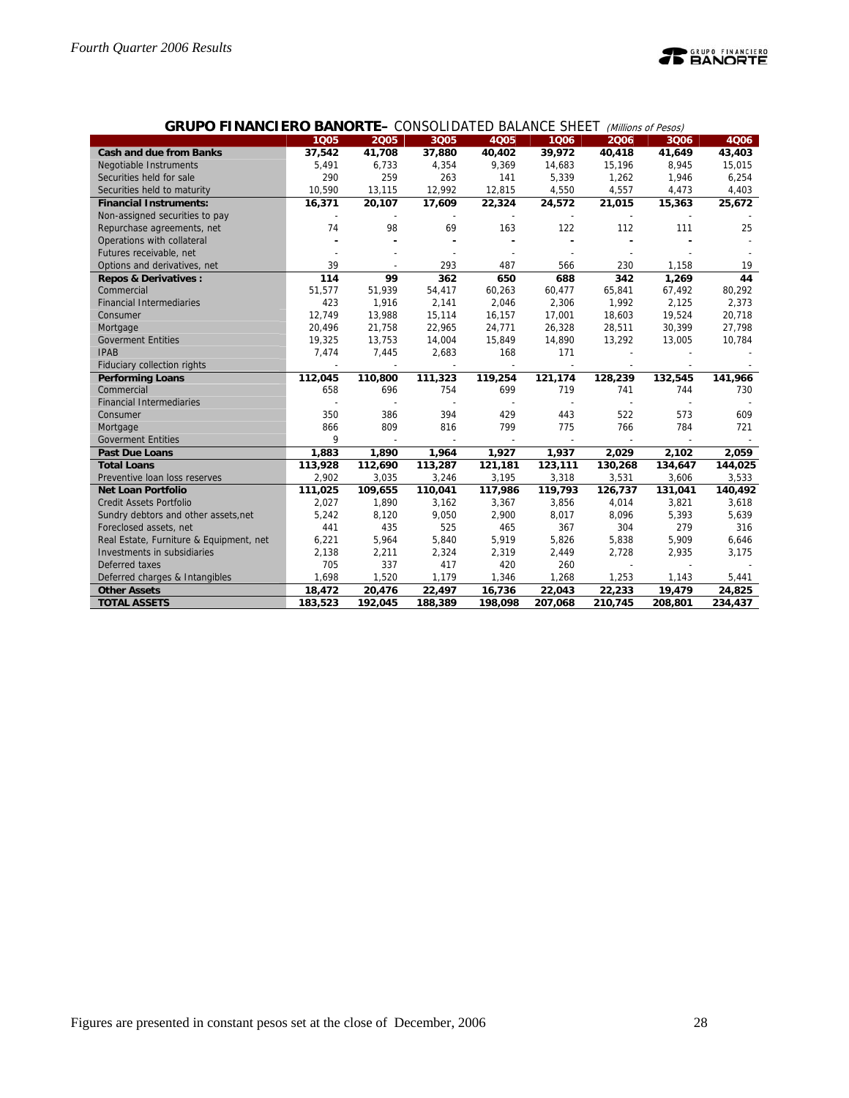

|                                         | 1005    | .<br>2005 | <b>OONOOLIDINILD DILINIVOL ONLL.</b> ( <i>Williams of 1 escs)</i><br>3Q05 | 4Q05                     |         |                          |         | 4Q06    |
|-----------------------------------------|---------|-----------|---------------------------------------------------------------------------|--------------------------|---------|--------------------------|---------|---------|
|                                         |         |           |                                                                           |                          | 1006    | 2006                     | 3Q06    |         |
| <b>Cash and due from Banks</b>          | 37,542  | 41,708    | 37,880                                                                    | 40,402                   | 39,972  | 40,418                   | 41,649  | 43,403  |
| <b>Negotiable Instruments</b>           | 5,491   | 6,733     | 4,354                                                                     | 9,369                    | 14,683  | 15,196                   | 8,945   | 15,015  |
| Securities held for sale                | 290     | 259       | 263                                                                       | 141                      | 5,339   | 1,262                    | 1,946   | 6,254   |
| Securities held to maturity             | 10,590  | 13,115    | 12,992                                                                    | 12,815                   | 4,550   | 4,557                    | 4,473   | 4,403   |
| <b>Financial Instruments:</b>           | 16,371  | 20,107    | 17,609                                                                    | 22,324                   | 24,572  | 21,015                   | 15,363  | 25,672  |
| Non-assigned securities to pay          |         |           |                                                                           |                          |         |                          |         |         |
| Repurchase agreements, net              | 74      | 98        | 69                                                                        | 163                      | 122     | 112                      | 111     | 25      |
| Operations with collateral              |         |           |                                                                           |                          |         |                          |         |         |
| Futures receivable, net                 |         |           |                                                                           |                          |         |                          |         |         |
| Options and derivatives, net            | 39      |           | 293                                                                       | 487                      | 566     | 230                      | 1,158   | 19      |
| <b>Repos &amp; Derivatives:</b>         | 114     | 99        | 362                                                                       | 650                      | 688     | 342                      | 1,269   | 44      |
| Commercial                              | 51,577  | 51,939    | 54,417                                                                    | 60,263                   | 60,477  | 65,841                   | 67,492  | 80,292  |
| <b>Financial Intermediaries</b>         | 423     | 1,916     | 2,141                                                                     | 2,046                    | 2,306   | 1,992                    | 2,125   | 2,373   |
| Consumer                                | 12,749  | 13,988    | 15,114                                                                    | 16,157                   | 17,001  | 18,603                   | 19,524  | 20,718  |
| Mortgage                                | 20,496  | 21,758    | 22,965                                                                    | 24,771                   | 26,328  | 28,511                   | 30,399  | 27,798  |
| <b>Goverment Entities</b>               | 19,325  | 13,753    | 14,004                                                                    | 15,849                   | 14,890  | 13,292                   | 13,005  | 10,784  |
| <b>IPAB</b>                             | 7,474   | 7,445     | 2,683                                                                     | 168                      | 171     |                          |         |         |
| Fiduciary collection rights             |         |           |                                                                           |                          |         |                          |         |         |
| <b>Performing Loans</b>                 | 112,045 | 110,800   | 111,323                                                                   | 119,254                  | 121,174 | 128,239                  | 132,545 | 141,966 |
| Commercial                              | 658     | 696       | 754                                                                       | 699                      | 719     | 741                      | 744     | 730     |
| <b>Financial Intermediaries</b>         |         |           |                                                                           |                          |         |                          |         |         |
| Consumer                                | 350     | 386       | 394                                                                       | 429                      | 443     | 522                      | 573     | 609     |
| Mortgage                                | 866     | 809       | 816                                                                       | 799                      | 775     | 766                      | 784     | 721     |
| <b>Goverment Entities</b>               | 9       |           |                                                                           | $\overline{\phantom{a}}$ |         | $\overline{\phantom{a}}$ | $\sim$  |         |
| <b>Past Due Loans</b>                   | 1,883   | 1,890     | 1,964                                                                     | 1,927                    | 1,937   | 2,029                    | 2,102   | 2,059   |
| <b>Total Loans</b>                      | 113,928 | 112,690   | 113,287                                                                   | 121,181                  | 123,111 | 130,268                  | 134,647 | 144,025 |
| Preventive Ioan loss reserves           | 2,902   | 3,035     | 3,246                                                                     | 3,195                    | 3,318   | 3,531                    | 3,606   | 3,533   |
| <b>Net Loan Portfolio</b>               | 111,025 | 109,655   | 110,041                                                                   | 117,986                  | 119,793 | 126,737                  | 131,041 | 140,492 |
| <b>Credit Assets Portfolio</b>          | 2,027   | 1,890     | 3,162                                                                     | 3,367                    | 3,856   | 4,014                    | 3,821   | 3,618   |
| Sundry debtors and other assets, net    | 5,242   | 8,120     | 9,050                                                                     | 2,900                    | 8,017   | 8,096                    | 5,393   | 5,639   |
| Foreclosed assets, net                  | 441     | 435       | 525                                                                       | 465                      | 367     | 304                      | 279     | 316     |
| Real Estate, Furniture & Equipment, net | 6,221   | 5,964     | 5,840                                                                     | 5,919                    | 5,826   | 5,838                    | 5,909   | 6,646   |
| Investments in subsidiaries             | 2,138   | 2,211     | 2,324                                                                     | 2,319                    | 2,449   | 2,728                    | 2,935   | 3,175   |
| Deferred taxes                          | 705     | 337       | 417                                                                       | 420                      | 260     |                          |         |         |
| Deferred charges & Intangibles          | 1,698   | 1,520     | 1,179                                                                     | 1,346                    | 1,268   | 1,253                    | 1,143   | 5,441   |
| <b>Other Assets</b>                     | 18,472  | 20,476    | 22,497                                                                    | 16,736                   | 22,043  | 22,233                   | 19,479  | 24,825  |
| <b>TOTAL ASSETS</b>                     | 183,523 | 192.045   | 188,389                                                                   | 198,098                  | 207,068 | 210,745                  | 208,801 | 234,437 |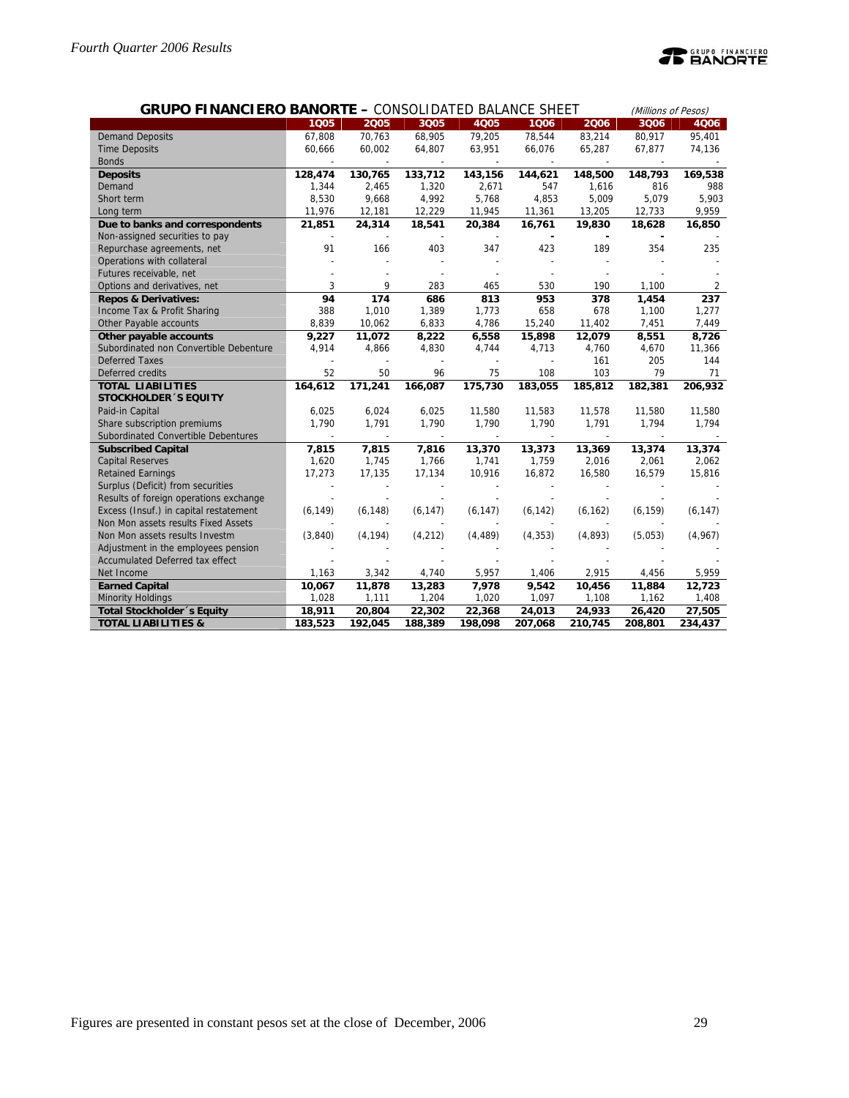|                                        |          | <b>GRUPO FINANCIERO BANORTE - CONSOLIDATED BALANCE SHEET</b> |          |          |          |          |          |          |
|----------------------------------------|----------|--------------------------------------------------------------|----------|----------|----------|----------|----------|----------|
|                                        | 1005     | 2005                                                         | 3Q05     | 4Q05     | 1006     | 2006     | 3Q06     | 4Q06     |
| <b>Demand Deposits</b>                 | 67,808   | 70,763                                                       | 68,905   | 79,205   | 78,544   | 83,214   | 80,917   | 95,401   |
| <b>Time Deposits</b>                   | 60,666   | 60,002                                                       | 64,807   | 63,951   | 66,076   | 65,287   | 67,877   | 74,136   |
| <b>Bonds</b>                           |          |                                                              |          |          |          |          |          |          |
| <b>Deposits</b>                        | 128,474  | 130,765                                                      | 133,712  | 143,156  | 144,621  | 148,500  | 148,793  | 169,538  |
| Demand                                 | 1,344    | 2,465                                                        | 1,320    | 2,671    | 547      | 1,616    | 816      | 988      |
| Short term                             | 8,530    | 9,668                                                        | 4,992    | 5,768    | 4,853    | 5,009    | 5,079    | 5,903    |
| Long term                              | 11,976   | 12,181                                                       | 12,229   | 11,945   | 11,361   | 13,205   | 12,733   | 9,959    |
| Due to banks and correspondents        | 21,851   | 24,314                                                       | 18,541   | 20,384   | 16,761   | 19,830   | 18,628   | 16,850   |
| Non-assigned securities to pay         |          |                                                              |          |          |          |          |          |          |
| Repurchase agreements, net             | 91       | 166                                                          | 403      | 347      | 423      | 189      | 354      | 235      |
| Operations with collateral             |          |                                                              |          |          |          |          |          |          |
| Futures receivable, net                |          |                                                              |          |          |          |          |          |          |
| Options and derivatives, net           | 3        | 9                                                            | 283      | 465      | 530      | 190      | 1,100    | 2        |
| <b>Repos &amp; Derivatives:</b>        | 94       | 174                                                          | 686      | 813      | 953      | 378      | 1,454    | 237      |
| Income Tax & Profit Sharing            | 388      | 1,010                                                        | 1,389    | 1,773    | 658      | 678      | 1,100    | 1,277    |
| Other Payable accounts                 | 8,839    | 10,062                                                       | 6,833    | 4,786    | 15,240   | 11,402   | 7,451    | 7,449    |
| Other payable accounts                 | 9,227    | 11,072                                                       | 8,222    | 6,558    | 15,898   | 12,079   | 8,551    | 8,726    |
| Subordinated non Convertible Debenture | 4,914    | 4,866                                                        | 4,830    | 4,744    | 4,713    | 4,760    | 4,670    | 11,366   |
| <b>Deferred Taxes</b>                  |          |                                                              |          |          |          | 161      | 205      | 144      |
| Deferred credits                       | 52       | 50                                                           | 96       | 75       | 108      | 103      | 79       | 71       |
| <b>TOTAL LIABILITIES</b>               | 164,612  | 171,241                                                      | 166,087  | 175,730  | 183,055  | 185,812  | 182,381  | 206,932  |
| <b>STOCKHOLDER 'S EQUITY</b>           |          |                                                              |          |          |          |          |          |          |
| Paid-in Capital                        | 6,025    | 6,024                                                        | 6,025    | 11,580   | 11,583   | 11,578   | 11,580   | 11,580   |
| Share subscription premiums            | 1,790    | 1,791                                                        | 1,790    | 1,790    | 1,790    | 1,791    | 1,794    | 1,794    |
| Subordinated Convertible Debentures    |          | $\overline{\phantom{a}}$                                     |          |          |          |          |          |          |
| <b>Subscribed Capital</b>              | 7,815    | 7,815                                                        | 7,816    | 13,370   | 13,373   | 13,369   | 13,374   | 13,374   |
| <b>Capital Reserves</b>                | 1,620    | 1,745                                                        | 1,766    | 1,741    | 1,759    | 2,016    | 2,061    | 2,062    |
| <b>Retained Earnings</b>               | 17,273   | 17,135                                                       | 17,134   | 10,916   | 16,872   | 16,580   | 16,579   | 15,816   |
| Surplus (Deficit) from securities      |          |                                                              |          |          |          |          |          |          |
| Results of foreign operations exchange |          |                                                              |          |          |          |          |          |          |
| Excess (Insuf.) in capital restatement | (6, 149) | (6, 148)                                                     | (6, 147) | (6, 147) | (6, 142) | (6, 162) | (6, 159) | (6, 147) |
| Non Mon assets results Fixed Assets    |          |                                                              |          |          |          |          |          |          |
| Non Mon assets results Investm         | (3,840)  | (4, 194)                                                     | (4, 212) | (4, 489) | (4, 353) | (4,893)  | (5,053)  | (4,967)  |
| Adjustment in the employees pension    |          |                                                              |          |          |          |          |          |          |
| Accumulated Deferred tax effect        |          |                                                              |          |          |          |          |          |          |
| Net Income                             | 1,163    | 3,342                                                        | 4,740    | 5,957    | 1,406    | 2,915    | 4,456    | 5,959    |
| <b>Earned Capital</b>                  | 10,067   | 11,878                                                       | 13,283   | 7,978    | 9,542    | 10,456   | 11,884   | 12,723   |
| <b>Minority Holdings</b>               | 1,028    | 1,111                                                        | 1,204    | 1,020    | 1,097    | 1,108    | 1,162    | 1,408    |
| Total Stockholder 's Equity            | 18,911   | 20,804                                                       | 22,302   | 22,368   | 24,013   | 24,933   | 26,420   | 27,505   |
| <b>TOTAL LIABILITIES &amp;</b>         | 183,523  | 192,045                                                      | 188,389  | 198,098  | 207,068  | 210,745  | 208,801  | 234,437  |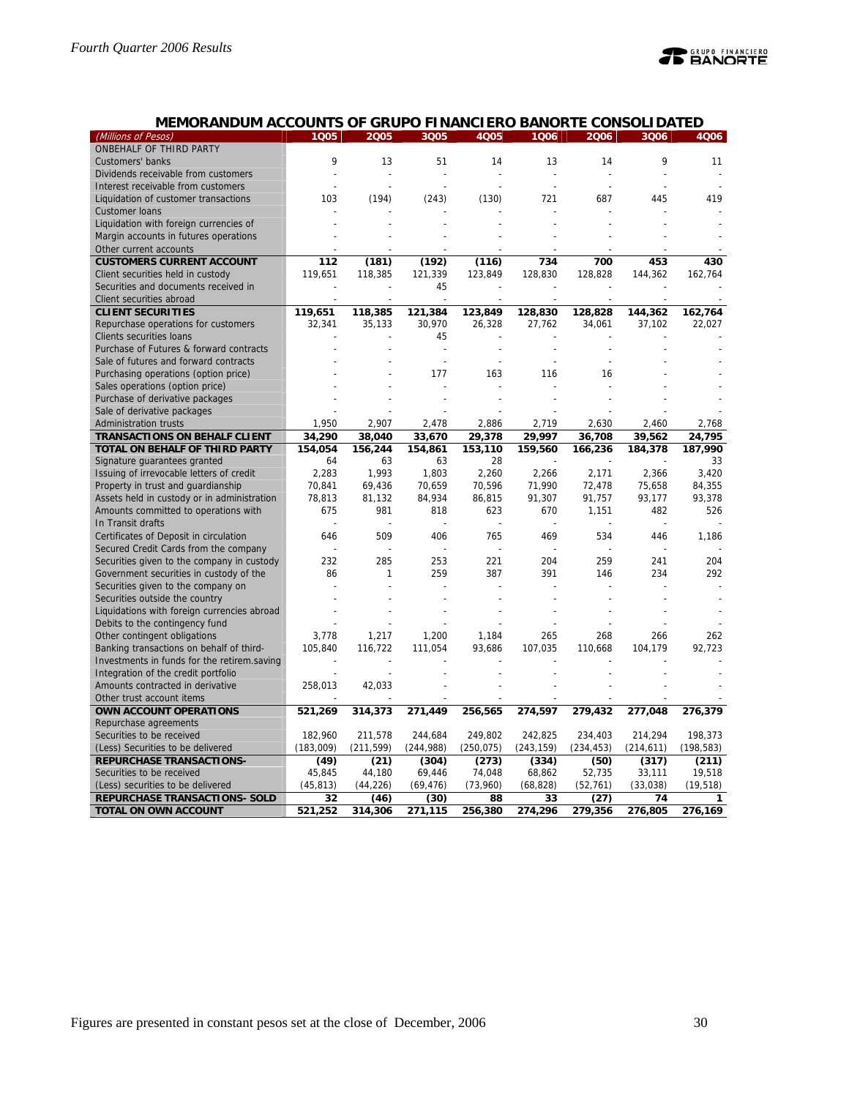| (Millions of Pesos)                         | 1Q05      | 2005          | 3Q05           | 4Q05           | 1Q06           | 2006            | 3Q06           | 4Q06       |
|---------------------------------------------|-----------|---------------|----------------|----------------|----------------|-----------------|----------------|------------|
| ONBEHALF OF THIRD PARTY                     |           |               |                |                |                |                 |                |            |
| Customers' banks                            | 9         | 13            | 51             | 14             | 13             | 14              | 9              | 11         |
| Dividends receivable from customers         |           | ÷,            |                |                |                |                 |                |            |
| Interest receivable from customers          |           |               |                |                |                |                 |                |            |
| Liquidation of customer transactions        | 103       | (194)         | (243)          | (130)          | 721            | 687             | 445            | 419        |
| Customer loans                              |           |               |                |                |                |                 |                |            |
| Liquidation with foreign currencies of      |           |               |                |                |                |                 |                |            |
| Margin accounts in futures operations       |           |               |                |                |                |                 |                |            |
| Other current accounts                      |           |               |                |                |                |                 |                |            |
| <b>CUSTOMERS CURRENT ACCOUNT</b>            | 112       | (181)         | (192)          | (116)          | 734            | 700             | 453            | 430        |
| Client securities held in custody           | 119,651   | 118,385       | 121,339        | 123,849        | 128,830        | 128,828         | 144,362        | 162,764    |
| Securities and documents received in        |           |               | 45             |                |                |                 |                |            |
| Client securities abroad                    |           |               |                |                | L,             |                 |                |            |
| <b>CLIENT SECURITIES</b>                    | 119,651   | 118,385       | 121,384        | 123,849        | 128,830        | 128,828         | 144,362        | 162,764    |
| Repurchase operations for customers         | 32,341    | 35,133        | 30,970         | 26,328         | 27,762         | 34,061          | 37,102         | 22,027     |
| Clients securities loans                    |           |               | 45             |                |                |                 |                |            |
| Purchase of Futures & forward contracts     |           |               | L,             |                |                |                 |                |            |
| Sale of futures and forward contracts       |           |               | L,             |                |                |                 |                |            |
| Purchasing operations (option price)        |           |               | 177            | 163            | 116            | 16              |                |            |
| Sales operations (option price)             |           |               |                |                |                |                 |                |            |
| Purchase of derivative packages             |           |               |                |                |                |                 |                |            |
| Sale of derivative packages                 |           |               |                |                |                |                 |                |            |
| <b>Administration trusts</b>                | 1,950     | 2,907         | 2,478          | 2,886          | 2,719          | 2,630           | 2,460          | 2,768      |
| TRANSACTIONS ON BEHALF CLIENT               | 34,290    | 38,040        | 33,670         | 29,378         | 29.997         | 36,708          | 39,562         | 24,795     |
| TOTAL ON BEHALF OF THIRD PARTY              | 154,054   | 156,244       | 154,861        | 153,110        | 159,560        | 166,236         | 184,378        | 187,990    |
| Signature guarantees granted                | 64        | 63            | 63             | 28             |                |                 |                | 33         |
| Issuing of irrevocable letters of credit    | 2,283     | 1,993         | 1,803          | 2,260          | 2,266          | 2,171           | 2,366          | 3,420      |
| Property in trust and guardianship          | 70,841    | 69,436        | 70,659         | 70,596         | 71,990         | 72,478          | 75,658         | 84,355     |
| Assets held in custody or in administration | 78,813    |               |                |                |                |                 | 93,177         | 93,378     |
| Amounts committed to operations with        | 675       | 81,132<br>981 | 84,934<br>818  | 86,815<br>623  | 91,307<br>670  | 91,757<br>1,151 | 482            | 526        |
| In Transit drafts                           |           |               |                |                |                |                 |                |            |
|                                             | 646       | 509           | 406            | 765            | 469            | 534             | 446            | 1.186      |
| Certificates of Deposit in circulation      |           |               | $\overline{a}$ | $\overline{a}$ | $\overline{a}$ |                 | $\overline{a}$ |            |
| Secured Credit Cards from the company       |           |               |                |                |                |                 |                |            |
| Securities given to the company in custody  | 232       | 285           | 253            | 221            | 204            | 259             | 241            | 204        |
| Government securities in custody of the     | 86        | $\mathbf{1}$  | 259            | 387            | 391            | 146             | 234            | 292        |
| Securities given to the company on          |           |               |                |                |                |                 |                |            |
| Securities outside the country              |           |               |                |                |                |                 |                |            |
| Liquidations with foreign currencies abroad |           |               |                |                |                |                 |                |            |
| Debits to the contingency fund              |           |               |                |                |                |                 |                |            |
| Other contingent obligations                | 3,778     | 1,217         | 1,200          | 1,184          | 265            | 268             | 266            | 262        |
| Banking transactions on behalf of third-    | 105,840   | 116,722       | 111,054        | 93,686         | 107,035        | 110,668         | 104,179        | 92,723     |
| Investments in funds for the retirem.saving |           |               |                |                |                |                 |                |            |
| Integration of the credit portfolio         |           |               |                |                |                |                 |                |            |
| Amounts contracted in derivative            | 258,013   | 42,033        |                |                |                |                 |                |            |
| Other trust account items                   |           |               |                |                |                |                 |                |            |
| <b>OWN ACCOUNT OPERATIONS</b>               | 521,269   | 314,373       | 271,449        | 256,565        | 274,597        | 279,432         | 277,048        | 276,379    |
| Repurchase agreements                       |           |               |                |                |                |                 |                |            |
| Securities to be received                   | 182,960   | 211,578       | 244,684        | 249,802        | 242,825        | 234,403         | 214,294        | 198,373    |
| (Less) Securities to be delivered           | (183,009) | (211, 599)    | (244, 988)     | (250, 075)     | (243, 159)     | (234, 453)      | (214, 611)     | (198, 583) |
| REPURCHASE TRANSACTIONS-                    | (49)      | (21)          | (304)          | (273)          | (334)          | (50)            | (317)          | (211)      |
| Securities to be received                   | 45,845    | 44,180        | 69,446         | 74,048         | 68,862         | 52,735          | 33,111         | 19,518     |
| (Less) securities to be delivered           | (45, 813) | (44, 226)     | (69, 476)      | (73,960)       | (68, 828)      | (52, 761)       | (33,038)       | (19, 518)  |
| REPURCHASE TRANSACTIONS- SOLD               | 32        | (46)          | (30)           | 88             | 33             | (27)            | 74             | 1          |

**TOTAL ON OWN ACCOUNT 521,252 314,306 271,115 256,380 274,296 279,356 276,805 276,169**

## **MEMORANDUM ACCOUNTS OF GRUPO FINANCIERO BANORTE CONSOLIDATED**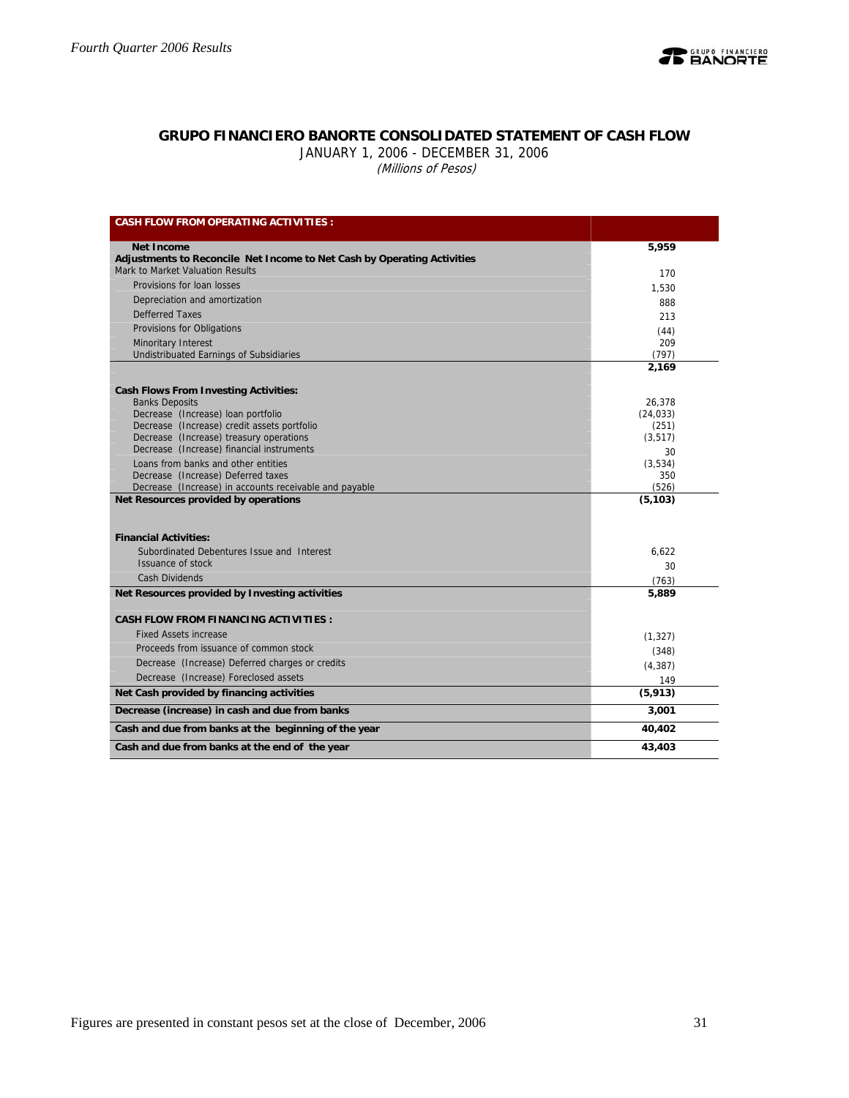

## **GRUPO FINANCIERO BANORTE CONSOLIDATED STATEMENT OF CASH FLOW**

JANUARY 1, 2006 - DECEMBER 31, 2006 (Millions of Pesos)

| <b>CASH FLOW FROM OPERATING ACTIVITIES:</b>                                            |                   |
|----------------------------------------------------------------------------------------|-------------------|
| <b>Net Income</b>                                                                      | 5,959             |
| Adjustments to Reconcile Net Income to Net Cash by Operating Activities                |                   |
| Mark to Market Valuation Results                                                       | 170               |
| Provisions for loan losses                                                             | 1,530             |
| Depreciation and amortization                                                          | 888               |
| <b>Defferred Taxes</b>                                                                 | 213               |
| Provisions for Obligations                                                             | (44)              |
| Minoritary Interest                                                                    | 209               |
| Undistribuated Earnings of Subsidiaries                                                | (797)             |
|                                                                                        | 2,169             |
| <b>Cash Flows From Investing Activities:</b>                                           |                   |
| <b>Banks Deposits</b>                                                                  | 26,378            |
| Decrease (Increase) loan portfolio                                                     | (24, 033)         |
| Decrease (Increase) credit assets portfolio<br>Decrease (Increase) treasury operations | (251)<br>(3, 517) |
| Decrease (Increase) financial instruments                                              | 30                |
| Loans from banks and other entities                                                    | (3.534)           |
| Decrease (Increase) Deferred taxes                                                     | 350               |
| Decrease (Increase) in accounts receivable and payable                                 | (526)             |
| Net Resources provided by operations                                                   | (5, 103)          |
|                                                                                        |                   |
| <b>Financial Activities:</b>                                                           |                   |
| Subordinated Debentures Issue and Interest                                             | 6.622             |
| Issuance of stock                                                                      | 30                |
| <b>Cash Dividends</b>                                                                  | (763)             |
| Net Resources provided by Investing activities                                         | 5,889             |
|                                                                                        |                   |
| <b>CASH FLOW FROM FINANCING ACTIVITIES:</b>                                            |                   |
| <b>Fixed Assets increase</b>                                                           | (1, 327)          |
| Proceeds from issuance of common stock                                                 | (348)             |
| Decrease (Increase) Deferred charges or credits                                        | (4, 387)          |
| Decrease (Increase) Foreclosed assets                                                  | 149               |
| Net Cash provided by financing activities                                              | (5, 913)          |
| Decrease (increase) in cash and due from banks                                         | 3,001             |
| Cash and due from banks at the beginning of the year                                   | 40,402            |
| Cash and due from banks at the end of the year                                         | 43,403            |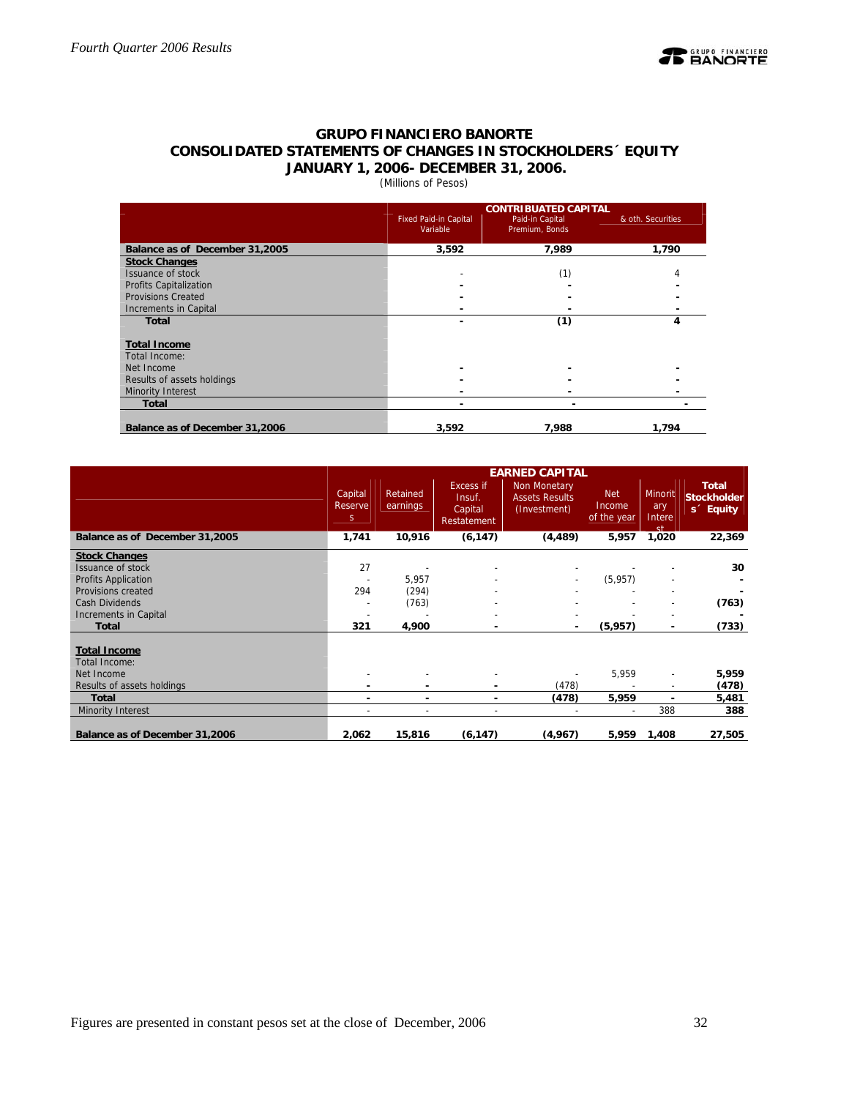

## **GRUPO FINANCIERO BANORTE CONSOLIDATED STATEMENTS OF CHANGES IN STOCKHOLDERS´ EQUITY JANUARY 1, 2006- DECEMBER 31, 2006.**

## (Millions of Pesos)

|                                | <b>CONTRIBUATED CAPITAL</b>              |                                   |                   |  |  |  |  |  |
|--------------------------------|------------------------------------------|-----------------------------------|-------------------|--|--|--|--|--|
|                                | <b>Fixed Paid-in Capital</b><br>Variable | Paid-in Capital<br>Premium, Bonds | & oth. Securities |  |  |  |  |  |
| Balance as of December 31,2005 | 3,592                                    | 7,989                             | 1,790             |  |  |  |  |  |
| <b>Stock Changes</b>           |                                          |                                   |                   |  |  |  |  |  |
| Issuance of stock              |                                          | (1)                               |                   |  |  |  |  |  |
| <b>Profits Capitalization</b>  |                                          |                                   |                   |  |  |  |  |  |
| <b>Provisions Created</b>      |                                          |                                   |                   |  |  |  |  |  |
| Increments in Capital          |                                          |                                   |                   |  |  |  |  |  |
| <b>Total</b>                   |                                          | (1)                               | 4                 |  |  |  |  |  |
| <b>Total Income</b>            |                                          |                                   |                   |  |  |  |  |  |
| Total Income:                  |                                          |                                   |                   |  |  |  |  |  |
| Net Income                     |                                          |                                   |                   |  |  |  |  |  |
| Results of assets holdings     |                                          |                                   |                   |  |  |  |  |  |
| Minority Interest              |                                          |                                   |                   |  |  |  |  |  |
| <b>Total</b>                   |                                          |                                   |                   |  |  |  |  |  |
| Balance as of December 31,2006 | 3,592                                    | 7,988                             | 1,794             |  |  |  |  |  |

|                                      | <b>EARNED CAPITAL</b>    |                          |                                                      |                                                       |                                     |                                       |                                                             |  |  |  |
|--------------------------------------|--------------------------|--------------------------|------------------------------------------------------|-------------------------------------------------------|-------------------------------------|---------------------------------------|-------------------------------------------------------------|--|--|--|
|                                      | Capital<br>Reserve<br>S. | Retained<br>earnings     | <b>Excess if</b><br>Insuf.<br>Capital<br>Restatement | Non Monetary<br><b>Assets Results</b><br>(Investment) | <b>Net</b><br>Income<br>of the year | Minorit<br>ary<br>Intere<br><b>st</b> | <b>Total</b><br><b>Stockholder</b><br>s <sup>-</sup> Equity |  |  |  |
| Balance as of December 31,2005       | 1,741                    | 10,916                   | (6, 147)                                             | (4, 489)                                              | 5,957                               | 1,020                                 | 22,369                                                      |  |  |  |
| <b>Stock Changes</b>                 |                          |                          |                                                      |                                                       |                                     |                                       |                                                             |  |  |  |
| Issuance of stock                    | 27                       |                          |                                                      |                                                       |                                     |                                       | 30                                                          |  |  |  |
| Profits Application                  |                          | 5,957                    |                                                      |                                                       | (5, 957)                            |                                       |                                                             |  |  |  |
| Provisions created                   | 294                      | (294)                    |                                                      |                                                       |                                     |                                       |                                                             |  |  |  |
| Cash Dividends                       |                          | (763)                    |                                                      |                                                       |                                     |                                       | (763)                                                       |  |  |  |
| Increments in Capital                |                          |                          |                                                      |                                                       |                                     |                                       |                                                             |  |  |  |
| Total                                | 321                      | 4,900                    |                                                      |                                                       | (5,957)                             | ۰                                     | (733)                                                       |  |  |  |
| <b>Total Income</b><br>Total Income: |                          |                          |                                                      |                                                       |                                     |                                       |                                                             |  |  |  |
| Net Income                           |                          |                          |                                                      |                                                       | 5,959                               |                                       | 5,959                                                       |  |  |  |
| Results of assets holdings           |                          |                          |                                                      | (478)                                                 |                                     | $\overline{\phantom{0}}$              | (478)                                                       |  |  |  |
| <b>Total</b>                         | $\overline{\phantom{a}}$ | ۰                        | $\blacksquare$                                       | (478)                                                 | 5,959                               | $\blacksquare$                        | 5,481                                                       |  |  |  |
| <b>Minority Interest</b>             | $\overline{\phantom{0}}$ | $\overline{\phantom{a}}$ | $\overline{\phantom{a}}$                             |                                                       | ٠                                   | 388                                   | 388                                                         |  |  |  |
| Balance as of December 31,2006       | 2,062                    | 15,816                   | (6, 147)                                             | (4,967)                                               | 5,959                               | 1,408                                 | 27,505                                                      |  |  |  |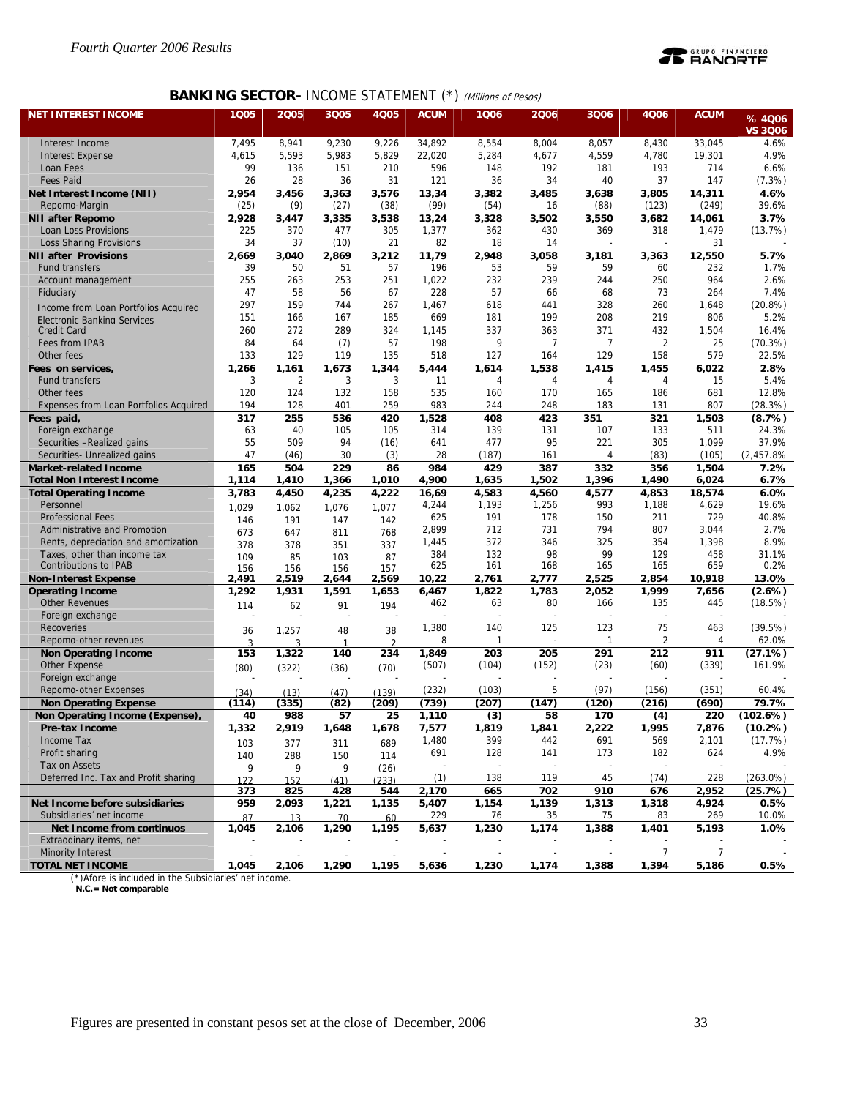

## **BANKING SECTOR- INCOME STATEMENT (\*) (Millions of Pesos)**

| <b>NET INTEREST INCOME</b>                                   | 1Q05           | 2005           | 3Q05           | <b>4Q05</b>   | <b>ACUM</b>   | 1006          | 2006           | 3Q06                     | 4Q06           | <b>ACUM</b>     | %4006           |
|--------------------------------------------------------------|----------------|----------------|----------------|---------------|---------------|---------------|----------------|--------------------------|----------------|-----------------|-----------------|
|                                                              |                |                |                |               |               |               |                |                          |                |                 | <b>VS 3006</b>  |
| Interest Income                                              | 7,495          | 8,941          | 9,230          | 9,226         | 34,892        | 8,554         | 8,004          | 8,057                    | 8,430          | 33,045          | 4.6%            |
| <b>Interest Expense</b>                                      | 4,615          | 5,593          | 5,983          | 5,829         | 22,020        | 5,284         | 4,677          | 4,559                    | 4,780          | 19,301          | 4.9%            |
| Loan Fees                                                    | 99             | 136            | 151            | 210           | 596           | 148           | 192            | 181                      | 193            | 714             | 6.6%            |
| <b>Fees Paid</b>                                             | 26             | 28             | 36             | 31            | 121           | 36            | 34             | 40                       | 37             | 147             | (7.3%)          |
| Net Interest Income (NII)                                    | 2,954          | 3,456          | 3,363          | 3,576         | 13,34<br>(99) | 3,382         | 3,485<br>16    | 3,638                    | 3,805          | 14,311<br>(249) | 4.6%<br>39.6%   |
| Repomo-Margin<br><b>NII after Repomo</b>                     | (25)<br>2,928  | (9)<br>3,447   | (27)<br>3,335  | (38)<br>3,538 | 13,24         | (54)<br>3,328 | 3,502          | (88)<br>3,550            | (123)<br>3,682 | 14,061          | 3.7%            |
| Loan Loss Provisions                                         | 225            | 370            | 477            | 305           | 1,377         | 362           | 430            | 369                      | 318            | 1,479           | (13.7%)         |
| <b>Loss Sharing Provisions</b>                               | 34             | 37             | (10)           | 21            | 82            | 18            | 14             |                          |                | 31              |                 |
| <b>NII after Provisions</b>                                  | 2,669          | 3,040          | 2,869          | 3,212         | 11,79         | 2,948         | 3,058          | 3,181                    | 3,363          | 12,550          | 5.7%            |
| <b>Fund transfers</b>                                        | 39             | 50             | 51             | 57            | 196           | 53            | 59             | 59                       | 60             | 232             | 1.7%            |
| Account management                                           | 255            | 263            | 253            | 251           | 1,022         | 232           | 239            | 244                      | 250            | 964             | 2.6%            |
| Fiduciary                                                    | 47             | 58             | 56             | 67            | 228           | 57            | 66             | 68                       | 73             | 264             | 7.4%            |
| Income from Loan Portfolios Acquired                         | 297            | 159            | 744            | 267           | 1,467         | 618           | 441            | 328                      | 260            | 1,648           | $(20.8\%)$      |
| Electronic Banking Services                                  | 151            | 166            | 167            | 185           | 669           | 181           | 199            | 208                      | 219            | 806             | 5.2%            |
| <b>Credit Card</b>                                           | 260            | 272            | 289            | 324           | 1,145         | 337           | 363            | 371                      | 432            | 1,504           | 16.4%           |
| Fees from IPAB                                               | 84             | 64             | (7)            | 57            | 198           | 9             | $\overline{7}$ | 7                        | $\overline{2}$ | 25              | (70.3%)         |
| Other fees                                                   | 133            | 129            | 119            | 135           | 518           | 127           | 164            | 129                      | 158            | 579             | 22.5%           |
| Fees on services,                                            | 1,266          | 1,161          | 1,673          | 1,344         | 5,444         | 1,614         | 1,538          | 1,415                    | 1,455          | 6,022           | 2.8%            |
| <b>Fund transfers</b>                                        | 3              | $\overline{2}$ | 3              | 3             | 11            | 4             | $\overline{4}$ | 4                        | 4              | 15              | 5.4%            |
| Other fees                                                   | 120            | 124            | 132            | 158           | 535           | 160           | 170            | 165                      | 186            | 681             | 12.8%           |
| Expenses from Loan Portfolios Acquired                       | 194            | 128            | 401            | 259           | 983           | 244           | 248            | 183                      | 131            | 807             | (28.3%)         |
| Fees paid,                                                   | 317            | 255            | 536            | 420           | 1,528         | 408           | 423            | 351                      | 321            | 1,503           | (8.7%)          |
| Foreign exchange<br>Securities -Realized gains               | 63<br>55       | 40<br>509      | 105<br>94      | 105<br>(16)   | 314<br>641    | 139<br>477    | 131<br>95      | 107<br>221               | 133<br>305     | 511<br>1,099    | 24.3%<br>37.9%  |
| Securities- Unrealized gains                                 | 47             | (46)           | 30             | (3)           | 28            | (187)         | 161            | 4                        | (83)           | (105)           | (2,457.8%       |
| <b>Market-related Income</b>                                 | 165            | 504            | 229            | 86            | 984           | 429           | 387            | 332                      | 356            | 1,504           | 7.2%            |
| <b>Total Non Interest Income</b>                             | 1,114          | 1,410          | 1,366          | 1,010         | 4,900         | 1,635         | 1,502          | 1,396                    | 1,490          | 6,024           | 6.7%            |
| <b>Total Operating Income</b>                                | 3,783          | 4,450          | 4,235          | 4,222         | 16,69         | 4,583         | 4,560          | 4,577                    | 4,853          | 18,574          | 6.0%            |
| Personnel                                                    | 1.029          | 1.062          | 1.076          | 1.077         | 4,244         | 1,193         | 1,256          | 993                      | 1,188          | 4,629           | 19.6%           |
| <b>Professional Fees</b>                                     | 146            | 191            | 147            | 142           | 625           | 191           | 178            | 150                      | 211            | 729             | 40.8%           |
| Administrative and Promotion                                 | 673            | 647            | 811            | 768           | 2,899         | 712           | 731            | 794                      | 807            | 3,044           | 2.7%            |
| Rents, depreciation and amortization                         | 378            | 378            | 351            | 337           | 1,445         | 372           | 346            | 325<br>99                | 354            | 1,398           | 8.9%            |
| Taxes, other than income tax<br><b>Contributions to IPAB</b> | 1 <sub>0</sub> | ŖБ             | 103            | 87            | 384<br>625    | 132<br>161    | 98<br>168      | 165                      | 129<br>165     | 458<br>659      | 31.1%<br>0.2%   |
| <b>Non-Interest Expense</b>                                  | 156<br>2,491   | 156<br>2,519   | 156<br>2,644   | 157<br>2,569  | 10,22         | 2,761         | 2,777          | 2,525                    | 2,854          | 10,918          | 13.0%           |
| <b>Operating Income</b>                                      | 1,292          | 1,931          | 1,591          | 1,653         | 6,467         | 1,822         | 1,783          | 2,052                    | 1,999          | 7,656           | (2.6%)          |
| <b>Other Revenues</b>                                        | 114            | 62             | 91             | 194           | 462           | 63            | 80             | 166                      | 135            | 445             | (18.5%)         |
| Foreign exchange                                             |                |                |                |               |               |               |                |                          | L,             |                 |                 |
| Recoveries                                                   | 36             | 1,257          | 48             | 38            | 1,380         | 140           | 125            | 123                      | 75             | 463             | (39.5%)         |
| Repomo-other revenues                                        | 3              | २              | $\overline{1}$ | $\mathcal{D}$ | 8             | $\mathbf{1}$  |                | 1                        | $\overline{2}$ | 4               | 62.0%           |
| <b>Non Operating Income</b>                                  | 153            | 1,322          | 140            | 234           | 1,849         | 203           | 205            | 291                      | 212            | 911             | (27.1%)         |
| <b>Other Expense</b>                                         | (80)           | (322)          | (36)           | (70)          | (507)         | (104)         | (152)          | (23)                     | (60)           | (339)           | 161.9%          |
| Foreign exchange                                             |                |                |                |               |               |               |                |                          |                |                 |                 |
| Repomo-other Expenses                                        | (34)           | (13)           | (47)           | (139)         | (232)         | (103)         | 5              | (97)                     | (156)          | (351)           | 60.4%           |
| <b>Non Operating Expense</b>                                 | (114)          | (335)          | (82)           | (209)         | (739)         | (207)         | (147)          | (120)                    | (216)          | (690)           | 79.7%           |
| Non Operating Income (Expense)                               | 40             | 988            | 57             | 25            | 1,110         | (3)           | 58             | 170                      | (4)            | 220             | (102.6%)        |
| Pre-tax Income                                               | 1,332          | 2,919          | 1,648          | 1,678         | 7,577         | 1,819         | 1,841          | 2,222                    | 1,995          | 7,876           | $(10.2\%)$      |
| Income Tax<br>Profit sharing                                 | 103            | 377            | 311            | 689           | 1,480<br>691  | 399<br>128    | 442            | 691<br>173               | 569            | 2,101           | (17.7%)<br>4.9% |
| Tax on Assets                                                | 140            | 288            | 150            | 114           |               |               | 141            | $\overline{\phantom{a}}$ | 182            | 624             |                 |
| Deferred Inc. Tax and Profit sharing                         | 9              | 9              | 9              | (26)          | (1)           | 138           | 119            | 45                       | (74)           | 228             | $(263.0\%)$     |
|                                                              | 122<br>373     | 152<br>825     | (41)<br>428    | (233)<br>544  | 2,170         | 665           | 702            | 910                      | 676            | 2,952           | (25.7%)         |
| Net Income before subsidiaries                               | 959            | 2,093          | 1,221          | 1,135         | 5,407         | 1,154         | 1,139          | 1,313                    | 1,318          | 4,924           | $0.5\%$         |
| Subsidiaries 'net income                                     | 87             | 13             | 70             | 60            | 229           | 76            | 35             | 75                       | 83             | 269             | 10.0%           |
| Net Income from continuos                                    | 1,045          | 2,106          | 1,290          | 1,195         | 5,637         | 1,230         | 1,174          | 1,388                    | 1,401          | 5,193           | 1.0%            |
| Extraodinary items, net                                      |                |                |                |               |               |               |                |                          |                |                 |                 |
| <b>Minority Interest</b>                                     |                |                |                |               |               |               |                | $\overline{\phantom{a}}$ | $\overline{7}$ | $\overline{7}$  |                 |
| <b>TOTAL NET INCOME</b>                                      | 1,045          | 2,106          | 1,290          | 1,195         | 5,636         | 1,230         | 1,174          | 1,388                    | 1,394          | 5,186           | 0.5%            |

(\*)Afore is included in the Subsidiaries' net income.  **N.C.= Not comparable**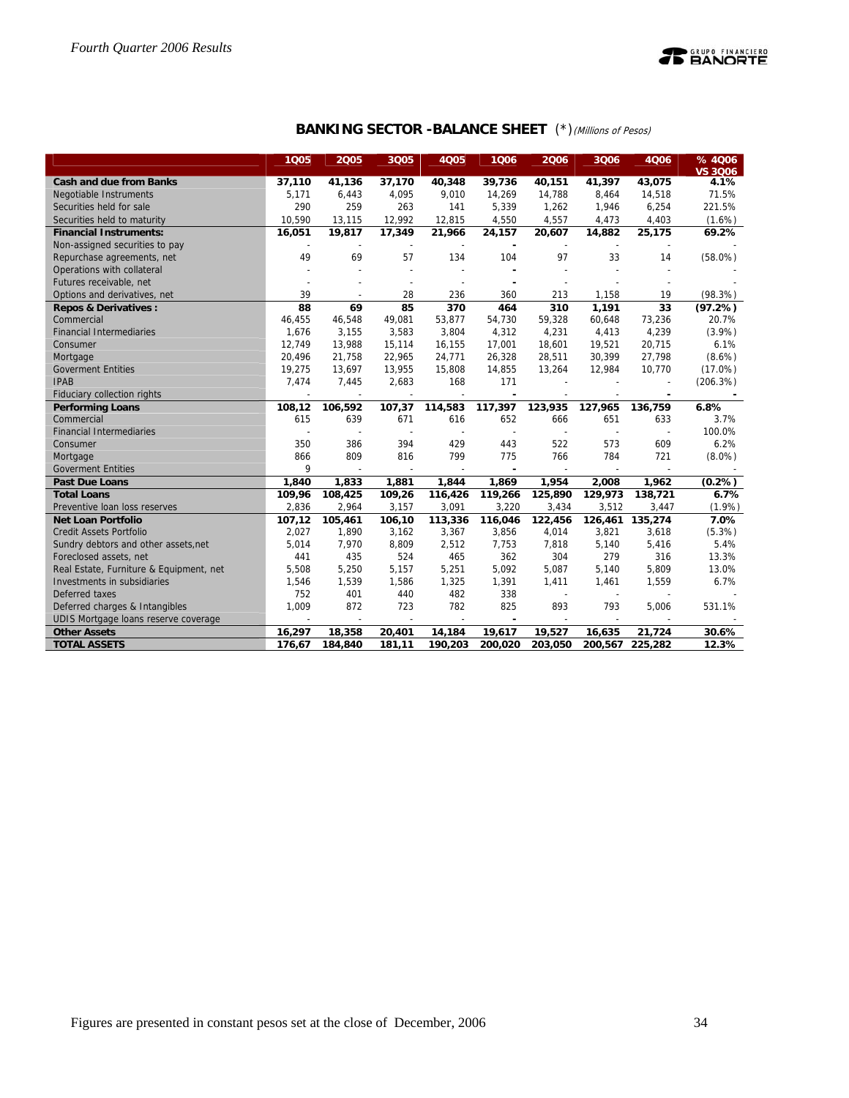

| <b>BANKING SECTOR -BALANCE SHEET</b> (*) (Millions of Pesos) |  |  |
|--------------------------------------------------------------|--|--|
|--------------------------------------------------------------|--|--|

|                                         | 1Q05   | 2005                     | 3Q05                     | <b>4Q05</b> | 1006    | 2006                     | 3Q06           | 4006    | %4006<br><b>VS 3006</b> |
|-----------------------------------------|--------|--------------------------|--------------------------|-------------|---------|--------------------------|----------------|---------|-------------------------|
| <b>Cash and due from Banks</b>          | 37,110 | 41,136                   | 37,170                   | 40,348      | 39,736  | 40,151                   | 41,397         | 43,075  | 4.1%                    |
| <b>Negotiable Instruments</b>           | 5,171  | 6,443                    | 4,095                    | 9,010       | 14,269  | 14,788                   | 8,464          | 14,518  | 71.5%                   |
| Securities held for sale                | 290    | 259                      | 263                      | 141         | 5,339   | 1,262                    | 1,946          | 6,254   | 221.5%                  |
| Securities held to maturity             | 10,590 | 13,115                   | 12,992                   | 12,815      | 4,550   | 4,557                    | 4,473          | 4,403   | $(1.6\%)$               |
| <b>Financial Instruments:</b>           | 16,051 | 19,817                   | 17,349                   | 21,966      | 24,157  | 20,607                   | 14,882         | 25,175  | 69.2%                   |
| Non-assigned securities to pay          |        |                          |                          |             |         |                          |                |         |                         |
| Repurchase agreements, net              | 49     | 69                       | 57                       | 134         | 104     | 97                       | 33             | 14      | $(58.0\%)$              |
| Operations with collateral              |        |                          | $\overline{a}$           |             |         |                          |                |         |                         |
| Futures receivable, net                 |        |                          | $\overline{a}$           |             |         | $\overline{\phantom{a}}$ |                |         |                         |
| Options and derivatives, net            | 39     |                          | 28                       | 236         | 360     | 213                      | 1,158          | 19      | (98.3%)                 |
| <b>Repos &amp; Derivatives:</b>         | 88     | 69                       | 85                       | 370         | 464     | 310                      | 1,191          | 33      | (97.2%)                 |
| Commercial                              | 46,455 | 46,548                   | 49,081                   | 53,877      | 54,730  | 59,328                   | 60,648         | 73,236  | 20.7%                   |
| <b>Financial Intermediaries</b>         | 1,676  | 3,155                    | 3,583                    | 3,804       | 4,312   | 4,231                    | 4,413          | 4,239   | (3.9%)                  |
| Consumer                                | 12,749 | 13,988                   | 15,114                   | 16,155      | 17,001  | 18,601                   | 19,521         | 20,715  | 6.1%                    |
| Mortgage                                | 20,496 | 21,758                   | 22,965                   | 24,771      | 26,328  | 28,511                   | 30,399         | 27,798  | $(8.6\%)$               |
| <b>Goverment Entities</b>               | 19,275 | 13,697                   | 13,955                   | 15,808      | 14,855  | 13,264                   | 12,984         | 10,770  | $(17.0\%)$              |
| <b>IPAB</b>                             | 7,474  | 7,445                    | 2,683                    | 168         | 171     |                          |                | ÷       | (206.3%)                |
| Fiduciary collection rights             |        |                          |                          |             |         |                          |                | ٠       |                         |
| <b>Performing Loans</b>                 | 108,12 | 106,592                  | 107,37                   | 114,583     | 117,397 | 123,935                  | 127,965        | 136,759 | 6.8%                    |
| Commercial                              | 615    | 639                      | 671                      | 616         | 652     | 666                      | 651            | 633     | 3.7%                    |
| <b>Financial Intermediaries</b>         |        |                          |                          |             |         |                          | $\overline{a}$ |         | 100.0%                  |
| Consumer                                | 350    | 386                      | 394                      | 429         | 443     | 522                      | 573            | 609     | 6.2%                    |
| Mortgage                                | 866    | 809                      | 816                      | 799         | 775     | 766                      | 784            | 721     | $(8.0\%)$               |
| <b>Goverment Entities</b>               | 9      |                          |                          |             |         |                          |                |         |                         |
| <b>Past Due Loans</b>                   | 1,840  | 1,833                    | 1,881                    | 1,844       | 1,869   | 1,954                    | 2.008          | 1,962   | (0.2%)                  |
| <b>Total Loans</b>                      | 109,96 | 108,425                  | 109,26                   | 116,426     | 119,266 | 125,890                  | 129,973        | 138,721 | 6.7%                    |
| Preventive loan loss reserves           | 2,836  | 2,964                    | 3,157                    | 3,091       | 3,220   | 3,434                    | 3,512          | 3,447   | $(1.9\%)$               |
| <b>Net Loan Portfolio</b>               | 107,12 | 105,461                  | 106,10                   | 113,336     | 116,046 | 122,456                  | 126,461        | 135,274 | 7.0%                    |
| <b>Credit Assets Portfolio</b>          | 2,027  | 1,890                    | 3,162                    | 3,367       | 3,856   | 4,014                    | 3,821          | 3,618   | (5.3%)                  |
| Sundry debtors and other assets, net    | 5,014  | 7,970                    | 8,809                    | 2,512       | 7,753   | 7,818                    | 5,140          | 5,416   | 5.4%                    |
| Foreclosed assets, net                  | 441    | 435                      | 524                      | 465         | 362     | 304                      | 279            | 316     | 13.3%                   |
| Real Estate, Furniture & Equipment, net | 5,508  | 5,250                    | 5,157                    | 5,251       | 5,092   | 5,087                    | 5,140          | 5,809   | 13.0%                   |
| Investments in subsidiaries             | 1,546  | 1,539                    | 1,586                    | 1,325       | 1,391   | 1,411                    | 1,461          | 1,559   | 6.7%                    |
| Deferred taxes                          | 752    | 401                      | 440                      | 482         | 338     | $\overline{\phantom{a}}$ |                |         |                         |
| Deferred charges & Intangibles          | 1,009  | 872                      | 723                      | 782         | 825     | 893                      | 793            | 5,006   | 531.1%                  |
| UDIS Mortgage loans reserve coverage    |        | $\overline{\phantom{a}}$ | $\overline{\phantom{a}}$ |             |         |                          | $\sim$         |         |                         |
| <b>Other Assets</b>                     | 16,297 | 18,358                   | 20,401                   | 14,184      | 19,617  | 19,527                   | 16,635         | 21,724  | 30.6%                   |
| <b>TOTAL ASSETS</b>                     | 176,67 | 184,840                  | 181,11                   | 190,203     | 200,020 | 203,050                  | 200,567        | 225,282 | 12.3%                   |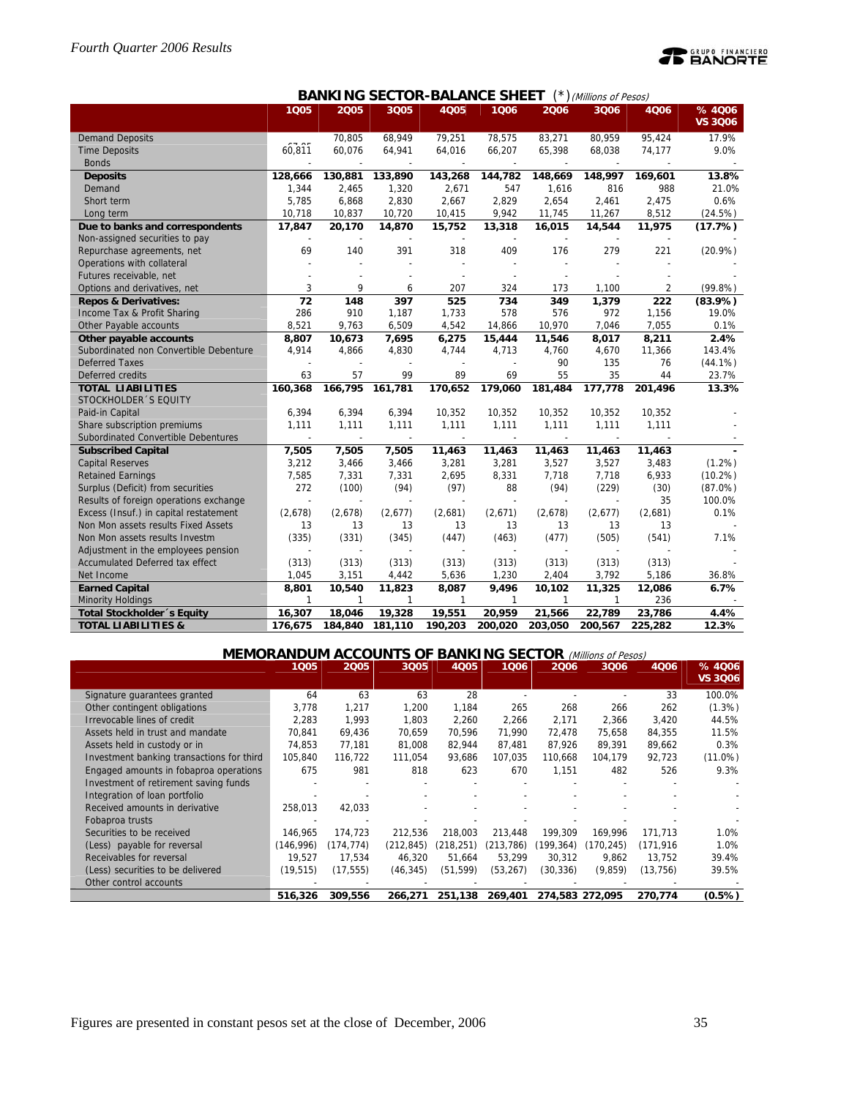# **PEANORTE**

|                                        |              |              |         | יש־יי<br>טורי            | JI ILL I       |                          | $J$ ( <i>willions of resos)</i> |         |                         |
|----------------------------------------|--------------|--------------|---------|--------------------------|----------------|--------------------------|---------------------------------|---------|-------------------------|
|                                        | 1005         | 2005         | 3Q05    | 4005                     | 1006           | 2006                     | 3Q06                            | 4006    | %4006<br><b>VS 3Q06</b> |
| <b>Demand Deposits</b>                 | $ -$         | 70.805       | 68,949  | 79,251                   | 78.575         | 83,271                   | 80,959                          | 95,424  | 17.9%                   |
| <b>Time Deposits</b>                   | 60,811       | 60,076       | 64,941  | 64,016                   | 66,207         | 65,398                   | 68,038                          | 74,177  | 9.0%                    |
| <b>Bonds</b>                           |              |              |         |                          |                |                          |                                 |         |                         |
| <b>Deposits</b>                        | 128,666      | 130,881      | 133,890 | 143,268                  | 144.782        | 148,669                  | 148,997                         | 169,601 | 13.8%                   |
| Demand                                 | 1,344        | 2,465        | 1,320   | 2,671                    | 547            | 1,616                    | 816                             | 988     | 21.0%                   |
| Short term                             | 5,785        | 6,868        | 2,830   | 2,667                    | 2,829          | 2,654                    | 2,461                           | 2,475   | 0.6%                    |
| Long term                              | 10,718       | 10,837       | 10,720  | 10,415                   | 9,942          | 11,745                   | 11,267                          | 8,512   | (24.5%)                 |
| Due to banks and correspondents        | 17,847       | 20,170       | 14,870  | 15,752                   | 13,318         | 16,015                   | 14,544                          | 11,975  | (17.7%)                 |
| Non-assigned securities to pay         |              |              |         |                          |                |                          |                                 |         |                         |
| Repurchase agreements, net             | 69           | 140          | 391     | 318                      | 409            | 176                      | 279                             | 221     | $(20.9\%)$              |
| Operations with collateral             |              |              |         |                          |                |                          |                                 |         |                         |
| Futures receivable, net                |              |              |         |                          |                |                          |                                 |         |                         |
| Options and derivatives, net           | 3            | 9            | 6       | 207                      | 324            | 173                      | 1.100                           | 2       | (99.8%)                 |
| <b>Repos &amp; Derivatives:</b>        | 72           | 148          | 397     | 525                      | 734            | 349                      | 1,379                           | 222     | (83.9%)                 |
| Income Tax & Profit Sharing            | 286          | 910          | 1,187   | 1,733                    | 578            | 576                      | 972                             | 1,156   | 19.0%                   |
| Other Payable accounts                 | 8,521        | 9,763        | 6,509   | 4,542                    | 14,866         | 10,970                   | 7,046                           | 7.055   | 0.1%                    |
| Other payable accounts                 | 8,807        | 10,673       | 7,695   | 6,275                    | 15,444         | 11,546                   | 8,017                           | 8,211   | 2.4%                    |
| Subordinated non Convertible Debenture | 4,914        | 4,866        | 4,830   | 4,744                    | 4,713          | 4,760                    | 4,670                           | 11,366  | 143.4%                  |
| <b>Deferred Taxes</b>                  |              |              |         |                          | $\overline{a}$ | 90                       | 135                             | 76      | $(44.1\%)$              |
| Deferred credits                       | 63           | 57           | 99      | 89                       | 69             | 55                       | 35                              | 44      | 23.7%                   |
| <b>TOTAL LIABILITIES</b>               | 160,368      | 166,795      | 161,781 | 170,652                  | 179,060        | 181,484                  | 177,778                         | 201,496 | 13.3%                   |
| STOCKHOLDER 'S EQUITY                  |              |              |         |                          |                |                          |                                 |         |                         |
| Paid-in Capital                        | 6,394        | 6,394        | 6,394   | 10,352                   | 10,352         | 10,352                   | 10,352                          | 10,352  |                         |
| Share subscription premiums            | 1,111        | 1,111        | 1,111   | 1,111                    | 1,111          | 1,111                    | 1,111                           | 1,111   |                         |
| Subordinated Convertible Debentures    | L,           |              | $\sim$  | $\overline{\phantom{a}}$ | $\sim$         | $\overline{\phantom{a}}$ | $\sim$                          |         |                         |
| <b>Subscribed Capital</b>              | 7,505        | 7,505        | 7,505   | 11,463                   | 11,463         | 11,463                   | 11,463                          | 11,463  |                         |
| <b>Capital Reserves</b>                | 3,212        | 3,466        | 3,466   | 3,281                    | 3,281          | 3,527                    | 3,527                           | 3,483   | $(1.2\%)$               |
| <b>Retained Earnings</b>               | 7,585        | 7,331        | 7,331   | 2,695                    | 8,331          | 7,718                    | 7,718                           | 6,933   | $(10.2\%)$              |
| Surplus (Deficit) from securities      | 272          | (100)        | (94)    | (97)                     | 88             | (94)                     | (229)                           | (30)    | $(87.0\%)$              |
| Results of foreign operations exchange | ÷            |              |         |                          |                |                          |                                 | 35      | 100.0%                  |
| Excess (Insuf.) in capital restatement | (2,678)      | (2,678)      | (2,677) | (2,681)                  | (2,671)        | (2,678)                  | (2,677)                         | (2,681) | 0.1%                    |
| Non Mon assets results Fixed Assets    | 13           | 13           | 13      | 13                       | 13             | 13                       | 13                              | 13      |                         |
| Non Mon assets results Investm         | (335)        | (331)        | (345)   | (447)                    | (463)          | (477)                    | (505)                           | (541)   | 7.1%                    |
| Adjustment in the employees pension    |              |              |         |                          |                |                          |                                 |         |                         |
| Accumulated Deferred tax effect        | (313)        | (313)        | (313)   | (313)                    | (313)          | (313)                    | (313)                           | (313)   |                         |
| Net Income                             | 1,045        | 3,151        | 4,442   | 5,636                    | 1,230          | 2,404                    | 3,792                           | 5,186   | 36.8%                   |
| <b>Earned Capital</b>                  | 8,801        | 10,540       | 11,823  | 8,087                    | 9,496          | 10,102                   | 11,325                          | 12,086  | 6.7%                    |
| <b>Minority Holdings</b>               | $\mathbf{1}$ | $\mathbf{1}$ | 1       | 1                        | 1              | $\mathbf{1}$             | 1                               | 236     |                         |
| Total Stockholder 's Equity            | 16,307       | 18,046       | 19,328  | 19,551                   | 20,959         | 21,566                   | 22,789                          | 23,786  | 4.4%                    |
| <b>TOTAL LIABILITIES &amp;</b>         | 176,675      | 184,840      | 181,110 | 190,203                  | 200,020        | 203,050                  | 200,567                         | 225,282 | 12.3%                   |

## **BANKING SECTOR-BALANCE SHEET** (\*) (Millions of Pesos)

## **MEMORANDUM ACCOUNTS OF BANKING SECTOR** (Millions of Pesos)

|                                           | 1005      | 2005       | 3Q05       | <b>4Q05</b> | 1006      | 2006      | 3Q06            | 4Q06     | % 4006<br><b>VS 3006</b> |
|-------------------------------------------|-----------|------------|------------|-------------|-----------|-----------|-----------------|----------|--------------------------|
| Signature quarantees granted              | 64        | 63         | 63         | 28          |           |           |                 | 33       | 100.0%                   |
| Other contingent obligations              | 3,778     | 1,217      | 1.200      | 1.184       | 265       | 268       | 266             | 262      | $(1.3\%)$                |
| Irrevocable lines of credit               | 2.283     | 1.993      | 1.803      | 2.260       | 2,266     | 2,171     | 2.366           | 3.420    | 44.5%                    |
| Assets held in trust and mandate          | 70,841    | 69,436     | 70.659     | 70,596      | 71,990    | 72,478    | 75,658          | 84,355   | 11.5%                    |
| Assets held in custody or in              | 74.853    | 77,181     | 81,008     | 82,944      | 87,481    | 87,926    | 89.391          | 89,662   | 0.3%                     |
| Investment banking transactions for third | 105.840   | 116.722    | 111.054    | 93,686      | 107.035   | 110.668   | 104.179         | 92,723   | $(11.0\%)$               |
| Engaged amounts in fobaproa operations    | 675       | 981        | 818        | 623         | 670       | 1,151     | 482             | 526      | 9.3%                     |
| Investment of retirement saving funds     |           |            |            |             |           |           |                 |          |                          |
| Integration of loan portfolio             |           |            |            |             |           |           |                 |          |                          |
| Received amounts in derivative            | 258,013   | 42,033     |            |             |           |           |                 |          |                          |
| Fobaproa trusts                           |           |            |            |             |           |           |                 |          |                          |
| Securities to be received                 | 146.965   | 174.723    | 212.536    | 218.003     | 213,448   | 199.309   | 169.996         | 171,713  | 1.0%                     |
| (Less) payable for reversal               | (146.996) | (174, 774) | (212, 845) | (218.251)   | (213.786) | (199.364) | (170, 245)      | (171.916 | 1.0%                     |
| Receivables for reversal                  | 19.527    | 17,534     | 46.320     | 51,664      | 53,299    | 30.312    | 9,862           | 13.752   | 39.4%                    |
| (Less) securities to be delivered         | (19, 515) | (17, 555)  | (46, 345)  | (51, 599)   | (53,267)  | (30,336)  | (9,859)         | (13,756) | 39.5%                    |
| Other control accounts                    |           |            |            |             |           |           |                 |          |                          |
|                                           | 516,326   | 309,556    | 266.271    | 251,138     | 269,401   |           | 274.583 272.095 | 270,774  | $(0.5\%)$                |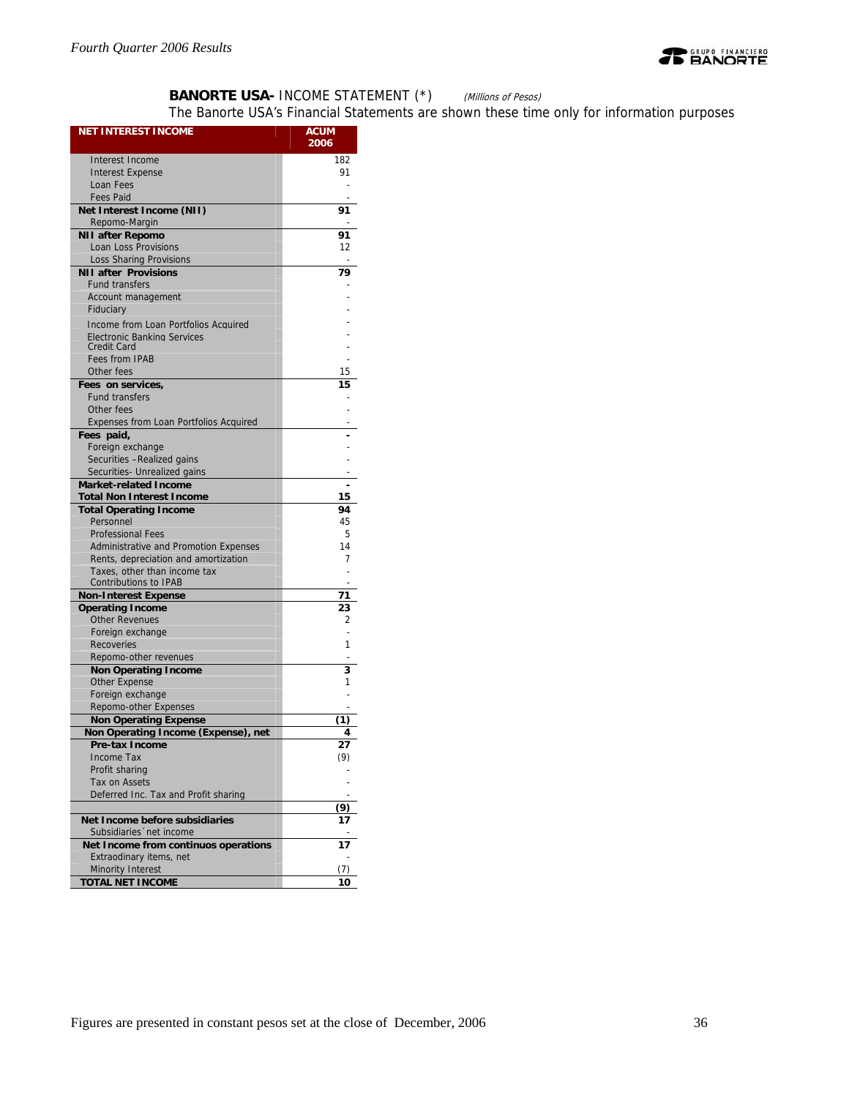

## **BANORTE USA- INCOME STATEMENT (\*)** (Millions of Pesos)

The Banorte USA's Financial Statements are shown these time only for information purposes

| <b>NET INTEREST INCOME</b>                               | <b>ACUM</b>      |
|----------------------------------------------------------|------------------|
|                                                          | 2006             |
| Interest Income                                          | 182              |
| <b>Interest Expense</b>                                  | 91               |
| Loan Fees                                                |                  |
| <b>Fees Paid</b>                                         |                  |
| Net Interest Income (NII)                                | 91               |
| Repomo-Margin                                            |                  |
| <b>NII after Repomo</b>                                  | 91               |
| Loan Loss Provisions                                     | 12               |
| <b>Loss Sharing Provisions</b>                           | ÷                |
| <b>NII after Provisions</b><br><b>Fund transfers</b>     | 79               |
| Account management<br>Fiduciary                          |                  |
| Income from Loan Portfolios Acquired                     |                  |
| <b>Electronic Banking Services</b><br><b>Credit Card</b> |                  |
| <b>Fees from IPAB</b>                                    |                  |
| Other fees                                               | 15               |
| Fees on services,                                        | 15               |
| <b>Fund transfers</b>                                    |                  |
| Other fees                                               |                  |
| Expenses from Loan Portfolios Acquired                   |                  |
| Fees paid,                                               |                  |
| Foreign exchange                                         |                  |
| Securities - Realized gains                              |                  |
| Securities- Unrealized gains                             |                  |
| <b>Market-related Income</b>                             |                  |
| <b>Total Non Interest Income</b>                         | 15               |
| <b>Total Operating Income</b>                            | 94               |
| Personnel                                                | 45               |
| <b>Professional Fees</b>                                 | 5                |
| Administrative and Promotion Expenses                    | 14               |
| Rents, depreciation and amortization                     | 7                |
| Taxes, other than income tax                             |                  |
| Contributions to IPAB                                    |                  |
| <b>Non-Interest Expense</b>                              | 71               |
| <b>Operating Income</b><br><b>Other Revenues</b>         | 23<br>2          |
| Foreign exchange                                         | L,               |
| Recoveries                                               | 1                |
| Repomo-other revenues                                    |                  |
| <b>Non Operating Income</b>                              | 3                |
| <b>Other Expense</b>                                     | 1                |
| Foreign exchange                                         |                  |
| Repomo-other Expenses                                    |                  |
| <b>Non Operating Expense</b>                             | (1)              |
| Non Operating Income (Expense),<br>net                   | 4                |
| Pre-tax Income                                           | $\mathbf{z}_{I}$ |
| Income Tax                                               | (9)              |
| Profit sharing                                           |                  |
| Tax on Assets                                            |                  |
| Deferred Inc. Tax and Profit sharing                     |                  |
|                                                          | (9)              |
| Net Income before subsidiaries                           |                  |
| Subsidiaries 'net income                                 |                  |
| Net Income from continuos operations                     | 17               |
| Extraodinary items, net                                  |                  |
| Minority Interest                                        | (7)              |
| <b>TOTAL NET INCOME</b>                                  | 10               |
|                                                          |                  |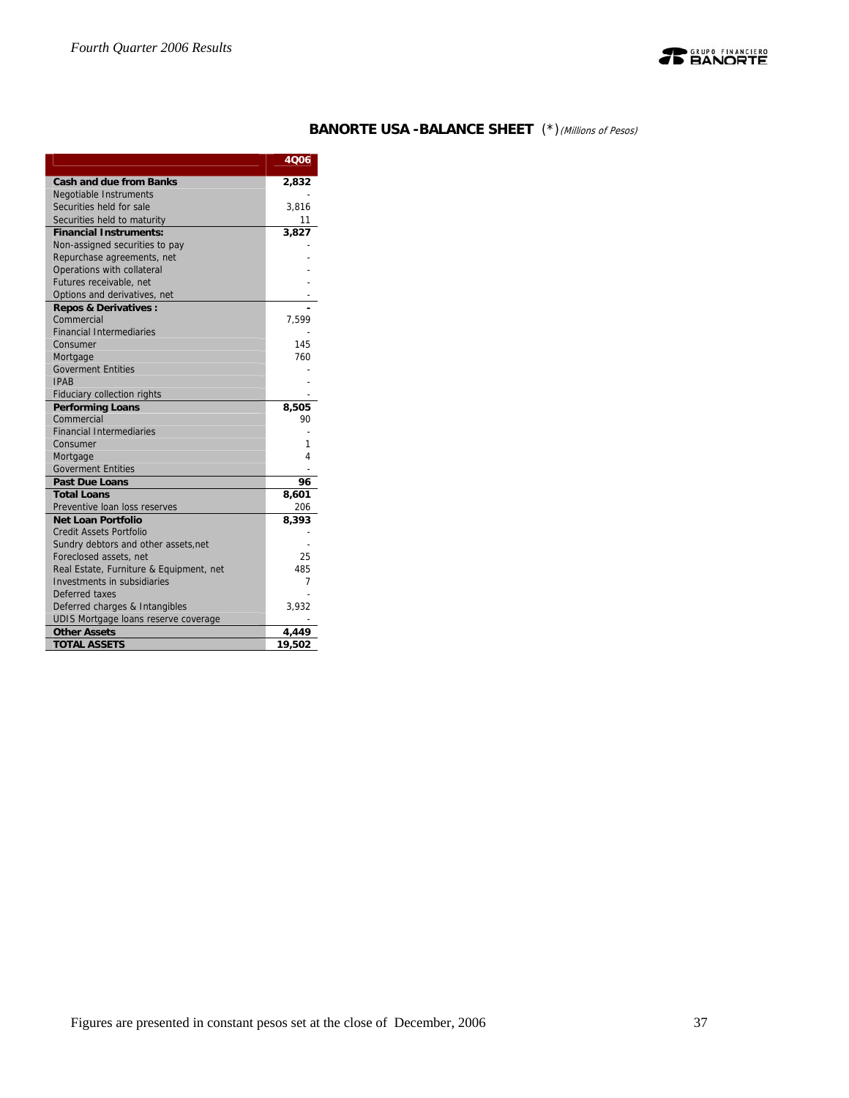

## **BANORTE USA -BALANCE SHEET** (\*)(Millions of Pesos)

|                                         | 4006        |
|-----------------------------------------|-------------|
| <b>Cash and due from Banks</b>          | 2,832       |
| <b>Negotiable Instruments</b>           |             |
| Securities held for sale                | 3,816       |
| Securities held to maturity             | 11          |
| <b>Financial Instruments:</b>           | 3,827       |
| Non-assigned securities to pay          |             |
| Repurchase agreements, net              |             |
| Operations with collateral              |             |
| Futures receivable, net                 |             |
| Options and derivatives, net            |             |
| <b>Repos &amp; Derivatives:</b>         |             |
| Commercial                              | 7,599       |
| <b>Financial Intermediaries</b>         |             |
| Consumer                                | 145         |
| Mortgage                                | 760         |
| <b>Goverment Entities</b>               |             |
| <b>IPAR</b>                             |             |
| <b>Fiduciary collection rights</b>      |             |
| <b>Performing Loans</b><br>Commercial   | 8,505<br>90 |
| <b>Financial Intermediaries</b>         |             |
| Consumer                                | 1           |
| Mortgage                                | 4           |
| <b>Goverment Entities</b>               |             |
| <b>Past Due Loans</b>                   | 96          |
| <b>Total Loans</b>                      | 8,601       |
| Preventive loan loss reserves           | 206         |
| <b>Net Loan Portfolio</b>               | 8.393       |
| <b>Credit Assets Portfolio</b>          |             |
| Sundry debtors and other assets, net    |             |
| Foreclosed assets, net                  | 25          |
| Real Estate, Furniture & Equipment, net | 485         |
| Investments in subsidiaries             | 7           |
| Deferred taxes                          |             |
| Deferred charges & Intangibles          | 3,932       |
| UDIS Mortgage loans reserve coverage    |             |
| <b>Other Assets</b>                     | 4,449       |
| <b>TOTAL ASSETS</b>                     | 19,502      |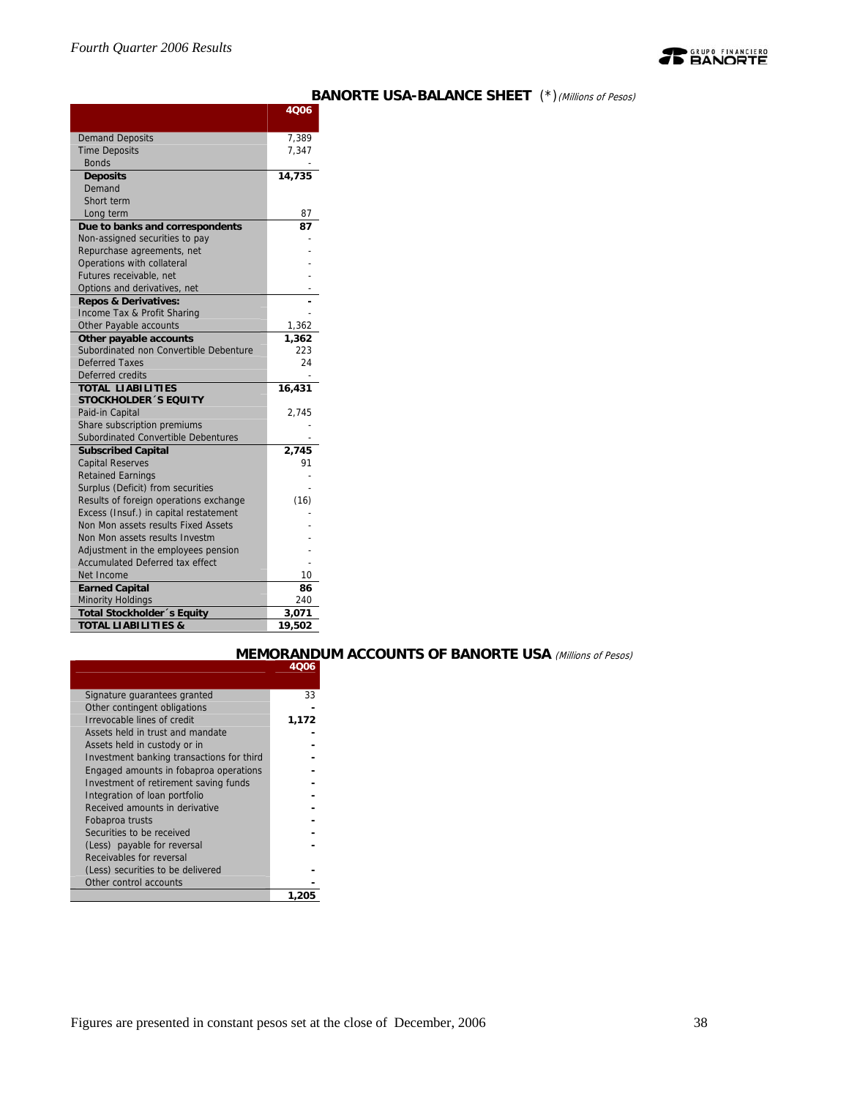

|                                                                    | 4Q06   |
|--------------------------------------------------------------------|--------|
| <b>Demand Deposits</b>                                             | 7,389  |
| <b>Time Deposits</b>                                               | 7,347  |
| <b>Bonds</b>                                                       |        |
| <b>Deposits</b>                                                    | 14,735 |
| Demand                                                             |        |
| Short term                                                         |        |
| Long term                                                          | 87     |
| Due to banks and correspondents                                    | 87     |
| Non-assigned securities to pay                                     |        |
| Repurchase agreements, net                                         |        |
| Operations with collateral                                         |        |
| Futures receivable, net                                            |        |
| Options and derivatives, net                                       |        |
| <b>Repos &amp; Derivatives:</b>                                    |        |
| Income Tax & Profit Sharing                                        |        |
| Other Payable accounts                                             | 1,362  |
| Other payable accounts                                             | 1,362  |
| Subordinated non Convertible Debenture                             | 223    |
| <b>Deferred Taxes</b>                                              | 24     |
| Deferred credits                                                   |        |
| <b>TOTAL LIABILITIES</b>                                           | 16,431 |
| <b>STOCKHOLDER 'S EQUITY</b>                                       |        |
| Paid-in Capital                                                    | 2,745  |
| Share subscription premiums<br>Subordinated Convertible Debentures |        |
| <b>Subscribed Capital</b>                                          | 2,745  |
| <b>Capital Reserves</b>                                            | 91     |
| <b>Retained Earnings</b>                                           |        |
| Surplus (Deficit) from securities                                  |        |
| Results of foreign operations exchange                             | (16)   |
| Excess (Insuf.) in capital restatement                             |        |
| Non Mon assets results Fixed Assets                                |        |
| Non Mon assets results Investm                                     |        |
| Adjustment in the employees pension                                |        |
| Accumulated Deferred tax effect                                    |        |
| Net Income                                                         | 10     |
| <b>Earned Capital</b>                                              | 86     |
| <b>Minority Holdings</b>                                           | 240    |
| <b>Total Stockholder</b> 's Equity                                 | 3,071  |
| <b>TOTAL LIABILITIES &amp;</b>                                     | 19,502 |

## **BANORTE USA-BALANCE SHEET** (\*)(Millions of Pesos)

|                                           | 4006  |
|-------------------------------------------|-------|
|                                           |       |
| Signature guarantees granted              | 33    |
| Other contingent obligations              |       |
| Irrevocable lines of credit               | 1,172 |
| Assets held in trust and mandate          |       |
| Assets held in custody or in              |       |
| Investment banking transactions for third |       |
| Engaged amounts in fobaproa operations    |       |
| Investment of retirement saving funds     |       |
| Integration of loan portfolio             |       |
| Received amounts in derivative            |       |
| Fobaproa trusts                           |       |
| Securities to be received                 |       |
| (Less) payable for reversal               |       |
| Receivables for reversal                  |       |
| (Less) securities to be delivered         |       |
| Other control accounts                    |       |
|                                           | 1.205 |

## **MEMORANDUM ACCOUNTS OF BANORTE USA** (Millions of Pesos)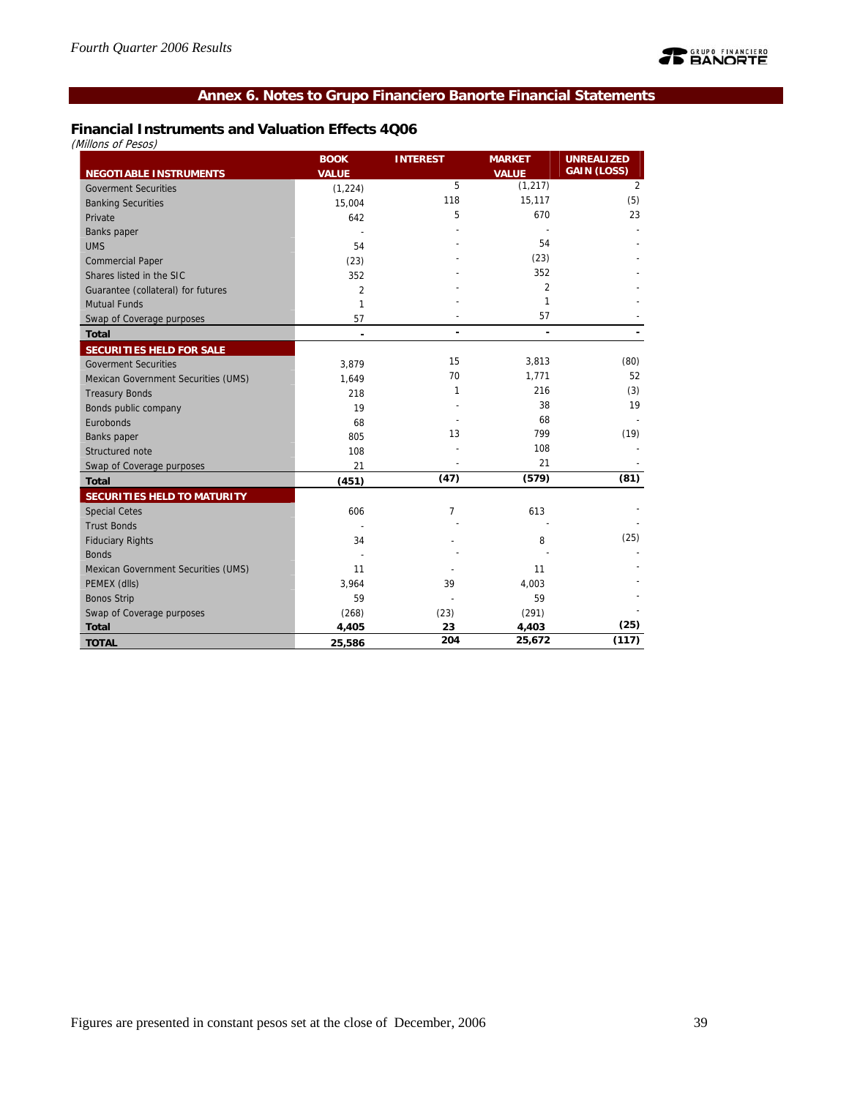## **Annex 6. Notes to Grupo Financiero Banorte Financial Statements**

## **Financial Instruments and Valuation Effects 4Q06**

(Millons of Pesos)

|                                     | <b>BOOK</b>    | <b>INTEREST</b> | <b>MARKET</b>  | <b>UNREALIZED</b>  |
|-------------------------------------|----------------|-----------------|----------------|--------------------|
| <b>NEGOTIABLE INSTRUMENTS</b>       | <b>VALUE</b>   |                 | <b>VALUE</b>   | <b>GAIN (LOSS)</b> |
| <b>Goverment Securities</b>         | (1, 224)       | 5               | (1, 217)       | $\overline{2}$     |
| <b>Banking Securities</b>           | 15,004         | 118             | 15,117         | (5)                |
| Private                             | 642            | 5               | 670            | 23                 |
| Banks paper                         |                |                 |                |                    |
| <b>UMS</b>                          | 54             |                 | 54             |                    |
| <b>Commercial Paper</b>             | (23)           |                 | (23)           |                    |
| Shares listed in the SIC            | 352            |                 | 352            |                    |
| Guarantee (collateral) for futures  | $\overline{2}$ |                 | $\overline{2}$ |                    |
| <b>Mutual Funds</b>                 | $\mathbf{1}$   |                 | 1              |                    |
| Swap of Coverage purposes           | 57             |                 | 57             |                    |
| <b>Total</b>                        | ٠              | ٠               | $\blacksquare$ |                    |
| SECURITIES HELD FOR SALE            |                |                 |                |                    |
| <b>Goverment Securities</b>         | 3,879          | 15              | 3,813          | (80)               |
| Mexican Government Securities (UMS) | 1,649          | 70              | 1,771          | 52                 |
| <b>Treasury Bonds</b>               | 218            | $\mathbf{1}$    | 216            | (3)                |
| Bonds public company                | 19             |                 | 38             | 19                 |
| Eurobonds                           | 68             |                 | 68             |                    |
| Banks paper                         | 805            | 13              | 799            | (19)               |
| Structured note                     | 108            |                 | 108            |                    |
| Swap of Coverage purposes           | 21             |                 | 21             |                    |
| <b>Total</b>                        | (451)          | (47)            | (579)          | (81)               |
| SECURITIES HELD TO MATURITY         |                |                 |                |                    |
| <b>Special Cetes</b>                | 606            | 7               | 613            |                    |
| <b>Trust Bonds</b>                  |                |                 |                |                    |
| <b>Fiduciary Rights</b>             | 34             |                 | 8              | (25)               |
| <b>Bonds</b>                        |                |                 |                |                    |
| Mexican Government Securities (UMS) | 11             |                 | 11             |                    |
| PEMEX (dlls)                        | 3,964          | 39              | 4,003          |                    |
| <b>Bonos Strip</b>                  | 59             |                 | 59             |                    |
| Swap of Coverage purposes           | (268)          | (23)            | (291)          |                    |
| <b>Total</b>                        | 4,405          | 23              | 4,403          | (25)               |
| <b>TOTAL</b>                        | 25,586         | 204             | 25,672         | (117)              |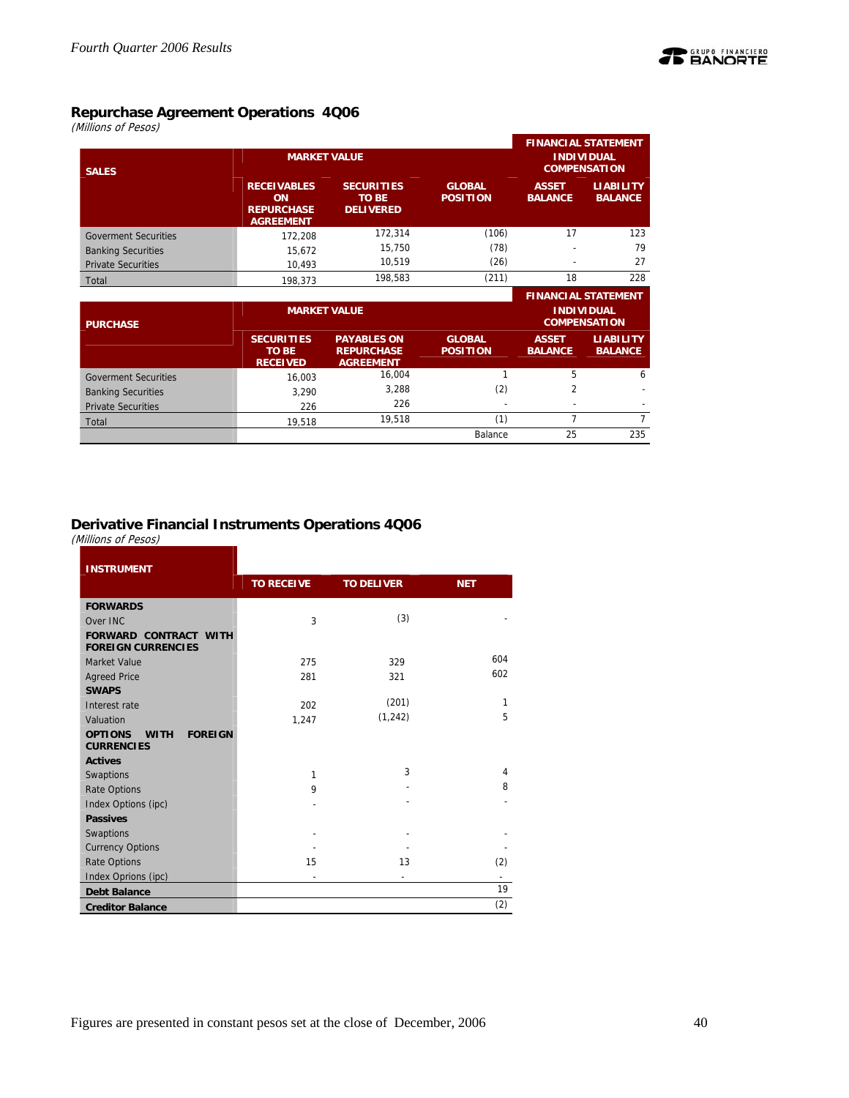

(Millions of Pesos)

|                             |                                                                   |                                                             |                                  |                                | <b>FINANCIAL STATEMENT</b>               |
|-----------------------------|-------------------------------------------------------------------|-------------------------------------------------------------|----------------------------------|--------------------------------|------------------------------------------|
| <b>SALES</b>                |                                                                   | <b>MARKET VALUE</b>                                         |                                  |                                | <b>INDIVIDUAL</b><br><b>COMPENSATION</b> |
|                             | <b>RECEIVABLES</b><br>ON<br><b>REPURCHASE</b><br><b>AGREEMENT</b> | <b>SECURITIES</b><br><b>TO BE</b><br><b>DELIVERED</b>       | <b>GLOBAL</b><br><b>POSITION</b> | <b>ASSET</b><br><b>BALANCE</b> | <b>LIABILITY</b><br><b>BALANCE</b>       |
| <b>Goverment Securities</b> | 172.208                                                           | 172,314                                                     | (106)                            | 17                             | 123                                      |
| <b>Banking Securities</b>   | 15,672                                                            | 15,750                                                      | (78)                             |                                | 79                                       |
| <b>Private Securities</b>   | 10.493                                                            | 10,519                                                      | (26)                             |                                | 27                                       |
| Total                       | 198.373                                                           | 198,583                                                     | (211)                            | 18                             | 228                                      |
|                             |                                                                   |                                                             |                                  |                                | <b>FINANCIAL STATEMENT</b>               |
| <b>PURCHASE</b>             |                                                                   | <b>MARKET VALUE</b>                                         |                                  |                                | <b>INDIVIDUAL</b><br><b>COMPENSATION</b> |
|                             | <b>SECURITIES</b><br><b>TO BE</b><br><b>RECEIVED</b>              | <b>PAYABLES ON</b><br><b>REPURCHASE</b><br><b>AGREEMENT</b> | <b>GLOBAL</b><br><b>POSITION</b> | <b>ASSET</b><br><b>BALANCE</b> | <b>LIABILITY</b><br><b>BALANCE</b>       |
| <b>Goverment Securities</b> | 16,003                                                            | 16,004                                                      | 1                                | 5                              | 6                                        |
| <b>Banking Securities</b>   | 3,290                                                             | 3,288                                                       | (2)                              | $\overline{2}$                 |                                          |
| <b>Private Securities</b>   | 226                                                               | 226                                                         |                                  |                                |                                          |

Private Securities 226 226 - - - Total 19,518 19,518 (1) 7 7

Balance 25 235

## **Derivative Financial Instruments Operations 4Q06**

(Millions of Pesos)

| <b>INSTRUMENT</b>                                                    |                   |                   |            |
|----------------------------------------------------------------------|-------------------|-------------------|------------|
|                                                                      | <b>TO RECEIVE</b> | <b>TO DELIVER</b> | <b>NET</b> |
| <b>FORWARDS</b>                                                      |                   |                   |            |
| Over INC                                                             | 3                 | (3)               |            |
| <b>FORWARD CONTRACT WITH</b><br><b>FOREIGN CURRENCIES</b>            |                   |                   |            |
| Market Value                                                         | 275               | 329               | 604        |
| <b>Agreed Price</b>                                                  | 281               | 321               | 602        |
| <b>SWAPS</b>                                                         |                   |                   |            |
| Interest rate                                                        | 202               | (201)             | 1          |
| Valuation                                                            | 1,247             | (1, 242)          | 5          |
| <b>OPTIONS</b><br><b>FOREIGN</b><br><b>WITH</b><br><b>CURRENCIES</b> |                   |                   |            |
| <b>Actives</b>                                                       |                   |                   |            |
| Swaptions                                                            | $\mathbf{1}$      | 3                 | 4          |
| <b>Rate Options</b>                                                  | 9                 |                   | 8          |
| Index Options (ipc)                                                  |                   |                   |            |
| <b>Passives</b>                                                      |                   |                   |            |
| Swaptions                                                            |                   |                   |            |
| <b>Currency Options</b>                                              |                   |                   |            |
| <b>Rate Options</b>                                                  | 15                | 13                | (2)        |
| Index Oprions (ipc)                                                  |                   |                   |            |
| <b>Debt Balance</b>                                                  |                   |                   | 19         |
| <b>Creditor Balance</b>                                              |                   |                   | (2)        |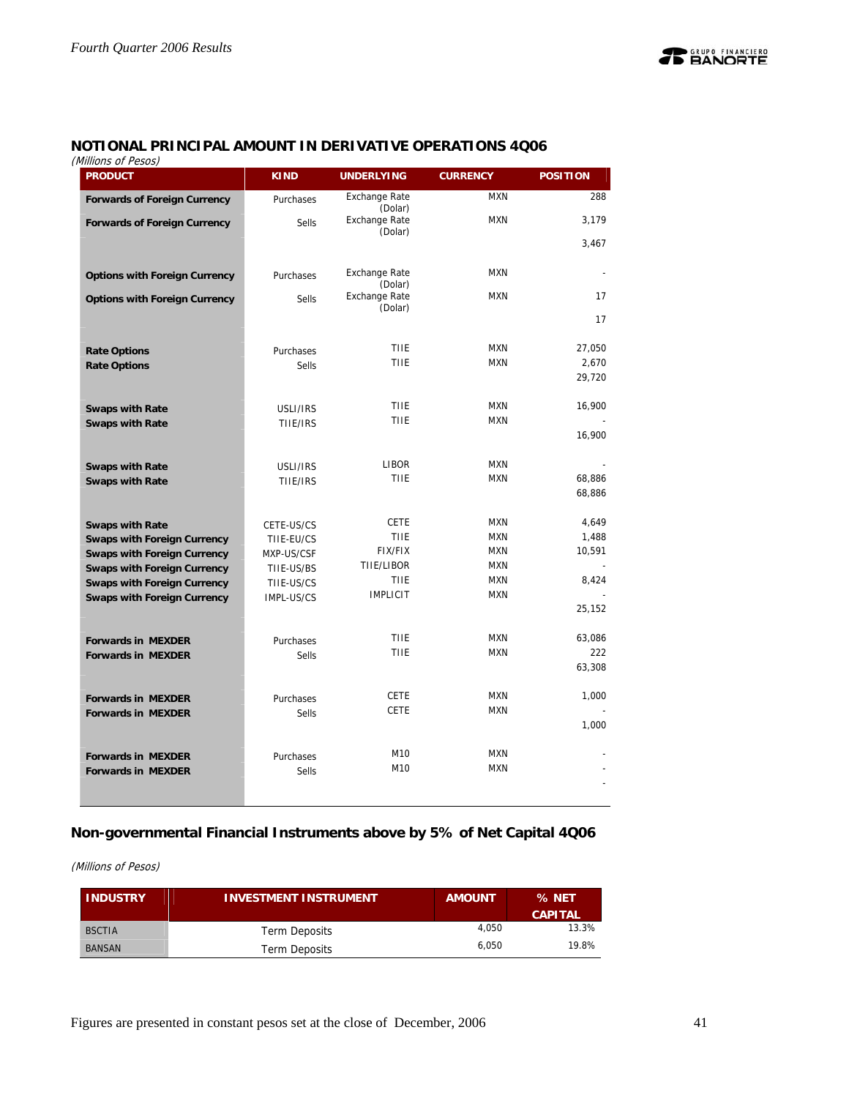## **NOTIONAL PRINCIPAL AMOUNT IN DERIVATIVE OPERATIONS 4Q06**

(Millions of Pesos)

| נטנס ו וט נווווווווווווווווווו<br><b>PRODUCT</b> | <b>KIND</b>               | <b>UNDERLYING</b>               | <b>CURRENCY</b> | <b>POSITION</b> |
|--------------------------------------------------|---------------------------|---------------------------------|-----------------|-----------------|
| <b>Forwards of Foreign Currency</b>              | Purchases                 | <b>Exchange Rate</b><br>(Dolar) | <b>MXN</b>      | 288             |
| <b>Forwards of Foreign Currency</b>              | <b>Sells</b>              | <b>Exchange Rate</b><br>(Dolar) | <b>MXN</b>      | 3,179           |
|                                                  |                           |                                 |                 | 3,467           |
| <b>Options with Foreign Currency</b>             | Purchases                 | <b>Exchange Rate</b>            | <b>MXN</b>      |                 |
|                                                  |                           | (Dolar)                         |                 |                 |
| <b>Options with Foreign Currency</b>             | <b>Sells</b>              | <b>Exchange Rate</b><br>(Dolar) | <b>MXN</b>      | 17              |
|                                                  |                           |                                 |                 | 17              |
|                                                  |                           | <b>TIIE</b>                     | <b>MXN</b>      | 27,050          |
| <b>Rate Options</b><br><b>Rate Options</b>       | Purchases<br><b>Sells</b> | <b>TIIE</b>                     | <b>MXN</b>      | 2,670           |
|                                                  |                           |                                 |                 | 29,720          |
| <b>Swaps with Rate</b>                           | USLI/IRS                  | TIIE                            | <b>MXN</b>      | 16,900          |
| <b>Swaps with Rate</b>                           | TIIE/IRS                  | <b>TIIE</b>                     | <b>MXN</b>      |                 |
|                                                  |                           |                                 |                 | 16,900          |
| <b>Swaps with Rate</b>                           | USLI/IRS                  | <b>LIBOR</b>                    | <b>MXN</b>      |                 |
| <b>Swaps with Rate</b>                           | TIIE/IRS                  | <b>TIIE</b>                     | <b>MXN</b>      | 68,886          |
|                                                  |                           |                                 |                 | 68,886          |
| <b>Swaps with Rate</b>                           | CETE-US/CS                | <b>CETE</b>                     | <b>MXN</b>      | 4,649           |
| <b>Swaps with Foreign Currency</b>               | TIIE-EU/CS                | <b>TIIE</b>                     | <b>MXN</b>      | 1,488           |
| <b>Swaps with Foreign Currency</b>               | MXP-US/CSF                | <b>FIX/FIX</b>                  | <b>MXN</b>      | 10,591          |
| <b>Swaps with Foreign Currency</b>               | TIIE-US/BS                | TIIE/LIBOR                      | <b>MXN</b>      |                 |
| <b>Swaps with Foreign Currency</b>               | TIIE-US/CS                | <b>TIIE</b>                     | <b>MXN</b>      | 8,424           |
| <b>Swaps with Foreign Currency</b>               | IMPL-US/CS                | <b>IMPLICIT</b>                 | <b>MXN</b>      |                 |
|                                                  |                           |                                 |                 | 25,152          |
| <b>Forwards in MEXDER</b>                        | Purchases                 | TIIE                            | <b>MXN</b>      | 63,086          |
| <b>Forwards in MEXDER</b>                        | <b>Sells</b>              | TIIE                            | <b>MXN</b>      | 222             |
|                                                  |                           |                                 |                 | 63,308          |
| <b>Forwards in MEXDER</b>                        | Purchases                 | <b>CETE</b>                     | <b>MXN</b>      | 1,000           |
| <b>Forwards in MEXDER</b>                        | <b>Sells</b>              | <b>CETE</b>                     | <b>MXN</b>      |                 |
|                                                  |                           |                                 |                 | 1,000           |
| <b>Forwards in MEXDER</b>                        | Purchases                 | M10                             | <b>MXN</b>      |                 |
| <b>Forwards in MEXDER</b>                        | Sells                     | M10                             | <b>MXN</b>      |                 |
|                                                  |                           |                                 |                 |                 |
|                                                  |                           |                                 |                 |                 |

## **Non-governmental Financial Instruments above by 5% of Net Capital 4Q06**

(Millions of Pesos)

| <b>INDUSTRY</b> | <b>INVESTMENT INSTRUMENT</b> | <b>AMOUNT</b> | % NET<br><b>CAPITAL</b> |
|-----------------|------------------------------|---------------|-------------------------|
| <b>BSCTIA</b>   | Term Deposits                | 4.050         | 13.3%                   |
| <b>BANSAN</b>   | Term Deposits                | 6.050         | 19.8%                   |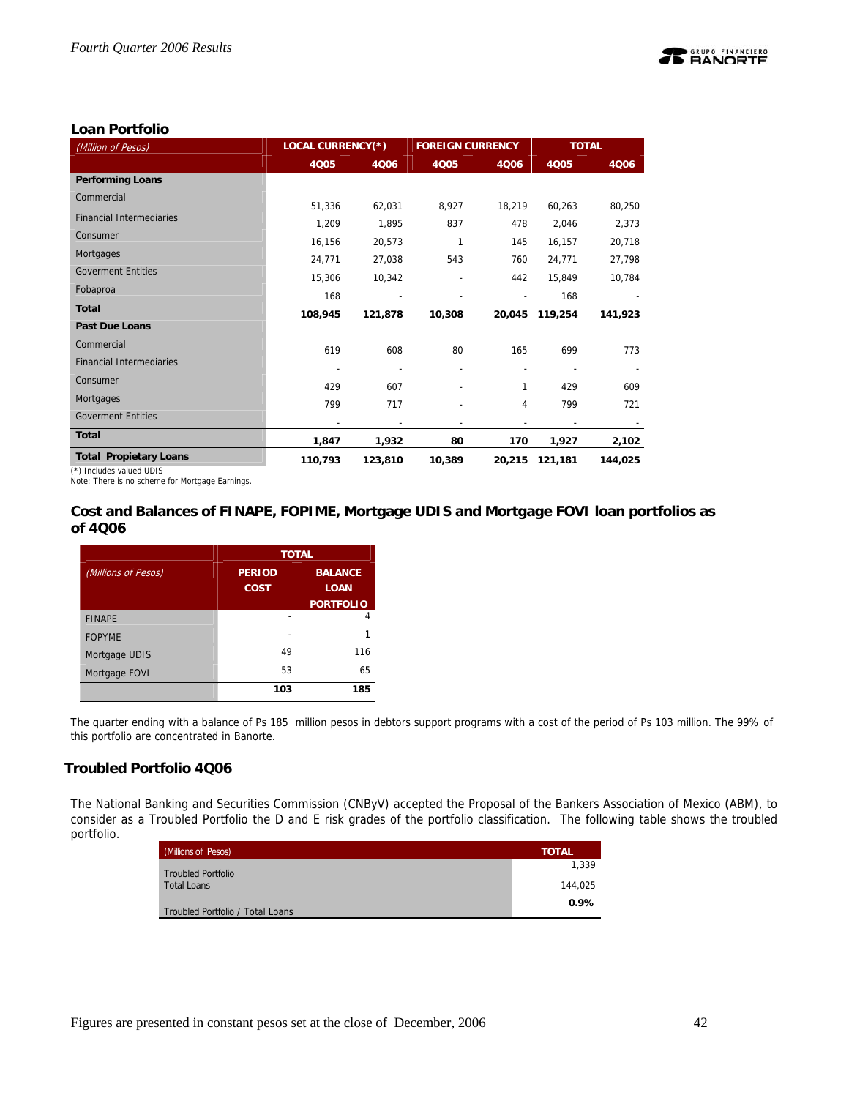

## **Loan Portfolio**

| (Million of Pesos)                                                                                       | <b>LOCAL CURRENCY(*)</b> |         | <b>FOREIGN CURRENCY</b> |        | <b>TOTAL</b>             |         |  |
|----------------------------------------------------------------------------------------------------------|--------------------------|---------|-------------------------|--------|--------------------------|---------|--|
|                                                                                                          | 4005                     | 4006    | 4005                    | 4006   | 4Q05                     | 4006    |  |
| <b>Performing Loans</b>                                                                                  |                          |         |                         |        |                          |         |  |
| Commercial                                                                                               | 51,336                   | 62,031  | 8,927                   | 18,219 | 60,263                   | 80,250  |  |
| <b>Financial Intermediaries</b>                                                                          | 1,209                    | 1,895   | 837                     | 478    | 2,046                    | 2,373   |  |
| Consumer                                                                                                 | 16,156                   | 20,573  | 1                       | 145    | 16,157                   | 20,718  |  |
| Mortgages                                                                                                | 24,771                   | 27,038  | 543                     | 760    | 24,771                   | 27,798  |  |
| <b>Goverment Entities</b>                                                                                | 15,306                   | 10,342  |                         | 442    | 15,849                   | 10,784  |  |
| Fobaproa                                                                                                 | 168                      |         |                         |        | 168                      |         |  |
| <b>Total</b>                                                                                             | 108,945                  | 121,878 | 10,308                  | 20,045 | 119,254                  | 141,923 |  |
| <b>Past Due Loans</b>                                                                                    |                          |         |                         |        |                          |         |  |
| Commercial                                                                                               | 619                      | 608     | 80                      | 165    | 699                      | 773     |  |
| <b>Financial Intermediaries</b>                                                                          |                          |         |                         |        |                          |         |  |
| Consumer                                                                                                 | 429                      | 607     |                         |        | 429                      | 609     |  |
| Mortgages                                                                                                | 799                      | 717     |                         | 4      | 799                      | 721     |  |
| <b>Goverment Entities</b>                                                                                |                          |         |                         |        | $\overline{\phantom{0}}$ |         |  |
| <b>Total</b>                                                                                             | 1,847                    | 1,932   | 80                      | 170    | 1,927                    | 2,102   |  |
| <b>Total Propietary Loans</b><br>$7 + 1$ and the state of $\mathbf{F}$ and $\mathbf{F}$ and $\mathbf{F}$ | 110,793                  | 123,810 | 10,389                  | 20,215 | 121,181                  | 144,025 |  |

(\*) Includes valued UDIS

Note: There is no scheme for Mortgage Earnings.

## **Cost and Balances of FINAPE, FOPIME, Mortgage UDIS and Mortgage FOVI loan portfolios as of 4Q06**

|                     | <b>TOTAL</b>  |                  |  |  |  |  |  |
|---------------------|---------------|------------------|--|--|--|--|--|
| (Millions of Pesos) | <b>PERIOD</b> | <b>BALANCE</b>   |  |  |  |  |  |
|                     | <b>COST</b>   | <b>LOAN</b>      |  |  |  |  |  |
|                     |               | <b>PORTFOLIO</b> |  |  |  |  |  |
| <b>FINAPE</b>       |               | Δ                |  |  |  |  |  |
| <b>FOPYME</b>       |               | 1                |  |  |  |  |  |
| Mortgage UDIS       | 49            | 116              |  |  |  |  |  |
| Mortgage FOVI       | 53            | 65               |  |  |  |  |  |
|                     | 103           | 185              |  |  |  |  |  |

The quarter ending with a balance of Ps 185 million pesos in debtors support programs with a cost of the period of Ps 103 million. The 99% of this portfolio are concentrated in Banorte.

## **Troubled Portfolio 4Q06**

The National Banking and Securities Commission (CNByV) accepted the Proposal of the Bankers Association of Mexico (ABM), to consider as a Troubled Portfolio the D and E risk grades of the portfolio classification. The following table shows the troubled portfolio.

| (Millions of Pesos)              | <b>TOTAL</b> |
|----------------------------------|--------------|
| <b>Troubled Portfolio</b>        | 1.339        |
| Total Loans                      | 144.025      |
| Troubled Portfolio / Total Loans | $0.9\%$      |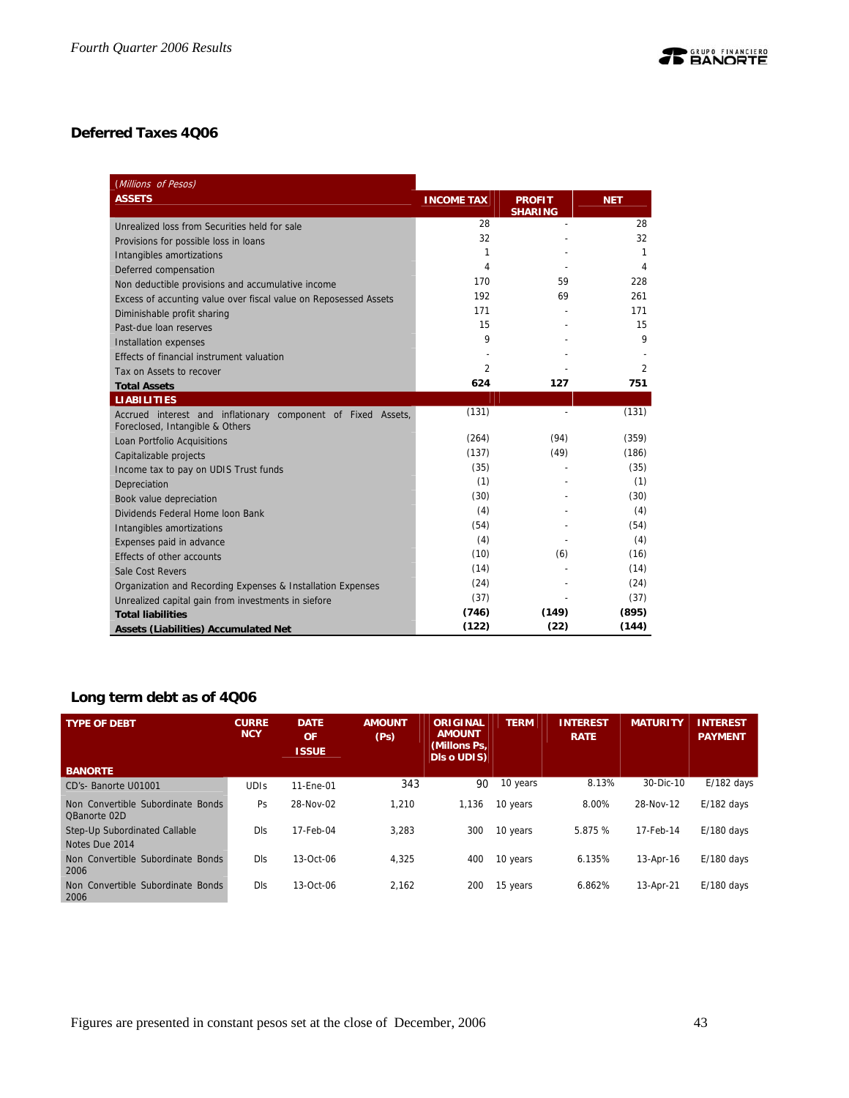## **Deferred Taxes 4Q06**

| (Millions of Pesos)                                                                             |                   |                                 |            |
|-------------------------------------------------------------------------------------------------|-------------------|---------------------------------|------------|
| <b>ASSETS</b>                                                                                   | <b>INCOME TAX</b> | <b>PROFIT</b><br><b>SHARING</b> | <b>NET</b> |
| Unrealized loss from Securities held for sale                                                   | 28                |                                 | 28         |
| Provisions for possible loss in loans                                                           | 32                |                                 | 32         |
| Intangibles amortizations                                                                       | 1                 |                                 | 1          |
| Deferred compensation                                                                           | 4                 |                                 | 4          |
| Non deductible provisions and accumulative income                                               | 170               | 59                              | 228        |
| Excess of accunting value over fiscal value on Reposessed Assets                                | 192               | 69                              | 261        |
| Diminishable profit sharing                                                                     | 171               |                                 | 171        |
| Past-due loan reserves                                                                          | 15                |                                 | 15         |
| <b>Installation expenses</b>                                                                    | 9                 |                                 | 9          |
| Effects of financial instrument valuation                                                       |                   |                                 |            |
| Tax on Assets to recover                                                                        | $\overline{2}$    |                                 | 2          |
| <b>Total Assets</b>                                                                             | 624               | 127                             | 751        |
| <b>LIABILITIES</b>                                                                              |                   |                                 |            |
| Accrued interest and inflationary component of Fixed Assets,<br>Foreclosed, Intangible & Others | (131)             |                                 | (131)      |
| Loan Portfolio Acquisitions                                                                     | (264)             | (94)                            | (359)      |
| Capitalizable projects                                                                          | (137)             | (49)                            | (186)      |
| Income tax to pay on UDIS Trust funds                                                           | (35)              |                                 | (35)       |
| Depreciation                                                                                    | (1)               |                                 | (1)        |
| Book value depreciation                                                                         | (30)              |                                 | (30)       |
| Dividends Federal Home Joon Bank                                                                | (4)               |                                 | (4)        |
| Intangibles amortizations                                                                       | (54)              |                                 | (54)       |
| Expenses paid in advance                                                                        | (4)               |                                 | (4)        |
| Effects of other accounts                                                                       | (10)              | (6)                             | (16)       |
| Sale Cost Revers                                                                                | (14)              |                                 | (14)       |
| Organization and Recording Expenses & Installation Expenses                                     | (24)              |                                 | (24)       |
| Unrealized capital gain from investments in siefore                                             | (37)              |                                 | (37)       |
| <b>Total liabilities</b>                                                                        | (746)             | (149)                           | (895)      |
| <b>Assets (Liabilities) Accumulated Net</b>                                                     | (122)             | (22)                            | (144)      |

## **Long term debt as of 4Q06**

| <b>TYPE OF DEBT</b>                               | <b>CURRE</b><br><b>NCY</b> | <b>DATE</b><br>OF<br><b>ISSUE</b> | <b>AMOUNT</b><br>(Ps) | ORIGINAL<br><b>AMOUNT</b><br>(Millons Ps.<br><b>DIs o UDIS)</b> | <b>TERM</b> | <b>INTEREST</b><br><b>RATE</b> | <b>MATURITY</b> | <b>INTEREST</b><br><b>PAYMENT</b> |
|---------------------------------------------------|----------------------------|-----------------------------------|-----------------------|-----------------------------------------------------------------|-------------|--------------------------------|-----------------|-----------------------------------|
| <b>BANORTE</b>                                    |                            |                                   |                       |                                                                 |             |                                |                 |                                   |
| CD's-Banorte U01001                               | <b>UDIS</b>                | 11-Ene-01                         | 343                   | 90                                                              | 10 years    | 8.13%                          | 30-Dic-10       | $E/182$ days                      |
| Non Convertible Subordinate Bonds<br>OBanorte 02D | Ps                         | 28-Nov-02                         | 1.210                 | 1,136                                                           | 10 years    | 8.00%                          | 28-Nov-12       | $E/182$ days                      |
| Step-Up Subordinated Callable                     | <b>DIs</b>                 | 17-Feb-04                         | 3.283                 | 300                                                             | 10 years    | 5.875 %                        | 17-Feb-14       | $E/180$ days                      |
| Notes Due 2014                                    |                            |                                   |                       |                                                                 |             |                                |                 |                                   |
| Non Convertible Subordinate Bonds<br>2006         | <b>DIS</b>                 | $13-Ort-06$                       | 4.325                 | 400                                                             | 10 years    | 6.135%                         | 13-Apr-16       | $E/180$ davs                      |
| Convertible Subordinate Bonds<br>Non<br>2006      | <b>DIS</b>                 | 13-Oct-06                         | 2.162                 | 200                                                             | 15 years    | 6.862%                         | 13-Apr-21       | $E/180$ days                      |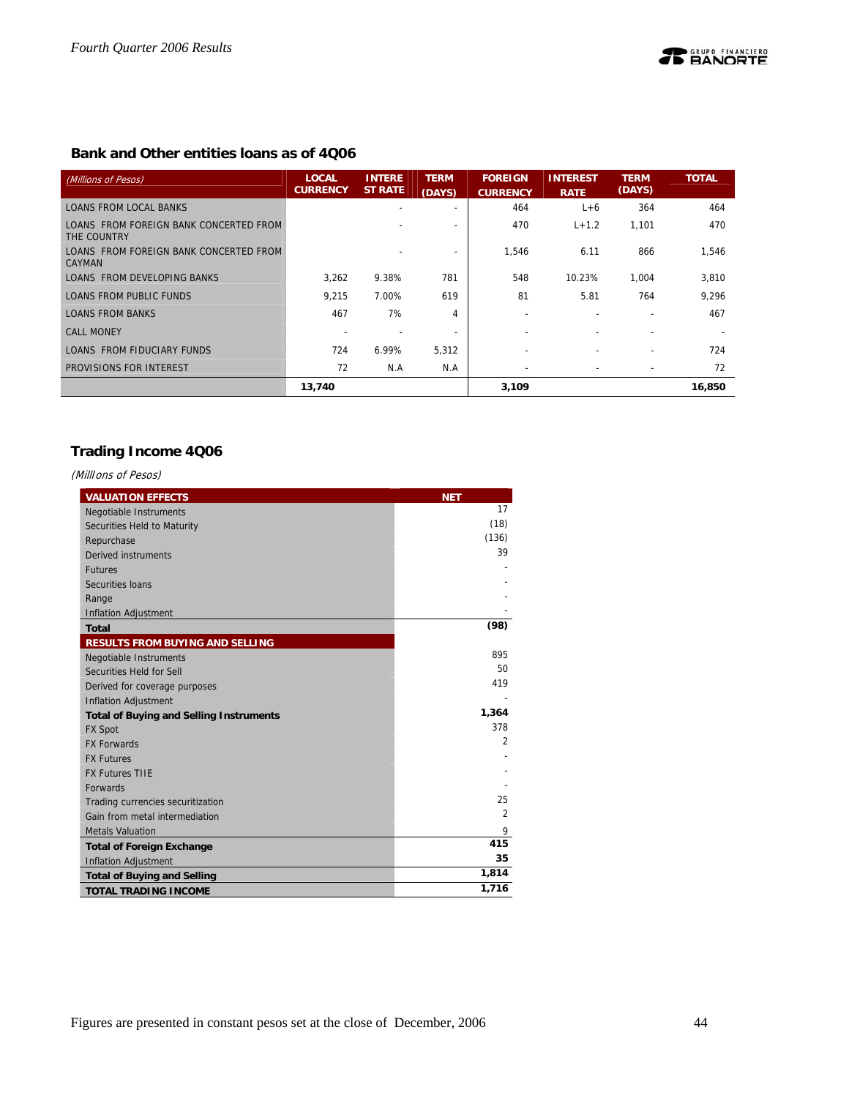## **Bank and Other entities loans as of 4Q06**

| (Millions of Pesos)                                     | <b>LOCAL</b><br><b>CURRENCY</b> | <b>INTERE</b><br><b>ST RATE</b> | <b>TERM</b><br>(DAYS)    | <b>FOREIGN</b><br><b>CURRENCY</b> | <b>INTEREST</b><br><b>RATE</b> | <b>TERM</b><br>(DAYS)    | <b>TOTAL</b> |
|---------------------------------------------------------|---------------------------------|---------------------------------|--------------------------|-----------------------------------|--------------------------------|--------------------------|--------------|
| <b>LOANS FROM LOCAL BANKS</b>                           |                                 |                                 |                          | 464                               | $L+6$                          | 364                      | 464          |
| LOANS FROM FOREIGN BANK CONCERTED FROM<br>THE COUNTRY   |                                 |                                 |                          | 470                               | $L + 1.2$                      | 1,101                    | 470          |
| LOANS FROM FOREIGN BANK CONCERTED FROM<br><b>CAYMAN</b> |                                 |                                 | $\overline{\phantom{0}}$ | 1.546                             | 6.11                           | 866                      | 1,546        |
| LOANS FROM DEVELOPING BANKS                             | 3,262                           | 9.38%                           | 781                      | 548                               | 10.23%                         | 1,004                    | 3,810        |
| LOANS FROM PUBLIC FUNDS                                 | 9.215                           | 7.00%                           | 619                      | 81                                | 5.81                           | 764                      | 9.296        |
| <b>LOANS FROM BANKS</b>                                 | 467                             | 7%                              | 4                        | $\overline{\phantom{0}}$          | $\overline{\phantom{0}}$       |                          | 467          |
| <b>CALL MONEY</b>                                       |                                 |                                 |                          |                                   |                                |                          |              |
| LOANS FROM FIDUCIARY FUNDS                              | 724                             | 6.99%                           | 5,312                    |                                   |                                |                          | 724          |
| PROVISIONS FOR INTEREST                                 | 72                              | N.A                             | N.A                      |                                   | $\overline{\phantom{a}}$       | $\overline{\phantom{a}}$ | 72           |
|                                                         | 13,740                          |                                 |                          | 3,109                             |                                |                          | 16,850       |

## **Trading Income 4Q06**

(MillIons of Pesos)

| <b>VALUATION EFFECTS</b>                       | <b>NET</b>     |
|------------------------------------------------|----------------|
| <b>Negotiable Instruments</b>                  | 17             |
| Securities Held to Maturity                    | (18)           |
| Repurchase                                     | (136)          |
| Derived instruments                            | 39             |
| <b>Futures</b>                                 |                |
| Securities Ioans                               |                |
| Range                                          |                |
| <b>Inflation Adjustment</b>                    |                |
| <b>Total</b>                                   | (98)           |
| <b>RESULTS FROM BUYING AND SELLING</b>         |                |
| Negotiable Instruments                         | 895            |
| Securities Held for Sell                       | 50             |
| Derived for coverage purposes                  | 419            |
| <b>Inflation Adjustment</b>                    |                |
| <b>Total of Buying and Selling Instruments</b> | 1,364          |
| <b>FX Spot</b>                                 | 378            |
| <b>FX Forwards</b>                             | $\overline{2}$ |
| <b>FX Futures</b>                              |                |
| <b>FX Futures TIIE</b>                         |                |
| <b>Forwards</b>                                |                |
| Trading currencies securitization              | 25             |
| Gain from metal intermediation                 | 2              |
| <b>Metals Valuation</b>                        | 9              |
| <b>Total of Foreign Exchange</b>               | 415            |
| <b>Inflation Adjustment</b>                    | 35             |
| <b>Total of Buying and Selling</b>             | 1,814          |
| <b>TOTAL TRADING INCOME</b>                    | 1,716          |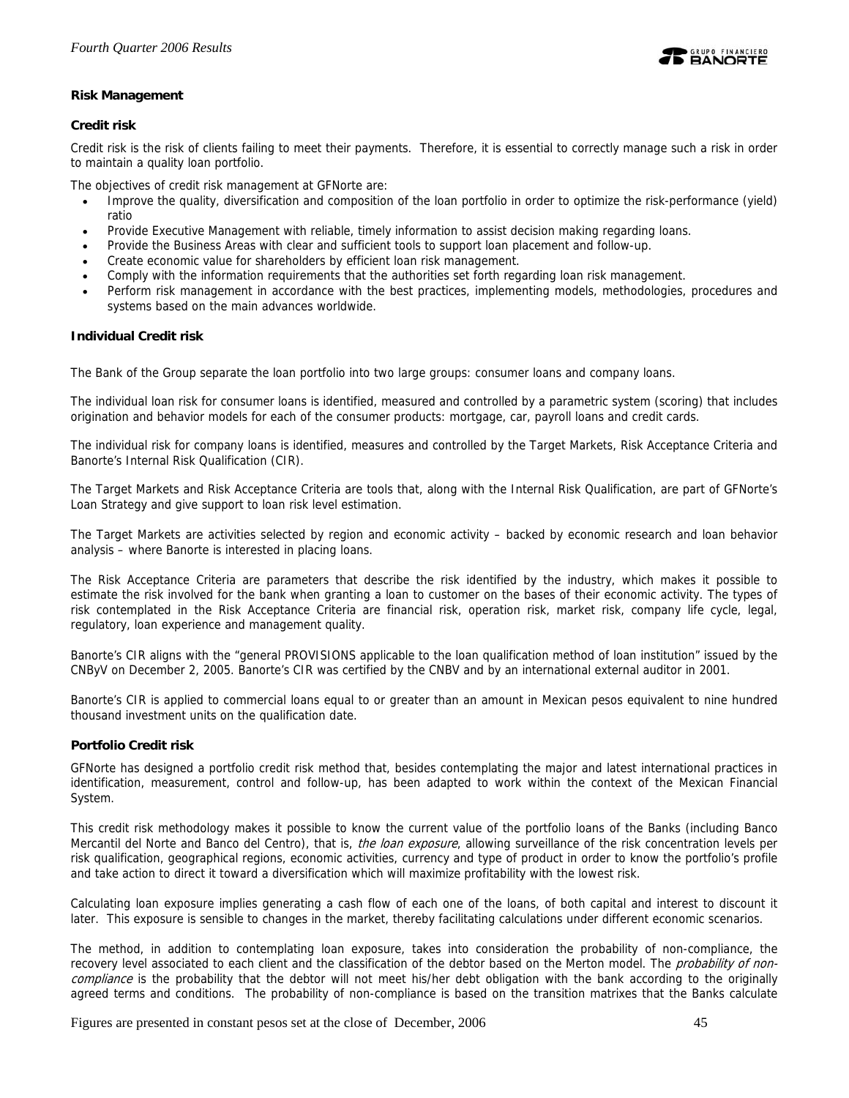

## **Risk Management**

## **Credit risk**

Credit risk is the risk of clients failing to meet their payments. Therefore, it is essential to correctly manage such a risk in order to maintain a quality loan portfolio.

The objectives of credit risk management at GFNorte are:

- Improve the quality, diversification and composition of the loan portfolio in order to optimize the risk-performance (yield) ratio
- Provide Executive Management with reliable, timely information to assist decision making regarding loans.
- Provide the Business Areas with clear and sufficient tools to support loan placement and follow-up.
- Create economic value for shareholders by efficient loan risk management.
- Comply with the information requirements that the authorities set forth regarding loan risk management.
- Perform risk management in accordance with the best practices, implementing models, methodologies, procedures and systems based on the main advances worldwide.

## **Individual Credit risk**

The Bank of the Group separate the loan portfolio into two large groups: consumer loans and company loans.

The individual loan risk for consumer loans is identified, measured and controlled by a parametric system (scoring) that includes origination and behavior models for each of the consumer products: mortgage, car, payroll loans and credit cards.

The individual risk for company loans is identified, measures and controlled by the Target Markets, Risk Acceptance Criteria and Banorte's Internal Risk Qualification (CIR).

The Target Markets and Risk Acceptance Criteria are tools that, along with the Internal Risk Qualification, are part of GFNorte's Loan Strategy and give support to loan risk level estimation.

The Target Markets are activities selected by region and economic activity – backed by economic research and loan behavior analysis – where Banorte is interested in placing loans.

The Risk Acceptance Criteria are parameters that describe the risk identified by the industry, which makes it possible to estimate the risk involved for the bank when granting a loan to customer on the bases of their economic activity. The types of risk contemplated in the Risk Acceptance Criteria are financial risk, operation risk, market risk, company life cycle, legal, regulatory, loan experience and management quality.

Banorte's CIR aligns with the "general PROVISIONS applicable to the loan qualification method of loan institution" issued by the CNByV on December 2, 2005. Banorte's CIR was certified by the CNBV and by an international external auditor in 2001.

Banorte's CIR is applied to commercial loans equal to or greater than an amount in Mexican pesos equivalent to nine hundred thousand investment units on the qualification date.

## **Portfolio Credit risk**

GFNorte has designed a portfolio credit risk method that, besides contemplating the major and latest international practices in identification, measurement, control and follow-up, has been adapted to work within the context of the Mexican Financial System.

This credit risk methodology makes it possible to know the current value of the portfolio loans of the Banks (including Banco Mercantil del Norte and Banco del Centro), that is, the loan exposure, allowing surveillance of the risk concentration levels per risk qualification, geographical regions, economic activities, currency and type of product in order to know the portfolio's profile and take action to direct it toward a diversification which will maximize profitability with the lowest risk.

Calculating loan exposure implies generating a cash flow of each one of the loans, of both capital and interest to discount it later. This exposure is sensible to changes in the market, thereby facilitating calculations under different economic scenarios.

The method, in addition to contemplating loan exposure, takes into consideration the probability of non-compliance, the recovery level associated to each client and the classification of the debtor based on the Merton model. The probability of noncompliance is the probability that the debtor will not meet his/her debt obligation with the bank according to the originally agreed terms and conditions. The probability of non-compliance is based on the transition matrixes that the Banks calculate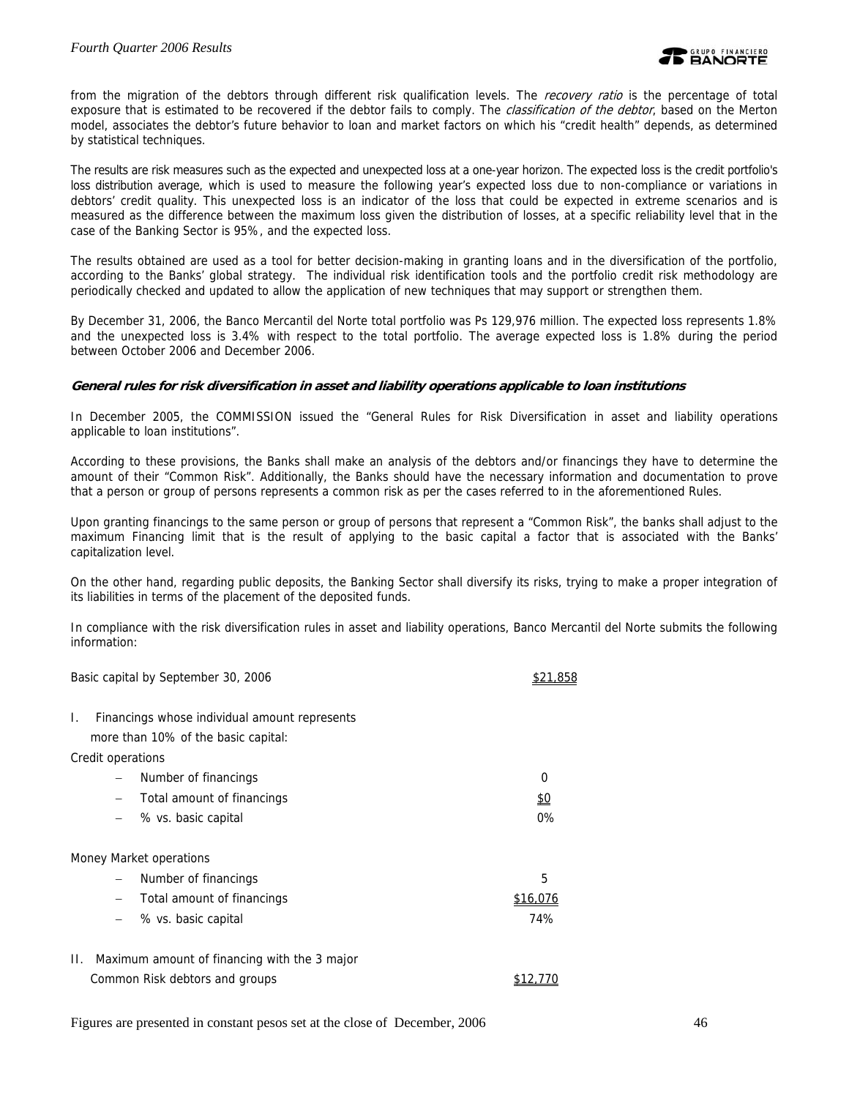from the migration of the debtors through different risk qualification levels. The *recovery ratio* is the percentage of total exposure that is estimated to be recovered if the debtor fails to comply. The *classification of the debtor*, based on the Merton model, associates the debtor's future behavior to loan and market factors on which his "credit health" depends, as determined by statistical techniques.

The results are risk measures such as the expected and unexpected loss at a one-year horizon. The expected loss is the credit portfolio's loss distribution average, which is used to measure the following year's expected loss due to non-compliance or variations in debtors' credit quality. This unexpected loss is an indicator of the loss that could be expected in extreme scenarios and is measured as the difference between the maximum loss given the distribution of losses, at a specific reliability level that in the case of the Banking Sector is 95%, and the expected loss.

The results obtained are used as a tool for better decision-making in granting loans and in the diversification of the portfolio, according to the Banks' global strategy. The individual risk identification tools and the portfolio credit risk methodology are periodically checked and updated to allow the application of new techniques that may support or strengthen them.

By December 31, 2006, the Banco Mercantil del Norte total portfolio was Ps 129,976 million. The expected loss represents 1.8% and the unexpected loss is 3.4% with respect to the total portfolio. The average expected loss is 1.8% during the period between October 2006 and December 2006.

## **General rules for risk diversification in asset and liability operations applicable to loan institutions**

In December 2005, the COMMISSION issued the "General Rules for Risk Diversification in asset and liability operations applicable to loan institutions".

According to these provisions, the Banks shall make an analysis of the debtors and/or financings they have to determine the amount of their "Common Risk". Additionally, the Banks should have the necessary information and documentation to prove that a person or group of persons represents a common risk as per the cases referred to in the aforementioned Rules.

Upon granting financings to the same person or group of persons that represent a "Common Risk", the banks shall adjust to the maximum Financing limit that is the result of applying to the basic capital a factor that is associated with the Banks' capitalization level.

On the other hand, regarding public deposits, the Banking Sector shall diversify its risks, trying to make a proper integration of its liabilities in terms of the placement of the deposited funds.

In compliance with the risk diversification rules in asset and liability operations, Banco Mercantil del Norte submits the following information:

| Basic capital by September 30, 2006                    | \$21.858 |
|--------------------------------------------------------|----------|
| Financings whose individual amount represents<br>Ι.    |          |
| more than 10% of the basic capital:                    |          |
| Credit operations                                      |          |
| Number of financings                                   | 0        |
| Total amount of financings<br>$\qquad \qquad -$        | \$0      |
| % vs. basic capital                                    | 0%       |
| Money Market operations                                |          |
| Number of financings                                   | 5        |
| Total amount of financings<br>$\overline{\phantom{0}}$ | \$16,076 |
| % vs. basic capital                                    | 74%      |
| Maximum amount of financing with the 3 major<br>H.     |          |
| Common Risk debtors and groups                         |          |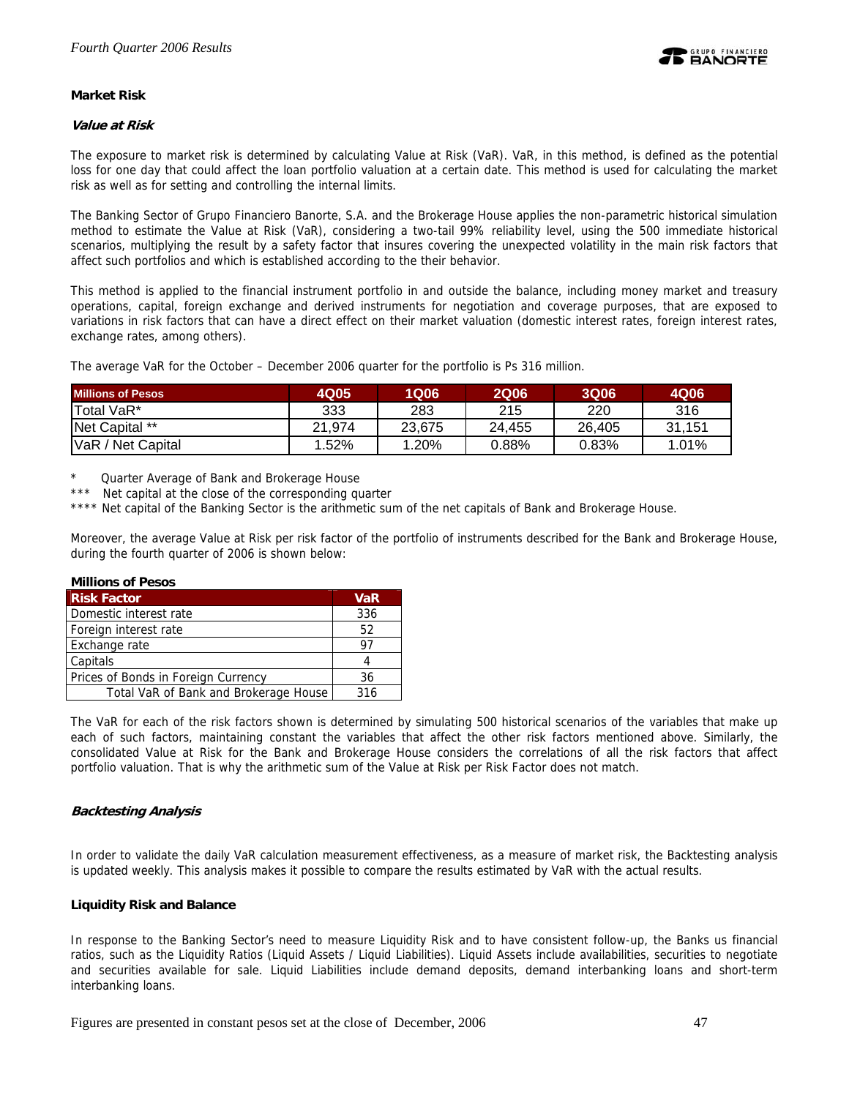

## **Market Risk**

## **Value at Risk**

The exposure to market risk is determined by calculating Value at Risk (VaR). VaR, in this method, is defined as the potential loss for one day that could affect the loan portfolio valuation at a certain date. This method is used for calculating the market risk as well as for setting and controlling the internal limits.

The Banking Sector of Grupo Financiero Banorte, S.A. and the Brokerage House applies the non-parametric historical simulation method to estimate the Value at Risk (VaR), considering a two-tail 99% reliability level, using the 500 immediate historical scenarios, multiplying the result by a safety factor that insures covering the unexpected volatility in the main risk factors that affect such portfolios and which is established according to the their behavior.

This method is applied to the financial instrument portfolio in and outside the balance, including money market and treasury operations, capital, foreign exchange and derived instruments for negotiation and coverage purposes, that are exposed to variations in risk factors that can have a direct effect on their market valuation (domestic interest rates, foreign interest rates, exchange rates, among others).

The average VaR for the October – December 2006 quarter for the portfolio is Ps 316 million.

| <b>Millions of Pesos</b> | 4Q05   | <b>1Q06</b> | <b>2Q06</b> | <b>3Q06</b> | 4Q06   |
|--------------------------|--------|-------------|-------------|-------------|--------|
| Total VaR*               | 333    | 283         | 215         | 220         | 316    |
| Net Capital **           | 21.974 | 23.675      | 24.455      | 26.405      | 31.151 |
| VaR / Net Capital        | 1.52%  | 1.20%       | 0.88%       | 0.83%       | 1.01%  |

Quarter Average of Bank and Brokerage House

\*\*\* Net capital at the close of the corresponding quarter

\*\*\*\* Net capital of the Banking Sector is the arithmetic sum of the net capitals of Bank and Brokerage House.

Moreover, the average Value at Risk per risk factor of the portfolio of instruments described for the Bank and Brokerage House, during the fourth quarter of 2006 is shown below:

## **Millions of Pesos**

| <b>Risk Factor</b>                    | <b>VaR</b> |
|---------------------------------------|------------|
| Domestic interest rate                | 336        |
| Foreign interest rate                 | 52         |
| Exchange rate                         | 97         |
| Capitals                              |            |
| Prices of Bonds in Foreign Currency   | 36         |
| Total VaR of Bank and Brokerage House | 316        |

The VaR for each of the risk factors shown is determined by simulating 500 historical scenarios of the variables that make up each of such factors, maintaining constant the variables that affect the other risk factors mentioned above. Similarly, the consolidated Value at Risk for the Bank and Brokerage House considers the correlations of all the risk factors that affect portfolio valuation. That is why the arithmetic sum of the Value at Risk per Risk Factor does not match.

## **Backtesting Analysis**

In order to validate the daily VaR calculation measurement effectiveness, as a measure of market risk, the Backtesting analysis is updated weekly. This analysis makes it possible to compare the results estimated by VaR with the actual results.

## **Liquidity Risk and Balance**

In response to the Banking Sector's need to measure Liquidity Risk and to have consistent follow-up, the Banks us financial ratios, such as the Liquidity Ratios (Liquid Assets / Liquid Liabilities). Liquid Assets include availabilities, securities to negotiate and securities available for sale. Liquid Liabilities include demand deposits, demand interbanking loans and short-term interbanking loans.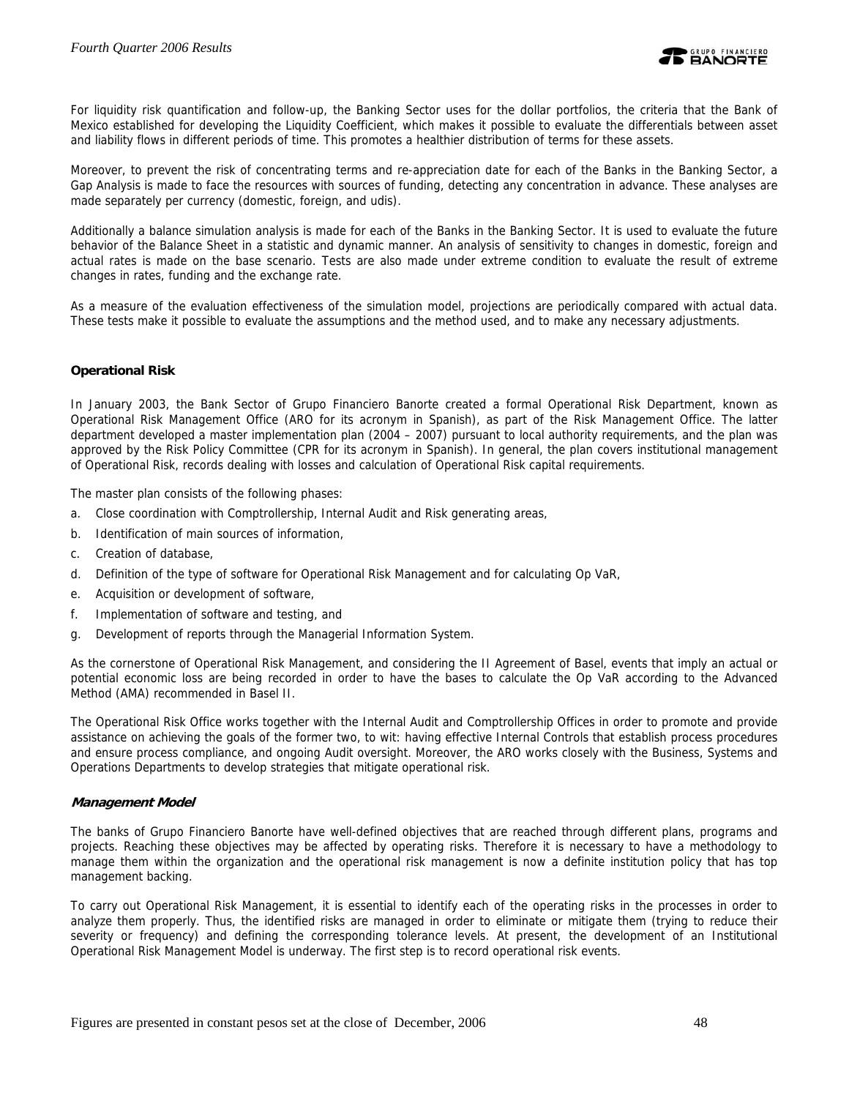

For liquidity risk quantification and follow-up, the Banking Sector uses for the dollar portfolios, the criteria that the Bank of Mexico established for developing the Liquidity Coefficient, which makes it possible to evaluate the differentials between asset and liability flows in different periods of time. This promotes a healthier distribution of terms for these assets.

Moreover, to prevent the risk of concentrating terms and re-appreciation date for each of the Banks in the Banking Sector, a Gap Analysis is made to face the resources with sources of funding, detecting any concentration in advance. These analyses are made separately per currency (domestic, foreign, and udis).

Additionally a balance simulation analysis is made for each of the Banks in the Banking Sector. It is used to evaluate the future behavior of the Balance Sheet in a statistic and dynamic manner. An analysis of sensitivity to changes in domestic, foreign and actual rates is made on the base scenario. Tests are also made under extreme condition to evaluate the result of extreme changes in rates, funding and the exchange rate.

As a measure of the evaluation effectiveness of the simulation model, projections are periodically compared with actual data. These tests make it possible to evaluate the assumptions and the method used, and to make any necessary adjustments.

## **Operational Risk**

In January 2003, the Bank Sector of Grupo Financiero Banorte created a formal Operational Risk Department, known as Operational Risk Management Office (ARO for its acronym in Spanish), as part of the Risk Management Office. The latter department developed a master implementation plan (2004 – 2007) pursuant to local authority requirements, and the plan was approved by the Risk Policy Committee (CPR for its acronym in Spanish). In general, the plan covers institutional management of Operational Risk, records dealing with losses and calculation of Operational Risk capital requirements.

The master plan consists of the following phases:

- a. Close coordination with Comptrollership, Internal Audit and Risk generating areas,
- b. Identification of main sources of information,
- c. Creation of database,
- d. Definition of the type of software for Operational Risk Management and for calculating Op VaR,
- e. Acquisition or development of software,
- f. Implementation of software and testing, and
- g. Development of reports through the Managerial Information System.

As the cornerstone of Operational Risk Management, and considering the II Agreement of Basel, events that imply an actual or potential economic loss are being recorded in order to have the bases to calculate the Op VaR according to the Advanced Method (AMA) recommended in Basel II.

The Operational Risk Office works together with the Internal Audit and Comptrollership Offices in order to promote and provide assistance on achieving the goals of the former two, to wit: having effective Internal Controls that establish process procedures and ensure process compliance, and ongoing Audit oversight. Moreover, the ARO works closely with the Business, Systems and Operations Departments to develop strategies that mitigate operational risk.

#### **Management Model**

The banks of Grupo Financiero Banorte have well-defined objectives that are reached through different plans, programs and projects. Reaching these objectives may be affected by operating risks. Therefore it is necessary to have a methodology to manage them within the organization and the operational risk management is now a definite institution policy that has top management backing.

To carry out Operational Risk Management, it is essential to identify each of the operating risks in the processes in order to analyze them properly. Thus, the identified risks are managed in order to eliminate or mitigate them (trying to reduce their severity or frequency) and defining the corresponding tolerance levels. At present, the development of an Institutional Operational Risk Management Model is underway. The first step is to record operational risk events.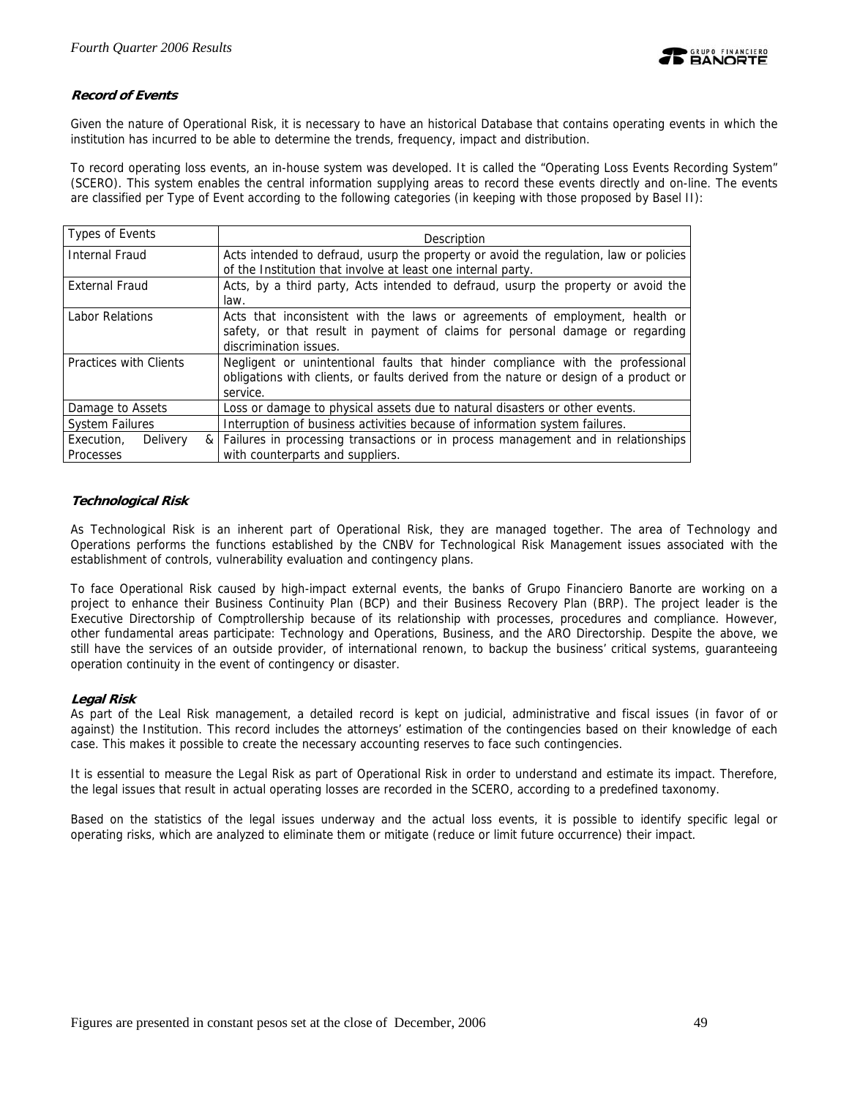

## **Record of Events**

Given the nature of Operational Risk, it is necessary to have an historical Database that contains operating events in which the institution has incurred to be able to determine the trends, frequency, impact and distribution.

To record operating loss events, an in-house system was developed. It is called the "Operating Loss Events Recording System" (SCERO). This system enables the central information supplying areas to record these events directly and on-line. The events are classified per Type of Event according to the following categories (in keeping with those proposed by Basel II):

| Types of Events        | Description                                                                           |
|------------------------|---------------------------------------------------------------------------------------|
| <b>Internal Fraud</b>  | Acts intended to defraud, usurp the property or avoid the regulation, law or policies |
|                        | of the Institution that involve at least one internal party.                          |
| <b>External Fraud</b>  | Acts, by a third party, Acts intended to defraud, usurp the property or avoid the     |
|                        | law.                                                                                  |
| Labor Relations        | Acts that inconsistent with the laws or agreements of employment, health or           |
|                        | safety, or that result in payment of claims for personal damage or regarding          |
|                        | discrimination issues.                                                                |
| Practices with Clients | Negligent or unintentional faults that hinder compliance with the professional        |
|                        | obligations with clients, or faults derived from the nature or design of a product or |
|                        | service.                                                                              |
| Damage to Assets       | Loss or damage to physical assets due to natural disasters or other events.           |
| <b>System Failures</b> | Interruption of business activities because of information system failures.           |
| Delivery<br>Execution, | & Failures in processing transactions or in process management and in relationships   |
| <b>Processes</b>       | with counterparts and suppliers.                                                      |

## **Technological Risk**

As Technological Risk is an inherent part of Operational Risk, they are managed together. The area of Technology and Operations performs the functions established by the CNBV for Technological Risk Management issues associated with the establishment of controls, vulnerability evaluation and contingency plans.

To face Operational Risk caused by high-impact external events, the banks of Grupo Financiero Banorte are working on a project to enhance their Business Continuity Plan (BCP) and their Business Recovery Plan (BRP). The project leader is the Executive Directorship of Comptrollership because of its relationship with processes, procedures and compliance. However, other fundamental areas participate: Technology and Operations, Business, and the ARO Directorship. Despite the above, we still have the services of an outside provider, of international renown, to backup the business' critical systems, guaranteeing operation continuity in the event of contingency or disaster.

## **Legal Risk**

As part of the Leal Risk management, a detailed record is kept on judicial, administrative and fiscal issues (in favor of or against) the Institution. This record includes the attorneys' estimation of the contingencies based on their knowledge of each case. This makes it possible to create the necessary accounting reserves to face such contingencies.

It is essential to measure the Legal Risk as part of Operational Risk in order to understand and estimate its impact. Therefore, the legal issues that result in actual operating losses are recorded in the SCERO, according to a predefined taxonomy.

Based on the statistics of the legal issues underway and the actual loss events, it is possible to identify specific legal or operating risks, which are analyzed to eliminate them or mitigate (reduce or limit future occurrence) their impact.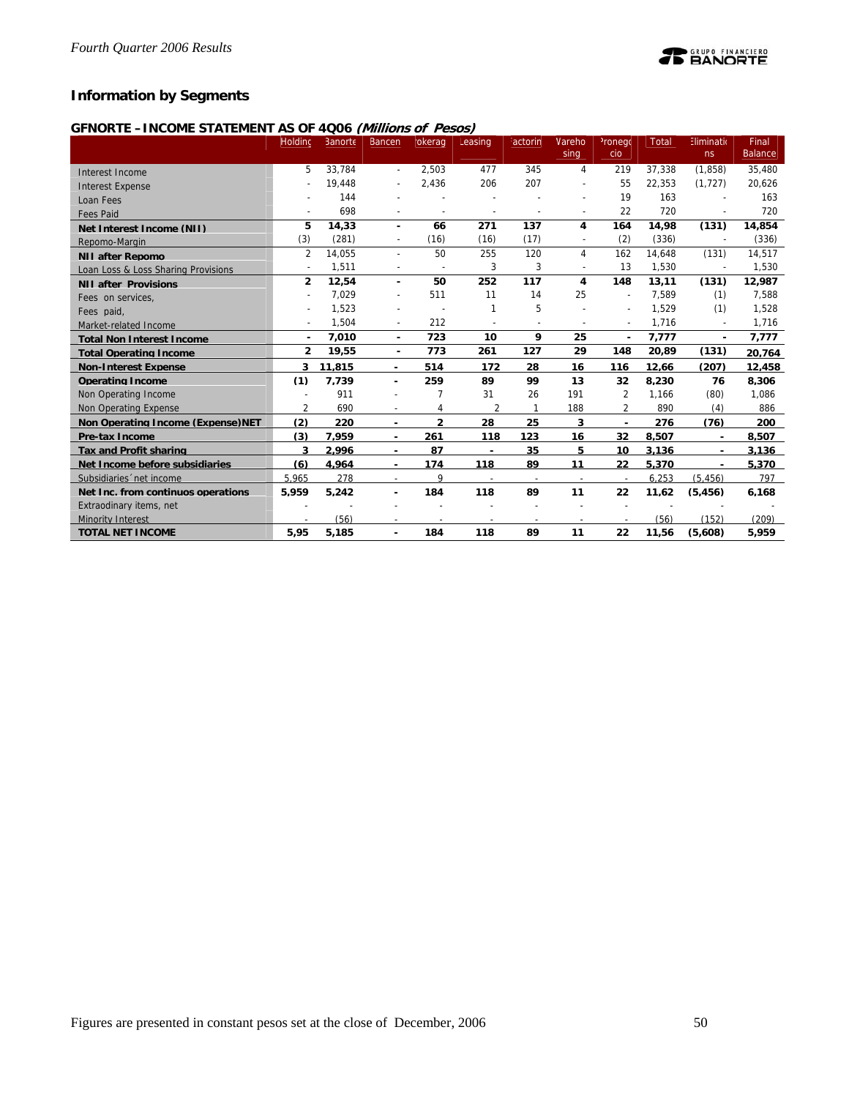## **Information by Segments**

## **GFNORTE –INCOME STATEMENT AS OF 4Q06 (Millions of Pesos)**

|                                     | Holdinc                  | Banorte | <b>Bancen</b>            | okerag         | Leasing                  | <i><b>actorin</b></i>    | <b>Nareho</b>            | <sup>2</sup> ronego      | Total  | Eliminatio               | Final          |
|-------------------------------------|--------------------------|---------|--------------------------|----------------|--------------------------|--------------------------|--------------------------|--------------------------|--------|--------------------------|----------------|
|                                     |                          |         |                          |                |                          |                          | sing                     | cio                      |        | ns                       | <b>Balance</b> |
| Interest Income                     | 5                        | 33.784  | $\overline{\phantom{a}}$ | 2.503          | 477                      | 345                      | 4                        | 219                      | 37.338 | (1.858)                  | 35,480         |
| <b>Interest Expense</b>             |                          | 19,448  | $\overline{\phantom{a}}$ | 2,436          | 206                      | 207                      |                          | 55                       | 22.353 | (1, 727)                 | 20,626         |
| Loan Fees                           |                          | 144     |                          |                |                          |                          |                          | 19                       | 163    |                          | 163            |
| <b>Fees Paid</b>                    |                          | 698     | $\overline{\phantom{a}}$ | $\overline{a}$ | $\overline{\phantom{a}}$ |                          |                          | 22                       | 720    | L,                       | 720            |
| Net Interest Income (NII)           | 5                        | 14.33   | $\blacksquare$           | 66             | 271                      | 137                      | 4                        | 164                      | 14,98  | (131)                    | 14,854         |
| Repomo-Margin                       | (3)                      | (281)   | $\overline{\phantom{a}}$ | (16)           | (16)                     | (17)                     |                          | (2)                      | (336)  | $\overline{a}$           | (336)          |
| <b>NII after Repomo</b>             | $\overline{2}$           | 14,055  | $\overline{\phantom{a}}$ | 50             | 255                      | 120                      | $\overline{4}$           | 162                      | 14.648 | (131)                    | 14,517         |
| Loan Loss & Loss Sharing Provisions | $\overline{\phantom{a}}$ | 1,511   | ÷                        | $\overline{a}$ | 3                        | 3                        |                          | 13                       | 1,530  | $\overline{\phantom{a}}$ | 1,530          |
| <b>NII after Provisions</b>         | $\overline{2}$           | 12,54   | $\blacksquare$           | 50             | 252                      | 117                      | 4                        | 148                      | 13,11  | (131)                    | 12,987         |
| Fees on services.                   |                          | 7,029   | $\overline{\phantom{a}}$ | 511            | 11                       | 14                       | 25                       | $\overline{\phantom{a}}$ | 7.589  | (1)                      | 7,588          |
| Fees paid.                          | $\overline{\phantom{a}}$ | 1,523   |                          |                | 1                        | 5                        |                          | $\overline{a}$           | 1,529  | (1)                      | 1,528          |
| Market-related Income               |                          | 1,504   | $\overline{\phantom{a}}$ | 212            |                          | $\overline{a}$           |                          | $\overline{\phantom{a}}$ | 1,716  | $\sim$                   | 1,716          |
| <b>Total Non Interest Income</b>    | ٠                        | 7,010   | $\blacksquare$           | 723            | 10                       | 9                        | 25                       | $\blacksquare$           | 7,777  | ٠                        | 7,777          |
| <b>Total Operating Income</b>       | $\overline{2}$           | 19,55   | $\blacksquare$           | 773            | 261                      | 127                      | 29                       | 148                      | 20,89  | (131)                    | 20.764         |
| <b>Non-Interest Expense</b>         | 3                        | 11,815  | ٠                        | 514            | 172                      | 28                       | 16                       | 116                      | 12.66  | (207)                    | 12.458         |
| <b>Operating Income</b>             | (1)                      | 7,739   | ٠                        | 259            | 89                       | 99                       | 13                       | 32                       | 8,230  | 76                       | 8,306          |
| Non Operating Income                |                          | 911     |                          | 7              | 31                       | 26                       | 191                      | 2                        | 1.166  | (80)                     | 1,086          |
| Non Operating Expense               | $\overline{2}$           | 690     | $\overline{\phantom{a}}$ | 4              | 2                        | $\mathbf{1}$             | 188                      | $\overline{2}$           | 890    | (4)                      | 886            |
| Non Operating Income (Expense) NET  | (2)                      | 220     | $\blacksquare$           | $\overline{2}$ | 28                       | 25                       | 3                        | ٠                        | 276    | (76)                     | 200            |
| <b>Pre-tax Income</b>               | (3)                      | 7.959   | $\overline{\phantom{a}}$ | 261            | 118                      | 123                      | 16                       | 32                       | 8,507  | $\blacksquare$           | 8.507          |
| <b>Tax and Profit sharing</b>       | 3                        | 2.996   | $\sim$                   | 87             | $\blacksquare$           | 35                       | 5                        | 10                       | 3.136  |                          | 3.136          |
| Net Income before subsidiaries      | (6)                      | 4.964   |                          | 174            | 118                      | 89                       | 11                       | 22                       | 5,370  |                          | 5,370          |
| Subsidiaries 'net income            | 5.965                    | 278     | $\sim$                   | 9              | $\overline{\phantom{a}}$ | $\overline{\phantom{a}}$ | $\overline{\phantom{a}}$ | $\overline{\phantom{a}}$ | 6.253  | (5.456)                  | 797            |
| Net Inc. from continuos operations  | 5.959                    | 5.242   | $\overline{\phantom{0}}$ | 184            | 118                      | 89                       | 11                       | 22                       | 11.62  | (5.456)                  | 6.168          |
| Extraodinary items, net             |                          |         |                          |                |                          |                          |                          |                          |        |                          |                |
| <b>Minority Interest</b>            |                          | (56)    |                          |                |                          |                          |                          |                          | (56)   | (152)                    | (209)          |
| <b>TOTAL NET INCOME</b>             | 5.95                     | 5.185   |                          | 184            | 118                      | 89                       | 11                       | 22                       | 11.56  | (5.608)                  | 5.959          |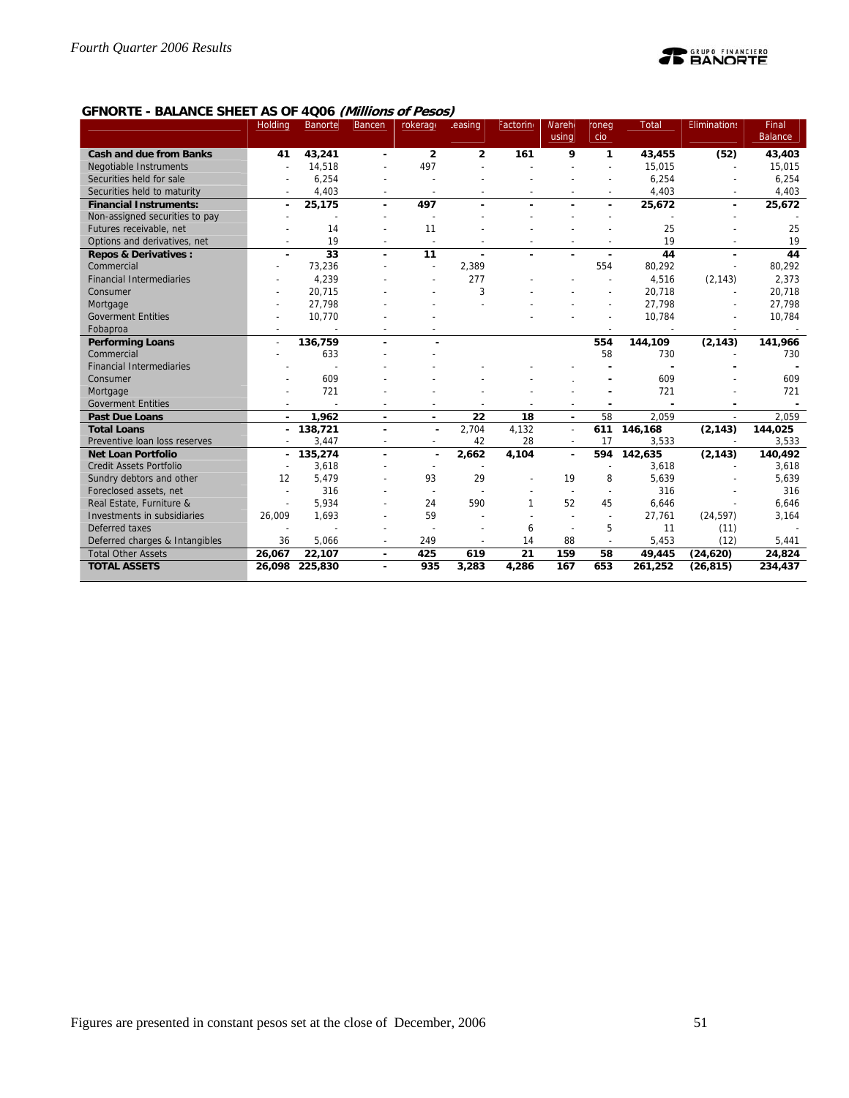

## **GFNORTE - BALANCE SHEET AS OF 4Q06 (Millions of Pesos)**

|                                 | Holding                  | <b>Banorte</b> | <b>Bancen</b>            | rokerage                 | easing         | Factorin | <b>Nareh</b>   | roneg          | Total   | <b>Eliminations</b>      | Final          |
|---------------------------------|--------------------------|----------------|--------------------------|--------------------------|----------------|----------|----------------|----------------|---------|--------------------------|----------------|
|                                 |                          |                |                          |                          |                |          | using          | cio            |         |                          | <b>Balance</b> |
| <b>Cash and due from Banks</b>  | 41                       | 43,241         | ٠                        | $\overline{2}$           | $\overline{2}$ | 161      | 9              | 1              | 43,455  | (52)                     | 43,403         |
| Negotiable Instruments          | $\overline{\phantom{a}}$ | 14,518         |                          | 497                      |                |          |                |                | 15.015  | $\overline{\phantom{a}}$ | 15,015         |
| Securities held for sale        |                          | 6,254          |                          |                          |                |          |                |                | 6,254   |                          | 6,254          |
| Securities held to maturity     | $\overline{\phantom{a}}$ | 4,403          | $\overline{\phantom{a}}$ | $\overline{a}$           |                |          |                |                | 4,403   | $\overline{\phantom{a}}$ | 4,403          |
| <b>Financial Instruments:</b>   | ٠                        | 25,175         | ٠                        | 497                      | $\blacksquare$ |          |                | $\blacksquare$ | 25,672  | $\blacksquare$           | 25,672         |
| Non-assigned securities to pay  |                          | ÷              |                          |                          |                |          |                |                |         |                          |                |
| Futures receivable, net         |                          | 14             |                          | 11                       |                |          |                |                | 25      |                          | 25             |
| Options and derivatives, net    | $\overline{a}$           | 19             | $\overline{\phantom{a}}$ | $\overline{\phantom{a}}$ |                |          |                |                | 19      |                          | 19             |
| <b>Repos &amp; Derivatives:</b> |                          | 33             | ÷,                       | 11                       | ä,             |          |                |                | 44      |                          | 44             |
| Commercial                      |                          | 73,236         |                          | $\overline{a}$           | 2.389          |          |                | 554            | 80,292  |                          | 80,292         |
| <b>Financial Intermediaries</b> |                          | 4,239          |                          |                          | 277            |          |                |                | 4,516   | (2, 143)                 | 2,373          |
| Consumer                        |                          | 20,715         |                          |                          | 3              |          |                |                | 20,718  |                          | 20,718         |
| Mortgage                        |                          | 27,798         |                          |                          |                |          |                |                | 27,798  |                          | 27,798         |
| <b>Goverment Entities</b>       |                          | 10,770         |                          |                          |                |          |                |                | 10,784  |                          | 10,784         |
| Fobaproa                        |                          |                |                          |                          |                |          |                |                |         |                          |                |
| <b>Performing Loans</b>         | $\sim$                   | 136,759        |                          |                          |                |          |                | 554            | 144,109 | (2, 143)                 | 141,966        |
| Commercial                      |                          | 633            |                          |                          |                |          |                | 58             | 730     |                          | 730            |
| <b>Financial Intermediaries</b> |                          |                |                          |                          |                |          |                |                |         |                          |                |
| Consumer                        |                          | 609            |                          |                          |                |          |                |                | 609     |                          | 609            |
| Mortgage                        |                          | 721            |                          |                          |                |          |                |                | 721     |                          | 721            |
| <b>Goverment Entities</b>       |                          |                |                          |                          |                |          |                |                |         |                          |                |
| <b>Past Due Loans</b>           | $\overline{\phantom{a}}$ | 1,962          | $\blacksquare$           | $\blacksquare$           | 22             | 18       | ٠              | 58             | 2.059   |                          | 2,059          |
| <b>Total Loans</b>              | ٠                        | 138,721        |                          |                          | 2.704          | 4.132    | $\sim$         | 611            | 146,168 | (2, 143)                 | 144,025        |
| Preventive loan loss reserves   |                          | 3.447          |                          | $\overline{a}$           | 42             | 28       |                | 17             | 3.533   |                          | 3,533          |
| <b>Net Loan Portfolio</b>       | ٠                        | 135,274        |                          |                          | 2,662          | 4,104    | $\blacksquare$ | 594            | 142,635 | (2, 143)                 | 140,492        |
| Credit Assets Portfolio         |                          | 3,618          |                          |                          |                |          |                |                | 3,618   |                          | 3,618          |
| Sundry debtors and other        | 12                       | 5,479          |                          | 93                       | 29             |          | 19             | 8              | 5,639   |                          | 5,639          |
| Foreclosed assets, net          | $\overline{\phantom{a}}$ | 316            |                          | $\overline{\phantom{a}}$ |                |          |                |                | 316     |                          | 316            |
| Real Estate, Furniture &        | $\overline{\phantom{a}}$ | 5,934          |                          | 24                       | 590            |          | 52             | 45             | 6.646   |                          | 6,646          |
| Investments in subsidiaries     | 26,009                   | 1,693          |                          | 59                       |                |          |                |                | 27,761  | (24, 597)                | 3,164          |
| Deferred taxes                  |                          |                |                          |                          |                | 6        |                | 5              | 11      | (11)                     |                |
| Deferred charges & Intangibles  | 36                       | 5,066          |                          | 249                      |                | 14       | 88             |                | 5,453   | (12)                     | 5,441          |
| <b>Total Other Assets</b>       | 26,067                   | 22,107         |                          | 425                      | 619            | 21       | 159            | 58             | 49,445  | (24, 620)                | 24,824         |
| <b>TOTAL ASSETS</b>             | 26,098                   | 225,830        |                          | 935                      | 3,283          | 4,286    | 167            | 653            | 261,252 | (26, 815)                | 234,437        |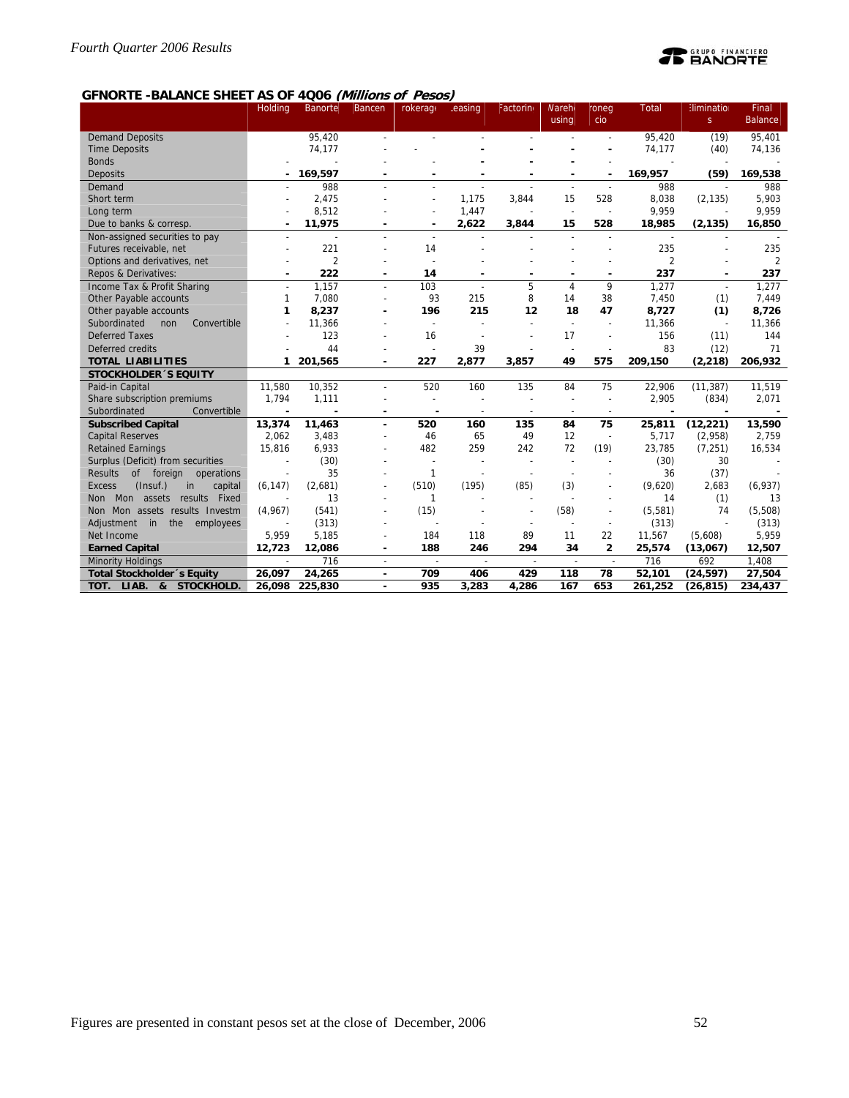# **TE BANORTE**

## **GFNORTE -BALANCE SHEET AS OF 4Q06 (Millions of Pesos)**

|                                                  | <b>Holding</b> | <b>Banorte</b> | <b>Bancen</b>            | rokerage                 | easing                   | Factorin                 | <b>Nareh</b>             | roneg                    | <b>Total</b>   | Elimination    | Final          |
|--------------------------------------------------|----------------|----------------|--------------------------|--------------------------|--------------------------|--------------------------|--------------------------|--------------------------|----------------|----------------|----------------|
|                                                  |                |                |                          |                          |                          |                          | using                    | cio                      |                | S              | <b>Balance</b> |
| <b>Demand Deposits</b>                           |                | 95,420         |                          |                          |                          |                          |                          |                          | 95.420         | (19)           | 95,401         |
| <b>Time Deposits</b>                             |                | 74,177         |                          |                          |                          |                          |                          |                          | 74,177         | (40)           | 74,136         |
| <b>Bonds</b>                                     |                |                |                          |                          |                          |                          |                          |                          |                |                |                |
| <b>Deposits</b>                                  |                | 169,597        |                          |                          |                          |                          |                          |                          | 169,957        | (59)           | 169,538        |
| Demand                                           |                | 988            |                          |                          |                          |                          | $\overline{\phantom{a}}$ |                          | 988            |                | 988            |
| Short term                                       |                | 2,475          |                          |                          | 1,175                    | 3,844                    | 15                       | 528                      | 8,038          | (2, 135)       | 5,903          |
| Long term                                        |                | 8,512          |                          |                          | 1,447                    |                          | $\overline{\phantom{a}}$ |                          | 9,959          |                | 9,959          |
| Due to banks & corresp.                          |                | 11,975         |                          |                          | 2,622                    | 3,844                    | 15                       | 528                      | 18,985         | (2, 135)       | 16,850         |
| Non-assigned securities to pay                   | $\overline{a}$ | ÷,             |                          | $\overline{a}$           |                          |                          |                          |                          | $\sim$         | $\overline{a}$ |                |
| Futures receivable, net                          |                | 221            |                          | 14                       |                          |                          |                          |                          | 235            |                | 235            |
| Options and derivatives, net                     |                | $\overline{2}$ |                          |                          |                          |                          |                          |                          | $\overline{2}$ |                | 2              |
| Repos & Derivatives:                             |                | 222            | $\overline{\phantom{a}}$ | 14                       | ٠                        |                          | -                        | $\blacksquare$           | 237            |                | 237            |
| Income Tax & Profit Sharing                      |                | 1.157          | ÷,                       | 103                      |                          | 5                        | $\overline{4}$           | 9                        | 1,277          | $\sim$         | 1,277          |
| Other Payable accounts                           | 1              | 7.080          |                          | 93                       | 215                      | 8                        | 14                       | 38                       | 7,450          | (1)            | 7,449          |
| Other payable accounts                           | 1              | 8,237          |                          | 196                      | 215                      | 12                       | 18                       | 47                       | 8,727          | (1)            | 8,726          |
| Subordinated<br>Convertible<br>non               |                | 11,366         |                          | $\overline{\phantom{a}}$ |                          |                          |                          |                          | 11,366         |                | 11,366         |
| <b>Deferred Taxes</b>                            |                | 123            |                          | 16                       |                          |                          | 17                       |                          | 156            | (11)           | 144            |
| Deferred credits                                 |                | 44             |                          |                          | 39                       |                          |                          |                          | 83             | (12)           | 71             |
| <b>TOTAL LIABILITIES</b>                         | 1              | 201,565        |                          | 227                      | 2,877                    | 3,857                    | 49                       | 575                      | 209,150        | (2, 218)       | 206,932        |
| <b>STOCKHOLDER 'S EQUITY</b>                     |                |                |                          |                          |                          |                          |                          |                          |                |                |                |
| Paid-in Capital                                  | 11.580         | 10,352         |                          | 520                      | 160                      | 135                      | 84                       | 75                       | 22,906         | (11, 387)      | 11,519         |
| Share subscription premiums                      | 1,794          | 1,111          |                          | $\sim$                   |                          |                          |                          |                          | 2,905          | (834)          | 2,071          |
| Subordinated<br>Convertible                      |                |                |                          |                          |                          |                          |                          |                          |                |                |                |
| <b>Subscribed Capital</b>                        | 13,374         | 11,463         |                          | 520                      | 160                      | 135                      | 84                       | 75                       | 25,811         | (12, 221)      | 13,590         |
| <b>Capital Reserves</b>                          | 2,062          | 3,483          |                          | 46                       | 65                       | 49                       | 12                       | $\overline{\phantom{a}}$ | 5,717          | (2,958)        | 2,759          |
| <b>Retained Earnings</b>                         | 15,816         | 6,933          |                          | 482                      | 259                      | 242                      | 72                       | (19)                     | 23,785         | (7, 251)       | 16,534         |
| Surplus (Deficit) from securities                |                | (30)           |                          | $\overline{\phantom{a}}$ | $\overline{\phantom{a}}$ | $\overline{\phantom{a}}$ | $\overline{\phantom{a}}$ |                          | (30)           | 30             |                |
| <b>Results</b><br>of foreign operations          |                | 35             |                          | $\mathbf{1}$             |                          |                          |                          |                          | 36             | (37)           |                |
| <b>Excess</b><br>$($ Insuf $.)$<br>capital<br>in | (6, 147)       | (2,681)        |                          | (510)                    | (195)                    | (85)                     | (3)                      |                          | (9,620)        | 2,683          | (6,937)        |
| Mon assets results Fixed<br>Non                  |                | 13             |                          | $\mathbf{1}$             |                          |                          |                          |                          | 14             | (1)            | 13             |
| Non Mon assets results Investm                   | (4,967)        | (541)          |                          | (15)                     |                          |                          | (58)                     |                          | (5,581)        | 74             | (5,508)        |
| Adjustment<br>in<br>the<br>employees             |                | (313)          |                          |                          |                          | $\overline{\phantom{a}}$ |                          | $\overline{\phantom{a}}$ | (313)          |                | (313)          |
| Net Income                                       | 5,959          | 5,185          |                          | 184                      | 118                      | 89                       | 11                       | 22                       | 11,567         | (5,608)        | 5,959          |
| <b>Earned Capital</b>                            | 12,723         | 12,086         |                          | 188                      | 246                      | 294                      | 34                       | $\overline{2}$           | 25,574         | (13,067)       | 12,507         |
| <b>Minority Holdings</b>                         |                | 716            |                          | $\overline{a}$           |                          |                          | ÷,                       | $\overline{a}$           | 716            | 692            | 1,408          |
| Total Stockholder 's Equity                      | 26,097         | 24,265         | $\overline{\phantom{a}}$ | 709                      | 406                      | 429                      | 118                      | 78                       | 52,101         | (24, 597)      | 27,504         |
| TOT.<br>LIAB.<br>&<br>STOCKHOLD.                 | 26,098         | 225,830        | ٠                        | 935                      | 3,283                    | 4,286                    | 167                      | 653                      | 261,252        | (26, 815)      | 234,437        |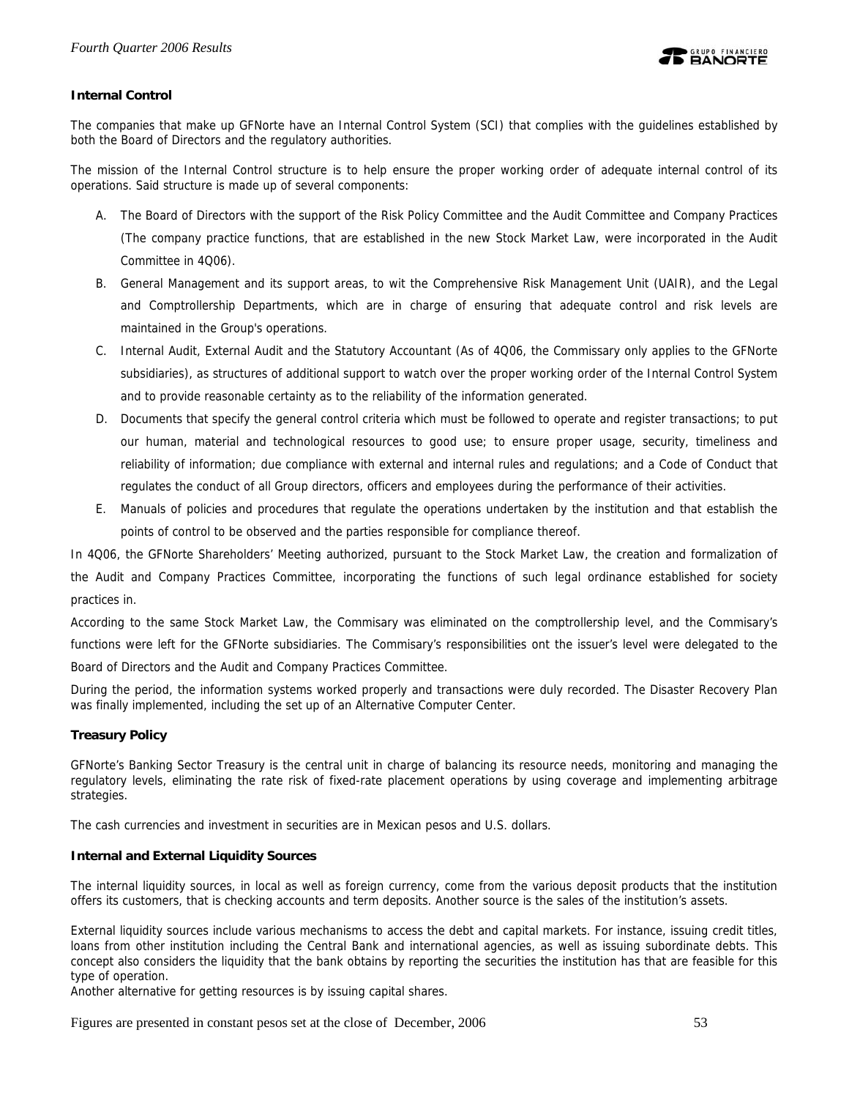

## **Internal Control**

The companies that make up GFNorte have an Internal Control System (SCI) that complies with the guidelines established by both the Board of Directors and the regulatory authorities.

The mission of the Internal Control structure is to help ensure the proper working order of adequate internal control of its operations. Said structure is made up of several components:

- A. The Board of Directors with the support of the Risk Policy Committee and the Audit Committee and Company Practices (The company practice functions, that are established in the new Stock Market Law, were incorporated in the Audit Committee in 4Q06).
- B. General Management and its support areas, to wit the Comprehensive Risk Management Unit (UAIR), and the Legal and Comptrollership Departments, which are in charge of ensuring that adequate control and risk levels are maintained in the Group's operations.
- C. Internal Audit, External Audit and the Statutory Accountant (As of 4Q06, the Commissary only applies to the GFNorte subsidiaries), as structures of additional support to watch over the proper working order of the Internal Control System and to provide reasonable certainty as to the reliability of the information generated.
- D. Documents that specify the general control criteria which must be followed to operate and register transactions; to put our human, material and technological resources to good use; to ensure proper usage, security, timeliness and reliability of information; due compliance with external and internal rules and regulations; and a Code of Conduct that regulates the conduct of all Group directors, officers and employees during the performance of their activities.
- E. Manuals of policies and procedures that regulate the operations undertaken by the institution and that establish the points of control to be observed and the parties responsible for compliance thereof.

In 4Q06, the GFNorte Shareholders' Meeting authorized, pursuant to the Stock Market Law, the creation and formalization of the Audit and Company Practices Committee, incorporating the functions of such legal ordinance established for society practices in.

According to the same Stock Market Law, the Commisary was eliminated on the comptrollership level, and the Commisary's functions were left for the GFNorte subsidiaries. The Commisary's responsibilities ont the issuer's level were delegated to the Board of Directors and the Audit and Company Practices Committee.

During the period, the information systems worked properly and transactions were duly recorded. The Disaster Recovery Plan was finally implemented, including the set up of an Alternative Computer Center.

## **Treasury Policy**

GFNorte's Banking Sector Treasury is the central unit in charge of balancing its resource needs, monitoring and managing the regulatory levels, eliminating the rate risk of fixed-rate placement operations by using coverage and implementing arbitrage strategies.

The cash currencies and investment in securities are in Mexican pesos and U.S. dollars.

## **Internal and External Liquidity Sources**

The internal liquidity sources, in local as well as foreign currency, come from the various deposit products that the institution offers its customers, that is checking accounts and term deposits. Another source is the sales of the institution's assets.

External liquidity sources include various mechanisms to access the debt and capital markets. For instance, issuing credit titles, loans from other institution including the Central Bank and international agencies, as well as issuing subordinate debts. This concept also considers the liquidity that the bank obtains by reporting the securities the institution has that are feasible for this type of operation.

Another alternative for getting resources is by issuing capital shares.

Figures are presented in constant pesos set at the close of December, 2006 53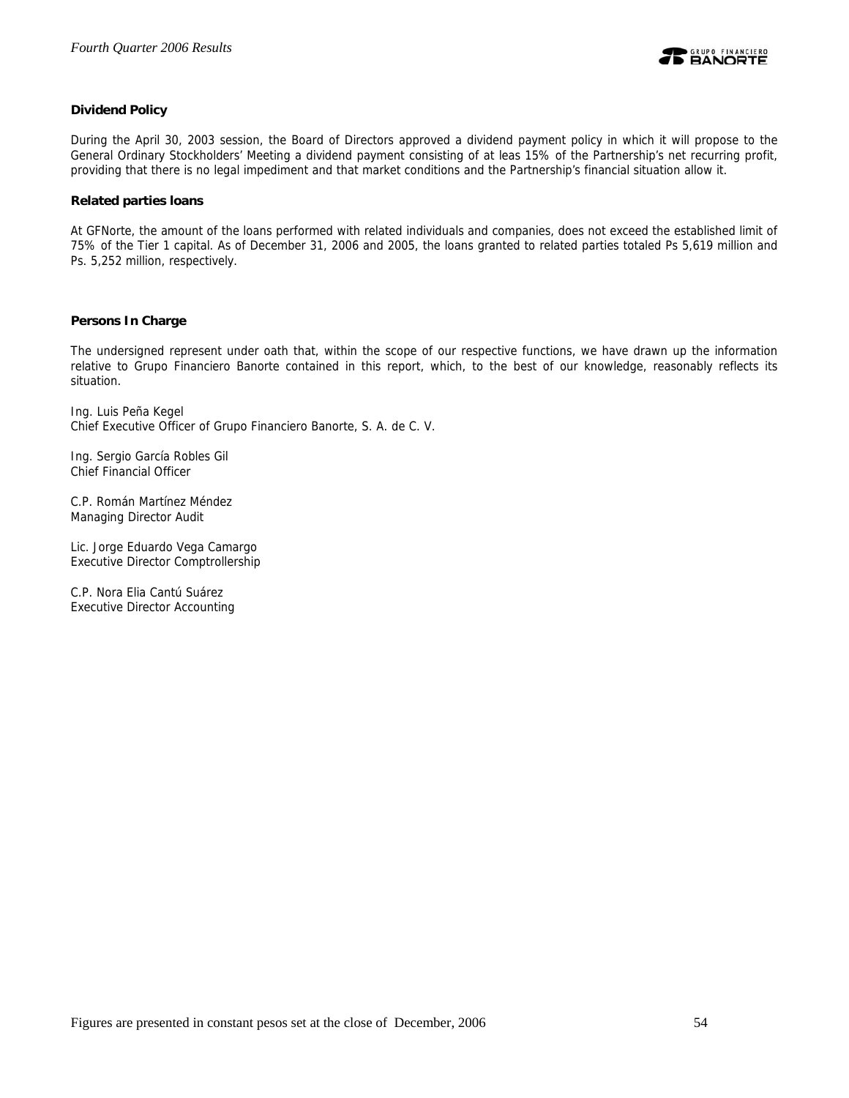

## **Dividend Policy**

During the April 30, 2003 session, the Board of Directors approved a dividend payment policy in which it will propose to the General Ordinary Stockholders' Meeting a dividend payment consisting of at leas 15% of the Partnership's net recurring profit, providing that there is no legal impediment and that market conditions and the Partnership's financial situation allow it.

## **Related parties loans**

At GFNorte, the amount of the loans performed with related individuals and companies, does not exceed the established limit of 75% of the Tier 1 capital. As of December 31, 2006 and 2005, the loans granted to related parties totaled Ps 5,619 million and Ps. 5,252 million, respectively.

## **Persons In Charge**

The undersigned represent under oath that, within the scope of our respective functions, we have drawn up the information relative to Grupo Financiero Banorte contained in this report, which, to the best of our knowledge, reasonably reflects its situation.

Ing. Luis Peña Kegel Chief Executive Officer of Grupo Financiero Banorte, S. A. de C. V.

Ing. Sergio García Robles Gil Chief Financial Officer

C.P. Román Martínez Méndez Managing Director Audit

Lic. Jorge Eduardo Vega Camargo Executive Director Comptrollership

C.P. Nora Elia Cantú Suárez Executive Director Accounting